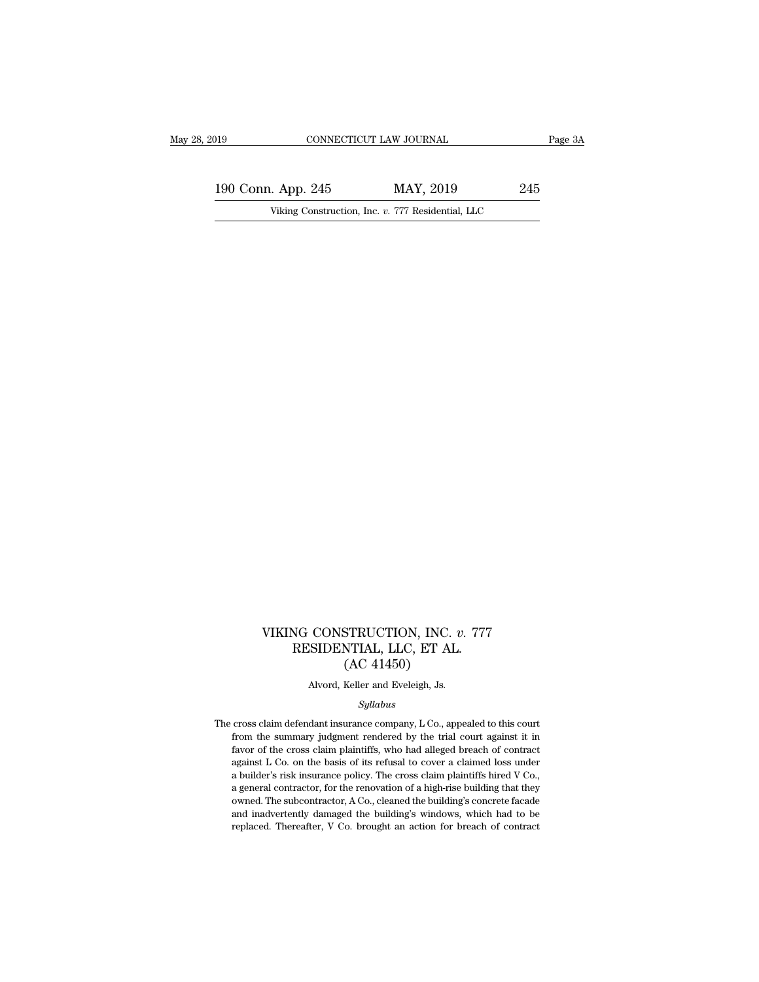190 CONNECTICUT LAW JOURNAL Page 3A<br>
190 Conn. App. 245 MAY, 2019 245<br>
Viking Construction, Inc. v. 777 Residential, LLC 019 CONNECTICUT LAW JOURNAL<br>190 Conn. App. 245 MAY, 2019 245<br>Viking Construction, Inc. *v.* 777 Residential, LLC

### VIKING CONSTRUCTION, INC. *v.* 777<br>RESIDENTIAL, LLC, ET AL.<br>(AC 41450) NG CONSTRUCTION, INC. v. 777<br>RESIDENTIAL, LLC, ET AL.<br>(AC 41450) STRUCTION, INC.<br>NTIAL, LLC, ET AL<br>(AC 41450)<br>Keller and Eveleigh, Js. CONSTRUCTION, INC. *v*.<br>SIDENTIAL, LLC, ET AL.<br>(AC 41450)<br>Alvord, Keller and Eveleigh, Js.<br>*Syllabus*

### *Syllabus*

 ${\rm (AC~41450)}$  Alvord, Keller and Eveleigh, Js.<br> $Syllabus$  The cross claim defendant insurance company, L Co., appealed to this court  $(AC 41450)$ <br>Alvord, Keller and Eveleigh, Js.<br> $Syllabus$ <br>cross claim defendant insurance company, L Co., appealed to this court<br>from the summary judgment rendered by the trial court against it in<br>favor of the cross claim plain favord, Keller and Eveleigh, Js.<br>Syllabus<br>cross claim defendant insurance company, L Co., appealed to this court<br>from the summary judgment rendered by the trial court against it in<br>favor of the cross claim plaintiffs, who *Syllabus*<br> *Syllabus*<br>
cross claim defendant insurance company, L Co., appealed to this court<br>
from the summary judgment rendered by the trial court against it in<br>
favor of the cross claim plaintiffs, who had alleged brea *Syllabus*<br>cross claim defendant insurance company, L Co., appealed to this court<br>from the summary judgment rendered by the trial court against it in<br>favor of the cross claim plaintiffs, who had alleged breach of contract<br> cross claim defendant insurance company, L Co., appealed to this court<br>from the summary judgment rendered by the trial court against it in<br>favor of the cross claim plaintiffs, who had alleged breach of contract<br>against L C cross claim decinative manadice company, 2 co., appeared to this time<br>from the summary judgment rendered by the trial court against it in<br>favor of the cross claim plaintiffs, who had alleged breach of contract<br>against L Co favor of the cross claim plaintiffs, who had alleged breach of contract against L Co. on the basis of its refusal to cover a claimed loss under a builder's risk insurance policy. The cross claim plaintiffs hired V Co., a against L Co. on the basis of its refusal to cover a claimed loss under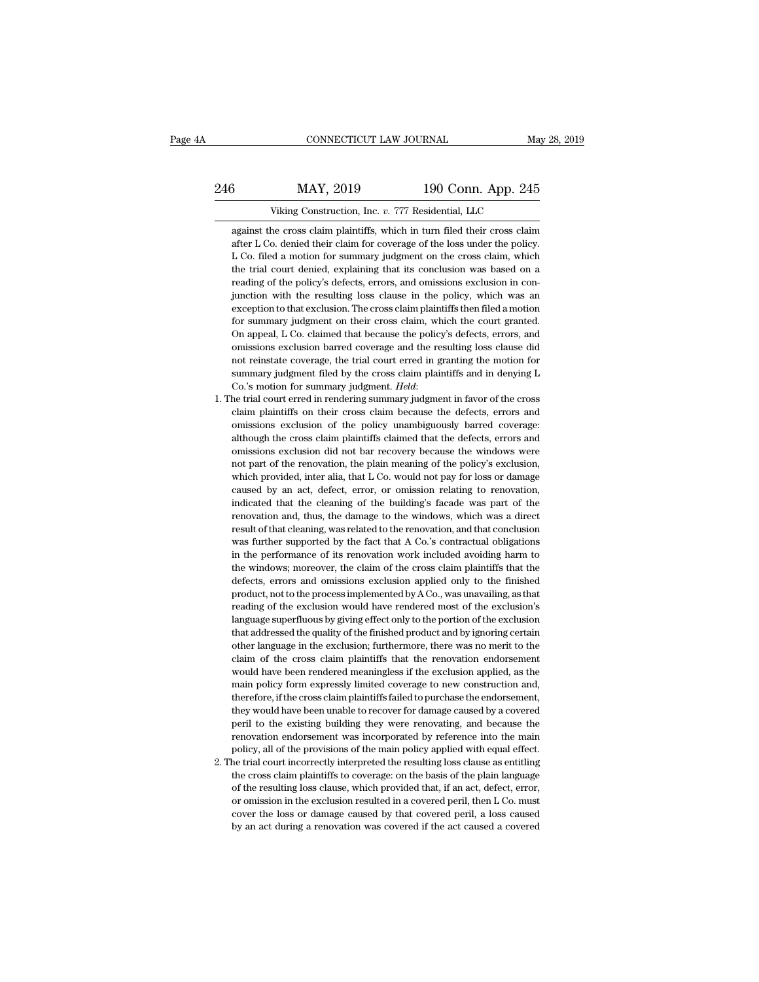# EXECUTE CONNECTICUT LAW JOURNAL May 28, 2019<br>246 MAY, 2019 190 Conn. App. 245<br>216 Viking Construction, Inc. v. 777 Residential, LLC CONNECTICUT LAW JOURNAL May 28, 2019<br>
MAY, 2019 190 Conn. App. 245<br>
Viking Construction, Inc. *v.* 777 Residential, LLC<br>
against the cross claim plaintiffs, which in turn filed their cross claim

3<br>
MAY, 2019 190 Conn. App. 245<br>
Viking Construction, Inc. v. 777 Residential, LLC<br>
against the cross claim plaintiffs, which in turn filed their cross claim<br>
after L Co. denied their claim for coverage of the loss under t MAY, 2019 190 Conn. App. 245<br>Viking Construction, Inc. v. 777 Residential, LLC<br>against the cross claim plaintiffs, which in turn filed their cross claim<br>after L Co. denied their claim for coverage of the loss under the pol  $MAY$ ,  $2019$  190 Conn. App. 245<br>Viking Construction, Inc. v. 777 Residential, LLC<br>against the cross claim plaintiffs, which in turn filed their cross claim<br>after L Co. denied their claim for coverage of the loss under the Viking Construction, Inc. v. 777 Residential, LLC<br>against the cross claim plaintiffs, which in turn filed their cross claim<br>after L Co. denied their claim for coverage of the loss under the policy.<br>L Co. filed a motion for Viking Construction, Inc. v. 777 Residential, LLC<br>against the cross claim plaintiffs, which in turn filed their cross claim<br>after L Co. denied their claim for coverage of the loss under the policy.<br>L Co. filed a motion for against the cross claim plaintiffs, which in turn filed their cross claim<br>after L Co. denied their claim for coverage of the loss under the policy.<br>L Co. filed a motion for summary judgment on the cross claim, which<br>the tr exter L Co. denied their claim for coverage of the loss under the policy.<br>L Co. denied their claim for coverage of the loss under the policy.<br>L Co. filed a motion for summary judgment on the cross claim, which<br>the trial co L. Co. filed a motion for summary judgment on the cross claim, which the trial court denied, explaining that its conclusion was based on a reading of the policy's defects, errors, and omissions exclusion in conjunction wit The trial court denied, explaining that its conclusion was based on a reading of the policy's defects, errors, and omissions exclusion in conjunction with the resulting loss clause in the policy, which was an exception to reading of the policy's defects, errors, and omissions exclusion in conjunction with the resulting loss clause in the policy, which was an exception to that exclusion. The cross claim plaintiffs then filed a motion for sum Function with the resulting loss clause in the policy, which was an exception to that exclusion. The cross claim plaintiffs then filed a motion for summary judgment on their cross claim, which the court granted. On appeal, exception to that exclusion. The cross claim plaintiffs then filed a motion for summary judgment on their cross claim, which the court granted. On appeal, L Co. claimed that because the policy's defects, errors, and omiss for summary judgment on their cross claim, which the court granted.<br>
On appeal, L Co. claimed that because the policy's defects, errors, and<br>
omissions exclusion barred coverage and the resulting loss clause did<br>
not reins on approximate and the resulting loss clause did<br>omissions exclusion barred coverage and the resulting loss clause did<br>not reinstate coverage, the trial court erred in granting the motion for<br>summary judgment filed by the

- not reinstate coverage, the trial court erred in granting to be caused and not reinstate coverage, the trial court erred in granting the motion for summary judgment. *Held*: Co.'s motion for summary judgment. *Held*: the t summary judgment filed by the cross claim plaintiffs and in denying L<br>Co.'s motion for summary judgment. *Held*:<br>he trial court erred in rendering summary judgment in favor of the cross<br>claim plaintiffs on their cross clai Co.'s motion for summary judgment. *Held*:<br>Co.'s motion for summary judgment. *Held*:<br>he trial court erred in rendering summary judgment in favor of the cross<br>claim plaintiffs on their cross claim because the defects, erro the trial court erred in rendering summary judgment in favor of the cross<br>claim plaintiffs on their cross claim because the defects, errors and<br>omissions exclusion of the policy unambiguously barred coverage:<br>although the claim plaintiffs on their cross claim because the defects, errors and omissions exclusion of the policy unambiguously barred coverage: although the cross claim plaintiffs claimed that the defects, errors and omissions excl caused by an act, defect, error, or omissions factors and omissions exclusion of the policy unambiguously barred coverage: although the cross claim plaintiffs claimed that the defects, errors and omissions exclusion did no although the cross claim plaintiffs claimed that the defects, errors and omissions exclusion did not bar recovery because the windows were not part of the renovation, the plain meaning of the policy's exclusion, which prov omissions exclusion did not bar recovery because the windows were<br>not part of the renovation, the plain meaning of the policy's exclusion,<br>which provided, inter alia, that L Co. would not pay for loss or damage<br>caused by a not part of the renovation, the plain meaning of the policy's exclusion, which provided, inter alia, that L Co. would not pay for loss or damage caused by an act, defect, error, or omission relating to renovation, indicate which provided, inter alia, that L Co. would not pay for loss or damage caused by an act, defect, error, or omission relating to renovation, indicated that the cleaning of the building's facade was part of the renovation a caused by an act, defect, error, or omission relating to renovation, indicated that the cleaning of the building's facade was part of the renovation and, thus, the damage to the windows, which was a direct result of that c endicated that the cleaning of the building's facade was part of the renovation and, thus, the damage to the windows, which was a direct result of that cleaning, was related to the renovation, and that conclusion was furth renovation and, thus, the damage to the windows, which was a direct result of that cleaning, was related to the renovation, and that conclusion was further supported by the fact that A Co.'s contractual obligations in the presult of that cleaning, was related to the renovation, and that conclusion was further supported by the fact that A Co.'s contractual obligations in the performance of its renovation work included avoiding harm to the wi reading of the exclusion work included avoiding harm to was further supported by the fact that A Co.'s contractual obligations in the performance of its renovation work included avoiding harm to the windows; moreover, the In the performance of its renovation work included avoiding harm to the windows; moreover, the claim of the cross claim plaintiffs that the defects, errors and omissions exclusion applied only to the finished product, not the windows; moreover, the claim of the cross claim plaintiffs that the defects, errors and omissions exclusion applied only to the finished product, not to the process implemented by A Co., was unavailing, as that reading defects, errors and omissions exclusion applied only to the finished product, not to the process implemented by A Co., was unavailing, as that reading of the exclusion would have rendered most of the exclusion's language s product, not to the process implemented by A Co., was unavailing, as that reading of the exclusion would have rendered most of the exclusion's language superfluous by giving effect only to the portion of the exclusion that reading of the exclusion would have rendered most of the exclusion's language superfluous by giving effect only to the portion of the exclusion that addressed the quality of the finished product and by ignoring certain oth Framing and policial policial policial policial policial policial policial policial policial policial policial policial policial policial policial policial policial policial policial other language in the exclusion; furthe that addressed the quality of the finished product and by ignoring certain<br>that addressed the quality of the finished product and by ignoring certain<br>other language in the exclusion; furthermore, there was no merit to the<br> other language in the exclusion; furthermore, there was no merit to the claim of the cross claim plaintiffs that the renovation endorsement would have been rendered meaningless if the exclusion applied, as the main policy elaim of the cross claim plaintiffs that the renovation endorsement<br>would have been rendered meaningless if the exclusion applied, as the<br>main policy form expressly limited coverage to new construction and,<br>therefore, if t would have been rendered meaningless if the exclusion applied, as the main policy form expressly limited coverage to new construction and, therefore, if the cross claim plaintiffs failed to purchase the endorsement, they w main policy form expressly limited coverage to new construction and, therefore, if the cross claim plaintiffs failed to purchase the endorsement, they would have been unable to recover for damage caused by a covered peril therefore, if the cross claim plaintiffs failed to purchase the endorsement, they would have been unable to recover for damage caused by a covered peril to the existing building they were renovating, and because the renova they would have been unable to recover for damage caused by a covered<br>peril to the existing building they were renovating, and because the<br>renovation endorsement was incorporated by reference into the main<br>policy, all of t
- need to the existing building they were renovating, and because the renovation endorsement was incorporated by reference into the main policy, all of the provisions of the main policy applied with equal effect. The trial c pear a consider the main such the main policy, all of the provisions of the main policy, all of the provisions of the main policy applied with equal effect.<br>The trial court incorrectly interpreted the resulting loss clause coloring and of the provisions of the main policy applied with equal effect.<br>he trial court incorrectly interpreted the resulting loss clause as entitling<br>the cross claim plaintiffs to coverage: on the basis of the plain l by an act during a renovation was covered the act caused a crecisting the cross claim plaintiffs to coverage: on the basis of the plain language of the resulting loss clause, which provided that, if an act, defect, error,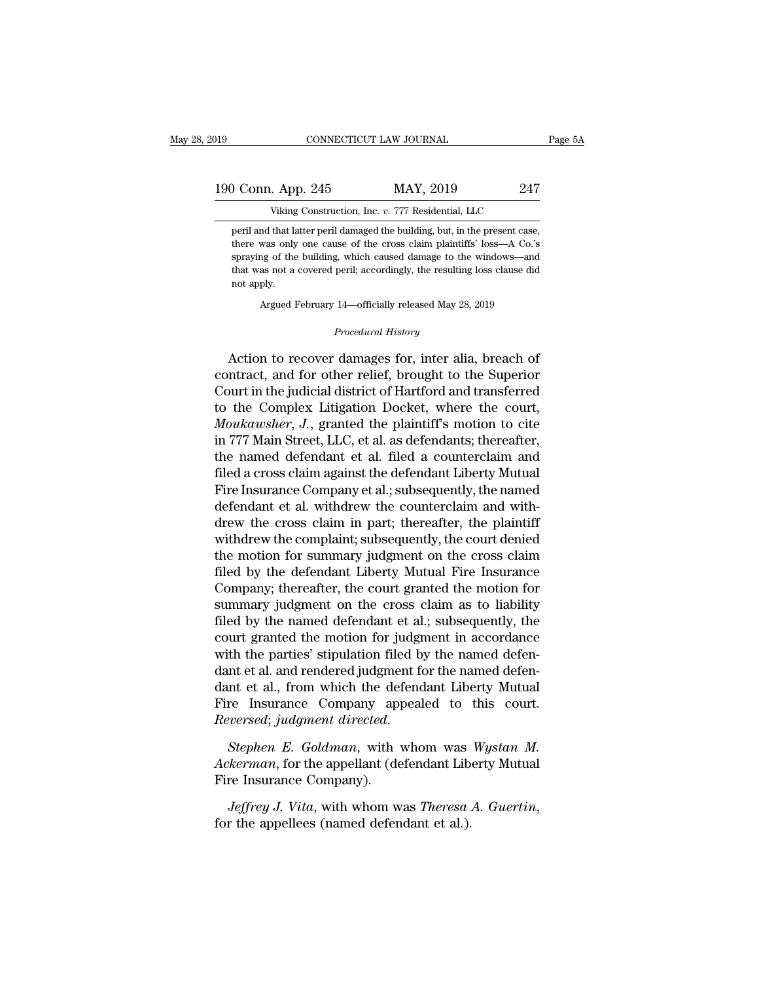| )19                | CONNECTICUT LAW JOURNAL                                                     | Page 5A |
|--------------------|-----------------------------------------------------------------------------|---------|
| 190 Conn. App. 245 | MAY, 2019                                                                   | 247     |
|                    | Viking Construction, Inc. v. 777 Residential, LLC                           |         |
|                    | peril and that latter peril damaged the building, but, in the present case, |         |

peril and that latter peril damaged the building, but, in the present case, there was only one cause of the cross claim plaintiffs' loss—A Co.'s there was only one cause of the cross claim plaintiffs' loss—A Co.'s<br>there was only one cause of the cross claim plaintiffs' loss—A Co.'s<br>spraying of the building, which caused damage to the windows—and Spraying Conneration, Inc. v. 777 Residential, LLC<br>
Spraying Construction, Inc. v. 777 Residential, LLC<br>
peril and that latter peril damaged the building, but, in the present case,<br>
there was only one cause of the cross cl Viking Construction, Inc. v. 777 Residential, LLC<br>peril and that latter peril damaged the building, but, in the present case,<br>there was only one cause of the cross claim plaintiffs' loss—A Co.'s<br>spraying of the building, w Viking<br>peril and that la<br>there was only<br>spraying of the<br>that was not a<br>not apply.<br>Argued I there was only one cause of the cross claim plaintiffs' loss—A Co.'s<br>spraying of the building, which caused damage to the windows—and<br>that was not a covered peril; accordingly, the resulting loss clause did<br>not apply.<br>Argu that was not a covered peril; accordingly, the resulting loss clause did<br>not apply.<br>*Procedural History*<br>*Procedural History*<br>*Procedural History*<br>**Action to recover damages for, inter alia, breach of** 

spraying of the building, which caused damage to the windows—and<br>that was not a covered peril; accordingly, the resulting loss clause did<br>not apply.<br>Argued February 14—officially released May 28, 2019<br>*Procedural History*<br> and was not a covered pern, accordingly, the resulting isso classe and<br>not apply.<br><br>Procedural History<br>Procedural History<br>Action to recover damages for, inter alia, breach of<br>contract, and for other relief, brought to the S Argued February 14—officially released May 28, 2019<br>
Procedural History<br>
Action to recover damages for, inter alia, breach of<br>
contract, and for other relief, brought to the Superior<br>
Court in the judicial district of Hart Argued February 14—onicially released May 28, 2019<br>
Procedural History<br>
Procedural History<br>
Action to recover damages for, inter alia, breach of<br>
contract, and for other relief, brought to the Superior<br>
Court in the judici *Procedural History*<br>
Action to recover damages for, inter alia, breach of<br>
contract, and for other relief, brought to the Superior<br>
Court in the judicial district of Hartford and transferred<br>
to the Complex Litigation Doc Action to recover damages for, inter alia, breach of<br>contract, and for other relief, brought to the Superior<br>Court in the judicial district of Hartford and transferred<br>to the Complex Litigation Docket, where the court,<br>*Mo* Action to recover damages for, inter alia, breach of<br>contract, and for other relief, brought to the Superior<br>Court in the judicial district of Hartford and transferred<br>to the Complex Litigation Docket, where the court,<br>*Mo* contract, and for other relief, brought to the Superior<br>Court in the judicial district of Hartford and transferred<br>to the Complex Litigation Docket, where the court,<br>*Moukawsher*, J., granted the plaintiff's motion to cite Court in the judicial district of Hartford and transferred<br>to the Complex Litigation Docket, where the court,<br>*Moukawsher*, J., granted the plaintiff's motion to cite<br>in 777 Main Street, LLC, et al. as defendants; thereaft to the Complex Litigation Docket, where the court,<br>Moukawsher, J., granted the plaintiff's motion to cite<br>in 777 Main Street, LLC, et al. as defendants; thereafter,<br>the named defendant et al. filed a counterclaim and<br>filed Moukawsher, J., granted the plaintiff's motion to cite<br>in 777 Main Street, LLC, et al. as defendants; thereafter,<br>the named defendant et al. filed a counterclaim and<br>filed a cross claim against the defendant Liberty Mutual in 777 Main Street, LLC, et al. as defendants; thereafter,<br>the named defendant et al. filed a counterclaim and<br>filed a cross claim against the defendant Liberty Mutual<br>Fire Insurance Company et al.; subsequently, the named the named defendant et al. filed a counterclaim and<br>filed a cross claim against the defendant Liberty Mutual<br>Fire Insurance Company et al.; subsequently, the named<br>defendant et al. withdrew the counterclaim and with-<br>drew filed a cross claim against the defendant Liberty Mutual<br>Fire Insurance Company et al.; subsequently, the named<br>defendant et al. withdrew the counterclaim and with-<br>drew the cross claim in part; thereafter, the plaintiff<br>w Fire Insurance Company et al.; subsequently, the named<br>defendant et al. withdrew the counterclaim and with-<br>drew the cross claim in part; thereafter, the plaintiff<br>withdrew the complaint; subsequently, the court denied<br>the defendant et al. withdrew the counterclaim and with-<br>drew the cross claim in part; thereafter, the plaintiff<br>withdrew the complaint; subsequently, the court denied<br>the motion for summary judgment on the cross claim<br>filed b drew the cross claim in part; thereafter, the plaintiff<br>withdrew the complaint; subsequently, the court denied<br>the motion for summary judgment on the cross claim<br>filed by the defendant Liberty Mutual Fire Insurance<br>Company withdrew the complaint; subsequently, the court denied<br>the motion for summary judgment on the cross claim<br>filed by the defendant Liberty Mutual Fire Insurance<br>Company; thereafter, the court granted the motion for<br>summary j the motion for summary judgment on the cross claim<br>filed by the defendant Liberty Mutual Fire Insurance<br>Company; thereafter, the court granted the motion for<br>summary judgment on the cross claim as to liability<br>filed by the filed by the defendant Liberty Mutual Fire Insurance<br>Company; thereafter, the court granted the motion for<br>summary judgment on the cross claim as to liability<br>filed by the named defendant et al.; subsequently, the<br>court gr Company; thereafter, the court granted the motion for<br>summary judgment on the cross claim as to liability<br>filed by the named defendant et al.; subsequently, the<br>court granted the motion for judgment in accordance<br>with the summary judgment on the cross claim as to liability<br>filed by the named defendant et al.; subsequently, the<br>court granted the motion for judgment in accordance<br>with the parties' stipulation filed by the named defen-<br>dant et filed by the named defendant et al.; subsequently, the<br>court granted the motion for judgment in accordance<br>with the parties' stipulation filed by the named defen-<br>dant et al., from which the defendant Liberty Mutual<br>Fire I dant et al. and rendered judgment for the named defendant et al., from which the defendant Liberty Mutual<br>Fire Insurance Company appealed to this court.<br>*Reversed*; *judgment directed*.<br>*Stephen E. Goldman*, with whom was dant et al., from which the deffire Insurance Company app<br> *Reversed*; *judgment directed.*<br> *Stephen E. Goldman*, with *Ackerman*, for the appellant (deffire Insurance Company).<br> *Jeffrey J. Vita*, with whom w

*Reversed; judgment directed.*<br>*Reversed; judgment directed.*<br>*Jeffreman,* for the appellant (defendant Liberty Mutual<br>Fire Insurance Company).<br>*Jeffrey J. Vita*, with whom was *Theresa A. Guertin,* for the appellees (name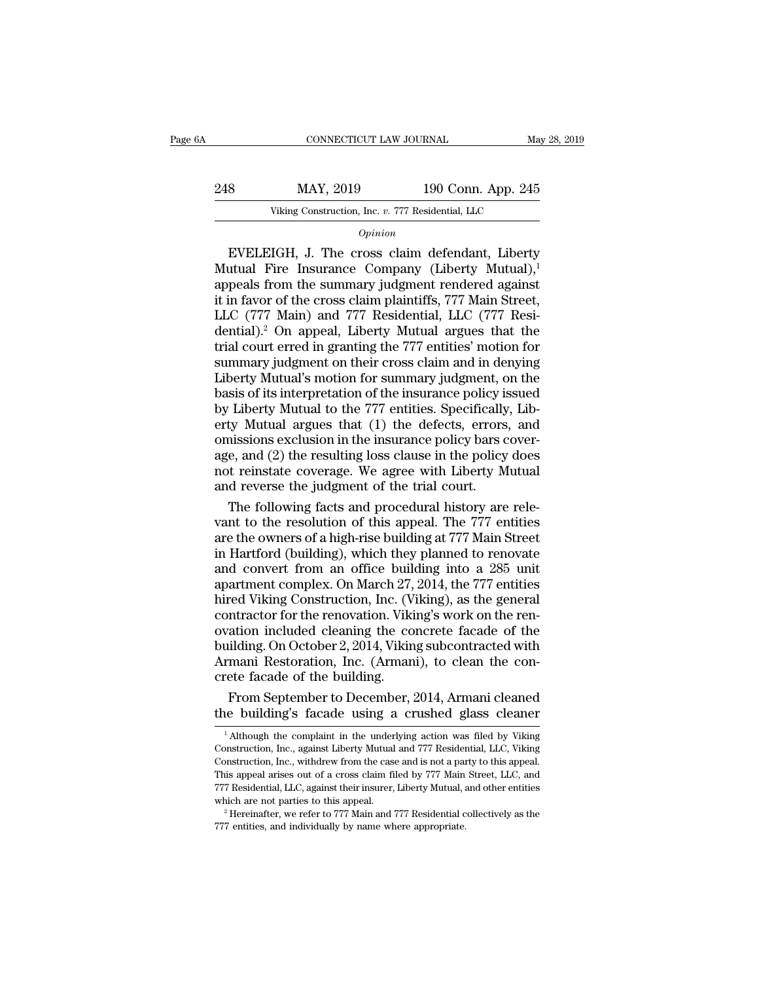# EXECUTE CONNECTICUT LAW JOURNAL May 28, 2019<br>248 MAY, 2019 190 Conn. App. 245<br>218 Viking Construction, Inc. v. 777 Residential, LLC CONNECTICUT LAW JOURNAL May<br>MAY, 2019 190 Conn. App. 245<br>Viking Construction, Inc. *v.* 777 Residential, LLC

### *Opinion*

EVELEIGH, J. The cross claim defendant, Liberty<br>
The construction, Inc. v. 777 Residential, LLC<br>  $\frac{1}{100}$ <br>
EVELEIGH, J. The cross claim defendant, Liberty<br>
utual Fire Insurance Company (Liberty Mutual), needs from the 248 MAY, 2019 190 Conn. App. 245<br>
Viking Construction, Inc. v. 777 Residential, LLC<br>  $\overline{Opinion}$ <br>
EVELEIGH, J. The cross claim defendant, Liberty<br>
Mutual Fire Insurance Company (Liberty Mutual),<sup>1</sup><br>
appeals from the summar 248 MAY, 2019 190 Conn. App. 245<br>
Viking Construction, Inc. v. 777 Residential, LLC<br> *Opinion*<br>
EVELEIGH, J. The cross claim defendant, Liberty<br>
Mutual Fire Insurance Company (Liberty Mutual),<sup>1</sup><br>
appeals from the summary Viking Construction, Inc. v. 777 Residential, LLC<br>
Opinion<br>
EVELEIGH, J. The cross claim defendant, Liberty<br>
Mutual Fire Insurance Company (Liberty Mutual),<sup>1</sup><br>
appeals from the summary judgment rendered against<br>
it in fav EVELEIGH, J. The cross claim defendant, Liberty<br>
Mutual Fire Insurance Company (Liberty Mutual),<sup>1</sup><br>
appeals from the summary judgment rendered against<br>
it in favor of the cross claim plaintiffs, 777 Main Street,<br>
LLC (77  $o<sub>pinion</sub>$ <br>
EVELEIGH, J. The cross claim defendant, Liberty<br>
Mutual Fire Insurance Company (Liberty Mutual),<sup>1</sup><br>
appeals from the summary judgment rendered against<br>
it in favor of the cross claim plaintiffs, 777 Main Str EVELEIGH, J. The cross claim defendant, Liberty<br>Mutual Fire Insurance Company (Liberty Mutual),<sup>1</sup><br>appeals from the summary judgment rendered against<br>it in favor of the cross claim plaintiffs, 777 Main Street,<br>LLC (777 Ma Mutual Fire Insurance Company (Liberty Mutual),<sup>1</sup><br>appeals from the summary judgment rendered against<br>it in favor of the cross claim plaintiffs, 777 Main Street,<br>LLC (777 Main) and 777 Residential, LLC (777 Resi-<br>dential) appeals from the summary judgment rendered against<br>it in favor of the cross claim plaintiffs, 777 Main Street,<br>LLC (777 Main) and 777 Residential, LLC (777 Resi-<br>dential).<sup>2</sup> On appeal, Liberty Mutual argues that the<br>trial it in favor of the cross claim plaintiffs, 777 Main Street,<br>LLC (777 Main) and 777 Residential, LLC (777 Residential).<sup>2</sup> On appeal, Liberty Mutual argues that the<br>trial court erred in granting the 777 entities' motion for LLC (777 Main) and 777 Residential, LLC (777 Residential).<sup>2</sup> On appeal, Liberty Mutual argues that the trial court erred in granting the 777 entities' motion for summary judgment on their cross claim and in denying Libert dential).<sup>2</sup> On appeal, Liberty Mutual argues that the<br>trial court erred in granting the 777 entities' motion for<br>summary judgment on their cross claim and in denying<br>Liberty Mutual's motion for summary judgment, on the<br>ba trial court erred in granting the 777 entities' motion for<br>summary judgment on their cross claim and in denying<br>Liberty Mutual's motion for summary judgment, on the<br>basis of its interpretation of the insurance policy issue summary judgment on their cross claim and in denying<br>Liberty Mutual's motion for summary judgment, on the<br>basis of its interpretation of the insurance policy issued<br>by Liberty Mutual to the 777 entities. Specifically, Lib-Liberty Mutual's motion for summary judgment, on the basis of its interpretation of the insurance policy issued by Liberty Mutual to the 777 entities. Specifically, Liberty Mutual argues that (1) the defects, errors, and o basis of its interpretation of the insurance policy is<br>by Liberty Mutual to the 777 entities. Specifically<br>erty Mutual argues that (1) the defects, errors<br>omissions exclusion in the insurance policy bars court<br>age, and (2) Liberty Mutual to the 777 entities. Specifically, Libty Mutual argues that (1) the defects, errors, and issions exclusion in the insurance policy bars covere, and (2) the resulting loss clause in the policy does to reinsta erty Mutual argues that (1) the defects, errors, and<br>omissions exclusion in the insurance policy bars cover-<br>age, and (2) the resulting loss clause in the policy does<br>not reinstate coverage. We agree with Liberty Mutual<br>an

omissions exclusion in the insurance policy bars cover-<br>age, and (2) the resulting loss clause in the policy does<br>not reinstate coverage. We agree with Liberty Mutual<br>and reverse the judgment of the trial court.<br>The follow age, and (2) the resulting loss clause in the policy does<br>not reinstate coverage. We agree with Liberty Mutual<br>and reverse the judgment of the trial court.<br>The following facts and procedural history are rele-<br>vant to the r not reinstate coverage. We agree with Liberty Mutual<br>and reverse the judgment of the trial court.<br>The following facts and procedural history are rele-<br>vant to the resolution of this appeal. The 777 entities<br>are the owners and reverse the judgment of the trial court.<br>The following facts and procedural history are relevant to the resolution of this appeal. The 777 entities<br>are the owners of a high-rise building at 777 Main Street<br>in Hartford The following facts and procedural history are relevant to the resolution of this appeal. The 777 entities are the owners of a high-rise building at 777 Main Street in Hartford (building), which they planned to renovate an vant to the resolution of this appeal. The 777 entities<br>are the owners of a high-rise building at 777 Main Street<br>in Hartford (building), which they planned to renovate<br>and convert from an office building into a 285 unit<br>a are the owners of a high-rise building at 777 Main Street<br>in Hartford (building), which they planned to renovate<br>and convert from an office building into a 285 unit<br>apartment complex. On March 27, 2014, the 777 entities<br>hi in Hartford (building), which they planned to renovate<br>and convert from an office building into a 285 unit<br>apartment complex. On March 27, 2014, the 777 entities<br>hired Viking Construction, Inc. (Viking), as the general<br>con and convert from an office building into a 285 unit<br>apartment complex. On March 27, 2014, the 777 entities<br>hired Viking Construction, Inc. (Viking), as the general<br>contractor for the renovation. Viking's work on the ren-<br>o apartment complex. On March 27,<br>hired Viking Construction, Inc. (V<br>contractor for the renovation. Viki<br>ovation included cleaning the co<br>building. On October 2, 2014, Vikin<br>Armani Restoration, Inc. (Arman<br>crete facade of th red Viking Construction, Inc. (Viking), as the general<br>ntractor for the renovation. Viking's work on the ren-<br>ation included cleaning the concrete facade of the<br>ilding. On October 2, 2014, Viking subcontracted with<br>mani Re contractor for the renovation. Viking's work on the renovation included cleaning the concrete facade of the building. On October 2, 2014, Viking subcontracted with Armani Restoration, Inc. (Armani), to clean the concrete f

Frinann Restoration, Inc. (Armann), to cream the con-<br>rete facade of the building.<br>From September to December, 2014, Armani cleaned<br>le building's facade using a crushed glass cleaner<br><sup>1</sup> Although the complaint in the under

crete facade of the building.<br>From September to December, 2014, Armani cleaned<br>the building's facade using a crushed glass cleaner<br><sup>1</sup> Although the complaint in the underlying action was filed by Viking<br>Construction, Inc., From September to December, 2014, Armani cleaned<br>the building's facade using a crushed glass cleaner<br> $\frac{1}{1}$ Although the complaint in the underlying action was filed by Viking<br>Construction, Inc., against Liberty Mutual Tront September to December, 2014, Armann eleance<br>the building's facade using a crushed glass cleaner<br><sup>1</sup> Although the complaint in the underlying action was filed by Viking<br>Construction, Inc., against Liberty Mutual and 7 The Dunity State Using a Crushed glass cleaner<br>
<sup>1</sup> Although the complaint in the underlying action was filed by Viking<br>
Construction, Inc., against Liberty Mutual and 777 Residential, LLC, Viking<br>
Construction, Inc., with <sup>1</sup> Although the complaint in the underlying action was filed by Viking Construction, Inc., against Liberty Mutual and 777 Residential, LLC, Viking Construction, Inc., withdrew from the case and is not a party to this app Construction, Inc., against Liberty Mutual and 777 Residential, LLC, Viking Construction, Inc., with<br>drew from the case and is not a party to this appeal. This appeal arises out of a cross claim filed by 777 Main Street, L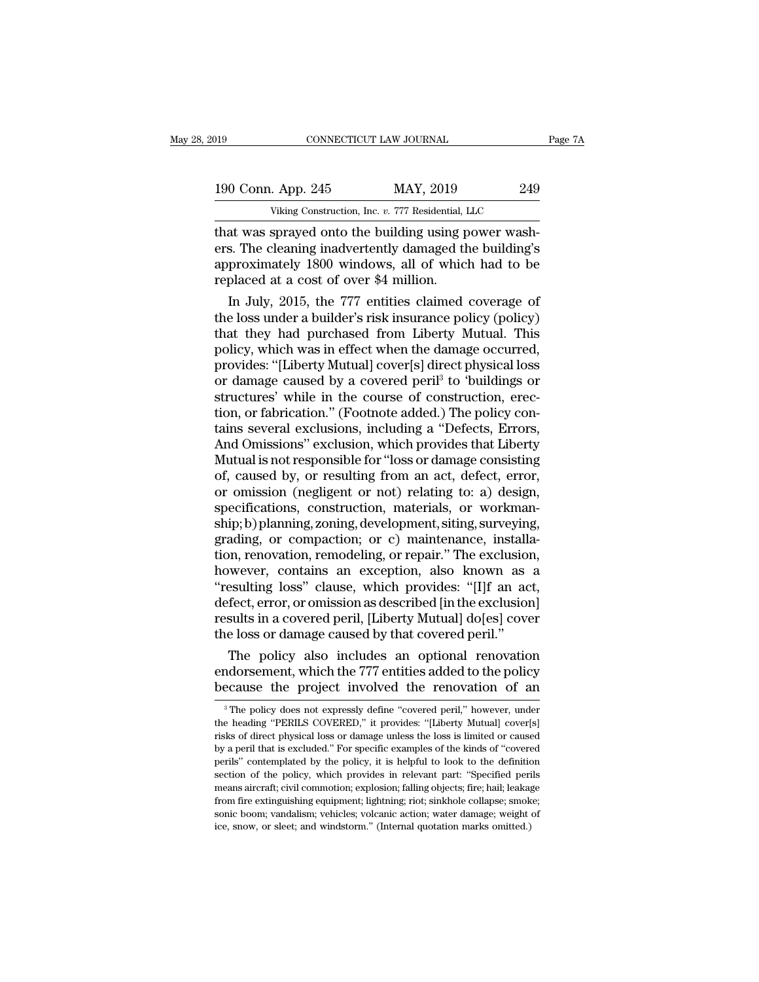190 CONNECTICUT LAW JOURNAL Page 7A<br>
190 Conn. App. 245 MAY, 2019 249<br>
Viking Construction, Inc. v. 777 Residential, LLC CONNECTICUT LAW JOURNAL<br>
. App. 245 MAY, 2019 249<br>
Viking Construction, Inc. *v.* 777 Residential, LLC<br>
sprayed onto the building using power wash-

The CONNECTICUT LAW JOURNAL<br>
190 Conn. App. 245 MAY, 2019 249<br>
Viking Construction, Inc. v. 777 Residential, LLC<br>
1911 that was sprayed onto the building using power wash-<br>
1920 express the building's<br>
200 windows all of w 190 Conn. App. 245 MAY, 2019 249<br>Viking Construction, Inc. v. 777 Residential, LLC<br>that was sprayed onto the building using power wash-<br>ers. The cleaning inadvertently damaged the building's<br>approximately 1800 windows, all 190 Conn. App. 245 MAY, 2019 249<br>Viking Construction, Inc. v. 777 Residential, LLC<br>that was sprayed onto the building using power wash-<br>ers. The cleaning inadvertently damaged the building's<br>approximately 1800 windows, all 190 Conn. App. 245 MAY, 2019<br>Viking Construction, Inc. v. 777 Residential, 1<br>that was sprayed onto the building using p<br>ers. The cleaning inadvertently damaged the<br>approximately 1800 windows, all of whice<br>replaced at a cos Viking Construction, Inc.  $v$ . 777 Residential, LLC<br>at was sprayed onto the building using power wash-<br>s. The cleaning inadvertently damaged the building's<br>proximately 1800 windows, all of which had to be<br>placed at a cost That was sprayed onto the building using power washers. The cleaning inadvertently damaged the building's<br>approximately 1800 windows, all of which had to be<br>replaced at a cost of over \$4 million.<br>In July, 2015, the 777 ent

that was sprayed onto the building using power washers. The cleaning inadvertently damaged the building's<br>approximately 1800 windows, all of which had to be<br>replaced at a cost of over \$4 million.<br>In July, 2015, the 777 ent ers. The cleaning inadvertently damaged the building's<br>approximately 1800 windows, all of which had to be<br>replaced at a cost of over \$4 million.<br>In July, 2015, the 777 entities claimed coverage of<br>the loss under a builder' approximately 1800 windows, all of which had to be<br>replaced at a cost of over \$4 million.<br>In July, 2015, the 777 entities claimed coverage of<br>the loss under a builder's risk insurance policy (policy)<br>that they had purchase replaced at a cost of over \$4 million.<br>
In July, 2015, the 777 entities claimed coverage of<br>
the loss under a builder's risk insurance policy (policy)<br>
that they had purchased from Liberty Mutual. This<br>
policy, which was i In July, 2015, the 777 entities claimed coverage of<br>the loss under a builder's risk insurance policy (policy)<br>that they had purchased from Liberty Mutual. This<br>policy, which was in effect when the damage occurred,<br>provides the loss under a builder's risk insurance policy (policy)<br>that they had purchased from Liberty Mutual. This<br>policy, which was in effect when the damage occurred,<br>provides: "[Liberty Mutual] cover[s] direct physical loss<br>or that they had purchased from Liberty Mutual. This<br>policy, which was in effect when the damage occurred,<br>provides: "[Liberty Mutual] cover[s] direct physical loss<br>or damage caused by a covered peril<sup>3</sup> to 'buildings or<br>stru policy, which was in effect when the damage occurred,<br>provides: "[Liberty Mutual] cover[s] direct physical loss<br>or damage caused by a covered peril<sup>3</sup> to 'buildings or<br>structures' while in the course of construction, erecprovides: "[Liberty Mutual] cover[s] direct physical loss<br>or damage caused by a covered peril<sup>3</sup> to 'buildings or<br>structures' while in the course of construction, erec-<br>tion, or fabrication." (Footnote added.) The policy c or damage caused by a covered peril<sup>3</sup> to 'buildings or<br>structures' while in the course of construction, erec-<br>tion, or fabrication." (Footnote added.) The policy con-<br>tains several exclusions, including a "Defects, Errors structures' while in the course of construction, erection, or fabrication." (Footnote added.) The policy contains several exclusions, including a "Defects, Errors, And Omissions" exclusion, which provides that Liberty Mutu tion, or fabrication." (Footnote added.) The policy contains several exclusions, including a "Defects, Errors,<br>And Omissions" exclusion, which provides that Liberty<br>Mutual is not responsible for "loss or damage consisting<br> tains several exclusions, including a "Defects, Errors,<br>And Omissions" exclusion, which provides that Liberty<br>Mutual is not responsible for "loss or damage consisting<br>of, caused by, or resulting from an act, defect, error, And Omissions" exclusion, which provides that Liberty<br>Mutual is not responsible for "loss or damage consisting<br>of, caused by, or resulting from an act, defect, error,<br>or omission (negligent or not) relating to: a) design,<br> Mutual is not responsible for "loss or damage consisting<br>of, caused by, or resulting from an act, defect, error,<br>or omission (negligent or not) relating to: a) design,<br>specifications, construction, materials, or workman-<br>s of, caused by, or resulting from an act, defect, error,<br>or omission (negligent or not) relating to: a) design,<br>specifications, construction, materials, or workman-<br>ship; b) planning, zoning, development, siting, surveying, or omission (negligent or not) relating to: a) design,<br>specifications, construction, materials, or workman-<br>ship; b) planning, zoning, development, siting, surveying,<br>grading, or compaction; or c) maintenance, installa-<br>ti specifications, construction, materials, or workmanship; b) planning, zoning, development, siting, surveying, grading, or compaction; or c) maintenance, installation, renovation, remodeling, or repair." The exclusion, howe ship; b) planning, zoning, development, siting, surveying, grading, or compaction; or c) maintenance, installation, renovation, remodeling, or repair." The exclusion, however, contains an exception, also known as a "result grading, or compaction; or c) maintenance, installation, renovation, remodeling, or repair." The exclusion however, contains an exception, also known as "resulting loss" clause, which provides: "[I]f an accefect, error, or m, renovation, remodeling, or repair." The exclusion,<br>wever, contains an exception, also known as a<br>esulting loss" clause, which provides: "[I]f an act,<br>fect, error, or omission as described [in the exclusion]<br>sults in a c however, contains an exception, also known as a<br>
"resulting loss" clause, which provides: "[I]f an act,<br>
defect, error, or omission as described [in the exclusion]<br>
results in a covered peril, [Liberty Mutual] do[es] cover "resulting loss" clause, which provides: "[1]f an act,<br>defect, error, or omission as described [in the exclusion]<br>results in a covered peril, [Liberty Mutual] do[es] cover<br>the loss or damage caused by that covered peril."

The policy also includes an optional renovation<br>ndorsement, which the 777 entities added to the policy<br>ecause the project involved the renovation of an<br><sup>3</sup>The policy does not expressly define "covered peril," however, unde The policy also includes an optional renovation<br>endorsement, which the 777 entities added to the policy<br>because the project involved the renovation of an<br><sup>3</sup>The policy does not expressly define "covered peril," however, un

endorsement, which the 777 entities added to the policy<br>because the project involved the renovation of an<br><sup>3</sup>The policy does not expressly define "covered peril," however, under<br>the heading "PERILS COVERED," it provides: " because the project involved the renovation of an<br>
<sup>3</sup> The policy does not expressly define "covered peril," however, under<br>
the heading "PERILS COVERED," it provides: "[Liberty Mutual] cover[s]<br>
risks of direct physical l pecause the project involved the renovation of an and a second of a second peril," however, under the heading "PERILS COVERED," it provides: "[Liberty Mutual] cover[s] risks of direct physical loss or damage unless the los  $^3$  The policy does not expressly define "covered peril," however, under the heading "PERILS COVERED," it provides: "[Liberty Mutual] cover[s] risks of direct physical loss or damage unless the loss is limited or caused the heading "PERILS COVERED," it provides: "[Liberty Mutual] cover[s]<br>risks of direct physical loss or damage unless the loss is limited or caused<br>by a peril that is excluded." For specific examples of the kinds of "covere risks of direct physical loss or damage unless the loss is limited or caused<br>by a peril that is excluded." For specific examples of the kinds of "covered<br>perils" contemplated by the policy, it is helpful to look to the def by a peril that is excluded." For specific examples of the kinds of "covered perils" contemplated by the policy, it is helpful to look to the definition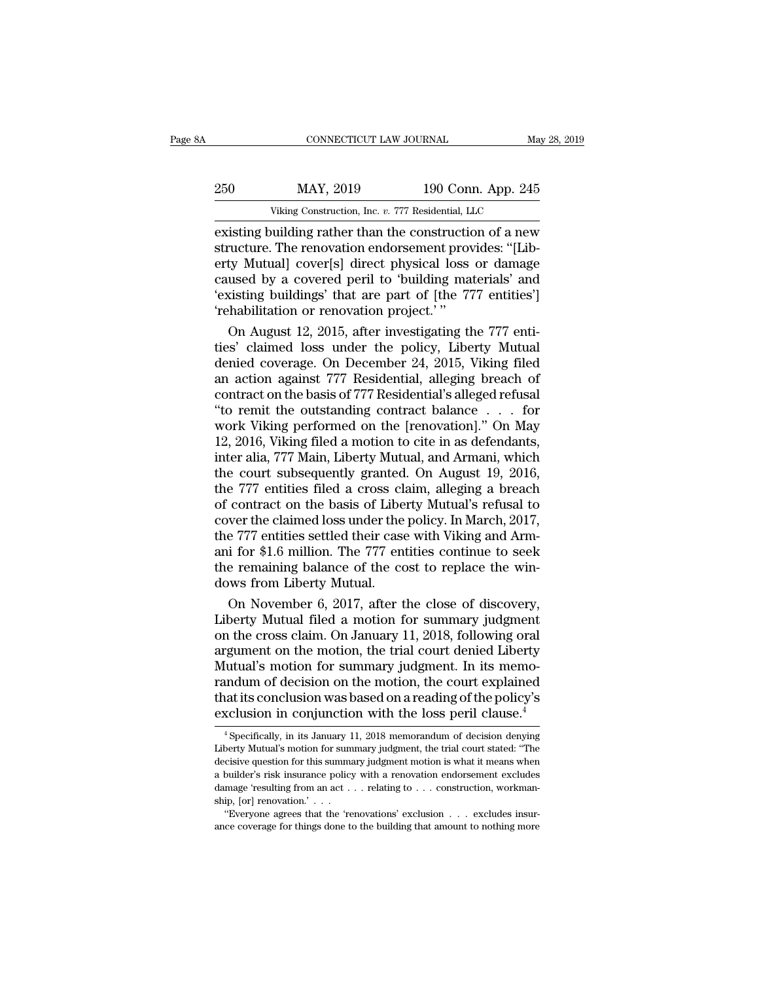|     | CONNECTICUT LAW JOURNAL                                 |                    | May 28, 2019 |
|-----|---------------------------------------------------------|--------------------|--------------|
| 250 | MAY, 2019                                               | 190 Conn. App. 245 |              |
|     | Viking Construction, Inc. v. 777 Residential, LLC       |                    |              |
|     | existing building rather than the construction of a new |                    |              |

EXECUTE CONNECTICUT LAW JOURNAL May 28, 2019<br>
250 MAY, 2019 190 Conn. App. 245<br>
Viking Construction, Inc. v. 777 Residential, LLC<br>
existing building rather than the construction of a new<br>
structure. The renovation endorsem Structure. MAY, 2019 190 Conn. App. 245<br>
Viking Construction, Inc. v. 777 Residential, LLC<br>
existing building rather than the construction of a new<br>
structure. The renovation endorsement provides: "[Lib-<br>
erty Mutual] cove 250 MAY, 2019 190 Conn. App. 245<br>
Viking Construction, Inc. v. 777 Residential, LLC<br>
existing building rather than the construction of a new<br>
structure. The renovation endorsement provides: "[Lib-<br>
erty Mutual] cover[s] d 250 MAY, 2019 190 Conn. App. 245<br>
Viking Construction, Inc. v. 777 Residential, LLC<br>
existing building rather than the construction of a new<br>
structure. The renovation endorsement provides: "[Lib-<br>
erty Mutual] cover[s] di Viking Construction, Inc. v. 777 Residential, LLC<br>
existing building rather than the construction of a new<br>
structure. The renovation endorsement provides: "[Lib-<br>
erty Mutual] cover[s] direct physical loss or damage<br>
caus Viking Construction, Inc. *v.* 777 Residential, Lie existing building rather than the construction structure. The renovation endorsement proverty Mutual] cover[s] direct physical loss caused by a covered peril to 'building isting building rather than the construction of a new<br>vucture. The renovation endorsement provides: "[Lib-<br>ty Mutual] cover[s] direct physical loss or damage<br>used by a covered peril to 'building materials' and<br>disting buil structure. The renovation endorsement provides: "[Liberty Mutual] cover[s] direct physical loss or damage<br>caused by a covered peril to 'building materials' and<br>'existing buildings' that are part of [the 777 entities']<br>'reh

erty Mutual] cover[s] direct physical loss or damage<br>caused by a covered peril to 'building materials' and<br>'existing buildings' that are part of [the 777 entities']<br>'rehabilitation or renovation project.'<br>'On August 12, 20 caused by a covered peril to 'building materials' and<br>
'existing buildings' that are part of [the 777 entities']<br>
'rehabilitation or renovation project.' "<br>
On August 12, 2015, after investigating the 777 enti-<br>
ties' clai 'existing buildings' that are part of [the 777 entities']<br>
'rehabilitation or renovation project.'"<br>
On August 12, 2015, after investigating the 777 enti-<br>
ties' claimed loss under the policy, Liberty Mutual<br>
denied covera 'rehabilitation or renovation project.'"<br>
On August 12, 2015, after investigating the 777 enti-<br>
ties' claimed loss under the policy, Liberty Mutual<br>
denied coverage. On December 24, 2015, Viking filed<br>
an action against 7 On August 12, 2015, after investigating the 777 entities' claimed loss under the policy, Liberty Mutual<br>denied coverage. On December 24, 2015, Viking filed<br>an action against 777 Residential, alleging breach of<br>contract on ties' claimed loss under the policy, Liberty Mutual<br>denied coverage. On December 24, 2015, Viking filed<br>an action against 777 Residential, alleging breach of<br>contract on the basis of 777 Residential's alleged refusal<br>"to r denied coverage. On December 24, 2015, Viking filed<br>an action against 777 Residential, alleging breach of<br>contract on the basis of 777 Residential's alleged refusal<br>"to remit the outstanding contract balance . . . for<br>work an action against 777 Residential, alleging breach of<br>contract on the basis of 777 Residential's alleged refusal<br>"to remit the outstanding contract balance . . . for<br>work Viking performed on the [renovation]." On May<br>12, 2 contract on the basis of 777 Residential's alleged refusal<br>
"to remit the outstanding contract balance  $\ldots$  for<br>
work Viking performed on the [renovation]." On May<br>
12, 2016, Viking filed a motion to cite in as defendant "to remit the outstanding contract balance . . . for<br>work Viking performed on the [renovation]." On May<br>12, 2016, Viking filed a motion to cite in as defendants,<br>inter alia, 777 Main, Liberty Mutual, and Armani, which<br>the work Viking performed on the [renovation]." On May<br>12, 2016, Viking filed a motion to cite in as defendants,<br>inter alia, 777 Main, Liberty Mutual, and Armani, which<br>the court subsequently granted. On August 19, 2016,<br>the 7 12, 2016, Viking filed a motion to cite in as defendants,<br>inter alia, 777 Main, Liberty Mutual, and Armani, which<br>the court subsequently granted. On August 19, 2016,<br>the 777 entities filed a cross claim, alleging a breach<br> inter alia, 777 Main, Liberty Mutual, and Armani, which<br>the court subsequently granted. On August 19, 2016,<br>the 777 entities filed a cross claim, alleging a breach<br>of contract on the basis of Liberty Mutual's refusal to<br>co the court subsequently granted. On August 19, 2016,<br>the 777 entities filed a cross claim, alleging a breach<br>of contract on the basis of Liberty Mutual's refusal to<br>cover the claimed loss under the policy. In March, 2017,<br>t the 777 entities filed a cross cloof contract on the basis of Liberty cover the claimed loss under the the 777 entities settled their case ani for \$1.6 million. The 777 entities remaining balance of the codows from Liberty contract on the basis of Liberty Mutual's refusal to<br>ver the claimed loss under the policy. In March, 2017,<br>e 777 entities settled their case with Viking and Arm-<br>i for \$1.6 million. The 777 entities continue to seek<br>e rem cover the claimed loss under the policy. In March, 2017,<br>the 777 entities settled their case with Viking and Arm-<br>ani for \$1.6 million. The 777 entities continue to seek<br>the remaining balance of the cost to replace the win

the 777 entities settled their case with Viking and Armani for \$1.6 million. The 777 entities continue to seek<br>the remaining balance of the cost to replace the win-<br>dows from Liberty Mutual.<br>On November 6, 2017, after the ani for \$1.6 million. The 777 entities continue to seek<br>the remaining balance of the cost to replace the win-<br>dows from Liberty Mutual.<br>On November 6, 2017, after the close of discovery,<br>Liberty Mutual filed a motion for s the remaining balance of the cost to replace the win-<br>dows from Liberty Mutual.<br>On November 6, 2017, after the close of discovery,<br>Liberty Mutual filed a motion for summary judgment<br>on the cross claim. On January 11, 2018, dows from Liberty Mutual.<br>
On November 6, 2017, after the close of discovery,<br>
Liberty Mutual filed a motion for summary judgment<br>
on the cross claim. On January 11, 2018, following oral<br>
argument on the motion, the trial On November 6, 2017, after the close of discovery,<br>Liberty Mutual filed a motion for summary judgment<br>on the cross claim. On January 11, 2018, following oral<br>argument on the motion, the trial court denied Liberty<br>Mutual's Liberty Mutual filed a motion for summary judgment<br>on the cross claim. On January 11, 2018, following oral<br>argument on the motion, the trial court denied Liberty<br>Mutual's motion for summary judgment. In its memo-<br>randum of futual's motion for summary judgment. In its memo-<br>undum of decision on the motion, the court explained<br>aat its conclusion was based on a reading of the policy's<br>sclusion in conjunction with the loss peril clause.<sup>4</sup><br> $\frac{$ randum of decision on the motion, the court explained<br>that its conclusion was based on a reading of the policy's<br>exclusion in conjunction with the loss peril clause.<sup>4</sup><br> $\frac{4}{1}$  Specifically, in its January 11, 2018 memo

that its conclusion was based on a reading of the policy's exclusion in conjunction with the loss peril clause.<sup>4</sup><br> $\overline{ }$ <sup>4</sup> Specifically, in its January 11, 2018 memorandum of decision denying Liberty Mutual's motion fo EXECUTE CONCRESSOR WAS DASCU OFFAIT CALLING OF THE PORTLANS POST EXCLUSION IN CONTRIGUITY As a specifically, in its January 11, 2018 memorandum of decision denying Liberty Mutual's motion for summary judgment, the trial c EXCIUSION IN CONJUNCTION WITH THE IOSS PETH CLAUSE.<br>
<sup>4</sup> Specifically, in its January 11, 2018 memorandum of decision denying<br>
Liberty Mutual's motion for summary judgment, the trial court stated: "The<br>
decisive question <sup>4</sup> Specifically, in its January 1<br>Liberty Mutual's motion for sum<br>decisive question for this summa<br>a builder's risk insurance policy<br>damage 'resulting from an act .<br>ship, [or] renovation.' . . . . . . . . . . . . . . . . "berty Mutual's motion for summary judgment, the trial court stated: "The cisive question for this summary judgment motion is what it means when builder's risk insurance policy with a renovation endorsement excludes mage decisive question for this summary judgment motion is what it means when<br>a builder's risk insurance policy with a renovation endorsement excludes<br>damage 'resulting from an act . . . relating to . . . construction, work<br>ma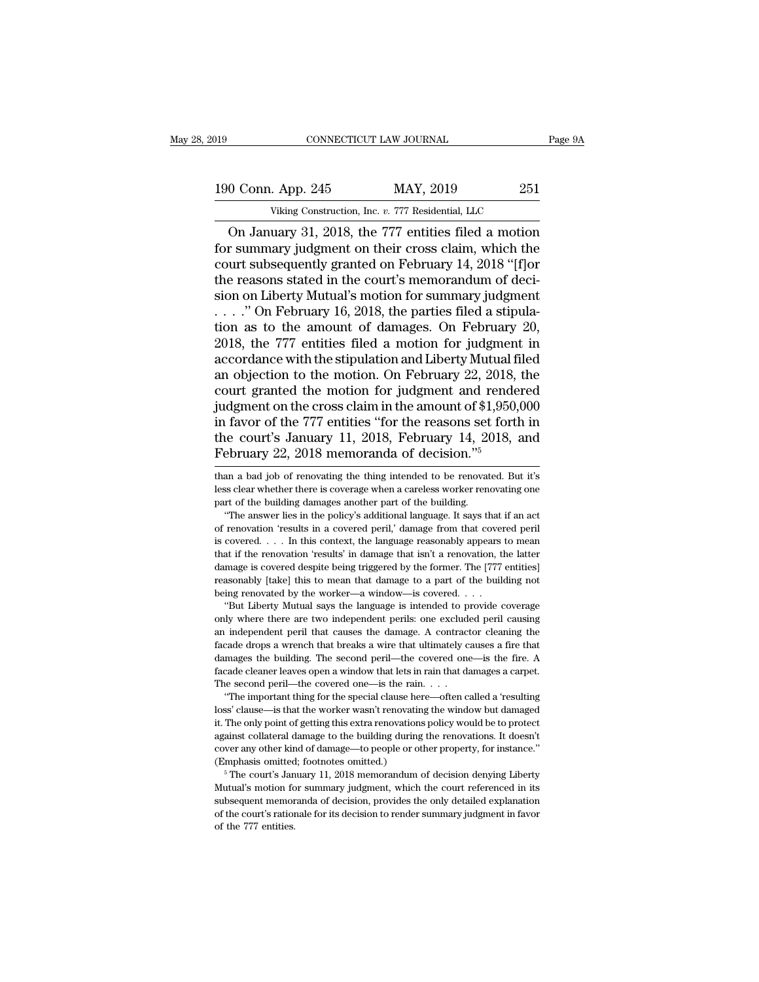CONNECTICUT LAW JOURNAL Page 9A<br>
0 Conn. App. 245 MAY, 2019 251<br>
Viking Construction, Inc. v. 777 Residential, LLC<br>
On January 31, 2018, the 777 entities filed a motion<br>
r summary judgment on their cross claim, which the<br> For Summary 1900 Conn. App. 245 MAY, 2019 251<br>
Viking Construction, Inc. v. 777 Residential, LLC<br>
On January 31, 2018, the 777 entities filed a motion<br>
for summary judgment on their cross claim, which the<br>
court subsequent 190 Conn. App. 245 MAY, 2019 251<br>
Viking Construction, Inc. v. 777 Residential, LLC<br>
On January 31, 2018, the 777 entities filed a motion<br>
for summary judgment on their cross claim, which the<br>
court subsequently granted o 190 Conn. App. 245 MAY, 2019 251<br>
Viking Construction, Inc. v. 777 Residential, LLC<br>
On January 31, 2018, the 777 entities filed a motion<br>
for summary judgment on their cross claim, which the<br>
court subsequently granted on viking Construction, Inc. v. 777 Residential, LLC<br>
On January 31, 2018, the 777 entities filed a motion<br>
for summary judgment on their cross claim, which the<br>
court subsequently granted on February 14, 2018 "[f]or<br>
the re Viking Construction, Inc. v. 777 Residential, LLC<br>
On January 31, 2018, the 777 entities filed a motion<br>
for summary judgment on their cross claim, which the<br>
court subsequently granted on February 14, 2018 "[f]<br>
on the r On January 31, 2018, the 777 entities filed a motion<br>for summary judgment on their cross claim, which the<br>court subsequently granted on February 14, 2018 "[f]or<br>the reasons stated in the court's memorandum of deci-<br>sion o for summary judgment on their cross claim, which the<br>court subsequently granted on February 14, 2018 "[f]or<br>the reasons stated in the court's memorandum of deci-<br>sion on Liberty Mutual's motion for summary judgment<br> $\ldots$ . court subsequently granted on February 14, 2018 "[f]or<br>the reasons stated in the court's memorandum of deci-<br>sion on Liberty Mutual's motion for summary judgment<br> $\ldots$ ." On February 16, 2018, the parties filed a stipula-<br> the reasons stated in the court's memorandum of decision on Liberty Mutual's motion for summary judgment<br>
....." On February 16, 2018, the parties filed a stipula-<br>
tion as to the amount of damages. On February 20,<br>
2018, sion on Liberty Mutual's motion for summary judgment<br>
....." On February 16, 2018, the parties filed a stipula-<br>
tion as to the amount of damages. On February 20,<br>
2018, the 777 entities filed a motion for judgment in<br>
ac ...." On February 16, 2018, the parties filed a stipulation as to the amount of damages. On February 20, 2018, the 777 entities filed a motion for judgment in accordance with the stipulation and Liberty Mutual filed an ob tion as to the amount of damages. On February 20,<br>2018, the 777 entities filed a motion for judgment in<br>accordance with the stipulation and Liberty Mutual filed<br>an objection to the motion. On February 22, 2018, the<br>court 2018, the 777 entities filed a motion for judgment in accordance with the stipulation and Liberty Mutual filed an objection to the motion. On February 22, 2018, the court granted the motion for judgment and rendered judgm accordance with the stipulation and Liberty Mutual f<br>an objection to the motion. On February 22, 2018,<br>court granted the motion for judgment and rende<br>judgment on the cross claim in the amount of \$1,950,<br>in favor of the 77 judgment on the cross claim in the amount of \$1,950,000<br>in favor of the 777 entities "for the reasons set forth in<br>the court's January 11, 2018, February 14, 2018, and<br>February 22, 2018 memoranda of decision."<sup>5</sup><br>than a ba in favor of the 777 entities "for the reasons set forth in<br>the court's January 11, 2018, February 14, 2018, and<br>February 22, 2018 memoranda of decision."<sup>5</sup><br>than a bad job of renovating the thing intended to be renovated.

the court's January 11, 2018, February 14, 2018, and<br>February 22, 2018 memoranda of decision."<sup>5</sup><br>than a bad job of renovating the thing intended to be renovated. But it's<br>less clear whether there is coverage when a carel Exercise is standary 11, 2010, 1 Cordary 14, 2010, and<br>
ebruary 22, 2018 memoranda of decision."<sup>5</sup><br>
an a bad job of renovating the thing intended to be renovated. But it's<br>
scelar whether there is coverage when a careles

**FEDTUATY 22, 2016 INENTOTATION OF OCCISION.**<br>
Than a bad job of renovating the thing intended to be renovated. But it's<br>
less clear whether there is coverage when a careless worker renovating one<br>
part of the building da In the about the set of renovating the thing intended to be renovated. But it's less clear whether there is coverage when a careless worker renovating one part of the building damages another part of the building. "The an that is the renovation 'results' in damage when a careless worker renovating one part of the building damages another part of the building. "The answer lies in the policy's additional language. It says that if an act of re part of the building damages another part of the building.<br>
"The answer lies in the policy's additional language. It says that if an act<br>
of renovation 'results in a covered peril,' damage from that covered peril<br>
is cover The answer lies in the policy's additional language. It says that if an act of renovation 'results in a covered peril,' damage from that covered peril is covered. . . . In this context, the language reasonably appears to of renovation 'results in a covered peril,' damage from that covered peril<br>is covered.... In this context, the language reasonably appears to mean<br>that if the renovation 'results' in damage that isn't a renovation, the la covered. . . . In this context, the language reasonably appears to mean at if the renovation 'results' in damage that isn't a renovation, the latter mage is covered despite being triggered by the former. The [777 entities] that if the renovation 'results' in damage that isn't a renovation, the latter damage is covered despite being triggered by the former. The [777 entities] reasonably [take] this to mean that damage to a part of the buildin

damage is covered despite being triggered by the former. The [777 entities]<br>reasonably [take] this to mean that damage to a part of the building not<br>being renovated by the worker—a window—is covered. . . .<br>"But Liberty Mut Franch that drops a wrench that dramage to a part of the building not<br>being renovated by the worker—a window—is covered....<br>"But Liberty Mutual says the language is intended to provide coverage<br>only where there are two ind being renovated by the worker—a window—is covered. . . . "But Liberty Mutual says the language is intended to provide coverage only where there are two independent perils: one excluded peril causing an independent peril th "But Liberty Mutual says the language is intended to provide coverage<br>only where there are two independent perils: one excluded peril causing<br>an independent peril that causes the damage. A contractor cleaning the<br>facade dr only where there are two independent perils: one excluded peril causing an independent peril that causes the damage. A contractor cleaning the facade drops a wrench that breaks a wire that ultimately causes a fire that da In important peril that causes the damage. A contractor cleaning the independent peril that causes the damage. A contractor cleaning the cade drops a wrench that breaks a wire that ultimately causes a fire that mages the b facade drops a wrench that breaks a wire that ultimately causes a fire that damages the building. The second peril—the covered one—is the fire. A facade cleaner leaves open a window that lets in rain that damages a carpet.

damages the building. The second peril—the covered one—is the fire. A facade cleaner leaves open a window that lets in rain that damages a carpet.<br>The second peril—the covered one—is the rain. . . . . . . . . . . . . . . . facade cleaner leaves open a window that lets in rain that damages a carpet.<br>The second peril—the covered one—is the rain. . . . .<br>"The important thing for the special clause here—often called a 'resulting<br>loss' clause—is The second peril—the covered one—is the rain. . . .<br>
"The important thing for the special clause here—often called a 'resulting<br>
loss' clause—is that the worker wasn't renovating the window but damaged<br>
it. The only point "The important thing for the special clause heloss' clause—is that the worker wasn't renovations<br>it. The only point of getting this extra renovations<br>against collateral damage to the building during<br>cover any other kind of 5 The court's January 11, 2018 memorandum of decision denying Liberty and The only point of getting this extra renovations policy would be to protect ainst collateral damage to the building during the renovations. It doesn It. The only point of getting this extra renovations policy would be to protect against collateral damage to the building during the renovations. It doesn't cover any other kind of damage—to people or other property, for (Emphasis omitted; footnotes omitted.)

subsequent memoranda of decision, provides the only detailed explanations. It doesn't cover any other kind of damage—to people or other property, for instance."<br>(Emphasis omitted; footnotes omitted.)<br>
<sup>5</sup> The court's Janua cover any other kind of damage—to people or other property, for instance."<br>(Emphasis omitted; footnotes omitted.)<br>  $\,$ <sup>5</sup> The court's January 11, 2018 memorandum of decision denying Liberty Mutual's motion for summary ju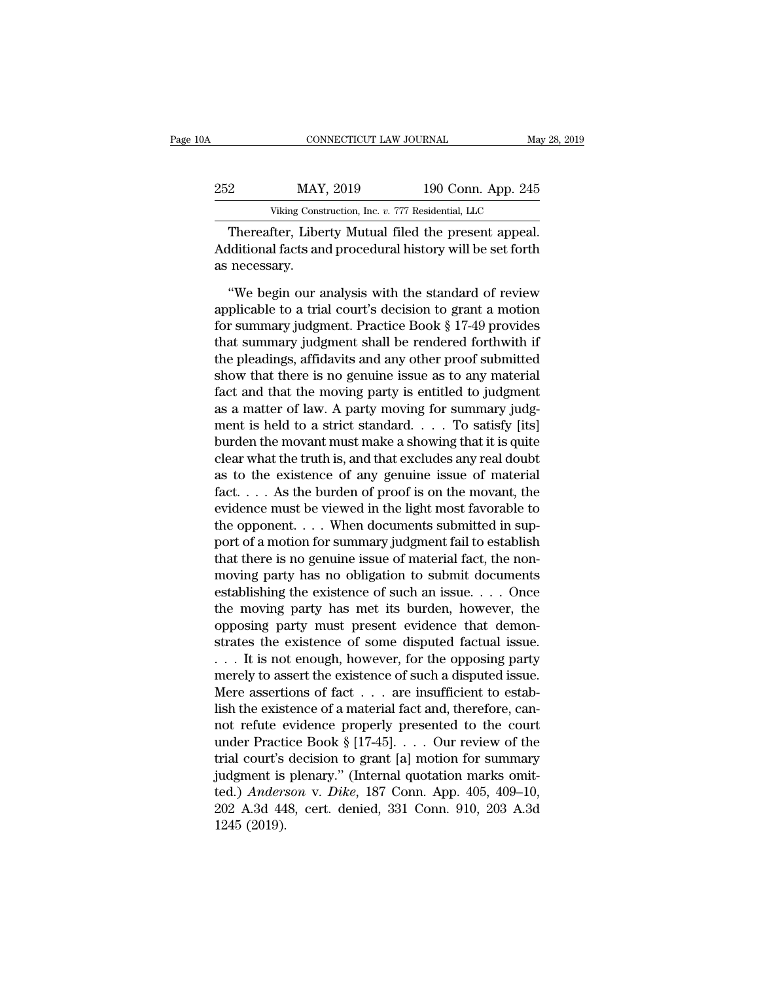| )A  | CONNECTICUT LAW JOURNAL                            |                    | May 28, 2019 |
|-----|----------------------------------------------------|--------------------|--------------|
| 252 | MAY, 2019                                          | 190 Conn. App. 245 |              |
|     | Viking Construction, Inc. v. 777 Residential, LLC  |                    |              |
|     | Thereafter Liberty Mutual filed the present appeal |                    |              |

CONNECTICUT LAW JOURNAL May 28, 2<br>
2<br>
MAY, 2019 190 Conn. App. 245<br>
Viking Construction, Inc. v. 777 Residential, LLC<br>
Thereafter, Liberty Mutual filed the present appeal.<br>
Iditional facts and procedural history will be se MAY, 2019 190 Conn. App. 245<br>Viking Construction, Inc. v. 777 Residential, LLC<br>Thereafter, Liberty Mutual filed the present appeal.<br>Additional facts and procedural history will be set forth<br>as necessary. 252 MAY<br>
Viking Const<br>
Thereafter, Libe<br>
Additional facts an<br>
as necessary.<br>
"We begin our a We begin our analysis with the standard of review<br>
with a standard method in the standard of review<br>
"We begin our analysis with the standard of review<br>
plicable to a trial court's decision to grant a motion<br>
"We we write

Viking Construction, Inc.  $v$ . 777 Residential, LLC<br>
Thereafter, Liberty Mutual filed the present appeal.<br>
Additional facts and procedural history will be set forth<br>
as necessary.<br>
"We begin our analysis with the standard Thereafter, Liberty Mutual filed the present appeal.<br>Additional facts and procedural history will be set forth<br>as necessary.<br>"We begin our analysis with the standard of review<br>applicable to a trial court's decision to gran Additional facts and procedural history will be set forth<br>as necessary.<br>"We begin our analysis with the standard of review<br>applicable to a trial court's decision to grant a motion<br>for summary judgment. Practice Book § 17-4 as necessary.<br>
"We begin our analysis with the standard of review<br>
applicable to a trial court's decision to grant a motion<br>
for summary judgment. Practice Book § 17-49 provides<br>
that summary judgment shall be rendered for "We begin our analysis with the standard of review<br>applicable to a trial court's decision to grant a motion<br>for summary judgment. Practice Book § 17-49 provides<br>that summary judgment shall be rendered forthwith if<br>the ple "We begin our analysis with the standard of review<br>applicable to a trial court's decision to grant a motion<br>for summary judgment. Practice Book § 17-49 provides<br>that summary judgment shall be rendered forthwith if<br>the plea applicable to a trial court's decision to grant a motion<br>for summary judgment. Practice Book § 17-49 provides<br>that summary judgment shall be rendered forthwith if<br>the pleadings, affidavits and any other proof submitted<br>sho for summary judgment. Practice Book § 17-49 provides<br>that summary judgment shall be rendered forthwith if<br>the pleadings, affidavits and any other proof submitted<br>show that there is no genuine issue as to any material<br>fact that summary judgment shall be rendered forthwith if<br>the pleadings, affidavits and any other proof submitted<br>show that there is no genuine issue as to any material<br>fact and that the moving party is entitled to judgment<br>as the pleadings, affidavits and any other proof submitted<br>show that there is no genuine issue as to any material<br>fact and that the moving party is entitled to judgment<br>as a matter of law. A party moving for summary judg-<br>men show that there is no genuine issue as to any material<br>fact and that the moving party is entitled to judgment<br>as a matter of law. A party moving for summary judg-<br>ment is held to a strict standard.  $\ldots$  To satisfy [its]<br> fact and that the moving party is entitled to judgment<br>as a matter of law. A party moving for summary judgment is held to a strict standard. . . . To satisfy [its]<br>burden the movant must make a showing that it is quite<br>cl as a matter of law. A party moving for summary judgment is held to a strict standard. . . . To satisfy [its]<br>burden the movant must make a showing that it is quite<br>clear what the truth is, and that excludes any real doubt ment is held to a strict standard. . . . . To satisfy [its]<br>burden the movant must make a showing that it is quite<br>clear what the truth is, and that excludes any real doubt<br>as to the existence of any genuine issue of mate burden the movant must make a showing that it is quite<br>clear what the truth is, and that excludes any real doubt<br>as to the existence of any genuine issue of material<br>fact.... As the burden of proof is on the movant, the<br>ev clear what the truth is, and that excludes any real doubt<br>as to the existence of any genuine issue of material<br>fact,  $\ldots$ . As the burden of proof is on the movant, the<br>evidence must be viewed in the light most favorable as to the existence of any genuine issue of material fact. . . . As the burden of proof is on the movant, the evidence must be viewed in the light most favorable to the opponent. . . . When documents submitted in support fact. . . . . As the burden of proof is on the movant, the evidence must be viewed in the light most favorable to the opponent. . . . When documents submitted in support of a motion for summary judgment fail to establish evidence must be viewed in the light most favorable to<br>the opponent. . . . When documents submitted in sup-<br>port of a motion for summary judgment fail to establish<br>that there is no genuine issue of material fact, the nonthe opponent. . . . When documents submitted in support of a motion for summary judgment fail to establish that there is no genuine issue of material fact, the non-<br>moving party has no obligation to submit documents estab port of a motion for summary judgment fail to establish<br>that there is no genuine issue of material fact, the non-<br>moving party has no obligation to submit documents<br>establishing the existence of such an issue. . . . Once<br>t that there is no genuine issue of material fact, the non-<br>moving party has no obligation to submit documents<br>establishing the existence of such an issue. . . . Once<br>the moving party has met its burden, however, the<br>opposin moving party has no obligation to submit documents<br>establishing the existence of such an issue. . . . Once<br>the moving party has met its burden, however, the<br>opposing party must present evidence that demon-<br>strates the exi establishing the existence of such an issue.... Once<br>the moving party has met its burden, however, the<br>opposing party must present evidence that demon-<br>strates the existence of some disputed factual issue.<br>... It is not e the moving party has met its burden, however, the<br>opposing party must present evidence that demon-<br>strates the existence of some disputed factual issue.<br>... It is not enough, however, for the opposing party<br>merely to asse opposing party must present evidence that demonstrates the existence of some disputed factual issue.<br>  $\dots$  It is not enough, however, for the opposing party<br>
merely to assert the existence of such a disputed issue.<br>
Mere strates the existence of some disputed factual issue.<br>
... It is not enough, however, for the opposing party<br>
merely to assert the existence of such a disputed issue.<br>
Mere assertions of fact ... are insufficient to estab-... It is not enough, however, for the opposing party<br>merely to assert the existence of such a disputed issue.<br>Mere assertions of fact ... are insufficient to estab-<br>lish the existence of a material fact and, therefore, c merely to assert the existence of such a disputed issue.<br>Mere assertions of fact  $\ldots$  are insufficient to establish the existence of a material fact and, therefore, cannot refute evidence properly presented to the court<br> Mere assertions of fact . . . are insufficient to establish the existence of a material fact and, therefore, cannot refute evidence properly presented to the court under Practice Book § [17-45]. . . . Our review of the tri lish the existence of a material fact and, therefore, cannot refute evidence properly presented to the court<br>under Practice Book § [17-45].... Our review of the<br>trial court's decision to grant [a] motion for summary<br>judgm not refute e<br>
under Practi<br>
trial court's<br>
judgment is<br>
ted.) *Anders*<br>
202 A.3d 44<br>
1245 (2019).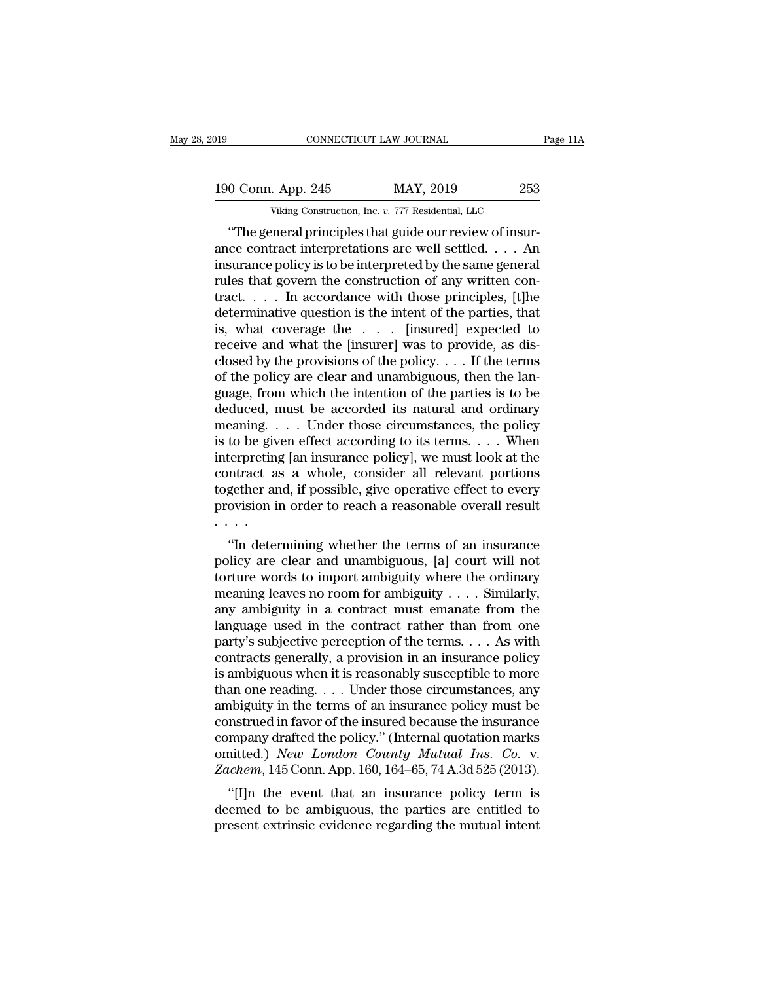019 CONNECTICUT LAW JOURNAL Page 11A<br>190 Conn. App. 245 MAY, 2019 253<br>Viking Construction, Inc. v. 777 Residential, LLC CONNECTICUT LAW JOURNAL<br>
. App. 245 MAY, 2019 253<br>
Viking Construction, Inc. *v.* 777 Residential, LLC<br>
Peral principles that guide our review of insur-

CONNECTICUT LAW JOURNAL<br>
0 Conn. App. 245 MAY, 2019 253<br>
Viking Construction, Inc. v. 777 Residential, LLC<br>
"The general principles that guide our review of insur-<br>
ce contract interpretations are well settled. . . . . An 190 Conn. App. 245 MAY, 2019 253<br>Viking Construction, Inc. v. 777 Residential, LLC<br>
"The general principles that guide our review of insur-<br>ance contract interpretations are well settled. . . . . An<br>insurance policy is to 190 Conn. App. 245 MAY, 2019 253<br>
Viking Construction, Inc. v. 777 Residential, LLC<br>
"The general principles that guide our review of insur-<br>
ance contract interpretations are well settled. . . . An<br>
insurance policy is t 190 Conn. App. 245 MAY, 2019 253<br>Viking Construction, Inc. v. 777 Residential, LLC<br>
"The general principles that guide our review of insur-<br>ance contract interpretations are well settled. . . . An<br>
insurance policy is to Viking Construction, Inc. v. 777 Residential, LLC<br>
"The general principles that guide our review of insur-<br>
ance contract interpretations are well settled. . . . An<br>
insurance policy is to be interpreted by the same gener Viking Construction, Inc. v. 777 Residential, LLC<br>
"The general principles that guide our review of insur-<br>
ance contract interpretations are well settled. . . . An<br>
insurance policy is to be interpreted by the same gener "The general principles that guide our review of insur-<br>ance contract interpretations are well settled. . . . An<br>insurance policy is to be interpreted by the same general<br>rules that govern the construction of any written ance contract interpretations are well settled. . . . An insurance policy is to be interpreted by the same general rules that govern the construction of any written contract. . . . In accordance with those principles, [t] insurance policy is to be interpreted by the same general<br>rules that govern the construction of any written con-<br>tract.... In accordance with those principles, [t]he<br>determinative question is the intent of the parties, th rules that govern the construction of any written contract. . . . In accordance with those principles, [t]he determinative question is the intent of the parties, that is, what coverage the . . . [insured] expected to rece tract.... In accordance with those principles, [t]he<br>determinative question is the intent of the parties, that<br>is, what coverage the  $\ldots$  [insured] expected to<br>receive and what the [insurer] was to provide, as dis-<br>close determinative question is the intent of the parties, that<br>is, what coverage the . . . [insured] expected to<br>receive and what the [insurer] was to provide, as dis-<br>closed by the provisions of the policy. . . . If the terms<br> is, what coverage the  $\ldots$  [insured] expected to<br>receive and what the [insurer] was to provide, as dis-<br>closed by the provisions of the policy.  $\ldots$  If the terms<br>of the policy are clear and unambiguous, then the lan-<br>gu receive and what the [insurer] was to provide, as dis-<br>closed by the provisions of the policy. . . . If the terms<br>of the policy are clear and unambiguous, then the lan-<br>guage, from which the intention of the parties is to closed by the provisions of the policy. . . . If the terms<br>of the policy are clear and unambiguous, then the lan-<br>guage, from which the intention of the parties is to be<br>deduced, must be accorded its natural and ordinary<br> of the policy are clear and unambiguous, then the language, from which the intention of the parties is to be deduced, must be accorded its natural and ordinary meaning.... Under those circumstances, the policy is to be gi guage, from which the intention of the parties is to be<br>deduced, must be accorded its natural and ordinary<br>meaning.... Under those circumstances, the policy<br>is to be given effect according to its terms.... When<br>interpretin deduced, must be accorded its natural and ordinary<br>meaning. . . . Under those circumstances, the policy<br>is to be given effect according to its terms. . . . When<br>interpreting [an insurance policy], we must look at the<br>contr . . . . to be given enect according to its terms. . . . . when<br>
terpreting [an insurance policy], we must look at the<br>
ntract as a whole, consider all relevant portions<br>
gether and, if possible, give operative effect to every<br>
ovi merpreting [an insurance policy], we must look at the<br>contract as a whole, consider all relevant portions<br>together and, if possible, give operative effect to every<br>provision in order to reach a reasonable overall result<br>..

together and, if possible, give operative effect to every<br>provision in order to reach a reasonable overall result<br> $\cdots$ <br>"In determining whether the terms of an insurance<br>policy are clear and unambiguous, [a] court will no meaning in order to reach a reasonable overall result<br>movision in order to reach a reasonable overall result<br>with determining whether the terms of an insurance<br>policy are clear and unambiguous, [a] court will not<br>torture provision in order to reach a reasonable overant result<br>
....<br>
"In determining whether the terms of an insurance<br>
policy are clear and unambiguous, [a] court will not<br>
torture words to import ambiguity where the ordinary<br> "In determining whether the terms of an insurance<br>policy are clear and unambiguous, [a] court will not<br>torture words to import ambiguity where the ordinary<br>meaning leaves no room for ambiguity . . . . Similarly,<br>any ambig "In determining whether the terms of an insurance<br>policy are clear and unambiguous, [a] court will not<br>torture words to import ambiguity where the ordinary<br>meaning leaves no room for ambiguity . . . . Similarly,<br>any ambig policy are clear and unambiguous, [a] court will not<br>torture words to import ambiguity where the ordinary<br>meaning leaves no room for ambiguity . . . . Similarly,<br>any ambiguity in a contract must emanate from the<br>language for turns words to import ambiguity where the ordinary<br>meaning leaves no room for ambiguity . . . . Similarly,<br>any ambiguity in a contract must emanate from the<br>language used in the contract rather than from one<br>party's s meaning leaves no room for ambiguity . . . . Similarly,<br>any ambiguity in a contract must emanate from the<br>language used in the contract rather than from one<br>party's subjective perception of the terms. . . . As with<br>contra any ambiguity in a contract must emanate from the<br>language used in the contract rather than from one<br>party's subjective perception of the terms. . . . As with<br>contracts generally, a provision in an insurance policy<br>is amb language used in the contract rather than from one<br>party's subjective perception of the terms. . . . As with<br>contracts generally, a provision in an insurance policy<br>is ambiguous when it is reasonably susceptible to more<br>t party's subjective perception of the terms.... As with<br>contracts generally, a provision in an insurance policy<br>is ambiguous when it is reasonably susceptible to more<br>than one reading.... Under those circumstances, any<br>amb contracts generally, a provision in an insurance policy<br>is ambiguous when it is reasonably susceptible to more<br>than one reading. . . . Under those circumstances, any<br>ambiguity in the terms of an insurance policy must be<br>co is ambiguous when it is reasonably susceptible to more<br>than one reading. . . . Under those circumstances, any<br>ambiguity in the terms of an insurance policy must be<br>construed in favor of the insured because the insurance<br>co an one reading.  $\ldots$  chuer those circumstances, any<br>
obiguity in the terms of an insurance policy must be<br>
nstrued in favor of the insured because the insurance<br>
mpany drafted the policy." (Internal quotation marks<br>
intt ambiguity in the terms of an insurance policy must be construed in favor of the insured because the insurance company drafted the policy." (Internal quotation marks omitted.) New London County Mutual Ins. Co. v. Zachem, 14 construed in favor of the insured because the insurance<br>company drafted the policy." (Internal quotation marks<br>omitted.) New London County Mutual Ins. Co. v.<br>Zachem, 145 Conn. App. 160, 164–65, 74 A.3d 525 (2013).<br>"[I]n th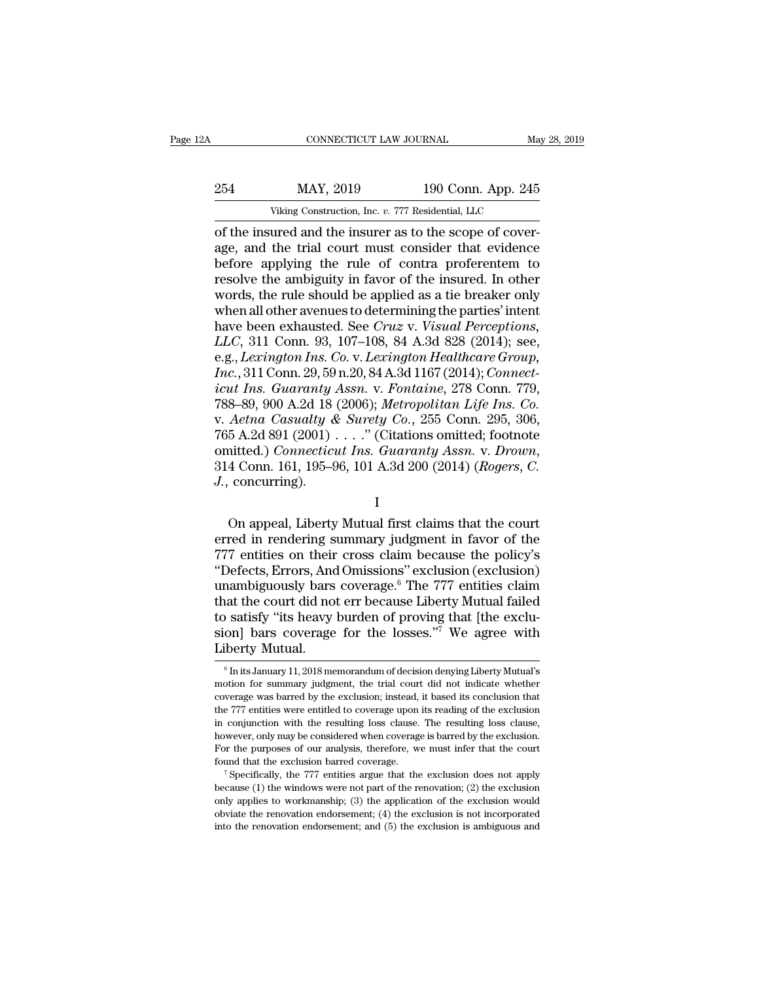| CONNECTICUT LAW JOURNAL<br>May 28, 2019                  |
|----------------------------------------------------------|
| 190 Conn. App. 245                                       |
| Viking Construction, Inc. v. 777 Residential, LLC        |
| of the insured and the insurer as to the scope of cover- |

CONNECTICUT LAW JOURNAL<br>
254 MAY, 2019 190 Conn. App. 245<br>
Viking Construction, Inc. v. 777 Residential, LLC<br>
26 of the insured and the insurer as to the scope of cover-<br>
26, and the trial court must consider that evidence 254 MAY, 2019 190 Conn. App. 245<br>Viking Construction, Inc. v. 777 Residential, LLC<br>of the insured and the insurer as to the scope of cover-<br>age, and the trial court must consider that evidence<br>before applying the rule of c 254 MAY, 2019 190 Conn. App. 245<br>
Viking Construction, Inc. v. 777 Residential, LLC<br>
of the insured and the insurer as to the scope of cover-<br>
age, and the trial court must consider that evidence<br>
before applying the rule 254 MAY, 2019 190 Conn. App. 245<br>
Viking Construction, Inc.  $v$ . 777 Residential, LLC<br>
of the insured and the insurer as to the scope of cover-<br>
age, and the trial court must consider that evidence<br>
before applying the ru Wiking Construction, Inc. v. 777 Residential, LLC<br>
of the insured and the insurer as to the scope of cover-<br>
age, and the trial court must consider that evidence<br>
before applying the rule of contra proferentem to<br>
resolve Viking Construction, Inc. *v.* 777 Residential, LLC<br>of the insured and the insurer as to the scope of cover-<br>age, and the trial court must consider that evidence<br>before applying the rule of contra proferentem to<br>resolve t of the insured and the insurer as to the scope of cover-<br>age, and the trial court must consider that evidence<br>before applying the rule of contra proferentem to<br>resolve the ambiguity in favor of the insured. In other<br>words, age, and the trial court must consider that evidence<br>before applying the rule of contra proferentem to<br>resolve the ambiguity in favor of the insured. In other<br>words, the rule should be applied as a tie breaker only<br>when al before applying the rule of contra proferentem to<br>resolve the ambiguity in favor of the insured. In other<br>words, the rule should be applied as a tie breaker only<br>when all other avenues to determining the parties' intent<br>ha resolve the ambiguity in favor of the insured. In other<br>words, the rule should be applied as a tie breaker only<br>when all other avenues to determining the parties' intent<br>have been exhausted. See *Cruz v. Visual Perceptions icures*, the rule should be applied as a tie breaker only<br>
when all other avenues to determining the parties' intent<br>
have been exhausted. See *Cruz v. Visual Perceptions*,<br> *LLC*, 311 Conn. 93, 107–108, 84 A.3d 828 (2014 when all other avenues to determining the parties' intent<br>have been exhausted. See *Cruz v. Visual Perceptions*,<br>*LLC*, 311 Conn. 93, 107–108, 84 A.3d 828 (2014); see,<br>e.g., *Lexington Ins. Co. v. Lexington Healthcare Grou* have been exhausted. See Cruz v. Visual Perceptions,<br>LLC, 311 Conn. 93, 107–108, 84 A.3d 828 (2014); see,<br>e.g., Lexington Ins. Co. v. Lexington Healthcare Group,<br>Inc., 311 Conn. 29, 59 n.20, 84 A.3d 1167 (2014); Connect-<br>i *LLC*, 311 Conn. 93, 107–108, 84 A.3d 828 (2014); see,<br>e.g., *Lexington Ins. Co. v. Lexington Healthcare Group,*<br>*Inc.*, 311 Conn. 29, 59 n.20, 84 A.3d 1167 (2014); *Connect-*<br>*icut Ins. Guaranty Assn. v. Fontaine*, 278 C e.g., *Lexington Ins. Co. v. Lexington Healthcare Group*,<br> *Inc.*, 311 Conn. 29, 59 n.20, 84 A.3d 1167 (2014); Connect-<br> *icut Ins. Guaranty Assn. v. Fontaine*, 278 Conn. 779,<br>
788–89, 900 A.2d 18 (2006); *Metropolitan Lif J. J. J. J. J. J. A. 2008 A. 2018 J. Aetna Casualty & 765 A. 2d 891 (2001) J. O. Connection A. 195–81 J. J. Connection J. J. J. Connection J. J. J. Connection J. J. J. C* Example 12. The same of the control of the same of the same of the same of the same of the same of the control of the concurring).<br>
I Connecticular first claims that the court red in rendering summary judgment in favor of Food A.2d 891 (2001)  $\ldots$  (Chations onlined, footnote omitted.) Connecticut Ins. Guaranty Assn. v. Drown, 314 Conn. 161, 195–96, 101 A.3d 200 (2014) (Rogers, C.<br>J., concurring).<br>I<br>On appeal, Liberty Mutual first claims t

I

314 Connectical This. Guaranty Assn. v. Drown,<br>314 Conn. 161, 195–96, 101 A.3d 200 (2014) (Rogers, C.<br>J., concurring).<br> $I$ <br>On appeal, Liberty Mutual first claims that the court<br>erred in rendering summary judgment in favor  $J$ , concurring).<br>  $J$ , concurring).<br>  $I$ <br>
On appeal, Liberty Mutual first claims that the court<br>
erred in rendering summary judgment in favor of the<br>
777 entities on their cross claim because the policy's<br>
"Defects, Erro I<br>
On appeal, Liberty Mutual first claims that the court<br>
erred in rendering summary judgment in favor of the<br>
777 entities on their cross claim because the policy's<br>
"Defects, Errors, And Omissions" exclusion (exclusion)<br> I<br>
On appeal, Liberty Mutual first claims that the court<br>
erred in rendering summary judgment in favor of the<br>
777 entities on their cross claim because the policy's<br>
"Defects, Errors, And Omissions" exclusion (exclusion)<br> On appeal, Liberty Mutual first claims that the court<br>erred in rendering summary judgment in favor of the<br>777 entities on their cross claim because the policy's<br>"Defects, Errors, And Omissions" exclusion (exclusion)<br>unambi erred in rendering summary judgment in favor of the<br>777 entities on their cross claim because the policy's<br>"Defects, Errors, And Omissions" exclusion (exclusion)<br>unambiguously bars coverage.<sup>6</sup> The 777 entities claim<br>that 777 entities on their<br>
"Defects, Errors, And<br>
unambiguously bars<br>
that the court did no<br>
to satisfy "its heavy<br>
sion] bars coverage<br>
Liberty Mutual.<br>  $\frac{1}{2}$  Inits January 11, 2018 me at the court did not err because Liberty Mutual failed<br>
is satisfy "its heavy burden of proving that [the exclu-<br>
on] bars coverage for the losses."<sup>7</sup> We agree with<br>
iberty Mutual.<br>
<sup>6</sup> Inits January 11, 2018 memorandum to satisfy "its heavy burden of proving that [the exclusion] bars coverage for the losses."<sup>7</sup> We agree with Liberty Mutual.<br>  $\frac{1}{6}$  In its January 11, 2018 memorandum of decision denying Liberty Mutual's motion for su

sion] bars coverage for the losses."<sup>7</sup> We agree with<br>Liberty Mutual.<br> $\frac{1}{\pi}$  Inits January 11, 2018 memorandum of decision denying Liberty Mutual's<br>motion for summary judgment, the trial court did not indicate whether Liberty Mutual.<br>  $\frac{1}{2}$  in its January 11, 2018 memorandum of decision denying Liberty Mutual's<br>
motion for summary judgment, the trial court did not indicate whether<br>
coverage was barred by the exclusion; instead, it LIDETLY MULUAL.<br>  $\bullet$  In its January 11, 2018 memorandum of decision denying Liberty Mutual's motion for summary judgment, the trial court did not indicate whether coverage was barred by the exclusion; instead, it based i <sup>6</sup> In its January 11, 2018 memorandum of decision denying Liberty Mutual's motion for summary judgment, the trial court did not indicate whether coverage was barred by the exclusion; instead, it based its conclusion that motion for summary judgment, the trial court did not indicate whether coverage was barred by the exclusion; instead, it based its conclusion that the 777 entities were entitled to coverage upon its reading of the exclusion found that the exclusion; instead, it based its conclusion that<br>the 777 entities were entitled to coverage upon its reading of the exclusion<br>in conjunction with the resulting loss clause. The resulting loss clause,<br>however in conjunction with the resulting loss clause. The resulting loss clause, however, only may be considered when coverage is barred by the exclusion.<br>For the purposes of our analysis, therefore, we must infer that the court

in volume in an increased when coverage is barred by the exclusion.<br>For the purposes of our analysis, therefore, we must infer that the court<br>found that the exclusion barred coverage.<br><sup>7</sup> Specifically, the 777 entities arg For the purposes of our analysis, therefore, we must infer that the court<br>found that the exclusion barred coverage.<br><sup>7</sup> Specifically, the 777 entities argue that the exclusion does not apply<br>because (1) the windows were n For the purposes of our analysis, therefore, we must infer that the court<br>found that the exclusion barred coverage.<br><sup>7</sup> Specifically, the 777 entities argue that the exclusion does not apply<br>because (1) the windows were n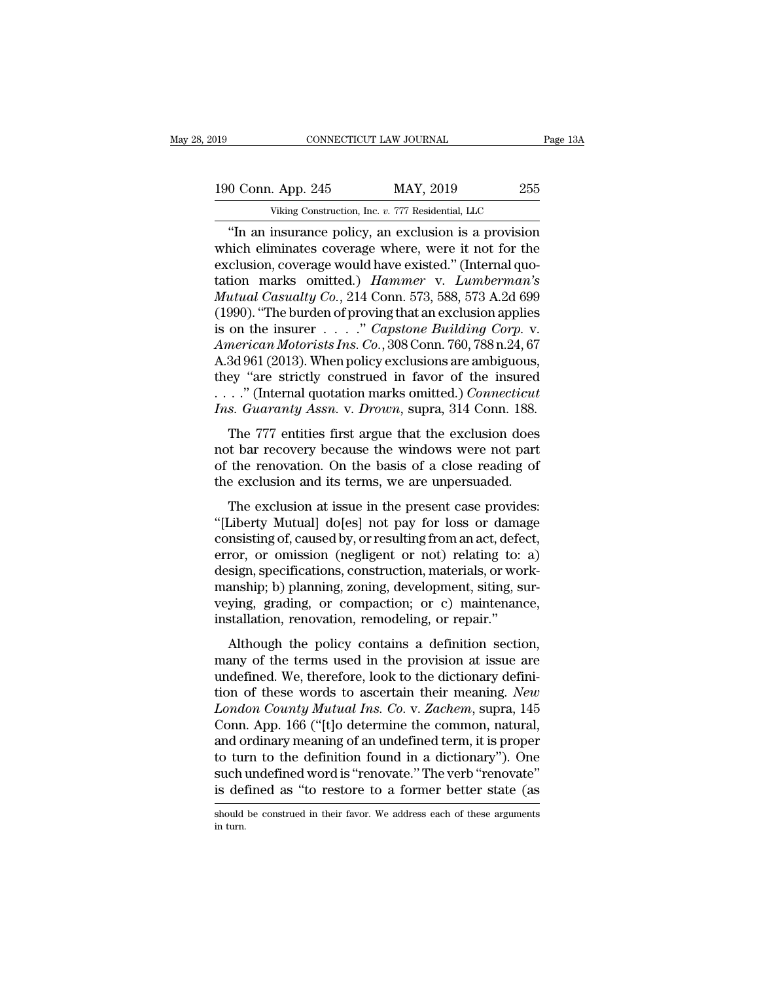CONNECTICUT LAW JOURNAL Page 13A<br>
0 Conn. App. 245 MAY, 2019 255<br>
Viking Construction, Inc. v. 777 Residential, LLC<br>
"In an insurance policy, an exclusion is a provision<br>
nich eliminates coverage where, were it not for the 190 Conn. App. 245 MAY, 2019 255<br>
Viking Construction, Inc. v. 777 Residential, LLC<br>
"In an insurance policy, an exclusion is a provision<br>
which eliminates coverage where, were it not for the<br>
exclusion, coverage would hav 190 Conn. App. 245 MAY, 2019 255<br>
Viking Construction, Inc. v. 777 Residential, LLC<br>
"In an insurance policy, an exclusion is a provision<br>
which eliminates coverage where, were it not for the<br>
exclusion, coverage would ha 190 Conn. App. 245 MAY, 2019 255<br>
Viking Construction, Inc. *v.* 777 Residential, LLC<br>
"In an insurance policy, an exclusion is a provision<br>
which eliminates coverage where, were it not for the<br>
exclusion, coverage would h *Mutual Casualty Co., 214 Conn. 573, 588, 573 A.2d 699*<br> *Mutual Casualty Co., 214 Conn. 573, 588, 573 A.2d 699*<br> *Mutual Casualty Co., 214 Conn. 573, 588, 573 A.2d 699*<br> *Mutual Casualty Co., 214 Conn. 573, 588, 573 A.2d* Viking Construction, Inc. v. 777 Residential, LLC<br>
"In an insurance policy, an exclusion is a provision<br>
which eliminates coverage where, were it not for the<br>
exclusion, coverage would have existed." (Internal quo-<br>
tatio "In an insurance policy, an exclusion is a provision<br>which eliminates coverage where, were it not for the<br>exclusion, coverage would have existed." (Internal quo-<br>tation marks omitted.) *Hammer* v. *Lumberman's*<br>*Mutual Cas* which eliminates coverage where, were it not for the exclusion, coverage would have existed." (Internal quotation marks omitted.) *Hammer v. Lumberman's Mutual Casualty Co.*, 214 Conn. 573, 588, 573 A.2d 699 (1990). "The exclusion, coverage would have existed." (Internal quotation marks omitted.) Hammer v. Lumberman's<br>Mutual Casualty Co., 214 Conn. 573, 588, 573 A.2d 699<br>(1990). "The burden of proving that an exclusion applies<br>is on the i tation marks omitted.) Hammer v. Lumberman's<br>
Mutual Casualty Co., 214 Conn. 573, 588, 573 A.2d 699<br>
(1990). "The burden of proving that an exclusion applies<br>
is on the insurer . . . . ." Capstone Building Corp. v.<br>
Ameri Mutual Casualty Co., 214 Conn. 573, 588, 573 A.2d 699<br>(1990). "The burden of proving that an exclusion applies<br>is on the insurer . . . . " *Capstone Building Corp.* v.<br>American Motorists Ins. Co., 308 Conn. 760, 788 n.24, (1990). "The burden of proving that an exclusion applies<br>is on the insurer . . . ." *Capstone Building Corp.* v.<br>*American Motorists Ins. Co.*, 308 Conn. 760, 788 n.24, 67<br>A.3d 961 (2013). When policy exclusions are amb on the first<br>the 1.1.1.1 Capsone Datating Corp. v.<br>merican Motorists Ins. Co., 308 Conn. 760, 788 n.24, 67<br>3d 961 (2013). When policy exclusions are ambiguous,<br>ey "are strictly construed in favor of the insured<br>..." (Inte A.3d 961 (2013). When policy exclusions are ambiguous,<br>they "are strictly construed in favor of the insured<br> $\ldots$ ." (Internal quotation marks omitted.) *Connecticut*<br>*Ins. Guaranty Assn. v. Drown*, supra, 314 Conn. 188.<br>T

Also sof (2015). When pointy exerts<br>some are amolgous, they "are strictly construed in favor of the insured<br> $\ldots$ ." (Internal quotation marks omitted.) *Connecticut*<br>Ins. Guaranty Assn. v. Drown, supra, 314 Conn. 188.<br>The they are strictly construct in favor of the instituted...." (Internal quotation marks omitted.) Connecticut Ins. Guaranty Assn. v. Drown, supra, 314 Conn. 188.<br>The 777 entities first argue that the exclusion does not bar r s. *Guaranty Assn.* v. *Drown*, supra, 314 Conn. 188.<br>The 777 entities first argue that the exclusion does<br>t bar recovery because the windows were not part<br>the renovation. On the basis of a close reading of<br>e exclusion and The 777 entities first argue that the exclusion does<br>not bar recovery because the windows were not part<br>of the renovation. On the basis of a close reading of<br>the exclusion and its terms, we are unpersuaded.<br>The exclusion a

The 111 character and the exclusion does<br>not bar recovery because the windows were not part<br>of the exclusion and its terms, we are unpersuaded.<br>The exclusion at issue in the present case provides:<br>"[Liberty Mutual] do[es] Front Bar Freovery Because the Whiteuws were not part<br>of the renovation. On the basis of a close reading of<br>the exclusion and its terms, we are unpersuaded.<br>The exclusion at issue in the present case provides:<br>"[Liberty Mu of the exclusion and its terms, we are unpersuaded.<br>The exclusion and its terms, we are unpersuaded.<br>"[Liberty Mutual] do[es] not pay for loss or damage<br>consisting of, caused by, or resulting from an act, defect,<br>error, or The exclusion and its terms, we are dipersuated.<br>
"[Liberty Mutual] do[es] not pay for loss or damage<br>
consisting of, caused by, or resulting from an act, defect,<br>
error, or omission (negligent or not) relating to: a)<br>
des The exclusion at issue in the present case provides:<br>"[Liberty Mutual] do[es] not pay for loss or damage<br>consisting of, caused by, or resulting from an act, defect,<br>error, or omission (negligent or not) relating to: a)<br>des "[Liberty Mutual] do[es] not pay for loss or dama<br>consisting of, caused by, or resulting from an act, defe<br>error, or omission (negligent or not) relating to:<br>design, specifications, construction, materials, or wo<br>manship; Although the policy contains a definition section,<br>any of resulting to a sign, specifications, construction, materials, or work-<br>anship; b) planning, zoning, development, siting, sur-<br>ying, grading, or compaction; or c) ma design, specifications, construction, materials, or work-<br>manship; b) planning, zoning, development, siting, sur-<br>veying, grading, or compaction; or c) maintenance,<br>installation, renovation, remodeling, or repair."<br>Althou

ucsign, openications, construction, materials, or work<br>manship; b) planning, zoning, development, siting, sur-<br>veying, grading, or compaction; or c) maintenance,<br>installation, renovation, remodeling, or repair."<br>Although t that ship, b) planting, zoning, development, string, surveying, grading, or compaction; or c) maintenance, installation, renovation, remodeling, or repair."<br>Although the policy contains a definition section, many of the te *London, removation, seperalistics, installation, renovation, remodeling, or repair."*<br>*Lendon County Mutual in the provision at issue are undefined. We, therefore, look to the dictionary definition of these words to ascer* Although the policy contains a definition section,<br>many of the terms used in the provision at issue are<br>undefined. We, therefore, look to the dictionary defini-<br>tion of these words to ascertain their meaning. New<br>London Co Although the policy contains a definition section,<br>many of the terms used in the provision at issue are<br>undefined. We, therefore, look to the dictionary defini-<br>tion of these words to ascertain their meaning. New<br>London Co many of the terms used in the provision at issue are<br>undefined. We, therefore, look to the dictionary defini-<br>tion of these words to ascertain their meaning. *New*<br>London County Mutual Ins. Co. v. Zachem, supra, 145<br>Conn. undefined. We, therefore, look to the dictionary definition of these words to ascertain their meaning. New London County Mutual Ins. Co. v. Zachem, supra, 145 Conn. App. 166 ("[t]o determine the common, natural, and ordina tion of these words to ascertain their meaning. New<br>London County Mutual Ins. Co. v. Zachem, supra, 145<br>Conn. App. 166 ("[t]o determine the common, natural,<br>and ordinary meaning of an undefined term, it is proper<br>to turn t and ordinary meaning of an undefined term, it is proper<br>to turn to the definition found in a dictionary"). One<br>such undefined word is "renovate." The verb "renovate"<br>is defined as "to restore to a former better state (as<br>s is defined as "to restore to a former better state (as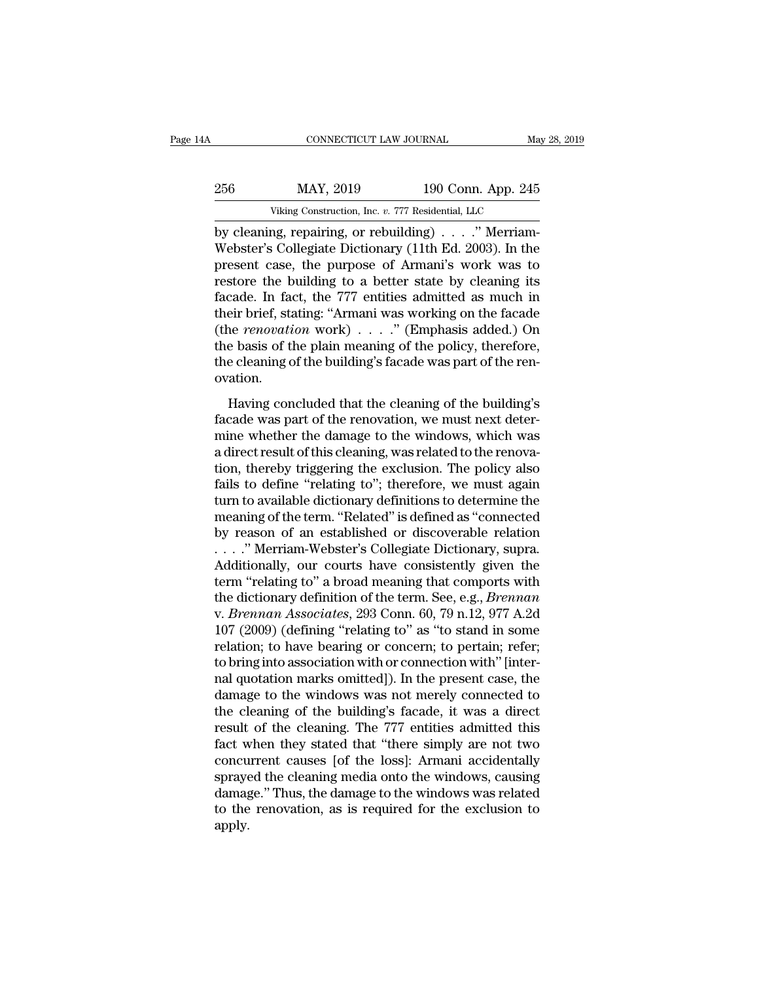| 4A  | CONNECTICUT LAW JOURNAL                           |                    | May 28, 2019 |
|-----|---------------------------------------------------|--------------------|--------------|
| 256 | MAY, 2019                                         | 190 Conn. App. 245 |              |
|     | Viking Construction, Inc. v. 777 Residential, LLC |                    |              |
|     | hy cleaning renairing or rehuilding)              |                    | $"$ Merriam- |

CONNECTICUT LAW JOURNAL<br>
256 MAY, 2019 190 Conn. App. 245<br>
Viking Construction, Inc. v. 777 Residential, LLC<br>
by cleaning, repairing, or rebuilding) . . . .'' Merriam-<br>
Webster's Collegiate Dictionary (11th Ed. 2003). In t MAY, 2019 190 Conn. App. 245<br>Viking Construction, Inc. v. 777 Residential, LLC<br>by cleaning, repairing, or rebuilding) . . . ." Merriam-<br>Webster's Collegiate Dictionary (11th Ed. 2003). In the<br>present case, the purpose of A 256 MAY, 2019 190 Conn. App. 245<br>
Viking Construction, Inc. v. 777 Residential, LLC<br>
by cleaning, repairing, or rebuilding) . . . . " Merriam-<br>
Webster's Collegiate Dictionary (11th Ed. 2003). In the<br>
present case, the pu 256 MAY, 2019 190 Conn. App. 245<br>
Viking Construction, Inc. v. 777 Residential, LLC<br>
by cleaning, repairing, or rebuilding) . . . . " Merriam-<br>
Webster's Collegiate Dictionary (11th Ed. 2003). In the<br>
present case, the pu Viking Construction, Inc. v. 777 Residential, LLC<br>by cleaning, repairing, or rebuilding) . . . ." Merriam-<br>Webster's Collegiate Dictionary (11th Ed. 2003). In the<br>present case, the purpose of Armani's work was to<br>restore Viking Construction, inc. v. 777 Residential, LLC<br>by cleaning, repairing, or rebuilding) . . . . ." Merriam-<br>Webster's Collegiate Dictionary (11th Ed. 2003). In the<br>present case, the purpose of Armani's work was to<br>restor by cleaning, repairing, or rebuilding) . . . . ." Merriam-Webster's Collegiate Dictionary (11th Ed. 2003). In the present case, the purpose of Armani's work was to restore the building to a better state by cleaning its fa Webster's Collegiate Dictionary (11th Ed. 2003). In the present case, the purpose of Armani's work was to restore the building to a better state by cleaning its facade. In fact, the 777 entities admitted as much in their present case, the purpose of Armani's work was to<br>restore the building to a better state by cleaning its<br>facade. In fact, the 777 entities admitted as much in<br>their brief, stating: "Armani was working on the facade<br>(the ovation. eir brief, stating: "Armani was working on the facade<br>ne *renovation* work)  $\ldots$ ." (Emphasis added.) On<br>e basis of the plain meaning of the policy, therefore,<br>e cleaning of the building's facade was part of the ren-<br>atio factor of the renovation work)  $\ldots$ ." (Emphasis added.) On<br>the basis of the plain meaning of the policy, therefore,<br>the cleaning of the building's facade was part of the ren-<br>ovation.<br>Having concluded that the cleaning o

the basis of the plain meaning of the policy, therefore,<br>the cleaning of the building's facade was part of the ren-<br>ovation.<br>Having concluded that the cleaning of the building's<br>facade was part of the renovation, we must are sasts of the piant meaning of the poney, and terms.<br>
the cleaning of the building's facade was part of the renovation.<br>
Having concluded that the cleaning of the building's<br>
facade was part of the renovation, we must n the eleming of the building's ractual was plated that for covation.<br>
Having concluded that the cleaning of the building's<br>
facade was part of the renovation, we must next deter-<br>
mine whether the damage to the windows, whi Having concluded that the cleaning of the building's<br>facade was part of the renovation, we must next deter-<br>mine whether the damage to the windows, which was<br>a direct result of this cleaning, was related to the renova-<br>tio Having concluded that the cleaning of the building's<br>facade was part of the renovation, we must next deter-<br>mine whether the damage to the windows, which was<br>a direct result of this cleaning, was related to the renova-<br>tio facade was part of the renovation, we must next deter-<br>mine whether the damage to the windows, which was<br>a direct result of this cleaning, was related to the renova-<br>tion, thereby triggering the exclusion. The policy also<br> mine whether the damage to the windows, which was<br>a direct result of this cleaning, was related to the renova-<br>tion, thereby triggering the exclusion. The policy also<br>fails to define "relating to"; therefore, we must again a direct result of this cleaning, was related to the renovation, thereby triggering the exclusion. The policy also<br>fails to define "relating to"; therefore, we must again<br>turn to available dictionary definitions to determi tion, thereby triggering the exclusion. The policy also<br>fails to define "relating to"; therefore, we must again<br>turn to available dictionary definitions to determine the<br>meaning of the term. "Related" is defined as "conne fails to define "relating to"; therefore, we must again<br>turn to available dictionary definitions to determine the<br>meaning of the term. "Related" is defined as "connected<br>by reason of an established or discoverable relatio turn to available dictionary definitions to determine the<br>meaning of the term. "Related" is defined as "connected<br>by reason of an established or discoverable relation<br> $\ldots$ ." Merriam-Webster's Collegiate Dictionary, supra. meaning of the term. "Related" is defined as "connected<br>by reason of an established or discoverable relation<br>..." Merriam-Webster's Collegiate Dictionary, supra.<br>Additionally, our courts have consistently given the<br>term "r by reason of an established or discoverable relation<br>
...." Merriam-Webster's Collegiate Dictionary, supra.<br>
Additionally, our courts have consistently given the<br>
term "relating to" a broad meaning that comports with<br>
the . . . . " Merriam-Webster's Collegiate Dictionary, supra.<br>Additionally, our courts have consistently given the<br>term "relating to" a broad meaning that comports with<br>the dictionary definition of the term. See, e.g., *Brenn* Additionally, our courts have consistently given the<br>term "relating to" a broad meaning that comports with<br>the dictionary definition of the term. See, e.g., *Brennan*<br>v. *Brennan Associates*, 293 Conn. 60, 79 n.12, 977 A.2 term "relating to" a broad meaning that comports with<br>the dictionary definition of the term. See, e.g., *Brennan*<br>v. *Brennan Associates*, 293 Conn. 60, 79 n.12, 977 A.2d<br>107 (2009) (defining "relating to" as "to stand in the dictionary definition of the term. See, e.g., *Brennan*<br>v. *Brennan Associates*, 293 Conn. 60, 79 n.12, 977 A.2d<br>107 (2009) (defining "relating to" as "to stand in some<br>relation; to have bearing or concern; to pertain v. *Brennan Associates*, 293 Conn. 60, 79 n.12, 977 A.2d<br>107 (2009) (defining "relating to" as "to stand in some<br>relation; to have bearing or concern; to pertain; refer;<br>to bring into association with or connection with" [ 107 (2009) (defining "relating to" as "to stand in some relation; to have bearing or concern; to pertain; refer; to bring into association with or connection with " [internal quotation marks omitted]). In the present case relation; to have bearing or concern; to pertain; refer;<br>to bring into association with or connection with" [inter-<br>nal quotation marks omitted]). In the present case, the<br>damage to the windows was not merely connected to<br> to bring into association with or connection with" [internal quotation marks omitted]). In the present case, the damage to the windows was not merely connected to the cleaning of the building's facade, it was a direct resu nal quotation marks omitted]). In the present case, the<br>damage to the windows was not merely connected to<br>the cleaning of the building's facade, it was a direct<br>result of the cleaning. The 777 entities admitted this<br>fact w damage to the windows was not merely connected to<br>the cleaning of the building's facade, it was a direct<br>result of the cleaning. The 777 entities admitted this<br>fact when they stated that "there simply are not two<br>concurren the cleaning of the building's facade, it was a direct<br>result of the cleaning. The 777 entities admitted this<br>fact when they stated that "there simply are not two<br>concurrent causes [of the loss]: Armani accidentally<br>spraye apply.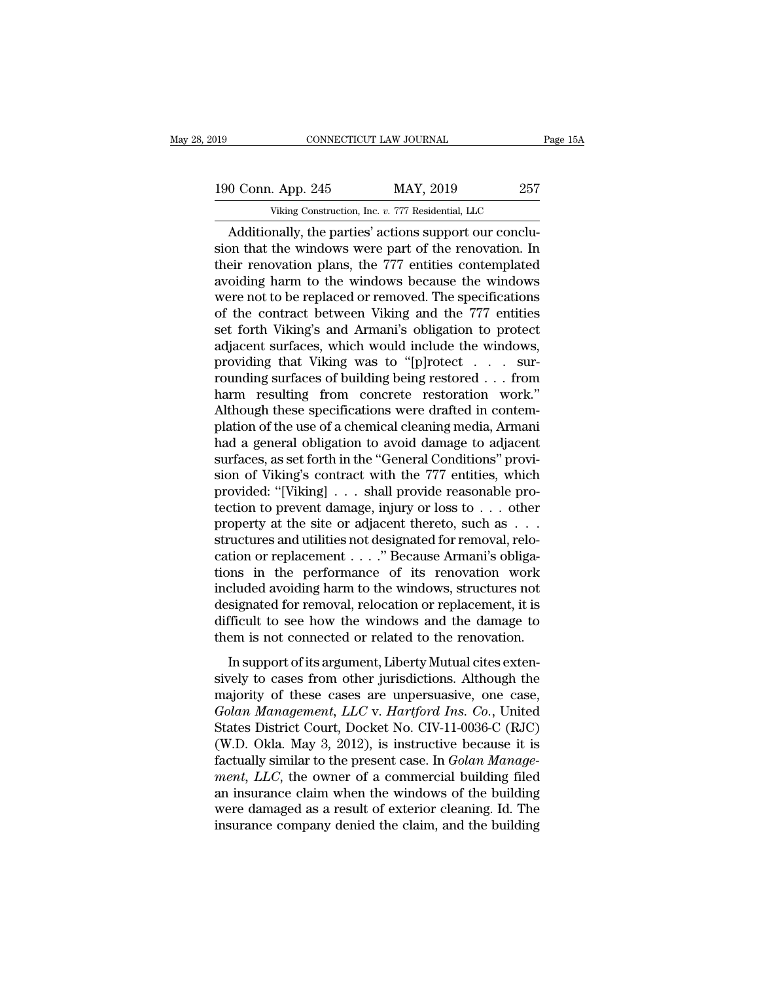# 190 CONNECTICUT LAW JOURNAL Page 15A<br>
190 Conn. App. 245 MAY, 2019 257<br>
Viking Construction, Inc. v. 777 Residential, LLC CONNECTICUT LAW JOURNAL<br>
. App. 245 MAY, 2019 257<br>
Viking Construction, Inc. *v.* 777 Residential, LLC<br>
nally the parties' actions support our conclu-

CONNECTICUT LAW JOURNAL<br>
0 Conn. App. 245 MAY, 2019 257<br>
Viking Construction, Inc. v. 777 Residential, LLC<br>
Additionally, the parties' actions support our conclu-<br>
on that the windows were part of the renovation. In 190 Conn. App. 245 MAY, 2019 257<br>Viking Construction, Inc. v. 777 Residential, LLC<br>Additionally, the parties' actions support our conclusion that the windows were part of the renovation. In<br>their renovation plans, the 777 190 Conn. App. 245 MAY, 2019 257<br>Viking Construction, Inc. v. 777 Residential, LLC<br>Additionally, the parties' actions support our conclusion that the windows were part of the renovation. In<br>their renovation plans, the 777 190 Conn. App. 245 MAY, 2019 257<br>Viking Construction, Inc. v. 777 Residential, LLC<br>Additionally, the parties' actions support our conclusion that the windows were part of the renovation. In<br>their renovation plans, the 777 Viking Construction, Inc. *v.* 777 Residential, LLC<br>Additionally, the parties' actions support our conclusion that the windows were part of the renovation. In<br>their renovation plans, the 777 entities contemplated<br>avoiding Viking Construction, Inc.  $v$ . 777 Residential, LLC<br>
Additionally, the parties' actions support our conclusion that the windows were part of the renovation. In<br>
their renovation plans, the 777 entities contemplated<br>
avoid Additionally, the parties' actions support our conclusion that the windows were part of the renovation. In their renovation plans, the 777 entities contemplated avoiding harm to the windows because the windows were not to sion that the windows were part of the renovation. In<br>their renovation plans, the 777 entities contemplated<br>avoiding harm to the windows because the windows<br>were not to be replaced or removed. The specifications<br>of the con their renovation plans, the 777 entities contemplated<br>avoiding harm to the windows because the windows<br>were not to be replaced or removed. The specifications<br>of the contract between Viking and the 777 entities<br>set forth Vi avoiding harm to the windows because the windows<br>were not to be replaced or removed. The specifications<br>of the contract between Viking and the 777 entities<br>set forth Viking's and Armani's obligation to protect<br>adjacent sur were not to be replaced or removed. The specifications<br>of the contract between Viking and the 777 entities<br>set forth Viking's and Armani's obligation to protect<br>adjacent surfaces, which would include the windows,<br>providing of the contract between Viking and the 777 entities<br>set forth Viking's and Armani's obligation to protect<br>adjacent surfaces, which would include the windows,<br>providing that Viking was to "[p]rotect . . . sur-<br>rounding surf set forth Viking's and Armani's obligation to protect<br>adjacent surfaces, which would include the windows,<br>providing that Viking was to "[p]rotect . . . sur-<br>rounding surfaces of building being restored . . . from<br>harm resu adjacent surfaces, which would include the windows,<br>providing that Viking was to "[p]rotect . . . sur-<br>rounding surfaces of building being restored . . . from<br>harm resulting from concrete restoration work."<br>Although these providing that Viking was to "[p]rotect . . . sur-<br>rounding surfaces of building being restored . . . from<br>harm resulting from concrete restoration work."<br>Although these specifications were drafted in contem-<br>plation of th rounding surfaces of building being restored . . . from<br>harm resulting from concrete restoration work."<br>Although these specifications were drafted in contem-<br>plation of the use of a chemical cleaning media, Armani<br>had a ge harm resulting from concrete restoration work."<br>Although these specifications were drafted in contem-<br>plation of the use of a chemical cleaning media, Armani<br>had a general obligation to avoid damage to adjacent<br>surfaces, Although these specifications were drafted in contemplation of the use of a chemical cleaning media, Armani<br>had a general obligation to avoid damage to adjacent<br>surfaces, as set forth in the "General Conditions" provi-<br>sio plation of the use of a chemical cleaning media, Armani<br>had a general obligation to avoid damage to adjacent<br>surfaces, as set forth in the "General Conditions" provi-<br>sion of Viking's contract with the 777 entities, which<br> had a general obligation to avoid damage to adjacent<br>surfaces, as set forth in the "General Conditions" provi-<br>sion of Viking's contract with the 777 entities, which<br>provided: "[Viking] . . . shall provide reasonable pro-<br> surfaces, as set forth in the "General Conditions" provision of Viking's contract with the 777 entities, which<br>provided: "[Viking] . . . shall provide reasonable pro-<br>tection to prevent damage, injury or loss to . . . oth sion of Viking's contract with the 777 entities, which<br>provided: "[Viking]  $\ldots$  shall provide reasonable pro-<br>tection to prevent damage, injury or loss to  $\ldots$  other<br>property at the site or adjacent thereto, such as  $\ld$ provided: "[Viking]  $\ldots$  shall provide reasonable protection to prevent damage, injury or loss to  $\ldots$  other<br>property at the site or adjacent thereto, such as  $\ldots$ <br>structures and utilities not designated for removal, r tection to prevent damage, injury or loss to . . . other<br>property at the site or adjacent thereto, such as . . .<br>structures and utilities not designated for removal, relo-<br>cation or replacement . . . . " Because Armani's o property at the site or adjacent thereto, such as  $\dots$  structures and utilities not designated for removal, relocation or replacement  $\dots$ ." Because Armani's obligations in the performance of its renovation work included structures and utilities not designated for removal, relocation or replacement . . . . " Because Armani's obligations in the performance of its renovation work included avoiding harm to the windows, structures not designat In support of its renovation work<br>In support of the performance of its renovation work<br>cluded avoiding harm to the windows, structures not<br>signated for removal, relocation or replacement, it is<br>fficult to see how the windo included avoiding harm to the windows, structures not<br>designated for removal, relocation or replacement, it is<br>difficult to see how the windows and the damage to<br>them is not connected or related to the renovation.<br>In supp

designated for removal, relocation or replacement, it is<br>difficult to see how the windows and the damage to<br>them is not connected or related to the renovation.<br>In support of its argument, Liberty Mutual cites exten-<br>sivel difficult to see how the windows and the damage to<br>difficult to see how the windows and the damage to<br>them is not connected or related to the renovation.<br>In support of its argument, Liberty Mutual cites exten-<br>sively to ca them is not connected or related to the renovation.<br>In support of its argument, Liberty Mutual cites extensively to cases from other jurisdictions. Although the<br>majority of these cases are unpersuasive, one case,<br>Golan Man In support of its argument, Liberty Mutual cites extensively to cases from other jurisdictions. Although the majority of these cases are unpersuasive, one case, *Golan Management*, *LLC* v. *Hartford Ins. Co.*, United Sta In support of its argument, Liberty Mutual cites extensively to cases from other jurisdictions. Although the majority of these cases are unpersuasive, one case, *Golan Management*, *LLC* v. *Hartford Ins. Co.*, United Stat sively to cases from other jurisdictions. Although the<br>majority of these cases are unpersuasive, one case,<br>*Golan Management*, *LLC* v. *Hartford Ins. Co.*, United<br>States District Court, Docket No. CIV-11-0036-C (RJC)<br>(W.D majority of these cases are unpersuasive, one case,<br>Golan Management, LLC v. Hartford Ins. Co., United<br>States District Court, Docket No. CIV-11-0036-C (RJC)<br>(W.D. Okla. May 3, 2012), is instructive because it is<br>factually Golan Management, LLC v. Hartford Ins. Co., United<br>States District Court, Docket No. CIV-11-0036-C (RJC)<br>(W.D. Okla. May 3, 2012), is instructive because it is<br>factually similar to the present case. In *Golan Manage-<br>ment* States District Court, Docket No. CIV-11-0036-C (RJC)<br>(W.D. Okla. May 3, 2012), is instructive because it is<br>factually similar to the present case. In *Golan Manage-<br>ment*, *LLC*, the owner of a commercial building filed<br>a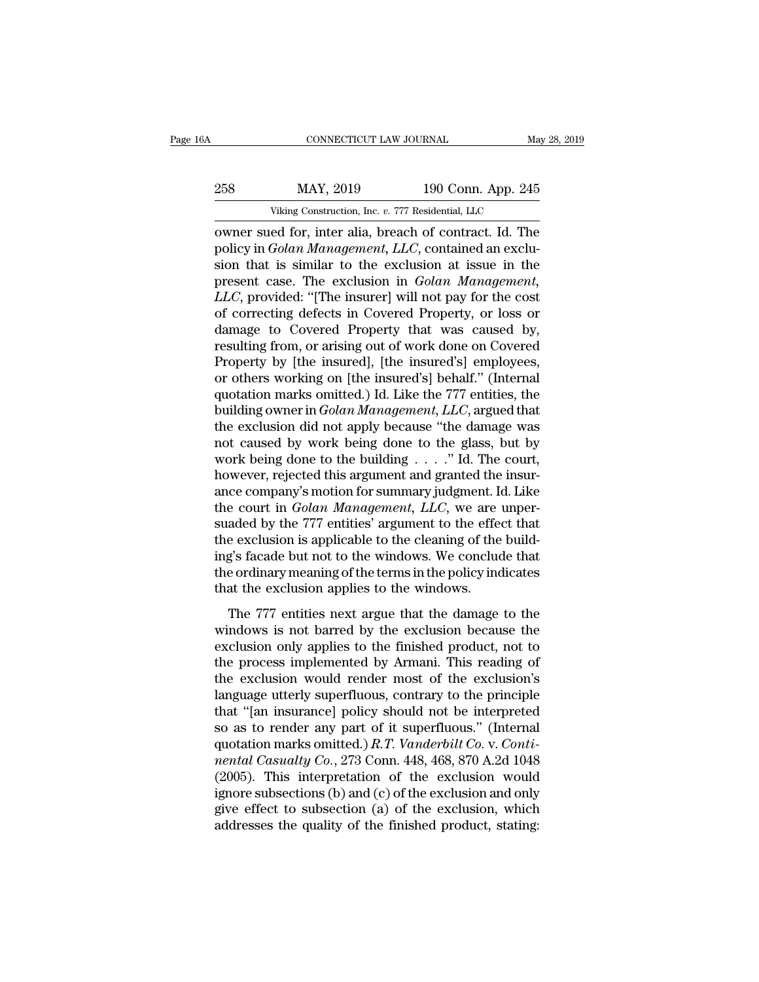|     | CONNECTICUT LAW JOURNAL                             |                    | May 28, 2019 |
|-----|-----------------------------------------------------|--------------------|--------------|
| 258 | MAY, 2019                                           | 190 Conn. App. 245 |              |
|     | Viking Construction, Inc. v. 777 Residential, LLC   |                    |              |
|     | owner sued for inter alia breach of contract Id The |                    |              |

CONNECTICUT LAW JOURNAL May 28, 2019<br>
258 MAY, 2019 190 Conn. App. 245<br>
Viking Construction, Inc. v. 777 Residential, LLC<br>
0 Where sued for, inter alia, breach of contract. Id. The<br>
policy in *Golan Management*, *LLC*, con 258 MAY, 2019 190 Conn. App. 245<br>Viking Construction, Inc. v. 777 Residential, LLC<br>
owner sued for, inter alia, breach of contract. Id. The<br>
policy in *Golan Management, LLC*, contained an exclu-<br>
sion that is similar to t sion that is similar to the exclusion at issue in the MAY, 2019 190 Conn. App. 245<br>
Viking Construction, Inc. *v.* 777 Residential, LLC<br>
owner sued for, inter alia, breach of contract. Id. The<br>
policy in *Golan Management*, *LLC*, contained an exclu-<br>
sion that is similar to Viking Construction, Inc. *v.* 777 Residential, LLC<br>
owner sued for, inter alia, breach of contract. Id. The<br>
policy in *Golan Management*, *LLC*, contained an exclu-<br>
sion that is similar to the exclusion at issue in the<br> VIRING CONSTRUCTION, INC.  $v$ . 777 Residential, LLC<br>
policy in *Golan Management*, LLC, contained an exclusion that is similar to the exclusion at issue in the<br>
present case. The exclusion in *Golan Management*,<br>
LLC, pro owner sued for, inter alia, breach of contract. Id. The<br>policy in *Golan Management*, *LLC*, contained an exclu-<br>sion that is similar to the exclusion at issue in the<br>present case. The exclusion in *Golan Management*,<br>*LLC* policy in *Golan Management*, *LLC*, contained an exclusion that is similar to the exclusion at issue in the present case. The exclusion in *Golan Management*, *LLC*, provided: "[The insurer] will not pay for the cost of c sion that is similar to the exclusion at issue in the<br>present case. The exclusion in *Golan Management*,<br>*LLC*, provided: "[The insurer] will not pay for the cost<br>of correcting defects in Covered Property, or loss or<br>damag present case. The exclusion in *Golan Management*,<br>LLC, provided: "[The insurer] will not pay for the cost<br>of correcting defects in Covered Property, or loss or<br>damage to Covered Property that was caused by,<br>resulting from LLC, provided: "[The insurer] will not pay for the cost<br>of correcting defects in Covered Property, or loss or<br>damage to Covered Property that was caused by,<br>resulting from, or arising out of work done on Covered<br>Property b of correcting defects in Covered Property, or loss or damage to Covered Property that was caused by, resulting from, or arising out of work done on Covered Property by [the insured], [the insured's] employees, or others wo damage to Covered Property that was caused by,<br>resulting from, or arising out of work done on Covered<br>Property by [the insured], [the insured's] employees,<br>or others working on [the insured's] behalf." (Internal<br>quotation resulting from, or arising out of work done on Covered<br>Property by [the insured], [the insured's] employees,<br>or others working on [the insured's] behalf." (Internal<br>quotation marks omitted.) Id. Like the 777 entities, the Property by [the insured], [the insured's] employees,<br>or others working on [the insured's] behalf." (Internal<br>quotation marks omitted.) Id. Like the 777 entities, the<br>building owner in *Golan Management*, *LLC*, argued th or others working on [the insured's] behalf." (Internal quotation marks omitted.) Id. Like the 777 entities, the building owner in *Golan Management*, *LLC*, argued that the exclusion did not apply because "the damage was quotation marks omitted.) Id. Like the 777 entities, the<br>building owner in *Golan Management*, *LLC*, argued that<br>the exclusion did not apply because "the damage was<br>not caused by work being done to the glass, but by<br>work building owner in *Golan Management, LLC*, argued that<br>the exclusion did not apply because "the damage was<br>not caused by work being done to the glass, but by<br>work being done to the building . . . ." Id. The court,<br>however, the exclusion did not apply because "the damage was<br>not caused by work being done to the glass, but by<br>work being done to the building  $\ldots$ ." Id. The court,<br>however, rejected this argument and granted the insur-<br>ance com not caused by work being done to the glass, but by<br>work being done to the building  $\ldots$ ." Id. The court,<br>however, rejected this argument and granted the insur-<br>ance company's motion for summary judgment. Id. Like<br>the cou work being done to the building  $\ldots$  ." Id. The court,<br>however, rejected this argument and granted the insur-<br>ance company's motion for summary judgment. Id. Like<br>the court in *Golan Management*, *LLC*, we are unper-<br>sua however, rejected this argument and granted the insur-<br>ance company's motion for summary judgment. Id. Like<br>the court in *Golan Management*, *LLC*, we are unper-<br>suaded by the 777 entities' argument to the effect that<br>the ance company's motion for summary judgment. It<br>the court in *Golan Management*, *LLC*, we are<br>suaded by the 777 entities' argument to the effect<br>the exclusion is applicable to the cleaning of the<br>ing's facade but not to th The 777 entities argument to the effect that<br>aded by the 777 entities' argument to the effect that<br>e exclusion is applicable to the cleaning of the build-<br>g's facade but not to the windows. We conclude that<br>e ordinary mean baracted by the FFF characteristic to the check that<br>the exclusion is applicable to the cleaning of the build-<br>ing's facade but not to the windows. We conclude that<br>the ordinary meaning of the terms in the policy indicate

ing's facade but not to the windows. We conclude that<br>the ordinary meaning of the terms in the policy indicates<br>that the exclusion applies to the windows.<br>The 777 entities next argue that the damage to the<br>windows is not b the ordinary meaning of the terms in the policy indicates<br>that the exclusion applies to the windows.<br>The 777 entities next argue that the damage to the<br>windows is not barred by the exclusion because the<br>exclusion only appl that the exclusion applies to the windows.<br>The 777 entities next argue that the damage to the<br>windows is not barred by the exclusion because the<br>exclusion only applies to the finished product, not to<br>the process implemente The 777 entities next argue that the damage to the<br>windows is not barred by the exclusion because the<br>exclusion only applies to the finished product, not to<br>the process implemented by Armani. This reading of<br>the exclusion The 777 entities next argue that the damage to the<br>windows is not barred by the exclusion because the<br>exclusion only applies to the finished product, not to<br>the process implemented by Armani. This reading of<br>the exclusion windows is not barred by the exclusion because the<br>exclusion only applies to the finished product, not to<br>the process implemented by Armani. This reading of<br>the exclusion would render most of the exclusion's<br>language utte exclusion only applies to the finished product, not to<br>the process implemented by Armani. This reading of<br>the exclusion would render most of the exclusion's<br>language utterly superfluous, contrary to the principle<br>that "[an the process implemented by Armani. This reading of<br>the exclusion would render most of the exclusion's<br>language utterly superfluous, contrary to the principle<br>that "[an insurance] policy should not be interpreted<br>so as to r the exclusion would render most of the exclusion's<br>language utterly superfluous, contrary to the principle<br>that "[an insurance] policy should not be interpreted<br>so as to render any part of it superfluous." (Internal<br>quota language utterly superfluous, contrary to the principle<br>that "[an insurance] policy should not be interpreted<br>so as to render any part of it superfluous." (Internal<br>quotation marks omitted.)  $R.T. Vanderbilt Co. v. Conti-  
nental Casualty Co., 273 Conn.$ that "[an insurance] policy should not be interpreted<br>so as to render any part of it superfluous." (Internal<br>quotation marks omitted.)  $R.T. Vanderbilt Co. v. Conti-  
nental Casualty Co., 273 Conn. 448, 468, 870 A.2d 1048  
(2005). This interpretation of the exclusion would  
ignore subsections (b) and (c) of the exclusion and only  
give$ so as to render any part of it superfluous." (Internal quotation marks omitted.)  $R.T.$  Vanderbilt  $Co.$  v.  $Conti-  
nental Casuality Co., 273 Conn. 448, 468, 870 A.2d 1048  
(2005). This interpretation of the exclusion would  
ignore subsections (b) and (c) of the exclusion and only  
give effect to subsection (a) of the exclusion, which  
addresses the quality of the finished product, stating:$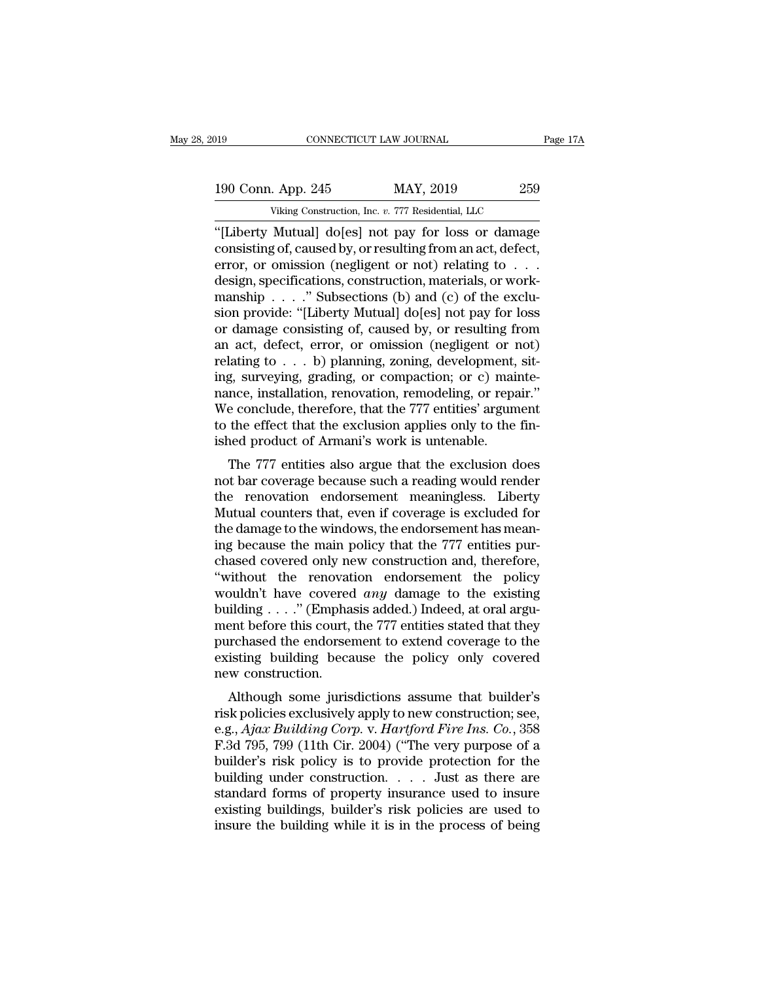| )19 |                    | CONNECTICUT LAW JOURNAL                             | Page 17A |
|-----|--------------------|-----------------------------------------------------|----------|
|     |                    |                                                     |          |
|     | 190 Conn. App. 245 | MAY, 2019                                           | 259      |
|     |                    | Viking Construction, Inc. v. 777 Residential, LLC   |          |
|     |                    | "ILiberty Mutuall doles) not pay for loss or damage |          |

CONNECTICUT LAW JOURNAL Page 17A<br>
190 Conn. App. 245 MAY, 2019 259<br>
Viking Construction, Inc. v. 777 Residential, LLC<br>
"[Liberty Mutual] do[es] not pay for loss or damage<br>
consisting of, caused by, or resulting from an act 190 Conn. App. 245 MAY, 2019 259<br>Viking Construction, Inc. v. 777 Residential, LLC<br>"[Liberty Mutual] do[es] not pay for loss or damage<br>consisting of, caused by, or resulting from an act, defect,<br>error, or omission (neglige 190 Conn. App. 245 MAY, 2019 259<br>
Viking Construction, Inc. v. 777 Residential, LLC<br>
"[Liberty Mutual] do[es] not pay for loss or damage<br>
consisting of, caused by, or resulting from an act, defect,<br>
error, or omission (ne 190 Conn. App. 245 MAY, 2019 259<br>
Viking Construction, Inc. v. 777 Residential, LLC<br>
"[Liberty Mutual] do[es] not pay for loss or damage<br>
consisting of, caused by, or resulting from an act, defect,<br>
error, or omission (neg Viking Construction, Inc. v. 777 Residential, LLC<br>
"[Liberty Mutual] do[es] not pay for loss or damage<br>
consisting of, caused by, or resulting from an act, defect,<br>
error, or omission (negligent or not) relating to . . .<br> Viking Construction, Inc. v. 777 Residential, LLC<br>
"[Liberty Mutual] do[es] not pay for loss or damage<br>
consisting of, caused by, or resulting from an act, defect,<br>
error, or omission (negligent or not) relating to . . .<br> "[Liberty Mutual] do[es] not pay for loss or damage<br>consisting of, caused by, or resulting from an act, defect,<br>error, or omission (negligent or not) relating to . . .<br>design, specifications, construction, materials, or wo consisting of, caused by, or resulting from an act, defect,<br>error, or omission (negligent or not) relating to . . .<br>design, specifications, construction, materials, or work-<br>manship . . . . " Subsections (b) and (c) of th error, or omission (negligent or not) relating to . . . design, specifications, construction, materials, or work-<br>manship . . . ." Subsections (b) and (c) of the exclu-<br>sion provide: "[Liberty Mutual] do[es] not pay for l design, specifications, construction, materials, or work-<br>manship  $\ldots$ ." Subsections (b) and (c) of the exclu-<br>sion provide: "[Liberty Mutual] do[es] not pay for loss<br>or damage consisting of, caused by, or resulting from manship . . . ." Subsections (b) and (c) of the exclusion provide: "[Liberty Mutual] do[es] not pay for loss<br>or damage consisting of, caused by, or resulting from<br>an act, defect, error, or omission (negligent or not)<br>relat sion provide: "[Liberty Mutual] do[es] not pay for loss<br>or damage consisting of, caused by, or resulting from<br>an act, defect, error, or omission (negligent or not)<br>relating to . . . b) planning, zoning, development, sit-<br>i or damage consisting of, caused by, or resulting from<br>an act, defect, error, or omission (negligent or not)<br>relating to  $\dots$  b) planning, zoning, development, sit-<br>ing, surveying, grading, or compaction; or c) mainte-<br>nan an act, defect, error, or omission (negligent or relating to  $\ldots$  b) planning, zoning, development, ing, surveying, grading, or compaction; or c) mainance, installation, renovation, remodeling, or repartion. We conclude, Eq. surveying, grading, or compaction; or c) mainte-<br>nce, installation, renovation, remodeling, or repair."<br>e conclude, therefore, that the 777 entities' argument<br>the effect that the exclusion applies only to the fin-<br>ned ing, surveying, grading, or compaction, or c) mainte-<br>nance, installation, renovation, remodeling, or repair."<br>We conclude, therefore, that the 777 entities' argument<br>to the effect that the exclusion applies only to the fi

Hance, instantion, renovation, renovemig, or repair.<br>We conclude, therefore, that the 777 entities' argument<br>to the effect that the exclusion applies only to the fin-<br>ished product of Armani's work is untenable.<br>The 777 en We conclude, therefore, that the 111 entities argument<br>to the effect that the exclusion applies only to the fin-<br>ished product of Armani's work is untenable.<br>The 777 entities also argue that the exclusion does<br>not bar cove to the enect that the exclusion applies only to the in-<br>ished product of Armani's work is untenable.<br>The 777 entities also argue that the exclusion does<br>not bar coverage because such a reading would render<br>the renovation e ished product of Armani's work is untenable.<br>The 777 entities also argue that the exclusion does<br>not bar coverage because such a reading would render<br>the renovation endorsement meaningless. Liberty<br>Mutual counters that, ev The 777 entities also argue that the exclusion does<br>not bar coverage because such a reading would render<br>the renovation endorsement meaningless. Liberty<br>Mutual counters that, even if coverage is excluded for<br>the damage to not bar coverage because such a reading would render<br>the renovation endorsement meaningless. Liberty<br>Mutual counters that, even if coverage is excluded for<br>the damage to the windows, the endorsement has mean-<br>ing because t the renovation endorsement meaningless. Liberty<br>Mutual counters that, even if coverage is excluded for<br>the damage to the windows, the endorsement has mean-<br>ing because the main policy that the 777 entities pur-<br>chased cove Mutual counters that, even if coverage is excluded for<br>the damage to the windows, the endorsement has mean-<br>ing because the main policy that the 777 entities pur-<br>chased covered only new construction and, therefore,<br>"with the damage to the windows, the endorsement has mean-<br>ing because the main policy that the 777 entities pur-<br>chased covered only new construction and, therefore,<br>"without the renovation endorsement the policy<br>wouldn't have ing because the main policy that the 777 entities pur-<br>chased covered only new construction and, therefore,<br>"without the renovation endorsement the policy<br>wouldn't have covered *any* damage to the existing<br>building . . . chased covered only new construction and, therefore,<br>"without the renovation endorsement the policy<br>wouldn't have covered *any* damage to the existing<br>building . . . ." (Emphasis added.) Indeed, at oral argu-<br>ment before "without the renovat<br>wouldn't have covered<br>building . . . ." (Empha<br>ment before this court,<br>purchased the endorsen<br>existing building beca<br>new construction.<br>Although some juris but that is covered *any* daniage to the existing<br>ilding . . . ." (Emphasis added.) Indeed, at oral argu-<br>ent before this court, the 777 entities stated that they<br>irchased the endorsement to extend coverage to the<br>isting bunding  $\ldots$  (Emphasis added.) indeed, at oral argument before this court, the 777 entities stated that they<br>purchased the endorsement to extend coverage to the<br>existing building because the policy only covered<br>new const

ment before this court, the *TTT* entries stated that they<br>purchased the endorsement to extend coverage to the<br>existing building because the policy only covered<br>new construction.<br>Although some jurisdictions assume that bui purchased the endorsement to extend coverage to the<br>existing building because the policy only covered<br>new construction.<br>Although some jurisdictions assume that builder's<br>risk policies exclusively apply to new construction; Existing building because the policy only covered<br>new construction.<br>
Although some jurisdictions assume that builder's<br>
risk policies exclusively apply to new construction; see,<br>
e.g., Ajax Building Corp. v. Hartford Fire Although some jurisdictions assume that builder's<br>risk policies exclusively apply to new construction; see,<br>e.g., Ajax Building Corp. v. Hartford Fire Ins. Co., 358<br>F.3d 795, 799 (11th Cir. 2004) ("The very purpose of a<br>b Although some jurisdictions assume that builder's<br>risk policies exclusively apply to new construction; see,<br>e.g., Ajax Building Corp. v. Hartford Fire Ins. Co., 358<br>F.3d 795, 799 (11th Cir. 2004) ("The very purpose of a<br>b risk policies exclusively apply to new construction; see,<br>e.g., Ajax Building Corp. v. Hartford Fire Ins. Co., 358<br>F.3d 795, 799 (11th Cir. 2004) ("The very purpose of a<br>builder's risk policy is to provide protection for e.g., Ajax Building Corp. v. Hartford Fire Ins. Co., 358 F.3d 795, 799 (11th Cir. 2004) ("The very purpose of a builder's risk policy is to provide protection for the building under construction. . . . . Just as there are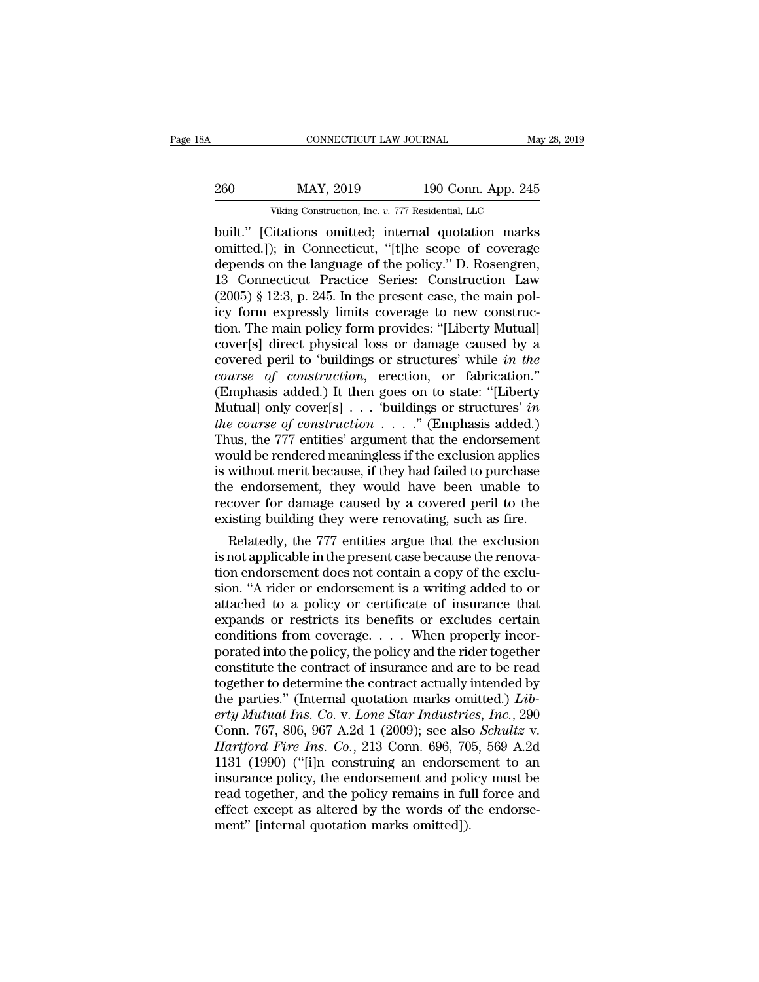|         | CONNECTICUT LAW JOURNAL                           |                    | May 28, 2019 |
|---------|---------------------------------------------------|--------------------|--------------|
| 260     | MAY, 2019                                         | 190 Conn. App. 245 |              |
|         | Viking Construction, Inc. v. 777 Residential, LLC |                    |              |
| huilt " | Citations omitted: internal quotation marks       |                    |              |

CONNECTICUT LAW JOURNAL May 28, 2019<br>
260 MAY, 2019 190 Conn. App. 245<br>
Viking Construction, Inc. v. 777 Residential, LLC<br>
built.'' [Citations omitted; internal quotation marks<br>
omitted.]); in Connecticut, "[t]he scope of 260 MAY, 2019 190 Conn. App. 245<br>Viking Construction, Inc. v. 777 Residential, LLC<br>built." [Citations omitted; internal quotation marks<br>omitted.]); in Connecticut, "[t]he scope of coverage<br>depends on the language of the po 260 MAY, 2019 190 Conn. App. 245<br>
Viking Construction, Inc. v. 777 Residential, LLC<br>
built.'' [Citations omitted; internal quotation marks<br>
omitted.]); in Connecticut, "[t]he scope of coverage<br>
depends on the language of t 260 MAY, 2019 190 Conn. App. 245<br>
Viking Construction, Inc. v. 777 Residential, LLC<br>
built." [Citations omitted; internal quotation marks<br>
omitted.]); in Connecticut, "[t]he scope of coverage<br>
depends on the language of t Viking Construction, Inc. v. 777 Residential, LLC<br>
built." [Citations omitted; internal quotation marks<br>
omitted.]); in Connecticut, "[t]he scope of coverage<br>
depends on the language of the policy." D. Rosengren,<br>
13 Conne Viking Construction, Inc. v. 777 Residential, LLC<br>built." [Citations omitted; internal quotation marks<br>omitted.]); in Connecticut, "[t]he scope of coverage<br>depends on the language of the policy." D. Rosengren,<br>13 Connectic built." [Citations omitted; internal quotation marks<br>omitted.]); in Connecticut, "[t]he scope of coverage<br>depends on the language of the policy." D. Rosengren,<br>13 Connecticut Practice Series: Construction Law<br>(2005) § 12:3 omitted.]); in Connecticut, "[t]he scope of coverage depends on the language of the policy." D. Rosengren, 13 Connecticut Practice Series: Construction Law (2005) § 12:3, p. 245. In the present case, the main policy form e depends on the language of the policy." D. Rosengren,<br>13 Connecticut Practice Series: Construction Law<br>(2005) § 12:3, p. 245. In the present case, the main pol-<br>icy form expressly limits coverage to new construc-<br>tion. The 13 Connecticut Practice Series: Construction Law  $(2005) \, \text{\$} 12:3, \, \text{p. 245.}$  In the present case, the main policy form expressly limits coverage to new construction. The main policy form provides: "[Liberty Mutual] (2005) § 12:3, p. 245. In the present case, the main policy form expressly limits coverage to new construction. The main policy form provides: "[Liberty Mutual] cover[s] direct physical loss or damage caused by a covered icy form expressly limits coverage to new construction. The main policy form provides: "[Liberty Mutual] cover[s] direct physical loss or damage caused by a covered peril to 'buildings or structures' while *in the course o tion.* The main policy form provides: "[Liberty Mutual]<br>
cover[s] direct physical loss or damage caused by a<br>
covered peril to 'buildings or structures' while *in the*<br> *tourse of construction*, erection, or fabrication." cover[s] direct physical loss or damage caused by a<br>covered peril to 'buildings or structures' while *in the*<br>course of construction, erection, or fabrication."<br>(Emphasis added.) It then goes on to state: "[Liberty<br>Mutual covered peril to 'buildings or structures' while *in the*<br>course of construction, erection, or fabrication."<br>(Emphasis added.) It then goes on to state: "[Liberty<br>Mutual] only cover[s] . . . 'buildings or structures' *in* course of construction, erection, or fabrication."<br>
(Emphasis added.) It then goes on to state: "[Liberty<br>
Mutual] only cover[s] . . . 'buildings or structures' in<br>
the course of construction . . . . " (Emphasis added.)<br> (Emphasis added.) It then goes on to state: "[Liberty Mutual] only cover[s]  $\ldots$  'buildings or structures' *in the course of construction*  $\ldots$ ." (Emphasis added.) Thus, the 777 entities' argument that the endorsement Mutual] only cover[s] . . . 'buildings or structures' *in*<br>*the course of construction* . . . ." (Emphasis added.)<br>Thus, the 777 entities' argument that the endorsement<br>would be rendered meaningless if the exclusion appli the course of construction  $\ldots$  ..." (Emphasis added.)<br>Thus, the 777 entities' argument that the endorsement<br>would be rendered meaningless if the exclusion applies<br>is without merit because, if they had failed to purchase is the 777 entities argument that the endorsement<br>puld be rendered meaningless if the exclusion applies<br>without merit because, if they had failed to purchase<br>e-endorsement, they-would-have-been-unable-to-<br>cover for damage would be rendered meaningless if the exclusion applies<br>is without merit because, if they had failed to purchase<br>the endorsement, they would have been unable to<br>recover for damage caused by a covered peril to the<br>existing b

is without merit because, if they had failed to purchase<br>the endorsement, they would have been unable to<br>recover for damage caused by a covered peril to the<br>existing building they were renovating, such as fire.<br>Relatedly, the endorsement, they would have been unable to<br>recover for damage caused by a covered peril to the<br>existing building they were renovating, such as fire.<br>Relatedly, the 777 entities argue that the exclusion<br>is not applicab recover for damage caused by a covered peril to the<br>existing building they were renovating, such as fire.<br>Relatedly, the 777 entities argue that the exclusion<br>is not applicable in the present case because the renova-<br>tion existing building they were renovating, such as fire.<br>
Relatedly, the 777 entities argue that the exclusion<br>
is not applicable in the present case because the renova-<br>
tion endorsement does not contain a copy of the exclu Relatedly, the 777 entities argue that the exclusion<br>is not applicable in the present case because the renova-<br>tion endorsement does not contain a copy of the exclu-<br>sion. "A rider or endorsement is a writing added to or<br>a is not applicable in the present case because the renovation endorsement does not contain a copy of the exclusion. "A rider or endorsement is a writing added to or attached to a policy or certificate of insurance that expa tion endorsement does not contain a copy of the exclusion. "A rider or endorsement is a writing added to or attached to a policy or certificate of insurance that expands or restricts its benefits or excludes certain condi sion. "A rider or endorsement is a writing added to or<br>attached to a policy or certificate of insurance that<br>expands or restricts its benefits or excludes certain<br>conditions from coverage. . . . When properly incor-<br>porat attached to a policy or certificate of insurance that<br>expands or restricts its benefits or excludes certain<br>conditions from coverage.... When properly incor-<br>porated into the policy, the policy and the rider together<br>const expands or restricts its benefits or excludes certain<br>conditions from coverage. . . . When properly incor-<br>porated into the policy, the policy and the rider together<br>constitute the contract of insurance and are to be read<br> conditions from coverage. . . . When properly incor-<br>porated into the policy, the policy and the rider together<br>constitute the contract of insurance and are to be read<br>together to determine the contract actually intended b porated into the policy, the policy and the rider together<br>constitute the contract of insurance and are to be read<br>together to determine the contract actually intended by<br>the parties." (Internal quotation marks omitted.) constitute the contract of insurance and are to be read<br>together to determine the contract actually intended by<br>the parties." (Internal quotation marks omitted.) *Lib-*<br>erty Mutual Ins. Co. v. Lone Star Industries, Inc., 2 together to determine the contract actually intended by<br>the parties." (Internal quotation marks omitted.) *Lib-*<br>erty Mutual Ins. Co. v. Lone Star Industries, Inc., 290<br>Conn. 767, 806, 967 A.2d 1 (2009); see also Schultz v the parties." (Internal quotation marks omitted.) *Liberty Mutual Ins. Co. v. Lone Star Industries, Inc.*, 290 Conn. 767, 806, 967 A.2d 1 (2009); see also *Schultz v. Hartford Fire Ins. Co.*, 213 Conn. 696, 705, 569 A.2d erty Mutual Ins. Co. v. Lone Star Industries, Inc., 290<br>Conn. 767, 806, 967 A.2d 1 (2009); see also Schultz v.<br>Hartford Fire Ins. Co., 213 Conn. 696, 705, 569 A.2d<br>1131 (1990) ("[i]n construing an endorsement to an<br>insuran Conn. 767, 806, 967 A.2d 1 (2009); see also<br> *Hartford Fire Ins. Co.*, 213 Conn. 696, 70<br>
1131 (1990) ("[i]n construing an endorse<br>
insurance policy, the endorsement and policy<br>
read together, and the policy remains in fu<br>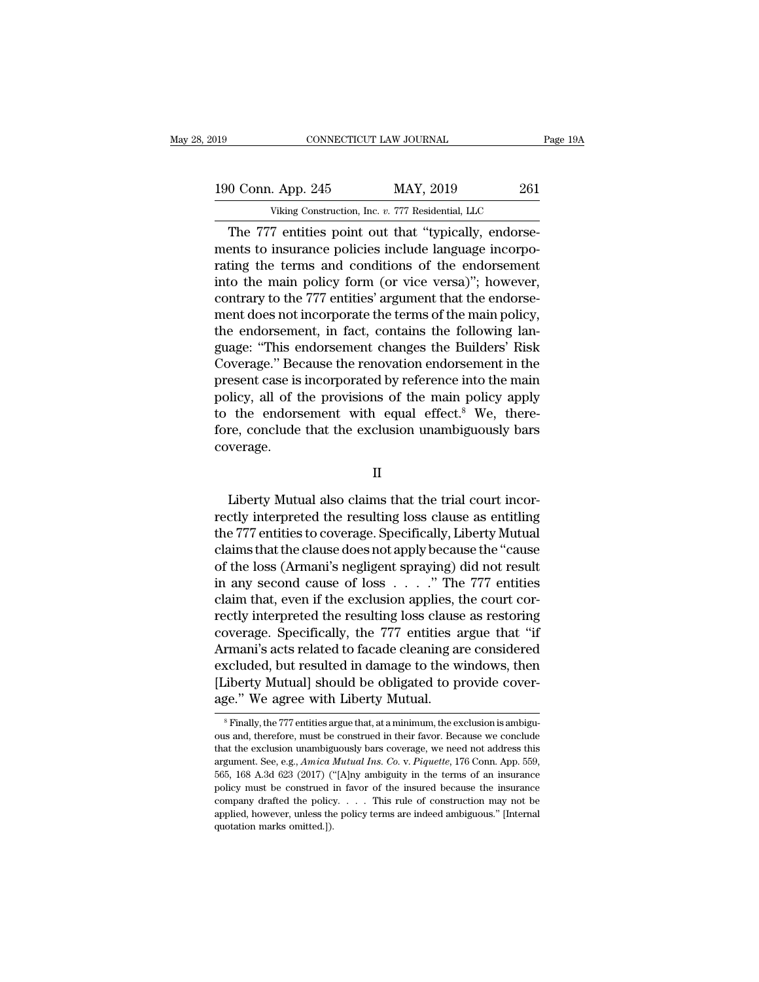| )19                | CONNECTICUT LAW JOURNAL                             | Page 19A |
|--------------------|-----------------------------------------------------|----------|
|                    |                                                     |          |
| 190 Conn. App. 245 | MAY, 2019                                           | 261      |
|                    | Viking Construction, Inc. v. 777 Residential, LLC   |          |
|                    | The 777 entities point out that "typically endorse- |          |

CONNECTICUT LAW JOURNAL<br>
0 Conn. App. 245 MAY, 2019 261<br>
Viking Construction, Inc. v. 777 Residential, LLC<br>
The 777 entities point out that "typically, endorse-<br>
ents to insurance policies include language incorpo-<br>
ting t 190 Conn. App. 245 MAY, 2019 261<br>Viking Construction, Inc. v. 777 Residential, LLC<br>The 777 entities point out that "typically, endorse-<br>ments to insurance policies include language incorpo-<br>rating the terms and conditions 190 Conn. App. 245 MAY, 2019 261<br>
Viking Construction, Inc. v. 777 Residential, LLC<br>
The 777 entities point out that "typically, endorsements to insurance policies include language incorporating the terms and conditions o 190 Conn. App. 245 MAY, 2019 261<br>
Viking Construction, Inc. v. 777 Residential, LLC<br>
The 777 entities point out that "typically, endorse-<br>
ments to insurance policies include language incorpo-<br>
rating the terms and condit Viking Construction, Inc. v. 777 Residential, LLC<br>
The 777 entities point out that "typically, endorse-<br>
ments to insurance policies include language incorpo-<br>
rating the terms and conditions of the endorsement<br>
into the m The 777 entities point out that "typically, endorse-<br>ments to insurance policies include language incorpo-<br>rating the terms and conditions of the endorsement<br>into the main policy form (or vice versa)"; however,<br>contrary t The 777 entities point out that "typically, endorse-<br>ments to insurance policies include language incorpo-<br>rating the terms and conditions of the endorsement<br>into the main policy form (or vice versa)"; however,<br>contrary to ments to insurance policies include language incorporating the terms and conditions of the endorsement<br>into the main policy form (or vice versa)"; however,<br>contrary to the 777 entities' argument that the endorse-<br>ment does rating the terms and conditions of the endorsement<br>into the main policy form (or vice versa)"; however,<br>contrary to the 777 entities' argument that the endorse-<br>ment does not incorporate the terms of the main policy,<br>the e into the main policy form (or vice versa)"; however,<br>contrary to the 777 entities' argument that the endorse-<br>ment does not incorporate the terms of the main policy,<br>the endorsement, in fact, contains the following lan-<br>g contrary to the 777 entities' argument that the endorsement does not incorporate the terms of the main policy,<br>the endorsement, in fact, contains the following language: "This endorsement changes the Builders' Risk<br>Coverag ment does not incorporate the terms of the main policy,<br>the endorsement, in fact, contains the following language: "This endorsement changes the Builders' Risk<br>Coverage." Because the renovation endorsement in the<br>present c the endorsement, in fact, contains the following language: "This endorsement changes the Builders' Risk Coverage." Because the renovation endorsement in the present case is incorporated by reference into the main policy, a coverage. Liberty, an of the provisions of the main policy apply<br>the endorsement with equal effect.<sup>8</sup> We, there-<br>re, conclude that the exclusion unambiguously bars<br>verage.<br>II<br>Liberty Mutual also claims that the trial court incor-<br>c

II

rectively interesting that the exclusion unambiguously bars<br>coverage.<br>II<br>Liberty Mutual also claims that the trial court incor-<br>rectly interpreted the resulting loss clause as entitling<br>the 777 entities to coverage. Specif the 777 entities to coverage.<br>
II<br>
Liberty Mutual also claims that the trial court incorrectly interpreted the resulting loss clause as entitling<br>
the 777 entities to coverage. Specifically, Liberty Mutual<br>
claims that the II<br>II<br>Liberty Mutual also claims that the trial court incor-<br>rectly interpreted the resulting loss clause as entitling<br>the 777 entities to coverage. Specifically, Liberty Mutual<br>claims that the clause does not apply becaus II<br>Liberty Mutual also claims that the trial court incor-<br>rectly interpreted the resulting loss clause as entitling<br>the 777 entities to coverage. Specifically, Liberty Mutual<br>claims that the clause does not apply because t Liberty Mutual also claims that the trial court incorrectly interpreted the resulting loss clause as entitling the 777 entities to coverage. Specifically, Liberty Mutual claims that the clause does not apply because the " Liberty Mutual also claims that the trial court incorrectly interpreted the resulting loss clause as entitling<br>the 777 entities to coverage. Specifically, Liberty Mutual<br>claims that the clause does not apply because the " rectly interpreted the resulting loss clause as entitling<br>the 777 entities to coverage. Specifically, Liberty Mutual<br>claims that the clause does not apply because the "cause<br>of the loss (Armani's negligent spraying) did no the 777 entities to coverage. Specifically, Liberty Mutual<br>claims that the clause does not apply because the "cause<br>of the loss (Armani's negligent spraying) did not result<br>in any second cause of loss . . . . . " The 777 e claims that the clause does not apply because the "cause<br>of the loss (Armani's negligent spraying) did not result<br>in any second cause of loss . . . . ." The 777 entities<br>claim that, even if the exclusion applies, the court of the loss (Armani's negligent spraying) did not result<br>in any second cause of loss . . . . " The 777 entities<br>claim that, even if the exclusion applies, the court cor-<br>rectly interpreted the resulting loss clause as rest in any second cause of loss  $\ldots$ ." The 777 entities<br>claim that, even if the exclusion applies, the court cor-<br>rectly interpreted the resulting loss clause as restoring<br>coverage. Specifically, the 777 entities argue that claim that, even if the exclusion applies, t<br>rectly interpreted the resulting loss clause<br>coverage. Specifically, the 777 entities a<br>Armani's acts related to facade cleaning an<br>excluded, but resulted in damage to the w<br>[Li Armani's acts related to facade cleaning are considered excluded, but resulted in damage to the windows, then [Liberty Mutual] should be obligated to provide coverage." We agree with Liberty Mutual. excluded, but resulted in damage to the windows, then<br>
[Liberty Mutual] should be obligated to provide cover-<br>
age." We agree with Liberty Mutual.<br>
<sup>8</sup> Finally, the 777 entities argue that, at a minimum, the exclusion is a

<sup>[</sup>Liberty Mutual] should be obligated to provide coverage." We agree with Liberty Mutual.<br>
<sup>8</sup> Finally, the 777 entities argue that, at a minimum, the exclusion is ambiguous and, therefore, must be construed in their favor. ous and, therefore, must be construed in their favor. Because we conclude that the exclusion unambiguously bars coverage, we need not address this argument. See, e.g., *Amica Mutual Ins. Co.* v. *Piquette*, 176 Conn. App. SET WE AGTEE WITH LIDENTY MUTUAL.<br>
<sup>8</sup> Finally, the 777 entities argue that, at a minimum, the exclusion is ambiguous and, therefore, must be construed in their favor. Because we conclude that the exclusion unambiguously <sup>8</sup> Finally, the 777 entities argue that, at a minimum, the exclusion is ambiguous and, therefore, must be construed in their favor. Because we conclude that the exclusion unambiguously bars coverage, we need not address ous and, therefore, must be construed in their favor. Because we conclude that the exclusion unambiguously bars coverage, we need not address this argument. See, e.g., *Amica Mutual Ins. Co. v. Piquette*, 176 Conn. App. 5 that the exclusion unambiguously bars coverage, we need not address this argument. See, e.g., *Amica Mutual Ins. Co.* v. *Piquette*, 176 Conn. App. 559, 565, 168 A.3d 623 (2017) ("[A]ny ambiguity in the terms of an insura argument. See, e.g., Amica Mutual Ins. Co. v. Piquette, 176 Conn. App. 559,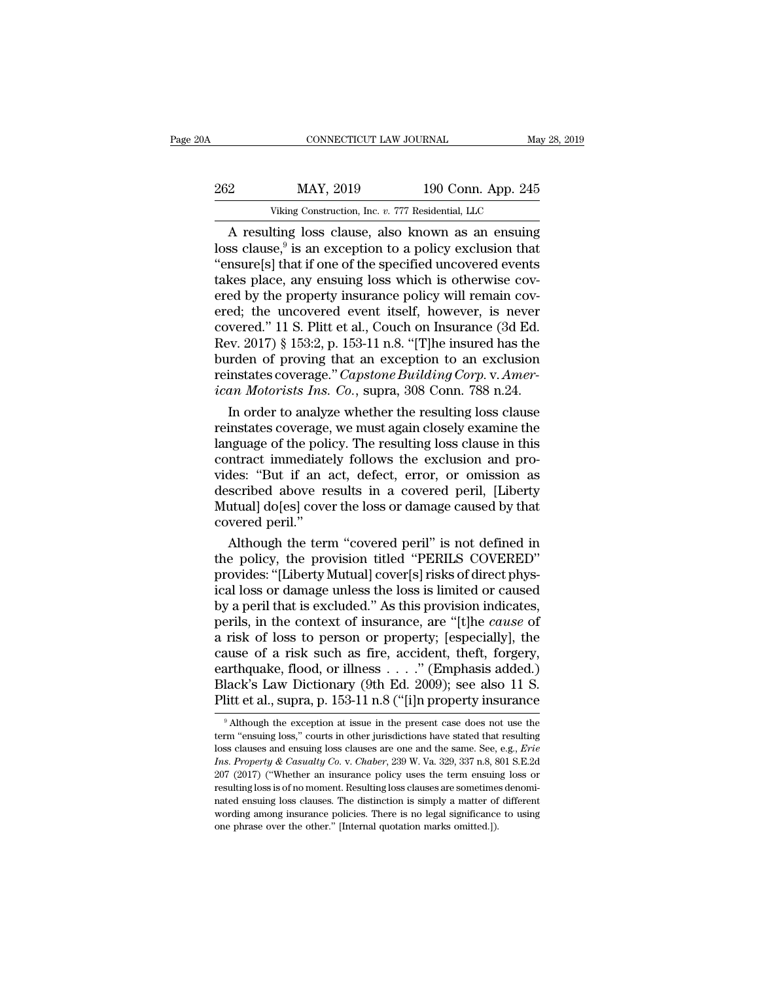| '0А | CONNECTICUT LAW JOURNAL                           |                    | May 28, 2019 |
|-----|---------------------------------------------------|--------------------|--------------|
|     |                                                   |                    |              |
| 262 | MAY, 2019                                         | 190 Conn. App. 245 |              |
|     | Viking Construction, Inc. v. 777 Residential, LLC |                    |              |

 $\begin{array}{r} \text{COMNETICUT LAW JOURNAL} \qquad \text{May 28, 2019} \ \text{2} \qquad \text{MAX, 2019} \qquad \text{190 Conn. App. 245} \ \text{Viking Construction, Inc. } v. 777 \text{ Residental, LLC} \ \text{A resulting loss clause, also known as an ensuing} \ \text{ss clause, } ^9 \text{is an exception to a policy exclusion that} \ \text{nsures}[\text{sl}]\text{that if one of the specified uncovered events} \end{array}$ 262 MAY<br>
Viking Cons<br>
A resulting loss<br>
loss clause,<sup>9</sup> is an<br>
"ensure[s] that if o MAY, 2019 190 Conn. App. 245<br>ig Construction, Inc. v. 777 Residential, LLC<br>3 loss clause, also known as an ensuing<br>is an exception to a policy exclusion that<br>at if one of the specified uncovered events<br>any ensuing loss wh 262 MAY, 2019 190 Conn. App. 245<br>
Viking Construction, Inc. v. 777 Residential, LLC<br>
A resulting loss clause, also known as an ensuing<br>
loss clause,<sup>9</sup> is an exception to a policy exclusion that<br>
"ensure[s] that if one of 262 MAY, 2019 190 Conn. App. 245<br>
Viking Construction, Inc. v. 777 Residential, LLC<br>
A resulting loss clause, also known as an ensuing<br>
loss clause,<sup>9</sup> is an exception to a policy exclusion that<br>
"ensure[s] that if one of Viking Construction, Inc. v. 777 Residential, LLC<br>
A resulting loss clause, also known as an ensuing<br>
loss clause,<sup>9</sup> is an exception to a policy exclusion that<br>
"ensure[s] that if one of the specified uncovered events<br>
t Viking Construction, Inc. v. 777 Residential, LLC<br>
A resulting loss clause, also known as an ensuing<br>
loss clause,<sup>9</sup> is an exception to a policy exclusion that<br>
"ensure[s] that if one of the specified uncovered events<br>
t A resulting loss clause, also known as an ensuing<br>loss clause,<sup>9</sup> is an exception to a policy exclusion that<br>"ensure[s] that if one of the specified uncovered events<br>takes place, any ensuing loss which is otherwise cov-<br>e loss clause,<sup>9</sup> is an exception to a policy exclusion that<br>
"ensure[s] that if one of the specified uncovered events<br>
takes place, any ensuing loss which is otherwise cov-<br>
ered by the property insurance policy will remai "ensure[s] that if one of the specified uncovered events<br>takes place, any ensuing loss which is otherwise cov-<br>ered by the property insurance policy will remain cov-<br>ered; the uncovered event itself, however, is never<br>cov takes place, any ensuing loss which is otherwise covered by the property insurance policy will remain covered; the uncovered event itself, however, is never covered." 11 S. Plitt et al., Couch on Insurance (3d Ed. Rev. 201 ered by the property insurance policy will remain covered; the uncovered event itself, however, is never covered." 11 S. Plitt et al., Couch on Insurance (3d Ed. Rev. 2017) § 153:2, p. 153-11 n.8. "[T]he insured has the bu ed; the uncovered event itself, however, is never<br>vered." 11 S. Plitt et al., Couch on Insurance (3d Ed.<br>ev. 2017) § 153:2, p. 153-11 n.8. "[T]he insured has the<br>rden of proving that an exception to an exclusion<br>instates c covered." 11 S. Plitt et al., Couch on Insurance (3d Ed.<br>Rev. 2017) § 153:2, p. 153-11 n.8. "[T]he insured has the<br>burden of proving that an exception to an exclusion<br>reinstates coverage." *Capstone Building Corp. v. Amer* 

Rev. 2017) § 153:2, p. 153-11 n.8. "[T]he insured has the<br>burden of proving that an exception to an exclusion<br>reinstates coverage." *Capstone Building Corp.* v. *Amer-*<br>*ican Motorists Ins. Co.*, supra, 308 Conn. 788 n.24 burden of proving that an exception to an exclusion<br>reinstates coverage." *Capstone Building Corp. v. Amer-<br>ican Motorists Ins. Co.*, supra, 308 Conn. 788 n.24.<br>In order to analyze whether the resulting loss clause<br>reinsta reinstates coverage." *Capstone Building Corp.* v. *Amer-*<br>ican Motorists Ins. Co., supra, 308 Conn. 788 n.24.<br>In order to analyze whether the resulting loss clause<br>reinstates coverage, we must again closely examine the<br>la ican Motorists Ins. Co., supra, 308 Conn. 788 n.24.<br>In order to analyze whether the resulting loss clause<br>reinstates coverage, we must again closely examine the<br>language of the policy. The resulting loss clause in this<br>con In order to analyze whether the resulting loss clause<br>reinstates coverage, we must again closely examine the<br>language of the policy. The resulting loss clause in this<br>contract immediately follows the exclusion and pro-<br>vid reinstates coverage<br>language of the policontract immediate<br>vides: "But if an a<br>described above re<br>Mutual] do[es] cove<br>covered peril."<br>Although the tern nguage of the policy. The resulting loss clause in this<br>ntract immediately follows the exclusion and pro-<br>des: "But if an act, defect, error, or omission as<br>scribed above results in a covered peril, [Liberty<br>utual] do[es] contract immediately follows the exclusion and provides: "But if an act, defect, error, or omission as<br>described above results in a covered peril, [Liberty<br>Mutual] do[es] cover the loss or damage caused by that<br>covered per

vides: "But if an act, defect, error, or omission as<br>described above results in a covered peril, [Liberty<br>Mutual] do[es] cover the loss or damage caused by that<br>covered peril."<br>Although the term "covered peril" is not defi described above results in a covered peril, [Liberty<br>Mutual] do[es] cover the loss or damage caused by that<br>covered peril."<br>Although the term "covered peril" is not defined in<br>the policy, the provision titled "PERILS COVER Mutual] do[es] cover the loss or damage caused by that<br>covered peril."<br>Although the term "covered peril" is not defined in<br>the policy, the provision titled "PERILS COVERED"<br>provides: "[Liberty Mutual] cover[s] risks of dir covered peril."<br>Although the term "covered peril" is not defined in<br>the policy, the provision titled "PERILS COVERED"<br>provides: "[Liberty Mutual] cover[s] risks of direct phys-<br>ical loss or damage unless the loss is limite Although the term "covered peril" is not defined in<br>the policy, the provision titled "PERILS COVERED"<br>provides: "[Liberty Mutual] cover[s] risks of direct phys-<br>ical loss or damage unless the loss is limited or caused<br>by a the policy, the provision titled "PERILS COVERED"<br>provides: "[Liberty Mutual] cover[s] risks of direct phys-<br>ical loss or damage unless the loss is limited or caused<br>by a peril that is excluded." As this provision indicate provides: "[Liberty Mutual] cover[s] risks of direct physical loss or damage unless the loss is limited or caused<br>by a peril that is excluded." As this provision indicates,<br>perils, in the context of insurance, are "[t]he ical loss or damage unless the loss is limited or caused<br>by a peril that is excluded." As this provision indicates,<br>perils, in the context of insurance, are "[t]he *cause* of<br>a risk of loss to person or property; [especial by a peril that is excluded." As this provision indicates,<br>perils, in the context of insurance, are "[t]he *cause* of<br>a risk of loss to person or property; [especially], the<br>cause of a risk such as fire, accident, theft, ause of a risk such as fire, accident, theft, forgery, arthquake, flood, or illness . . . ." (Emphasis added.) lack's Law Dictionary (9th Ed. 2009); see also 11 S. litt et al., supra, p. 153-11 n.8 ("[i]n property insuran earthquake, flood, or illness . . . ." (Emphasis added.)<br>Black's Law Dictionary (9th Ed. 2009); see also 11 S.<br>Plitt et al., supra, p. 153-11 n.8 ("[i]n property insurance<br><sup>9</sup> Although the exception at issue in the presen

Black's Law Dictionary (9th Ed. 2009); see also 11 S.<br>Plitt et al., supra, p. 153-11 n.8 ("[i]n property insurance<br><sup>9</sup> Although the exception at issue in the present case does not use the<br>term "ensuing loss," courts in oth *Insurance*<br> *Insurance*<br> *Insurance*<br> *Insurance*<br> *Insurance*<br> *Insurance*<br> *Insurance*<br> *Insurance*<br> *Insurance*<br> *Insurance*<br> *Insurance*<br> *Ins. Property & Casualty Co. v. Chaber, 239 W. Va. 329, 337 n.8, 801 S.E.2d<br>
2* PILL EU al., Supra, p. 193-11 II.O ([1]II property insurance<br>
<sup>9</sup> Although the exception at issue in the present case does not use the<br>
term "ensuing loss," courts in other jurisdictions have stated that resulting<br>
loss c <sup>9</sup> Although the exception at issue in the present case does not use the term "ensuing loss," courts in other jurisdictions have stated that resulting loss clauses and ensuing loss clauses are one and the same. See, e.g., term "ensuing loss," courts in other jurisdictions have stated that resuling loss clauses and ensuing loss clauses are one and the same. See, e.g., *Erie Ins. Property & Casualty Co.* v. *Chaber*, 239 W. Va. 329, 337 n. boss clauses and ensuing loss clauses are one and the same. See, e.g., *Erie Ins. Property & Casualty Co.* v. *Chaber*, 239 W. Va. 329, 337 n.8, 801 S.E.2d 207 (2017) ("Whether an insurance policy uses the term ensuing *Ins. Property & Casualty Co. v. Chaber,* 239 W. Va. 329, 337 n.8, 801 S.E.2d 207 (2017) ("Whether an insurance policy uses the term ensuing loss or resulting loss is of no moment. Resulting loss clauses are sometimes den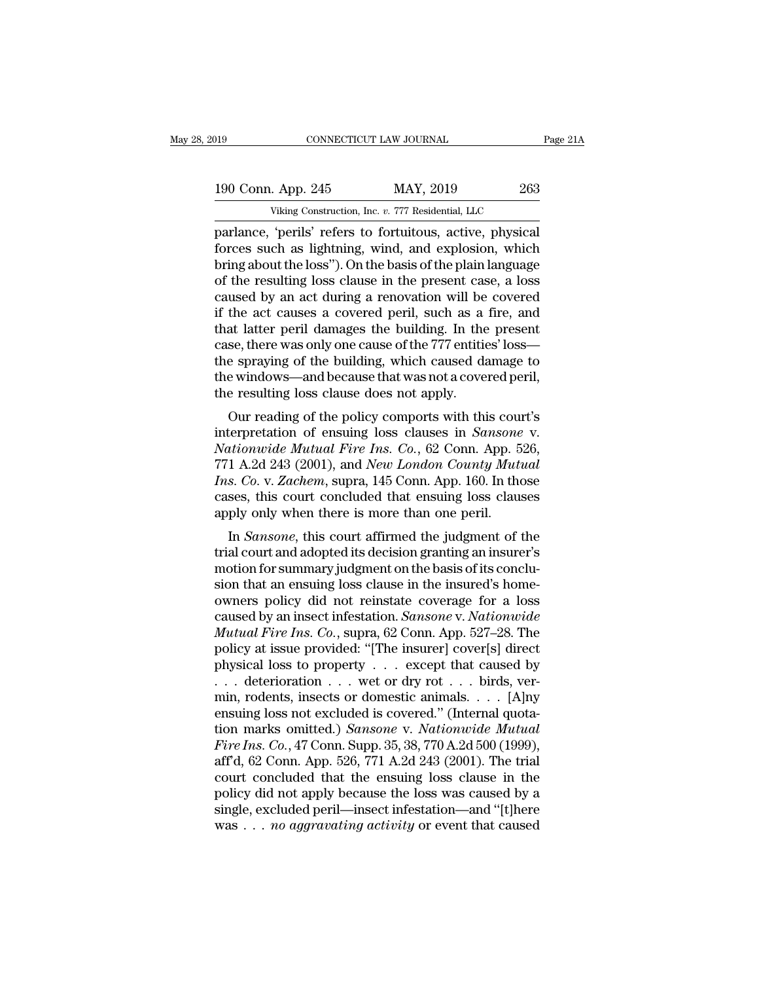# 019 CONNECTICUT LAW JOURNAL Page 21A<br>190 Conn. App. 245 MAY, 2019 263<br>Viking Construction, Inc. v. 777 Residential, LLC CONNECTICUT LAW JOURNAL<br>
. App. 245 MAY, 2019 263<br>
Viking Construction, Inc. *v.* 777 Residential, LLC<br>
'perils' refers to fortuitous active physical

parlamce, 'perils' refers to fortuitous, active, physical<br>parlance, 'perils' refers to fortuitous, active, physical<br>forces such as lightning, wind, and explosion, which<br>hring about the loss''). On the basis of the plain la 190 Conn. App. 245 MAY, 2019 263<br>Viking Construction, Inc. v. 777 Residential, LLC<br>parlance, 'perils' refers to fortuitous, active, physical<br>forces such as lightning, wind, and explosion, which<br>bring about the loss''). On 190 Conn. App. 245 MAY, 2019 263<br>Viking Construction, Inc. v. 777 Residential, LLC<br>parlance, 'perils' refers to fortuitous, active, physical<br>forces such as lightning, wind, and explosion, which<br>bring about the loss''). On 190 Conn. App. 245 MAY, 2019 263<br>
Viking Construction, Inc. v. 777 Residential, LLC<br>
parlance, 'perils' refers to fortuitous, active, physical<br>
forces such as lightning, wind, and explosion, which<br>
bring about the loss''). Viking Construction, Inc. v. 777 Residential, LLC<br>parlance, 'perils' refers to fortuitous, active, physical<br>forces such as lightning, wind, and explosion, which<br>bring about the loss"). On the basis of the plain language<br>o Viking Construction, Inc. v. 777 Residential, LLC<br>parlance, 'perils' refers to fortuitous, active, physical<br>forces such as lightning, wind, and explosion, which<br>bring about the loss"). On the basis of the plain language<br>o parlance, 'perils' refers to fortuitous, active, physical<br>forces such as lightning, wind, and explosion, which<br>bring about the loss"). On the basis of the plain language<br>of the resulting loss clause in the present case, a forces such as lightning, wind, and explosion, which<br>bring about the loss"). On the basis of the plain language<br>of the resulting loss clause in the present case, a loss<br>caused by an act during a renovation will be covered<br> bring about the loss"). On the basis of the plain language<br>of the resulting loss clause in the present case, a loss<br>caused by an act during a renovation will be covered<br>if the act causes a covered peril, such as a fire, an of the resulting loss clause in the present case, a loss<br>caused by an act during a renovation will be covered<br>if the act causes a covered peril, such as a fire, and<br>that latter peril damages the building. In the present<br>ca caused by an act during a renovation will be<br>if the act causes a covered peril, such as a<br>that latter peril damages the building. In the<br>case, there was only one cause of the 777 entitie<br>the spraying of the building, which the act causes a covered pern, such as a fire, and<br>at latter peril damages the building. In the present<br>se, there was only one cause of the 777 entities' loss—<br>e spraying of the building, which caused damage to<br>e windows—a rate perimal dializes the building. In the present<br>case, there was only one cause of the 777 entities' loss—<br>the spraying of the building, which caused damage to<br>the windows—and because that was not a covered peril,<br>the re

rease, there was only one cause of the 111 entities 10ss—<br>
the spraying of the building, which caused damage to<br>
the windows—and because that was not a covered peril,<br>
the resulting loss clause does not apply.<br>
Our reading the spraying of the bunding, which caused dantage to<br>the windows—and because that was not a covered peril,<br>the resulting loss clause does not apply.<br>Our reading of the policy comports with this court's<br>interpretation of en Interaction of the policy comports with this court's<br> *Interpretation of ensuing loss clauses in Sansone v.*<br> *Nationwide Mutual Fire Ins. Co.*, 62 Conn. App. 526,<br> *TT1 A.2d 243 (2001), and New London County Mutual Ins. C* Cour reading ioss clause does not apply.<br>
Our reading of the policy comports with this court's<br>
interpretation of ensuing loss clauses in *Sansone* v.<br> *Nationwide Mutual Fire Ins. Co.*, 62 Conn. App. 526,<br>
771 A.2d 243 (2 Our reading of the policy comports with this counterpretation of ensuing loss clauses in *Sansone* Nationwide Mutual Fire Ins. Co., 62 Conn. App. 5 771 A.2d 243 (2001), and *New London County Muta* Ins. Co. v. Zachem, sup itionwide Mutual Fire Ins. Co., 62 Conn. App. 526,<br>1 A.2d 243 (2001), and *New London County Mutual*<br>s. Co. v. Zachem, supra, 145 Conn. App. 160. In those<br>ses, this court concluded that ensuing loss clauses<br>ply only when t For A.2d 243 (2001), and *New London County Mutual*<br> *Ins. Co. v. Zachem*, supra, 145 Conn. App. 160. In those<br>
cases, this court concluded that ensuing loss clauses<br>
apply only when there is more than one peril.<br>
In *San* 

*MT A.2d 245 (2001), and New London County Mutual*<br>*Ins. Co. v. Zachem*, supra, 145 Conn. App. 160. In those<br>cases, this court concluded that ensuing loss clauses<br>apply only when there is more than one peril.<br>In *Sansone* First Co. v. Zachem, supra, 145 Collii. App. 100. In those<br>cases, this court concluded that ensuing loss clauses<br>apply only when there is more than one peril.<br>In *Sansone*, this court affirmed the judgment of the<br>trial cou cases, this court concruded that ensuing loss clauses<br>apply only when there is more than one peril.<br>In *Sansone*, this court affirmed the judgment of the<br>trial court and adopted its decision granting an insurer's<br>motion f apply only when there is note than one pern.<br>In *Sansone*, this court affirmed the judgment of the<br>trial court and adopted its decision granting an insurer's<br>motion for summary judgment on the basis of its conclu-<br>sion tha In *Sansone*, this court affirmed the judgment of the<br>trial court and adopted its decision granting an insurer's<br>motion for summary judgment on the basis of its conclu-<br>sion that an ensuing loss clause in the insured's hom trial court and adopted its decision granting an insurer's<br>motion for summary judgment on the basis of its conclu-<br>sion that an ensuing loss clause in the insured's home-<br>owners policy did not reinstate coverage for a loss motion for summary judgment on the basis of its conclusion that an ensuing loss clause in the insured's homeowners policy did not reinstate coverage for a loss caused by an insect infestation. *Sansone* v. *Nationwide Mut* sion that an ensuing loss clause in the insured's homeowners policy did not reinstate coverage for a loss caused by an insect infestation. *Sansone* v. *Nationwide Mutual Fire Ins. Co.*, supra, 62 Conn. App. 527–28. The p owners policy did not reinstate coverage for a loss<br>caused by an insect infestation. *Sansone* v. *Nationwide*<br>*Mutual Fire Ins. Co.*, supra, 62 Conn. App. 527–28. The<br>policy at issue provided: "[The insurer] cover[s] dir caused by an insect infestation. *Sansone* v. *Nationwide*<br> *Mutual Fire Ins. Co.*, supra, 62 Conn. App. 527–28. The<br>
policy at issue provided: "[The insurer] cover[s] direct<br>
physical loss to property . . . except that c Mutual Fire Ins. Co., supra, 62 Conn. App. 527–28. The<br>policy at issue provided: "[The insurer] cover[s] direct<br>physical loss to property . . . except that caused by<br>. . . deterioration . . . wet or dry rot . . . birds, ve policy at issue provided: "[The insurer] cover[s] direct<br>physical loss to property . . . except that caused by<br>. . . deterioration . . . wet or dry rot . . . birds, ver-<br>min, rodents, insects or domestic animals. . . . [A] physical loss to property . . . except that caused by<br>
. . . deterioration . . . wet or dry rot . . . birds, ver-<br>
min, rodents, insects or domestic animals. . . . [A]ny<br>
ensuing loss not excluded is covered." (Internal q ... deterioration ... wet or dry rot ... birds, ver-<br>min, rodents, insects or domestic animals.... [A]ny<br>ensuing loss not excluded is covered." (Internal quota-<br>tion marks omitted.) *Sansone* v. *Nationwide Mutual*<br>*Fire* min, rodents, insects or domestic animals. . . . . [A]ny<br>ensuing loss not excluded is covered." (Internal quota-<br>tion marks omitted.) *Sansone* v. *Nationwide Mutual*<br>*Fire Ins. Co.*, 47 Conn. Supp. 35, 38, 770 A.2d 500 ( ensuing loss not excluded is covered." (Internal quotation marks omitted.) *Sansone* v. *Nationwide Mutual*<br>Fire Ins. Co., 47 Conn. Supp. 35, 38, 770 A.2d 500 (1999), aff'd, 62 Conn. App. 526, 771 A.2d 243 (2001). The tria tion marks omitted.) *Sansone* v. *Nationwide Mutual* Fire Ins. Co., 47 Conn. Supp. 35, 38, 770 A.2d 500 (1999), aff'd, 62 Conn. App. 526, 771 A.2d 243 (2001). The trial court concluded that the ensuing loss clause in the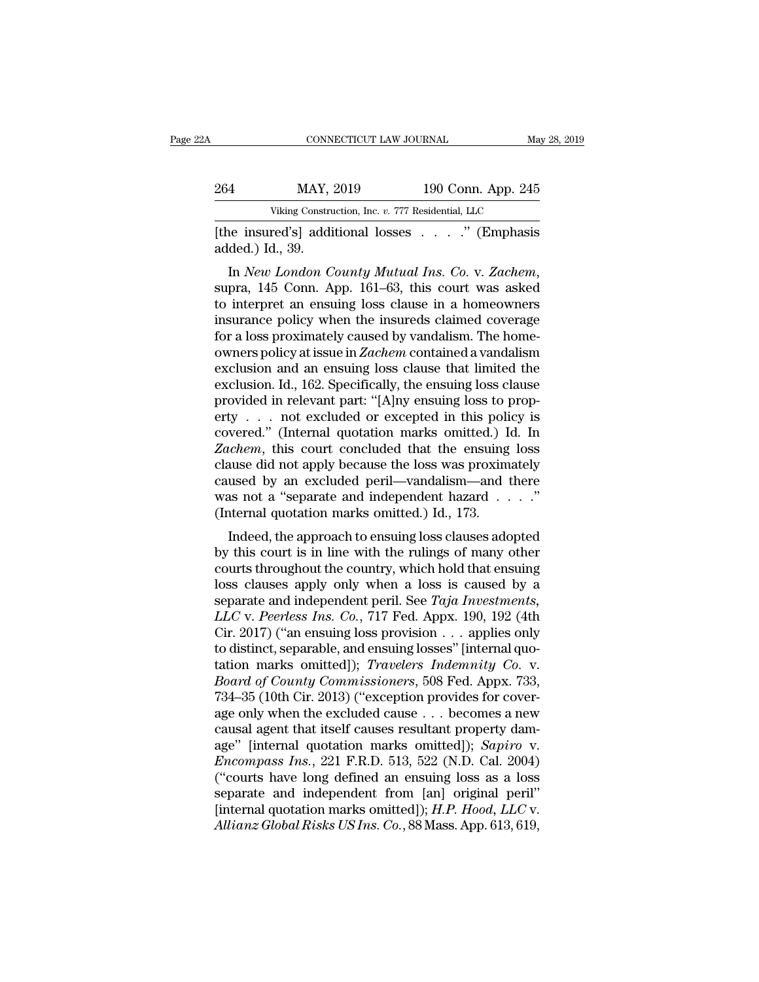| A                | CONNECTICUT LAW JOURNAL                           |                    | May 28, 2019 |
|------------------|---------------------------------------------------|--------------------|--------------|
| 264              | MAY, 2019                                         | 190 Conn. App. 245 |              |
|                  | Viking Construction, Inc. v. 777 Residential, LLC |                    |              |
| added.) Id., 39. | [the insured's] additional losses " (Emphasis     |                    |              |

Viking Construction, Inc. *v.* 777 Residential, LLC<br>
The insured's] additional losses . . . . . " (Emphasis<br>
added.) Id., 39.<br>
In *New London County Mutual Ins. Co.* v. *Zachem*,<br>
supra, 145 Conn. App. 161–63, this court w Viking Construction, Inc. v. 777 Residential, LLC<br>
[the insured's] additional losses . . . . ." (Emphasis<br>
added.) Id., 39.<br>
In *New London County Mutual Ins. Co. v. Zachem*,<br>
supra, 145 Conn. App. 161–63, this court was [the insured's] additional losses . . . . ." (Emphasis added.) Id., 39.<br>In *New London County Mutual Ins. Co.* v. *Zachem*, supra, 145 Conn. App. 161–63, this court was asked to interpret an ensuing loss clause in a homeow for a losses based by Chiphasis<br>added.) Id., 39.<br>In *New London County Mutual Ins. Co. v. Zachem*,<br>supra, 145 Conn. App. 161–63, this court was asked<br>to interpret an ensuing loss clause in a homeowners<br>insurance policy whe added.) Id., 39.<br>In *New London County Mutual Ins. Co. v. Zachem*,<br>supra, 145 Conn. App. 161–63, this court was asked<br>to interpret an ensuing loss clause in a homeowners<br>insurance policy when the insureds claimed coverage<br> In *New London County Mutual Ins. Co. v. Zachem*,<br>supra, 145 Conn. App. 161–63, this court was asked<br>to interpret an ensuing loss clause in a homeowners<br>insurance policy when the insureds claimed coverage<br>for a loss proxi supra, 145 Conn. App. 161–63, this court was asked<br>to interpret an ensuing loss clause in a homeowners<br>insurance policy when the insureds claimed coverage<br>for a loss proximately caused by vandalism. The home-<br>owners policy to interpret an ensuing loss clause in a homeowners<br>insurance policy when the insureds claimed coverage<br>for a loss proximately caused by vandalism. The home-<br>owners policy at issue in Zachem contained a vandalism<br>exclusio insurance policy when the insureds claimed coverage<br>for a loss proximately caused by vandalism. The home-<br>owners policy at issue in Zachem contained a vandalism<br>exclusion and an ensuing loss clause that limited the<br>exclus for a loss proximately caused by vandalism. The homeowners policy at issue in *Zachem* contained a vandalism exclusion and an ensuing loss clause that limited the exclusion. Id., 162. Specifically, the ensuing loss clause owners policy at issue in *Zachem* contained a vandalism<br>exclusion and an ensuing loss clause that limited the<br>exclusion. Id., 162. Specifically, the ensuing loss clause<br>provided in relevant part: "[A]ny ensuing loss to pr exclusion and an ensuing loss clause that limited the<br>exclusion. Id., 162. Specifically, the ensuing loss clause<br>provided in relevant part: "[A]ny ensuing loss to prop-<br>erty  $\dots$  not excluded or excepted in this policy is exclusion. Id., 162. Specifically, the ensuing loss clause<br>provided in relevant part: "[A]ny ensuing loss to prop-<br>erty . . . not excluded or excepted in this policy is<br>covered." (Internal quotation marks omitted.) Id. In provided in relevant part: "[A]ny ensuing loss to property . . . not excluded or excepted in this policy is covered." (Internal quotation marks omitted.) Id. In Zachem, this court concluded that the ensuing loss clause di erty . . . . not excluded or excepted in this policovered." (Internal quotation marks omitted.) I Zachem, this court concluded that the ensuing clause did not apply because the loss was proxim caused by an excluded peril—v vered. (Internal quotation marks omitted.) Id. In<br> *uchem*, this court concluded that the ensuing loss<br>
ause did not apply because the loss was proximately<br>
used by an excluded peril—vandalism—and there<br>
as not a "separate Eachem, this court concluded that the ensuing loss<br>clause did not apply because the loss was proximately<br>caused by an excluded peril—vandalism—and there<br>was not a "separate and independent hazard  $\ldots$ ."<br>(Internal quotati

cause the courts the countries was proximately<br>caused by an excluded peril—vandalism—and there<br>was not a "separate and independent hazard  $\ldots$ ."<br>(Internal quotation marks omitted.) Id., 173.<br>Indeed, the approach to ensui caused by an excluded perh—vandansh—and there<br>was not a "separate and independent hazard . . . ."<br>(Internal quotation marks omitted.) Id., 173.<br>Indeed, the approach to ensuing loss clauses adopted<br>by this court is in line was not a separate and independent nazard  $\ldots$ .<br>
(Internal quotation marks omitted.) Id., 173.<br>
Indeed, the approach to ensuing loss clauses adopted<br>
by this court is in line with the rulings of many other<br>
courts throug Indeed, the approach to ensuing loss clauses adopted<br>by this court is in line with the rulings of many other<br>courts throughout the country, which hold that ensuing<br>loss clauses apply only when a loss is caused by a<br>separa Indeed, the approach to ensuing loss clauses adopted<br>by this court is in line with the rulings of many other<br>courts throughout the country, which hold that ensuing<br>loss clauses apply only when a loss is caused by a<br>separa by this court is in line with the rulings of many other<br>courts throughout the country, which hold that ensuing<br>loss clauses apply only when a loss is caused by a<br>separate and independent peril. See Taja Investments,<br>LLC v courts throughout the country, which hold that ensuing<br>loss clauses apply only when a loss is caused by a<br>separate and independent peril. See *Taja Investments*,<br>*LLC* v. *Peerless Ins. Co.*, 717 Fed. Appx. 190, 192 (4th<br>C loss clauses apply only when a loss is caused by a<br>separate and independent peril. See *Taja Investments*,<br>*LLC* v. *Peerless Ins. Co.*, 717 Fed. Appx. 190, 192 (4th<br>Cir. 2017) ("an ensuing loss provision . . . applies onl separate and independent peril. See *Taja Investments,*<br>*LLC* v. *Peerless Ins. Co.*, 717 Fed. Appx. 190, 192 (4th<br>Cir. 2017) ("an ensuing loss provision . . . applies only<br>to distinct, separable, and ensuing losses" [inte LLC v. Peerless Ins. Co., 717 Fed. Appx. 190, 192 (4th<br>Cir. 2017) ("an ensuing loss provision . . . applies only<br>to distinct, separable, and ensuing losses" [internal quo-<br>tation marks omitted]); *Travelers Indemnity Co.* Cir. 2017) ("an ensuing loss provision . . . applies only<br>to distinct, separable, and ensuing losses" [internal quo-<br>tation marks omitted]); *Travelers Indemnity Co.* v.<br>*Board of County Commissioners*, 508 Fed. Appx. 733 to distinct, separable, and ensuing losses" [internal quotation marks omitted]); *Travelers Indemnity Co.* v.<br>Board of County Commissioners, 508 Fed. Appx. 733,<br>734–35 (10th Cir. 2013) ("exception provides for cover-<br>age o tation marks omitted]); *Travelers Indemnity Co. v.*<br>*Board of County Commissioners*, 508 Fed. Appx. 733,<br>734–35 (10th Cir. 2013) ("exception provides for cover-<br>age only when the excluded cause . . . becomes a new<br>causal *Board of County Commissioners*, 508 Fed. Appx. 733, 734–35 (10th Cir. 2013) ("exception provides for coverage only when the excluded cause . . . becomes a new causal agent that itself causes resultant property damage" [i 734–35 (10th Cir. 2013) ("exception provides for coverage only when the excluded cause . . . becomes a new causal agent that itself causes resultant property damage" [internal quotation marks omitted]); *Sapiro* v. *Encom* age only when the excluded cause . . . becomes a new<br>causal agent that itself causes resultant property dam-<br>age" [internal quotation marks omitted]); *Sapiro* v.<br>*Encompass Ins.*, 221 F.R.D. 513, 522 (N.D. Cal. 2004)<br>("co causal agent that itself causes resultant property dam-<br>age" [internal quotation marks omitted]); *Sapiro* v.<br>*Encompass Ins.*, 221 F.R.D. 513, 522 (N.D. Cal. 2004)<br>("courts have long defined an ensuing loss as a loss<br>sepa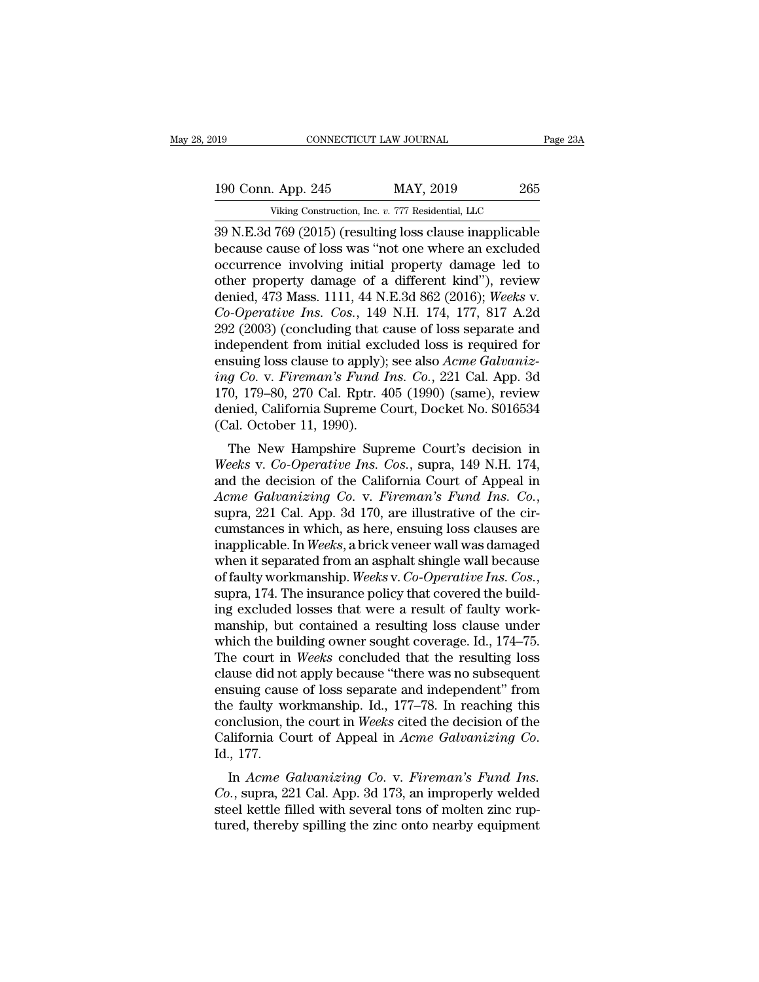39 N.E.3d 769 (2015) (resulting loss clause inapplicable<br>Decause cause of loss was "not one where an excluded<br>accurace involving initial property damage lod to 190 Conn. App. 245 MAY, 2019 265<br>Viking Construction, Inc. v. 777 Residential, LLC<br>39 N.E.3d 769 (2015) (resulting loss clause inapplicable<br>because cause of loss was "not one where an excluded<br>occurrence involving initial 190 Conn. App. 245 MAY, 2019 265<br>Viking Construction, Inc. v. 777 Residential, LLC<br>39 N.E.3d 769 (2015) (resulting loss clause inapplicable<br>because cause of loss was "not one where an excluded<br>occurrence involving initial 190 Conn. App. 245 MAY, 2019 265<br>
Viking Construction, Inc. v. 777 Residential, LLC<br>
39 N.E.3d 769 (2015) (resulting loss clause inapplicable<br>
because cause of loss was "not one where an excluded<br>
occurrence involving ini Viking Construction, Inc. *v.* 777 Residential, LLC<br>39 N.E.3d 769 (2015) (resulting loss clause inapplicable<br>because cause of loss was "not one where an excluded<br>occurrence involving initial property damage led to<br>other pr <sup>Viking</sup> Construction, Inc. *v.* 777 Residential, LLC<br>
39 N.E.3d 769 (2015) (resulting loss clause inapplicable<br>
because cause of loss was "not one where an excluded<br>
occurrence involving initial property damage led to<br>
ot 39 N.E.3d 769 (2015) (resulting loss clause inapplicable<br>because cause of loss was "not one where an excluded<br>occurrence involving initial property damage led to<br>other property damage of a different kind"), review<br>denied, because cause of loss was "not one where an excluded<br>occurrence involving initial property damage led to<br>other property damage of a different kind"), review<br>denied, 473 Mass. 1111, 44 N.E.3d 862 (2016); Weeks v.<br> $Co-Operative Ins. Cos.,$ occurrence involving initial property damage led to<br>other property damage of a different kind"), review<br>denied, 473 Mass. 1111, 44 N.E.3d 862 (2016); *Weeks v.*<br> $Co-Operative Ins. Cos., 149 N.H. 174, 177, 817 A.2d$ <br>292 (2003) (concluding th other property damage of a different kind"), review<br>denied, 473 Mass. 1111, 44 N.E.3d 862 (2016); *Weeks v.*<br>*Co-Operative Ins. Cos.*, 149 N.H. 174, 177, 817 A.2d<br>292 (2003) (concluding that cause of loss separate and<br>inde denied, 473 Mass. 1111, 44 N.E.3d 862 (2016); Weeks v.<br>Co-Operative Ins. Cos., 149 N.H. 174, 177, 817 A.2d<br>292 (2003) (concluding that cause of loss separate and<br>independent from initial excluded loss is required for<br>ensui Co-Operative Ins. Cos., 149 N.H. 174, 177, 817 A.2d<br>292 (2003) (concluding that cause of loss separate and<br>independent from initial excluded loss is required for<br>ensuing loss clause to apply); see also  $Acme$  Galvaniz-<br>ing 292 (2003) (concluding that c<br>independent from initial exclensuing loss clause to apply);<br>ing Co. v. Fireman's Fund 1<br>170, 179–80, 270 Cal. Rptr. 4<br>denied, California Supreme C<br>(Cal. October 11, 1990).<br>The New Hampshire Su dependent from findar excluded foss is required for<br>suing loss clause to apply); see also *Acme Galvaniz-*<br>g Co. v. Fireman's Fund Ins. Co., 221 Cal. App. 3d<br>0, 179–80, 270 Cal. Rptr. 405 (1990) (same), review<br>nied, Califo *Ensung ioss clause to apply)*, see also *Acme Guivantz-*<br>*ing Co. v. Fireman's Fund Ins. Co.*, 221 Cal. App. 3d<br>170, 179–80, 270 Cal. Rptr. 405 (1990) (same), review<br>denied, California Supreme Court, Docket No. S016534<br>(C

ring Co. v. Frieman's Fund Tis. Co., 221 Cal. App. 3d<br>170, 179–80, 270 Cal. Rptr. 405 (1990) (same), review<br>denied, California Supreme Court, Docket No. S016534<br>(Cal. October 11, 1990).<br>The New Hampshire Supreme Court's d *Acceleries Co. Actionary* California Supreme Court, Docket No. S016534<br> *Acceleries Co. Co. Operative Ins. Cos.*, supra, 149 N.H. 174,<br> *Acme Galvanizing Co. v. Fireman's Fund Ins. Co.*, supra, 221 Cal. App. 3d 170 (Cal. October 11, 1990).<br>
The New Hampshire Supreme Court's decision in<br>
Weeks v. Co-Operative Ins. Cos., supra, 149 N.H. 174,<br>
and the decision of the California Court of Appeal in<br>
Acme Galvanizing Co. v. Fireman's Fund The New Hampshire Supreme Court's decision in<br>Weeks v. Co-Operative Ins. Cos., supra, 149 N.H. 174,<br>and the decision of the California Court of Appeal in<br>Acme Galvanizing Co. v. Fireman's Fund Ins. Co.,<br>supra, 221 Cal. App Weeks v. Co-Operative Ins. Cos., supra, 149 N.H. 174,<br>and the decision of the California Court of Appeal in<br>Acme Galvanizing Co. v. Fireman's Fund Ins. Co.,<br>supra, 221 Cal. App. 3d 170, are illustrative of the cir-<br>cumstan and the decision of the California Court of Appeal in *Acme Galvanizing Co. v. Fireman's Fund Ins. Co.*, supra, 221 Cal. App. 3d 170, are illustrative of the circumstances in which, as here, ensuing loss clauses are inappl supra, 221 Cal. App. 3d 170, are illustrative of the circumstances in which, as here, ensuing loss clauses are inapplicable. In *Weeks*, a brick veneer wall was damaged when it separated from an asphalt shingle wall becau cumstances in which, as here, ensuing loss clauses are<br>inapplicable. In *Weeks*, a brick veneer wall was damaged<br>when it separated from an asphalt shingle wall because<br>of faulty workmanship. *Weeks* v. *Co-Operative Ins. C* inapplicable. In *Weeks*, a brick veneer wall was damaged<br>when it separated from an asphalt shingle wall because<br>of faulty workmanship. *Weeks* v. *Co-Operative Ins. Cos.*,<br>supra, 174. The insurance policy that covered the when it separated from an asphalt shingle wall because<br>of faulty workmanship. Weeks v. Co-Operative Ins. Cos.,<br>supra, 174. The insurance policy that covered the build-<br>ing excluded losses that were a result of faulty workof faulty workmanship. Weeks v. Co-Operative Ins. Cos.,<br>supra, 174. The insurance policy that covered the build-<br>ing excluded losses that were a result of faulty work-<br>manship, but contained a resulting loss clause under<br>w supra, 174. The insurance policy that covered the build-<br>ing excluded losses that were a result of faulty work-<br>manship, but contained a resulting loss clause under<br>which the building owner sought coverage. Id., 174–75.<br>Th ing excluded losses that were a result of faulty work-<br>manship, but contained a resulting loss clause under<br>which the building owner sought coverage. Id., 174–75.<br>The court in *Weeks* concluded that the resulting loss<br>clau manship, but contained a resulting loss clause under<br>which the building owner sought coverage. Id., 174–75.<br>The court in *Weeks* concluded that the resulting loss<br>clause did not apply because "there was no subsequent<br>ensui which the building owner sought coverage. Id., 174–75.<br>The court in *Weeks* concluded that the resulting loss<br>clause did not apply because "there was no subsequent<br>ensuing cause of loss separate and independent" from<br>the f Example 10 and the apply because there was no subsequent<br>
suing cause of loss separate and independent" from<br>
e faulty workmanship. Id., 177–78. In reaching this<br>
inclusion, the court in *Weeks* cited the decision of the<br> Ensuing cause of loss separate and independent from<br>the faulty workmanship. Id., 177–78. In reaching this<br>conclusion, the court in Weeks cited the decision of the<br>California Court of Appeal in *Acme Galvanizing Co.*<br>Id., 1

steel kettle filled with several tons of molecular to California Court of Appeal in *Acme Galvanizing Co.*<br>Id., 177.<br>In *Acme Galvanizing Co.* v. *Fireman's Fund Ins.*<br>Co., supra, 221 Cal. App. 3d 173, an improperly welded California Court of Appeal in *Acme Galvanizing Co.*<br>Id., 177.<br>In *Acme Galvanizing Co.* v. *Fireman's Fund Ins.*<br>*Co.*, supra, 221 Cal. App. 3d 173, an improperly welded<br>steel kettle filled with several tons of molten zin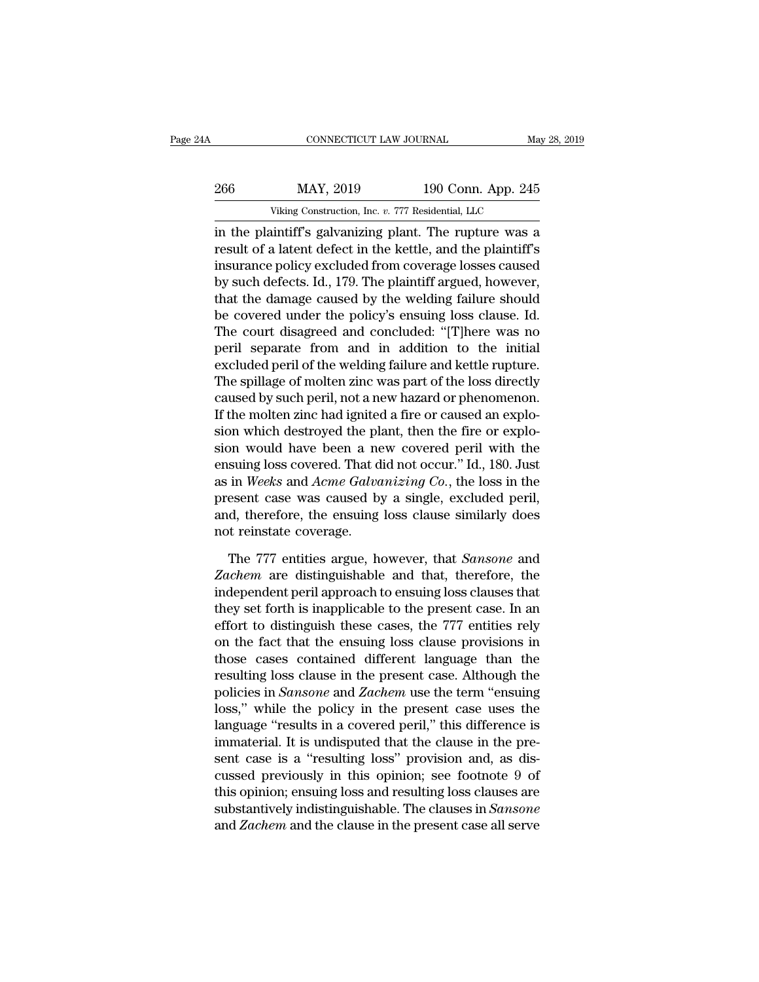| ŀΑ  | CONNECTICUT LAW JOURNAL                                 |                    | May 28, 2019 |
|-----|---------------------------------------------------------|--------------------|--------------|
| 266 | MAY, 2019                                               | 190 Conn. App. 245 |              |
|     | Viking Construction, Inc. v. 777 Residential, LLC       |                    |              |
|     | in the plaintiff's galvanizing plant. The runture was a |                    |              |

CONNECTICUT LAW JOURNAL May 28, 2019<br>
266 MAY, 2019 190 Conn. App. 245<br>
Viking Construction, Inc. v. 777 Residential, LLC<br>
in the plaintiff's galvanizing plant. The rupture was a<br>
result of a latent defect in the kettle, a 266 MAY, 2019 190 Conn. App. 245<br>Viking Construction, Inc. v. 777 Residential, LLC<br>in the plaintiff's galvanizing plant. The rupture was a<br>result of a latent defect in the kettle, and the plaintiff's<br>insurance policy exclu 266 MAY, 2019 190 Conn. App. 245<br>Viking Construction, Inc. v. 777 Residential, LLC<br>in the plaintiff's galvanizing plant. The rupture was a<br>result of a latent defect in the kettle, and the plaintiff's<br>insurance policy excl  $\frac{\text{MAX, 2019}}{\text{Viking Construction, Inc. } v. 777 \text{ Residental, LLC}}$ <br>
in the plaintiff's galvanizing plant. The rupture was a<br>
result of a latent defect in the kettle, and the plaintiff's<br>
insurance policy excluded from coverage losses caused<br>
by su Viking Construction, Inc. *v.* 777 Residential, LLC<br>in the plaintiff's galvanizing plant. The rupture was a<br>result of a latent defect in the kettle, and the plaintiff's<br>insurance policy excluded from coverage losses caused The plaintiff's galvanizing plant. The rupture was a<br>result of a latent defect in the kettle, and the plaintiff's<br>insurance policy excluded from coverage losses caused<br>by such defects. Id., 179. The plaintiff argued, howe in the plaintiff's galvanizing plant. The rupture was a<br>result of a latent defect in the kettle, and the plaintiff's<br>insurance policy excluded from coverage losses caused<br>by such defects. Id., 179. The plaintiff argued, ho result of a latent defect in the kettle, and the plaintiff's<br>insurance policy excluded from coverage losses caused<br>by such defects. Id., 179. The plaintiff argued, however,<br>that the damage caused by the welding failure sho insurance policy excluded from coverage losses caused<br>by such defects. Id., 179. The plaintiff argued, however,<br>that the damage caused by the welding failure should<br>be covered under the policy's ensuing loss clause. Id.<br>Th by such defects. Id., 179. The plaintiff argued, however,<br>that the damage caused by the welding failure should<br>be covered under the policy's ensuing loss clause. Id.<br>The court disagreed and concluded: "[T]here was no<br>peril that the damage caused by the welding failure should<br>be covered under the policy's ensuing loss clause. Id.<br>The court disagreed and concluded: "[T]here was no<br>peril separate from and in addition to the initial<br>excluded per be covered under the policy's ensuing loss clause. Id.<br>The court disagreed and concluded: "[T]here was no<br>peril separate from and in addition to the initial<br>excluded peril of the welding failure and kettle rupture.<br>The spi The court disagreed and concluded: "[T]here was no<br>peril separate from and in addition to the initial<br>excluded peril of the welding failure and kettle rupture.<br>The spillage of molten zinc was part of the loss directly<br>caus peril separate from and in addition to the initial<br>excluded peril of the welding failure and kettle rupture.<br>The spillage of molten zinc was part of the loss directly<br>caused by such peril, not a new hazard or phenomenon.<br>I excluded peril of the welding failure and kettle rupture.<br>The spillage of molten zinc was part of the loss directly<br>caused by such peril, not a new hazard or phenomenon.<br>If the molten zinc had ignited a fire or caused an e The spillage of molten zinc was part of the loss directly<br>caused by such peril, not a new hazard or phenomenon.<br>If the molten zinc had ignited a fire or caused an explo-<br>sion which destroyed the plant, then the fire or exp caused by such peril, not a new hazard or phenomenon.<br>If the molten zinc had ignited a fire or caused an explosion which destroyed the plant, then the fire or explosion would have been a new covered peril with the<br>ensuing If the molten zinc had ignited a fire or caused an explosion which destroyed the plant, then the fire or explosion would have been a new covered peril with the ensuing loss covered. That did not occur." Id., 180. Just as i sion which destroyed the plasion would have been a new<br>ensuing loss covered. That d<br>as in *Weeks* and *Acme Galva*<br>present case was caused by<br>and, therefore, the ensuing<br>not reinstate coverage.<br>The 777 entities argue, ho suing loss covered. That did not occur." Id., 180. Just<br>in Weeks and *Acme Galvanizing Co.*, the loss in the<br>esent case was caused by a single, excluded peril,<br>d, therefore, the ensuing loss clause similarly does<br>t reinsta as in *Weeks* and *Acme Galvanizing Co.*, the loss in the present case was caused by a single, excluded peril, and, therefore, the ensuing loss clause similarly does not reinstate coverage.<br>The 777 entities argue, however,

present case was caused by a single, excluded peril,<br>and, therefore, the ensuing loss clause similarly does<br>not reinstate coverage.<br>The 777 entities argue, however, that *Sansone* and<br>Zachem are distinguishable and that, t and, therefore, the ensuing loss clause similarly does<br>not reinstate coverage.<br>The 777 entities argue, however, that *Sansone* and<br>Zachem are distinguishable and that, therefore, the<br>independent peril approach to ensuing l not reinstate coverage.<br>
The 777 entities argue, however, that *Sansone* and<br>
Zachem are distinguishable and that, therefore, the<br>
independent peril approach to ensuing loss clauses that<br>
they set forth is inapplicable to The 777 entities argue, however, that *Sansone* and *Zachem* are distinguishable and that, therefore, the independent peril approach to ensuing loss clauses that they set forth is inapplicable to the present case. In an ef The 777 entities argue, however, that *Sansone* and *Zachem* are distinguishable and that, therefore, the independent peril approach to ensuing loss clauses that they set forth is inapplicable to the present case. In an ef Zachem are distinguishable and that, therefore, the<br>independent peril approach to ensuing loss clauses that<br>they set forth is inapplicable to the present case. In an<br>effort to distinguish these cases, the 777 entities rely independent peril approach to ensuing loss clauses that<br>they set forth is inapplicable to the present case. In an<br>effort to distinguish these cases, the 777 entities rely<br>on the fact that the ensuing loss clause provisions they set forth is inapplicable to the present case. In an<br>effort to distinguish these cases, the 777 entities rely<br>on the fact that the ensuing loss clause provisions in<br>those cases contained different language than the<br>re effort to distinguish these cases, the 777 entities rely<br>on the fact that the ensuing loss clause provisions in<br>those cases contained different language than the<br>resulting loss clause in the present case. Although the<br>poli on the fact that the ensuing loss clause provisions in<br>those cases contained different language than the<br>resulting loss clause in the present case. Although the<br>policies in *Sansone* and *Zachem* use the term "ensuing<br>loss those cases contained different language than the<br>resulting loss clause in the present case. Although the<br>policies in *Sansone* and *Zachem* use the term "ensuing<br>loss," while the policy in the present case uses the<br>langua resulting loss clause in the present case. Although the<br>policies in *Sansone* and *Zachem* use the term "ensuing<br>loss," while the policy in the present case uses the<br>language "results in a covered peril," this difference i policies in *Sansone* and *Zachem* use the term "ensuing<br>loss," while the policy in the present case uses the<br>language "results in a covered peril," this difference is<br>immaterial. It is undisputed that the clause in the pr loss," while the policy in the present case uses the language "results in a covered peril," this difference is immaterial. It is undisputed that the clause in the present case is a "resulting loss" provision and, as discus language "results in a covered peril," this difference is<br>immaterial. It is undisputed that the clause in the pre-<br>sent case is a "resulting loss" provision and, as dis-<br>cussed previously in this opinion; see footnote 9 of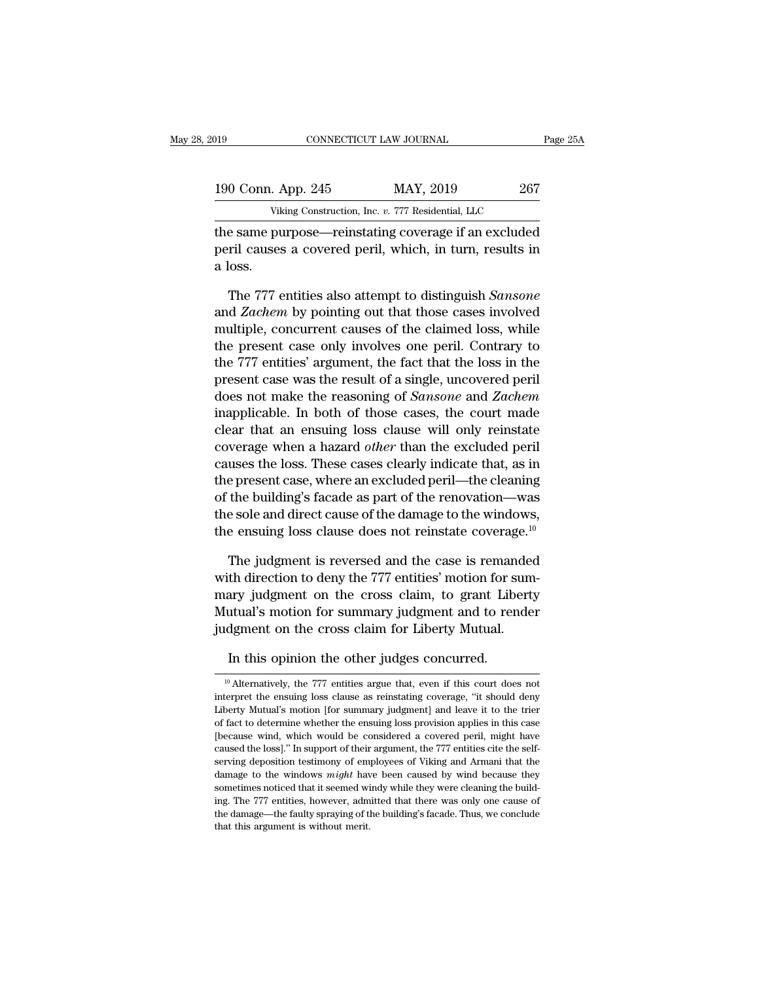| 019 |                    | CONNECTICUT LAW JOURNAL                              | Page 25A |
|-----|--------------------|------------------------------------------------------|----------|
|     | 190 Conn. App. 245 | MAY, 2019                                            | 267      |
|     |                    | Viking Construction, Inc. v. 777 Residential, LLC    |          |
|     |                    | the same nurnose—reinstating coverage if an excluded |          |

The same purpose—reinstating coverage if an excluded<br>
190 Conn. App. 245 MAY, 2019 267<br>
Viking Construction, Inc. v. 777 Residential, LLC<br>
the same purpose—reinstating coverage if an excluded<br>
peril causes a covered peril, 190 Conn. App. 245 MAY, 2019 267<br>Viking Construction, Inc. v. 777 Residential, LLC<br>the same purpose—reinstating coverage if an excluded<br>peril causes a covered peril, which, in turn, results in<br>a loss.  $\frac{190 \text{ Conn.}}{\text{vik}}$ <br>the same pu<br>peril causes<br>a loss.<br>The 777  $\epsilon$ Viking Construction, Inc. *v.* 777 Residential, LLC<br>
e same purpose—reinstating coverage if an excluded<br>
ril causes a covered peril, which, in turn, results in<br>
loss.<br>
The 777 entities also attempt to distinguish *Sansone* 

Viking Construction, Inc. *v. 777* Residential, LLC<br>the same purpose—reinstating coverage if an excluded<br>peril causes a covered peril, which, in turn, results in<br>a loss.<br>The 777 entities also attempt to distinguish *Sanson* the same purpose—reinstating coverage if an excluded<br>peril causes a covered peril, which, in turn, results in<br>a loss.<br>The 777 entities also attempt to distinguish *Sansone*<br>and *Zachem* by pointing out that those cases inv peril causes a covered peril, which, in turn, results in<br>a loss.<br>The 777 entities also attempt to distinguish *Sansone*<br>and *Zachem* by pointing out that those cases involved<br>multiple, concurrent causes of the claimed loss a loss.<br>The 777 entities also attempt to distinguish *Sansone*<br>and *Zachem* by pointing out that those cases involved<br>multiple, concurrent causes of the claimed loss, while<br>the present case only involves one peril. Contrar The 777 entities also attempt to distinguish *Sansone*<br>and *Zachem* by pointing out that those cases involved<br>multiple, concurrent causes of the claimed loss, while<br>the present case only involves one peril. Contrary to<br>the The 777 entities also attempt to distinguish *Sansone*<br>and *Zachem* by pointing out that those cases involved<br>multiple, concurrent causes of the claimed loss, while<br>the present case only involves one peril. Contrary to<br>the and Zachem by pointing out that those cases involved<br>multiple, concurrent causes of the claimed loss, while<br>the present case only involves one peril. Contrary to<br>the 777 entities' argument, the fact that the loss in the<br>pr multiple, concurrent causes of the claimed loss, while<br>the present case only involves one peril. Contrary to<br>the 777 entities' argument, the fact that the loss in the<br>present case was the result of a single, uncovered peri the present case only mvolves one peril. Contrary to<br>the 777 entities' argument, the fact that the loss in the<br>present case was the result of a single, uncovered peril<br>does not make the reasoning of *Sansone* and *Zachem*<br> the *TT* entities' argument, the fact that the loss in the<br>present case was the result of a single, uncovered peril<br>does not make the reasoning of *Sansone* and *Zachem*<br>inapplicable. In both of those cases, the court made present case was the result of a single, uncovered peril<br>does not make the reasoning of *Sansone* and *Zachem*<br>inapplicable. In both of those cases, the court made<br>clear that an ensuing loss clause will only reinstate<br>cove does not make the reasoning of *Sansone* and *Zachem*<br>inapplicable. In both of those cases, the court made<br>clear that an ensuing loss clause will only reinstate<br>coverage when a hazard *other* than the excluded peril<br>cause mapplicable. In both of those cases, the court made<br>clear that an ensuing loss clause will only reinstate<br>coverage when a hazard *other* than the excluded peril<br>causes the loss. These cases clearly indicate that, as in<br>th clear that an ensuing loss clause will only reinstate<br>coverage when a hazard *other* than the excluded peril<br>causes the loss. These cases clearly indicate that, as in<br>the present case, where an excluded peril—the cleaning uses the loss. These cases clearly indicate that, as in<br>e present case, where an excluded peril—the cleaning<br>the building's facade as part of the renovation—was<br>e sole and direct cause of the damage to the windows,<br>e ensui the present case, where an excluded peril—the cleaning<br>of the building's facade as part of the renovation—was<br>the sole and direct cause of the damage to the windows,<br>the ensuing loss clause does not reinstate coverage.<sup>10</sup>

of the building's facade as part of the renovation—was<br>the sole and direct cause of the damage to the windows,<br>the ensuing loss clause does not reinstate coverage.<sup>10</sup><br>The judgment is reversed and the case is remanded<br>with the sole and direct cause of the damage to the windows,<br>the ensuing loss clause does not reinstate coverage.<sup>10</sup><br>The judgment is reversed and the case is remanded<br>with direction to deny the 777 entities' motion for sum-<br>ma the ensuing loss clause does not reinstate coverage.<sup>16</sup><br>The judgment is reversed and the case is remanded<br>with direction to deny the 777 entities' motion for sum<br>mary judgment on the cross claim, to grant Liberty<br>Mutual's The judgment is reversed and the case is reman<br>th direction to deny the 777 entities' motion for s<br>ary judgment on the cross claim, to grant Libe<br>utual's motion for summary judgment and to ren<br>dgment on the cross claim for

In this opinion the cross claim for Liberty Mutual.<br>
In this opinion the other judges concurred.<br>
<sup>10</sup> Alternatively, the 777 entities argue that, even if this court does noterpret the ensuing loss clause as reinstating co judgment on the cross claim for Liberty Mutual.<br>In this opinion the other judges concurred.<br><sup>10</sup> Alternatively, the 777 entities argue that, even if this court does not<br>interpret the ensuing loss clause as reinstating cove In this opinion the other judges concurred.<br>
<sup>10</sup> Alternatively, the 777 entities argue that, even if this court does not interpret the ensuing loss clause as reinstating coverage, "it should deny Liberty Mutual's motion In this opinion the other judges concurred.<br>
<sup>10</sup> Alternatively, the 777 entities argue that, even if this court does not<br>
interpret the ensuing loss clause as reinstating coverage, "it should deny<br>
Liberty Mutual's motio <sup>10</sup> Alternatively, the 777 entities argue that, even if this court does not interpret the ensuing loss clause as reinstating coverage, "it should deny Liberty Mutual's motion [for summary judgment] and leave it to the tri <sup>10</sup> Alternatively, the 777 entities argue that, even if this court does not interpret the ensuing loss clause as reinstating coverage, "it should deny Liberty Mutual's motion [for summary judgment] and leave it to the tr interpret the ensuing loss clause as reinstating coverage, "it should deny<br>Liberty Mutual's motion [for summary judgment] and leave it to the trier<br>of fact to determine whether the ensuing loss provision applies in this ca Liberty Mutual's motion [for summary judgment] and leave it to the trier<br>of fact to determine whether the ensuing loss provision applies in this case<br>[because wind, which would be considered a covered peril, might have<br>cau Liberty Mutual's motion [for summary judgment] and leave it to the trier of fact to determine whether the ensuing loss provision applies in this case [because wind, which would be considered a covered peril, might have ca [because wind, which would be considered a covered peril, might have caused the loss]." In support of their argument, the 777 entities cite the self-serving deposition testimony of employees of Viking and Armani that the From decaused the loss]." In support of their argument, the 777 entities cite the self-<br>serving deposition testimony of employees of Viking and Armani that the<br>damage to the windows *might* have been caused by wind because serving deposition testimony of employees of Viking and Armani that the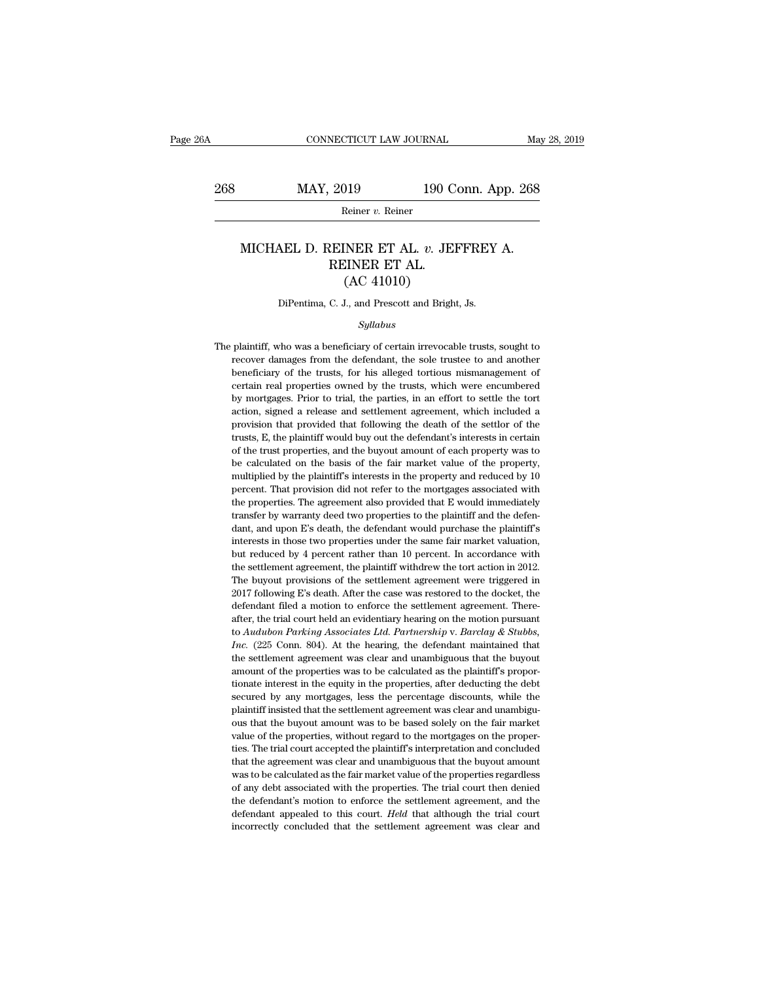# EXECUTE CONNECTICUT LAW JOURNAL May 28, 2019<br>268 MAY, 2019 190 Conn. App. 268<br>Reiner v. Reiner

Reiner *v.* Reiner

### MAY, 2019 190 Conn. App. 268<br>
Reiner *v.* Reiner<br>
MICHAEL D. REINER ET AL. *v.* JEFFREY A.<br>
REINER ET AL. (AC 41010)  $\begin{tabular}{c} 2019 \quad \quad 190 \text{ C} \\ \hline \text{Reiner } v. \text{ Reiner} \\ \end{tabular}$  REINER ET AL.  $v. \text{ JE} \\ \end{tabular}$  REINER ET AL. (AC 41010)  $\begin{array}{ll}\n 190 \text{ C} \\
 \text{Reiner } v. \text{ Reiner} \\
 \text{INER ET AL. } v. \text{ JEH} \\
 \text{LINER ET AL.} \\
 \text{(AC 41010)} \\
 \text{L, and Present and Bright}\n \end{array}$ MICHAEL D. REINER ET AL. *v.* JEFFREY A.<br>REINER ET AL.<br>(AC 41010)<br>DiPentima, C. J., and Prescott and Bright, Js.

### *Syllabus*

 $(AC 41010)$ <br>DiPentima, C. J., and Prescott and Bright, Js.<br> $Syllabus$ <br>The plaintiff, who was a beneficiary of certain irrevocable trusts, sought to<br>recover damages from the defendant, the sole trustee to and another DiPentima, C. J., and Prescott and Bright, Js.<br>Syllabus<br>plaintiff, who was a beneficiary of certain irrevocable trusts, sought to<br>recover damages from the defendant, the sole trustee to and another<br>beneficiary of the trust DiPentima, C. J., and Prescott and Bright, Js.<br>
Syllabus<br>
plaintiff, who was a beneficiary of certain irrevocable trusts, sought to<br>
recover damages from the defendant, the sole trustee to and another<br>
beneficiary of the t Syllabus<br>plaintiff, who was a beneficiary of certain irrevocable trusts, sought to<br>recover damages from the defendant, the sole trustee to and another<br>beneficiary of the trusts, for his alleged tortious mismanagement of<br>ce Syllabus<br>plaintiff, who was a beneficiary of certain irrevocable trusts, sought to<br>recover damages from the defendant, the sole trustee to and another<br>beneficiary of the trusts, for his alleged tortious mismanagement of<br>ce plaintiff, who was a beneficiary of certain irrevocable trusts, sought to recover damages from the defendant, the sole trustee to and another beneficiary of the trusts, for his alleged tortious mismanagement of certain rea provision that we of the trusts, for his alleged tortious mismanagement of certain real properties owned by the trusts, which were encumbered by mortgages. Prior to trial, the parties, in an effort to settle the tort actio beneficiary of the trusts, for his alleged tortious mismanagement of certain real properties owned by the trusts, which were encumbered by mortgages. Prior to trial, the parties, in an effort to settle the tort action, sig certain real properties owned by the trusts, which were encumbered<br>by mortgages. Prior to trial, the parties, in an effort to settle the tort<br>action, signed a release and settlement agreement, which included a<br>provision th by mortgages. Prior to trial, the parties, in an effort to settle the tort action, signed a release and settlement agreement, which included a provision that provided that following the death of the settlor of the trusts, extion, signed a release and settlement agreement, which included a provision that provided that following the death of the settlor of the trusts, E, the plaintiff would buy out the defendant's interests in certain of the provision that provided that following the death of the settlor of the trusts, E, the plaintiff would buy out the defendant's interests in certain of the trust properties, and the buyout amount of each property was to be c provides. E, the plaintiff would buy out the defendant's interests in certain of the trust properties, and the buyout amount of each property was to be calculated on the basis of the fair market value of the property, mult trusts, E, the plaintiff would buy out the defendant's interests in certain of the trust properties, and the buyout amount of each property was to be calculated on the basis of the fair market value of the property, multi be calculated on the basis of the fair market value of the property,<br>half multiplied by the plaintiff's interests in the property and reduced by 10<br>percent. That provision did not refer to the mortgages associated with<br>the multiplied by the plaintiff's interests in the property and reduced by 10 percent. That provision did not refer to the mortgages associated with the properties. The agreement also provided that E would immediately transfe marpore. That provision did not refer to the mortgages associated with<br>the properties. The agreement also provided that E would immediately<br>transfer by warranty deed two properties to the plaintiff and the defen-<br>dant, an the properties. The agreement also provided that E would immediately transfer by warranty deed two properties to the plaintiff and the defendant, and upon E's death, the defendant would purchase the plaintiff's interests i The buyout provisions of the settlement were triggered in the defendant, and upon E's death, the defendant would purchase the plaintiff's interests in those two properties under the same fair market valuation, but reduced dant, and upon E's death, the defendant would purchase the plaintiff's interests in those two properties under the same fair market valuation, but reduced by 4 percent rather than 10 percent. In accordance with the settlem interests in those two properties under the same fair market valuation, but reduced by 4 percent rather than 10 percent. In accordance with the settlement agreement, the plaintiff withdrew the tort action in 2012. The buy but reduced by 4 percent rather than 10 percent. In accordance with the settlement agreement, the plaintiff withdrew the tort action in 2012. The buyout provisions of the settlement agreement were triggered in 2017 followi the settlement agreement, the plaintiff withdrew the tort action in 2012.<br>The buyout provisions of the settlement agreement were triggered in<br>2017 following E's death. After the case was restored to the docket, the<br>defenda The buyout provisions of the settlement agreement were triggered in 2017 following E's death. After the case was restored to the docket, the defendant filed a motion to enforce the settlement agreement. Thereafter, the tri 2017 following E's death. After the case was restored to the docket, the defendant filed a motion to enforce the settlement agreement. Thereafter, the trial court held an evidentiary hearing on the motion pursuant to Audu 2017 following E's death. After the case was restored to the docket, the defendant filed a motion to enforce the settlement agreement. Thereafter, the trial court held an evidentiary hearing on the motion pursuant to *Aud* after, the trial court held an evidentiary hearing on the motion pursuant<br>to Audubon Parking Associates Ltd. Partnership v. Barclay & Stubbs,<br>Inc. (225 Conn. 804). At the hearing, the defendant maintained that<br>the settleme to Audubon Parking Associates Ltd. Partnership v. Barclay & Stubbs, Inc. (225 Conn. 804). At the hearing, the defendant maintained that the settlement agreement was clear and unambiguous that the buyout amount of the prop *Inc.* (225 Conn. 804). At the hearing, the defendant maintained that the settlement agreement was clear and unambiguous that the buyout amount of the properties was to be calculated as the plaintiff's proportionate inter the settlement agreement was clear and unambiguous that the buyout amount of the properties was to be calculated as the plaintiff's proportionate interest in the equity in the properties, after deducting the debt secured b amount of the properties was to be calculated as the plaintiff's proportionate interest in the equity in the properties, after deducting the debt secured by any mortgages, less the percentage discounts, while the plaintiff tionate interest in the equity in the properties, after deducting the debt secured by any mortgages, less the percentage discounts, while the plaintiff insisted that the settlement agreement was clear and unambiguous that secured by any mortgages, less the percentage discounts, while the plaintiff insisted that the settlement agreement was clear and unambiguous that the buyout amount was to be based solely on the fair market value of the pr plaintiff insisted that the settlement agreement was clear and unambiguous that the buyout amount was to be based solely on the fair market value of the properties, without regard to the mortgages on the properties. The tr pous that the buyout amount was to be based solely on the fair market value of the properties, without regard to the mortgages on the properties. The trial court accepted the plaintiff's interpretation and concluded that t value of the properties, without regard to the mortgages on the properties. The trial court accepted the plaintiff's interpretation and concluded that the agreement was clear and unambiguous that the buyout amount was to b value of the properties, without regard to the mortgages on the properties. The trial court accepted the plaintiff's interpretation and concluded that the agreement was clear and unambiguous that the buyout amount was to b that the agreement was clear and unambiguous that the buyout amount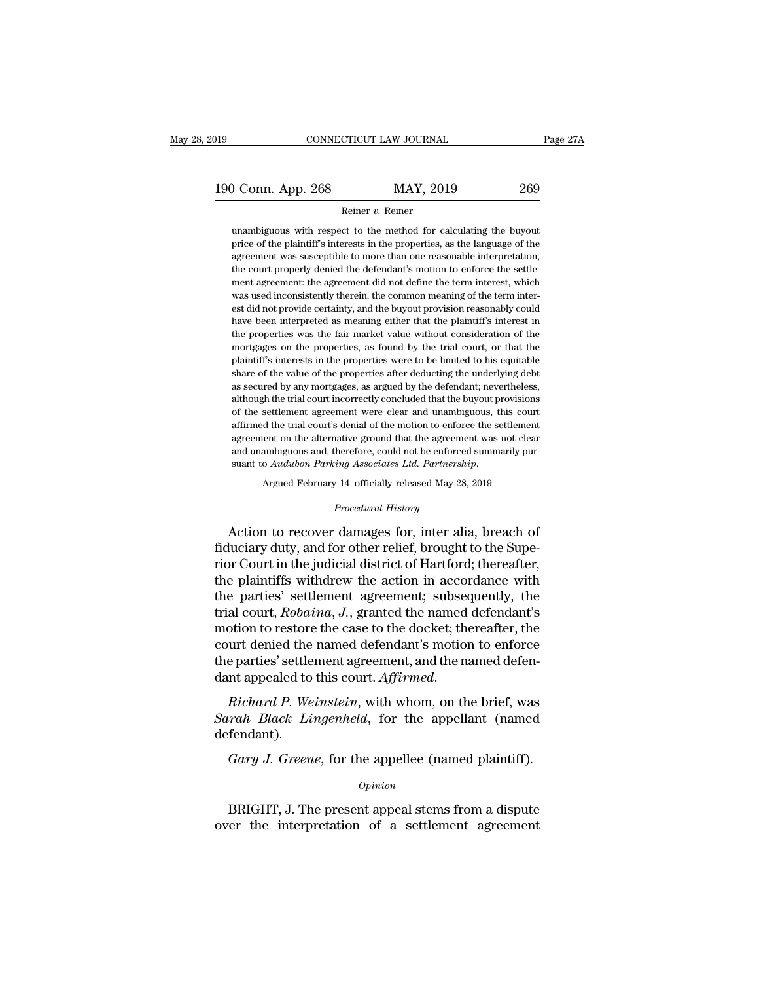### Reiner *v.* Reiner

O Conn. App. 268 MAY, 2019 269<br>
Reiner v. Reiner<br>
unambiguous with respect to the method for calculating the buyout<br>
price of the plaintiff's interests in the properties, as the language of the **price of the plaintiff's interests in the properties, as the language of the agreement was susceptible to more than one reasonable interpretation, 269**<br>**agreement was susceptible in MAY, 2019**<br>**agreement** was susceptible to the method for calculating the buyout<br>price of the plaintiff's interests in the properties, as the language of the<br>agreement was susceptible to For the content of the method for calculating the buyout<br>price of the plaintiff's interests in the properties, as the language of the<br>agreement was susceptible to more than one reasonable interpretation,<br>the court properl Reiner  $v$ . Reiner<br>unambiguous with respect to the method for calculating the buyout<br>price of the plaintiff's interests in the properties, as the language of the<br>agreement was susceptible to more than one reasonable inter unambiguous with respect to the method for calculating the buyout<br>price of the plaintiff's interests in the properties, as the language of the<br>agreement was susceptible to more than one reasonable interpretation,<br>the court est of the plaintiff's interests in the properties, as the language of the price of the plaintiff's interests in the properties, as the language of the agreement was susceptible to more than one reasonable interpretation, agreement was susceptible to more han one reasonable interpretation, algreement was susceptible to more than one reasonable interpretation, the court properly denied the defendant's motion to enforce the settlement agreeme the court property denied the defendant's motion to enforce the settlement agreement: the agreement did not define the term interest, which was used inconsistently therein, the common meaning of the term interest did not p ment agreement: the agreement did not define the term interest, which was used inconsistently therein, the common meaning of the term interest did not provide certainty, and the buyout provision reasonably could have been was used inconsistently therein, the common meaning of the term interest did not provide certainty, and the buyout provision reasonably could have been interpreted as meaning either that the plaintiff's interest in the pro est did not provide certainty, and the buyout provision reasonably could have been interpreted as meaning either that the plaintiff's interest in the properties was the fair market value without consideration of the mortga have been interpreted as meaning either that the plaintiff's interest in the properties was the fair market value without consideration of the mortgages on the properties, as found by the trial court, or that the plaintiff the properties was the fair market value without consideration of the mortgages on the properties, as found by the trial court, or that the plaintiff's interests in the properties were to be limited to his equitable share mortgages on the properties, as found by the trial court, or that the plaintiff's interests in the properties were to be limited to his equitable share of the value of the properties after deducting the underlying debt as plaintiff's interests in the properties were to be limited to his equitable share of the value of the properties after deducting the underlying debt as secured by any mortgages, as argued by the defendant; nevertheless, al parameter of the value of the properties after deducting the underlying debt as secured by any mortgages, as argued by the defendant; nevertheless, although the trial court incorrectly concluded that the buyout provisions and as secured by any mortgages, as argued by the defendant; nevertheless, although the trial court incorrectly concluded that the buyout provisions of the settlement agreement were clear and unambiguous, this court affir as secarca *a<sub>3</sub>* any moregages, as argaea *a<sub>3</sub>* are determinity, nevertables although the trial court incorrectly concluded that the buyout provisions of the settlement agreement were clear and unambiguous sime affirmed readive ground that the agreement<br> *Procedural Associates Ltd. Partnershi*<br> *Procedural History*<br> *Procedural History*<br> *Procedural History* agreement on the alternative ground that the agreement was not clear<br>and unambiguous and, therefore, could not be enforced summarily pur-<br>suant to Audubon Parking Associates Ltd. Partnership.<br>Argued February 14–officially

and unambiguous and, therefore, could not be enforced summarily pursuant to *Audubon Parking Associates Ltd. Partnership.*<br>
Argued February 14-officially released May 28, 2019<br> *Procedural History*<br> **Action to recover dama** suant to Audubon Parking Associates Ltd. Partnership.<br>
Argued February 14–officially released May 28, 2019<br>
Procedural History<br>
Action to recover damages for, inter alia, breach of<br>
fiduciary duty, and for other relief, br Argued February 14–officially released May 28, 2019<br>
Procedural History<br>
Action to recover damages for, inter alia, breach of<br>
fiduciary duty, and for other relief, brought to the Supe-<br>
rior Court in the judicial district *Procedural History*<br>Action to recover damages for, inter alia, breach of<br>fiduciary duty, and for other relief, brought to the Supe-<br>rior Court in the judicial district of Hartford; thereafter,<br>the plaintiffs withdrew the Action to recover damages for, inter alia, breach of<br>fiduciary duty, and for other relief, brought to the Supe-<br>rior Court in the judicial district of Hartford; thereafter,<br>the plaintiffs withdrew the action in accordance Action to recover damages for, inter alia, breach of<br>fiduciary duty, and for other relief, brought to the Supe-<br>rior Court in the judicial district of Hartford; thereafter,<br>the plaintiffs withdrew the action in accordance fiduciary duty, and for other relief, brought to the Superior Court in the judicial district of Hartford; thereafter, the plaintiffs withdrew the action in accordance with the parties' settlement agreement; subsequently, t rior Court in the judicial district of Hartford; thereafter,<br>the plaintiffs withdrew the action in accordance with<br>the parties' settlement agreement; subsequently, the<br>trial court, Robaina, J., granted the named defendant' the plaintiffs withdrew the action in accordance with<br>the parties' settlement agreement; subsequently, the<br>trial court, *Robaina*, *J*., granted the named defendant's<br>motion to restore the case to the docket; thereafter, t *Sarah Black Lingenheld*, for the appellant (named defendants)<br>motion to restore the case to the docket; thereafter, the<br>court denied the named defendant's motion to enforce<br>the parties' settlement agreement, and the named

defendant). e parties' settlement agreement, and the named defen-<br> *Gary A. Weinstein*, with whom, on the brief, was<br> *Gary J. Greene*, for the appellee (named plaintiff).<br> *Gary J. Greene*, for the appellee (named plaintiff).<br> *Opini* Fraction Proceeding Proceeding, the present, and the street, and the present fendant).<br>
Gary J. Greene, for the appellee (named plaintiff).<br>
Divided by Departure operation of a settlement agreement affect the interpretatio

*Opinion*

over the interpretation of a settlement agreement<br>opinion<br>opinion<br>over the interpretation of a settlement agreement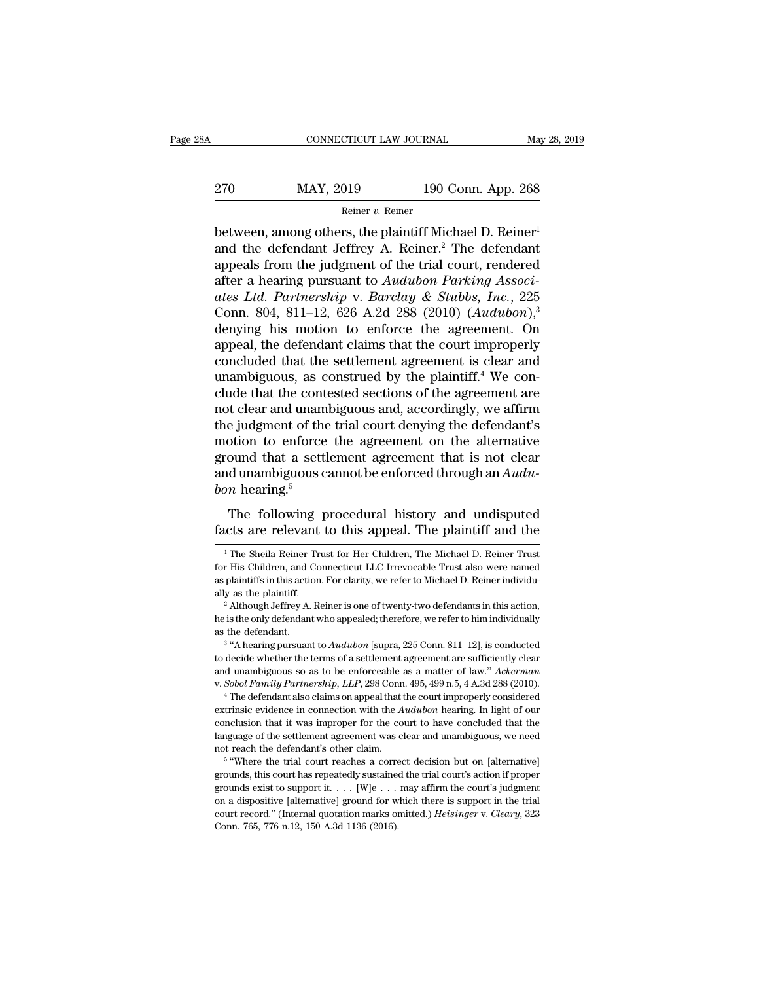# EXECUTE CONNECTICUT LAW JOURNAL May 28, 2019<br>270 MAY, 2019 190 Conn. App. 268<br>Reiner v. Reiner

Reiner v. Reiner

CONNECTICUT LAW JOURNAL May 28, 201<br>
270 MAY, 2019 190 Conn. App. 268<br>
Reiner v. Reiner<br>
between, among others, the plaintiff Michael D. Reiner<sup>1</sup><br>
and the defendant Jeffrey A. Reiner.<sup>2</sup> The defendant 270 MAY, 2019 190 Conn. App. 268<br>
Reiner v. Reiner<br>
between, among others, the plaintiff Michael D. Reiner<sup>1</sup><br>
and the defendant Jeffrey A. Reiner.<sup>2</sup> The defendant<br>
appeals from the judgment of the trial court, rendered<br> 270 MAY, 2019 190 Conn. App. 268<br>
Reiner v. Reiner<br>
between, among others, the plaintiff Michael D. Reiner<sup>1</sup><br>
and the defendant Jeffrey A. Reiner.<sup>2</sup> The defendant<br>
appeals from the judgment of the trial court, rendered<br> after a hearing pursuant to *Audubon* 2019<br>
All the defendant Jeffrey A. Reiner<sup>2</sup> The defendant<br>
and the defendant Jeffrey A. Reiner<sup>2</sup> The defendant<br>
appeals from the judgment of the trial court, rendered<br>
after a hearin *atter 1.444, 2016 between, among others, the plaintiff Michael D. Reiner<sup>1</sup>*<br>and the defendant Jeffrey A. Reiner.<sup>2</sup> The defendant<br>appeals from the judgment of the trial court, rendered<br>after a hearing pursuant to Audub Remer v. Remer<br>between, among others, the plaintiff Michael D. Reiner<sup>1</sup><br>and the defendant Jeffrey A. Reiner.<sup>2</sup> The defendant<br>appeals from the judgment of the trial court, rendered<br>after a hearing pursuant to *Audubon Par* between, among others, the plaintiff Michael D. Reiner<sup>1</sup><br>and the defendant Jeffrey A. Reiner.<sup>2</sup> The defendant<br>appeals from the judgment of the trial court, rendered<br>after a hearing pursuant to *Audubon Parking Associ-<br>at* and the defendant Jeffrey A. Reiner.<sup>2</sup> The defendant<br>appeals from the judgment of the trial court, rendered<br>after a hearing pursuant to *Audubon Parking Associ-<br>ates Ltd. Partnership v. Barclay & Stubbs, Inc.*, 225<br>Conn. appeals from the judgment of the trial court, rendered<br>after a hearing pursuant to Audubon Parking Associ-<br>ates Ltd. Partnership v. Barclay & Stubbs, Inc., 225<br>Conn. 804, 811–12, 626 A.2d 288 (2010) (Audubon),<sup>3</sup><br>denying after a hearing pursuant to Audubon Parking Associ-<br>ates Ltd. Partnership v. Barclay & Stubbs, Inc., 225<br>Conn. 804, 811–12, 626 A.2d 288 (2010) (Audubon),<sup>3</sup><br>denying his motion to enforce the agreement. On<br>appeal, the def ates Ltd. Partnership v. Barclay & Stubbs, Inc., 225<br>Conn. 804, 811–12, 626 A.2d 288 (2010) (Audubon),<sup>3</sup><br>denying his motion to enforce the agreement. On<br>appeal, the defendant claims that the court improperly<br>concluded tha Conn. 804, 811–12, 626 A.2d 288 (2010)  $(Audubon)$ ,<sup>3</sup><br>denying his motion to enforce the agreement. On<br>appeal, the defendant claims that the court improperly<br>concluded that the settlement agreement is clear and<br>unambiguous, a denying his motion to enforce the agreement. On<br>appeal, the defendant claims that the court improperly<br>concluded that the settlement agreement is clear and<br>unambiguous, as construed by the plaintiff.<sup>4</sup> We con-<br>clude that appeal, the defendant claims that the court improperly<br>concluded that the settlement agreement is clear and<br>unambiguous, as construed by the plaintiff.<sup>4</sup> We con-<br>clude that the contested sections of the agreement are<br>not concluded that the settlement agreement is clear and<br>unambiguous, as construed by the plaintiff.<sup>4</sup> We con-<br>clude that the contested sections of the agreement are<br>not clear and unambiguous and, accordingly, we affirm<br>the unambiguous, as construed by the plaintiff.<sup>4</sup> We conclude that the contested sections of the agreement are not clear and unambiguous and, accordingly, we affirm the judgment of the trial court denying the defendant's mot *bon* hearing.<sup>5</sup> Exercise and diamoguous and, accordingly, we all the ejudgment of the trial court denying the defendant's<br>otion to enforce the agreement on the alternative<br>ound that a settlement agreement that is not clear<br>d unambiguous factor in the state of the agreement of the alternative<br>ground that a settlement agreement that is not clear<br>and unambiguous cannot be enforced through an  $\hat{A}u\hat{d}u$ -<br>bon hearing.<sup>5</sup><br>The following procedural history a

 $10n$  hearing.<sup>5</sup><br>The following procedural history and undisputed<br>cts are relevant to this appeal. The plaintiff and the<br><sup>1</sup>The Sheila Reiner Trust for Her Children, The Michael D. Reiner Trust<br>First Children, and Connect

to decide whether the terms of a settlement agreement are sufficiently clear<br>and unambiguous so as to be enforceable as a matter of law." Ackerman<br>v. Sobol Family Partnership, LLP, 298 Conn. 495, 499 n.5, 4 A.3d 288 (2010) and unambiguous so as to be enforceable as a matter of law." Ackerman<br>v. Sobol Family Partnership, LLP, 298 Conn. 495, 499 n.5, 4 A.3d 288 (2010).<br><sup>4</sup> The defendant also claims on appeal that the court improperly considere v. *Sobol Family Partnership, LLP*, 298 Conn<sup>4</sup> The defendant also claims on appeal that  $^4$  The defendant also claims on appeal that extrinsic evidence in connection with the  $A$  conclusion that it was improper for the v. *Sobol Family Partnership, LLP*, 298 Conn. 495, 499 n.5, 4 A.3d 288 (2010).<br>
<sup>4</sup> The defendant also claims on appeal that the court improperly considered extrinsic evidence in connection with the *Audubon* hearing. In extrinsic evidence in connection with the Audubon hearing. In light of our conclusion that it was improper for the court to have concluded that the language of the settlement agreement was clear and unambiguous, we need n

conclusion that it was improper for the court to have concluded that the language of the settlement agreement was clear and unambiguous, we need not reach the defendant's other claim.<br>
<sup>5</sup> "Where the trial court reaches a language of the settlement agreement was clear and unambiguous, we need not reach the defendant's other claim.<br>
<sup>5</sup> "Where the trial court reaches a correct decision but on [alternative] grounds, this court has repeatedly not reach the defendant's other claim.<br>
<sup>5</sup> "Where the trial court reaches a correct decision but on [alternative]<br>
grounds, this court has repeatedly sustained the trial court's action if proper<br>
grounds exist to support grounds, this court has repeatedly sustained the trial court's action if proper

The following procedural history and undisputed<br>facts are relevant to this appeal. The plaintiff and the<br><sup>1</sup>The Sheila Reiner Trust for Her Children, The Michael D. Reiner Trust<br>for His Children, and Connecticut LLC Irrevo The following procedural history and undisputed facts are relevant to this appeal. The plaintiff and the  $\frac{1}{1}$  The Sheila Reiner Trust for Her Children, The Michael D. Reiner Trust for His Children, and Connecticut LL Facts are relevant to this appeal. The plaintiff and the<br>
<sup>1</sup>The Sheila Reiner Trust for Her Children, The Michael D. Reiner Trust<br>
for His Children, and Connecticut LLC Irrevocable Trust also were named<br>
as plaintiffs in <sup>1</sup> The Sheila Reiner Trust for Her Children, The Michael D. Reiner Trust for His Children, and Connecticut LLC Irrevocable Trust also were named as plaintiffs in this action. For clarity, we refer to Michael D. Reiner in For His Children, and Cassimilation and the plaintiffs in this actionally as the plaintiff.<br>
<sup>2</sup> Although Jeffrey A. he is the only defendant as the defendant.<br>
<sup>3</sup> "A hearing pursuan

The value of the plaintiffs in this action. For clarity, we refer to Michael D. Reiner individuals the plaintiff.<br>Although Jeffrey A. Reiner is one of twenty-two defendants in this action, sthe only defendant who appealed;

ally as the plaintiff.<br>
<sup>2</sup> Although Jeffrey A. Reiner is one of twenty-two defendants in this action,<br>
<sup>2</sup> Although Jeffrey A. Reiner is one of twenty-two defendants in this action,<br>
<sup>3</sup> "A hearing pursuant to *Audubon* <sup>2</sup> Although Jeffrey A. Reiner is one of twenty-two defendants in this action,<br>
he is the only defendant who appealed; therefore, we refer to him individually<br>
as the defendant.<br>
<sup>3</sup> "A hearing pursuant to *Audubon* [supra r. *Sobol Family Partnership, LLP*, 298 Conn. 811–12], is conducted to decide whether the terms of a settlement agreement are sufficiently clear and unambiguous so as to be enforceable as a matter of law." *Ackerman* v. *S* <sup>23</sup> "A hearing pursuant to *Audubon* [supra, 225 Conn. 811–12], is conducted to decide whether the terms of a settlement agreement are sufficiently clear and unambiguous so as to be enforceable as a matter of law." *Acke*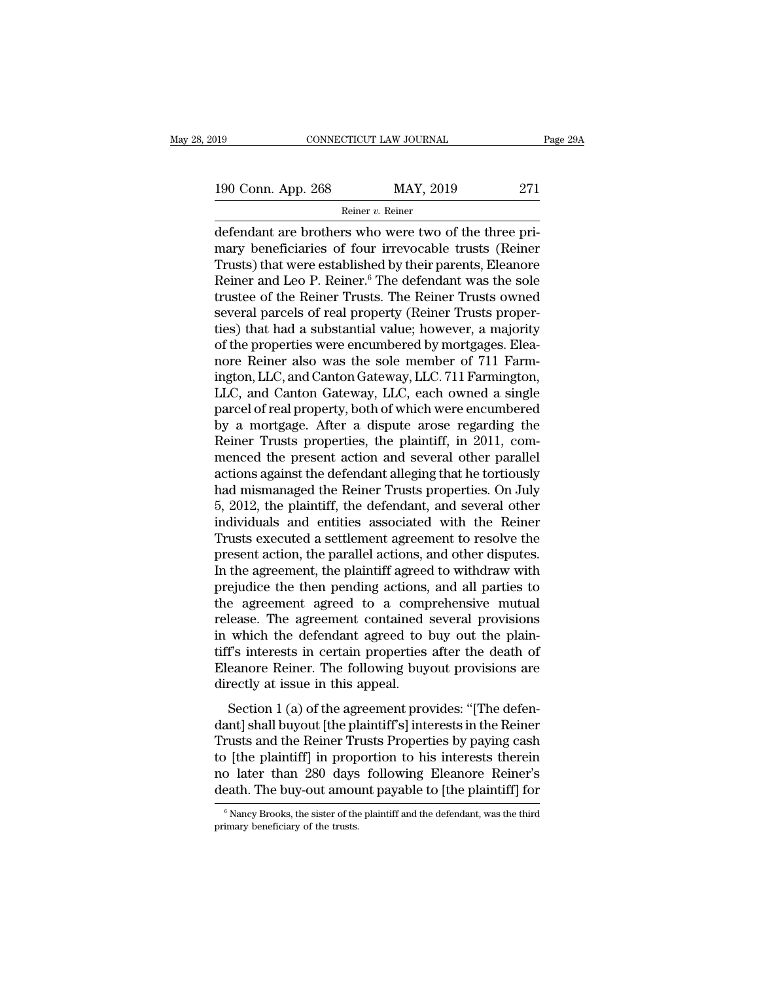Reiner v. Reiner

CONNECTICUT LAW JOURNAL<br>
190 Conn. App. 268 MAY, 2019 271<br>
Reiner v. Reiner<br>
defendant are brothers who were two of the three pri-<br>
mary beneficiaries of four irrevocable trusts (Reiner<br>
Trusts) that were established by th 190 Conn. App. 268 MAY, 2019 271<br>
Reiner v. Reiner<br>
defendant are brothers who were two of the three pri-<br>
mary beneficiaries of four irrevocable trusts (Reiner<br>
Trusts) that were established by their parents, Eleanore<br>
R 190 Conn. App. 268 MAY, 2019 271<br>
Reiner v. Reiner<br>
defendant are brothers who were two of the three pri-<br>
mary beneficiaries of four irrevocable trusts (Reiner<br>
Trusts) that were established by their parents, Eleanore<br>
R 190 Conn. App. 268 MAY, 2019 271<br>
Reiner v. Reiner.<br>
defendant are brothers who were two of the three pri-<br>
mary beneficiaries of four irrevocable trusts (Reiner<br>
Trusts) that were established by their parents, Eleanore<br> Reiner v. Reiner<br>
Reiner v. Reiner<br>
defendant are brothers who were two of the three pri-<br>
mary beneficiaries of four irrevocable trusts (Reiner<br>
Trusts) that were established by their parents, Eleanore<br>
Reiner and Leo P. several defendant are brothers who were two of the three pri-<br>mary beneficiaries of four irrevocable trusts (Reiner<br>Trusts) that were established by their parents, Eleanore<br>Reiner and Leo P. Reiner.<sup>6</sup> The defendant was th defendant are brothers who were two of the three pri-<br>mary beneficiaries of four irrevocable trusts (Reiner<br>Trusts) that were established by their parents, Eleanore<br>Reiner and Leo P. Reiner.<sup>6</sup> The defendant was the sole<br>t mary beneficiaries of four irrevocable trusts (Reiner<br>Trusts) that were established by their parents, Eleanore<br>Reiner and Leo P. Reiner.<sup>6</sup> The defendant was the sole<br>trustee of the Reiner Trusts. The Reiner Trusts owned<br>s Trusts) that were established by their parents, Eleanore<br>Reiner and Leo P. Reiner.<sup>6</sup> The defendant was the sole<br>trustee of the Reiner Trusts. The Reiner Trusts owned<br>several parcels of real property (Reiner Trusts proper-Reiner and Leo P. Reiner.<sup>6</sup> The defendant was the sole<br>trustee of the Reiner Trusts. The Reiner Trusts owned<br>several parcels of real property (Reiner Trusts proper-<br>ties) that had a substantial value; however, a majority<br> trustee of the Reiner Trusts. The Reiner Trusts owned<br>several parcels of real property (Reiner Trusts proper-<br>ties) that had a substantial value; however, a majority<br>of the properties were encumbered by mortgages. Elea-<br>no several parcels of real property (Reiner Trusts properties) that had a substantial value; however, a majority of the properties were encumbered by mortgages. Eleanore Reiner also was the sole member of 711 Farmington, LLC, ties) that had a substantial value; however, a majority<br>of the properties were encumbered by mortgages. Elea-<br>nore Reiner also was the sole member of 711 Farm-<br>ington, LLC, and Canton Gateway, LLC. 711 Farmington,<br>LLC, and of the properties were encumbered by mortgages. Eleanore Reiner also was the sole member of 711 Farmington, LLC, and Canton Gateway, LLC. 711 Farmington, LLC, and Canton Gateway, LLC, each owned a single parcel of real pro nore Reiner also was the sole member of 711 Farmington, LLC, and Canton Gateway, LLC. 711 Farmington, LLC, and Canton Gateway, LLC, each owned a single parcel of real property, both of which were encumbered by a mortgage. ington, LLC, and Canton Gateway, LLC. 711 Farmington,<br>LLC, and Canton Gateway, LLC, each owned a single<br>parcel of real property, both of which were encumbered<br>by a mortgage. After a dispute arose regarding the<br>Reiner Trust LLC, and Canton Gateway, LLC, each owned a single<br>parcel of real property, both of which were encumbered<br>by a mortgage. After a dispute arose regarding the<br>Reiner Trusts properties, the plaintiff, in 2011, com-<br>menced the parcel of real property, both of which were encumbered<br>by a mortgage. After a dispute arose regarding the<br>Reiner Trusts properties, the plaintiff, in 2011, com-<br>menced the present action and several other parallel<br>actions by a mortgage. After a dispute arose regarding the<br>Reiner Trusts properties, the plaintiff, in 2011, com-<br>menced the present action and several other parallel<br>actions against the defendant alleging that he tortiously<br>had m Reiner Trusts properties, the plaintiff, in 2011, commenced the present action and several other parallel<br>actions against the defendant alleging that he tortiously<br>had mismanaged the Reiner Trusts properties. On July<br>5, 20 menced the present action and several other parallel<br>actions against the defendant alleging that he tortiously<br>had mismanaged the Reiner Trusts properties. On July<br>5, 2012, the plaintiff, the defendant, and several other<br>i actions against the defendant alleging that he tortiously<br>had mismanaged the Reiner Trusts properties. On July<br>5, 2012, the plaintiff, the defendant, and several other<br>individuals and entities associated with the Reiner<br>Tr had mismanaged the Reiner Trusts properties. On July<br>5, 2012, the plaintiff, the defendant, and several other<br>individuals and entities associated with the Reiner<br>Trusts executed a settlement agreement to resolve the<br>presen 5, 2012, the plaintiff, the defendant, and several other<br>individuals and entities associated with the Reiner<br>Trusts executed a settlement agreement to resolve the<br>present action, the parallel actions, and other disputes.<br>I individuals and entities associated with the Reiner<br>Trusts executed a settlement agreement to resolve the<br>present action, the parallel actions, and other disputes.<br>In the agreement, the plaintiff agreed to withdraw with<br>pr Trusts executed a settlement agreement to resolve the present action, the parallel actions, and other disputes.<br>In the agreement, the plaintiff agreed to withdraw with prejudice the then pending actions, and all parties to present action, the parallel actions, and other disputes.<br>In the agreement, the plaintiff agreed to withdraw with<br>prejudice the then pending actions, and all parties to<br>the agreement agreed to a comprehensive mutual<br>releas In the agreement, the plaintiff agreed to withdraw with<br>prejudice the then pending actions, and all parties to<br>the agreement agreed to a comprehensive mutual<br>release. The agreement contained several provisions<br>in which the prejudice the then pending actions,<br>the agreement agreed to a comp<br>release. The agreement contained is<br>in which the defendant agreed to l<br>tiff's interests in certain properties<br>Eleanore Reiner. The following buy<br>directly a Lease. The agreement contained several provisions<br>which the defendant agreed to buy out the plain-<br>f's interests in certain properties after the death of<br>eanore Reiner. The following buyout provisions are<br>rectly at issue i release. The agreement contained several provisions<br>in which the defendant agreed to buy out the plain-<br>tiff's interests in certain properties after the death of<br>Eleanore Reiner. The following buyout provisions are<br>directl

In which the detendant agreed to bay out the plant<br>tiff's interests in certain properties after the death of<br>Eleanore Reiner. The following buyout provisions are<br>directly at issue in this appeal.<br>Section 1 (a) of the agree the plaintiff and the plaintiff for<br>Eleanore Reiner. The following buyout provisions are<br>directly at issue in this appeal.<br>Section 1 (a) of the agreement provides: "[The defen-<br>dant] shall buyout [the plaintiff's] interest no directly at issue in this appeal.<br>
Section 1 (a) of the agreement provides: "[The defendant] shall buyout [the plaintiff's] interests in the Reiner<br>
Trusts and the Reiner Trusts Properties by paying cash<br>
to [the plaint decation 1 (a) of the agreement provides: "[The defendant] shall buyout [the plaintiff's] interests in the Reiner Trusts and the Reiner Trusts Properties by paying cash to [the plaintiff] in proportion to his interests the Trusts and the Reiner Trusts Properties by paying cash<br>to [the plaintiff] in proportion to his interests therein<br>no later than 280 days following Eleanore Reiner's<br>death. The buy-out amount payable to [the plaintiff] for<br> death. The buy-out amount payable to [the plaintiff] for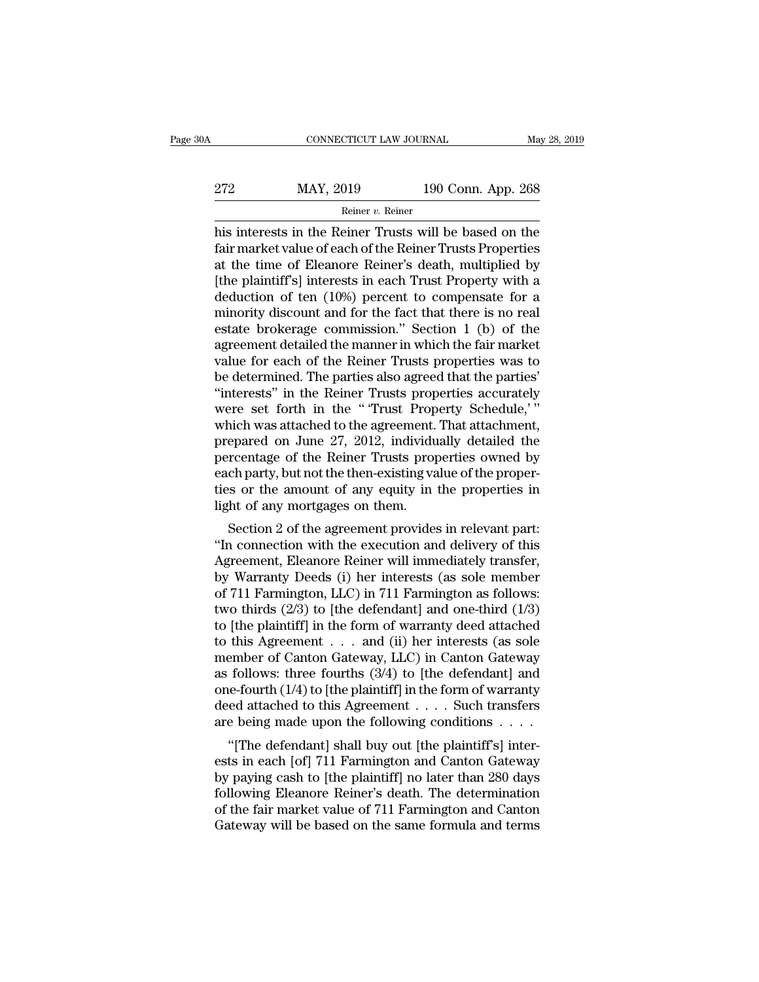| )A  | CONNECTICUT LAW JOURNAL |                    | May 28, 2019 |
|-----|-------------------------|--------------------|--------------|
| 272 | MAY, 2019               | 190 Conn. App. 268 |              |
|     | Reiner v. Reiner        |                    |              |

CONNECTICUT LAW JOURNAL May 28, 2019<br>
272 MAY, 2019 190 Conn. App. 268<br>
Reiner v. Reiner<br>
his interests in the Reiner Trusts will be based on the<br>
fair market value of each of the Reiner Trusts Properties<br>
at the time of E 272 MAY, 2019 190 Conn. App. 268<br>
Reiner v. Reiner<br>
his interests in the Reiner Trusts will be based on the<br>
fair market value of each of the Reiner Trusts Properties<br>
at the time of Eleanore Reiner's death, multiplied by 272 MAY, 2019 190 Conn. App. 268<br>
Reiner v. Reiner<br>
his interests in the Reiner Trusts will be based on the<br>
fair market value of each of the Reiner Trusts Properties<br>
at the time of Eleanore Reiner's death, multiplied by 272 MAY, 2019 190 Conn. App. 268<br>
Reiner v. Reiner<br>
his interests in the Reiner Trusts will be based on the<br>
fair market value of each of the Reiner Trusts Properties<br>
at the time of Eleanore Reiner's death, multiplied by Reiner v. Reiner<br>
his interests in the Reiner Trusts will be based on the<br>
fair market value of each of the Reiner Trusts Properties<br>
at the time of Eleanore Reiner's death, multiplied by<br>
[the plaintiff's] interests in e minority discount and for the painter of the pair and the fair market value of each of the Reiner Trusts Properties<br>at the time of Eleanore Reiner's death, multiplied by<br>[the plaintiff's] interests in each Trust Property his interests in the Reiner Trusts will be based on the<br>fair market value of each of the Reiner Trusts Properties<br>at the time of Eleanore Reiner's death, multiplied by<br>[the plaintiff's] interests in each Trust Property wit fair market value of each of the Reiner Trusts Properties<br>at the time of Eleanore Reiner's death, multiplied by<br>[the plaintiff's] interests in each Trust Property with a<br>deduction of ten (10%) percent to compensate for a<br>m at the time of Eleanore Reiner's death, multiplied by<br>[the plaintiff's] interests in each Trust Property with a<br>deduction of ten (10%) percent to compensate for a<br>minority discount and for the fact that there is no real<br>es [the plaintiff's] interests in each Trust Property with a deduction of ten (10%) percent to compensate for a minority discount and for the fact that there is no real estate brokerage commission." Section 1 (b) of the agree deduction of ten (10%) percent to compensate for a<br>
minority discount and for the fact that there is no real<br>
estate brokerage commission." Section 1 (b) of the<br>
agreement detailed the manner in which the fair market<br>
valu minority discount and for the fact that there is no real<br>estate brokerage commission." Section 1 (b) of the<br>agreement detailed the manner in which the fair market<br>value for each of the Reiner Trusts properties was to<br>be de estate brokerage commission." Section 1 (b) of the agreement detailed the manner in which the fair market value for each of the Reiner Trusts properties was to be determined. The parties also agreed that the parties' "inte agreement detailed the manner in which the fair market<br>value for each of the Reiner Trusts properties was to<br>be determined. The parties also agreed that the parties'<br>"interests" in the Reiner Trusts properties accurately<br>w value for each of the Reiner Trusts properties was to<br>be determined. The parties also agreed that the parties'<br>"interests" in the Reiner Trusts properties accurately<br>were set forth in the "Trust Property Schedule,"<br>which w be determined. The parties also agreed that the parties'<br>
"interests" in the Reiner Trusts properties accurately<br>
were set forth in the "Trust Property Schedule,"<br>
which was attached to the agreement. That attachment,<br>
pre "interests" in the Reiner Trusts properties accurately<br>were set forth in the "Trust Property Schedule,"<br>which was attached to the agreement. That attachment,<br>prepared on June 27, 2012, individually detailed the<br>percentage were set forth in the "Trust Prop<br>which was attached to the agreement.<br>prepared on June 27, 2012, individu<br>percentage of the Reiner Trusts prop<br>each party, but not the then-existing va<br>ties or the amount of any equity in<br>l Figure 27, 2012, individually detailed the<br>rcentage of the Reiner Trusts properties owned by<br>ch party, but not the then-existing value of the proper-<br>s or the amount of any equity in the properties in<br>the of any mortgages prepared on sune 27, 2012, murvidually detailed the<br>percentage of the Reiner Trusts properties owned by<br>each party, but not the then-existing value of the proper-<br>ties or the amount of any equity in the properties in<br>light

percentage of the Reiner Trusts properties owned by<br>each party, but not the then-existing value of the proper-<br>ties or the amount of any equity in the properties in<br>light of any mortgages on them.<br>Section 2 of the agreemen each party, but not the then-existing value of the proper-<br>ties or the amount of any equity in the properties in<br>light of any mortgages on them.<br>Section 2 of the agreement provides in relevant part:<br>"In connection with th light of any mortgages on them.<br>
Section 2 of the agreement provides in relevant part:<br>
"In connection with the execution and delivery of this<br>
Agreement, Eleanore Reiner will immediately transfer,<br>
by Warranty Deeds (i) h Section 2 of the agreement provides in relevant part:<br>
"In connection with the execution and delivery of this<br>
Agreement, Eleanore Reiner will immediately transfer,<br>
by Warranty Deeds (i) her interests (as sole member<br>
of Section 2 of the agreement provides in relevant part:<br>
"In connection with the execution and delivery of this<br>
Agreement, Eleanore Reiner will immediately transfer,<br>
by Warranty Deeds (i) her interests (as sole member<br>
of "In connection with the execution and delivery of this<br>Agreement, Eleanore Reiner will immediately transfer,<br>by Warranty Deeds (i) her interests (as sole member<br>of 711 Farmington, LLC) in 711 Farmington as follows:<br>two th Agreement, Eleanore Reiner will immediately transfer,<br>by Warranty Deeds (i) her interests (as sole member<br>of 711 Farmington, LLC) in 711 Farmington as follows:<br>two thirds (2/3) to [the defendant] and one-third (1/3)<br>to [t by Warranty Deeds (i) her interests (as sole member<br>of 711 Farmington, LLC) in 711 Farmington as follows:<br>two thirds (2/3) to [the defendant] and one-third (1/3)<br>to [the plaintiff] in the form of warranty deed attached<br>to of 711 Farmington, LLC) in 711 Farmington as follows:<br>two thirds (2/3) to [the defendant] and one-third (1/3)<br>to [the plaintiff] in the form of warranty deed attached<br>to this Agreement . . . and (ii) her interests (as sol two thirds (2/3) to [the defendant] and one-third (1/3)<br>to [the plaintiff] in the form of warranty deed attached<br>to this Agreement . . . and (ii) her interests (as sole<br>member of Canton Gateway, LLC) in Canton Gateway<br>as to [the plaintiff] in the form of warranty deed attached<br>to this Agreement . . . and (ii) her interests (as sole<br>member of Canton Gateway, LLC) in Canton Gateway<br>as follows: three fourths  $(3/4)$  to [the defendant] and<br>on this Agreement  $\ldots$  and (ii) her interests (as sole<br>
ember of Canton Gateway, LLC) in Canton Gateway<br>
follows: three fourths (3/4) to [the defendant] and<br>
ie-fourth (1/4) to [the plaintiff] in the form of warranty<br>
ed at member of Canton Gateway, EEC) in Canton Gateway<br>as follows: three fourths (3/4) to [the defendant] and<br>one-fourth (1/4) to [the plaintiff] in the form of warranty<br>deed attached to this Agreement  $\dots$  Such transfers<br>are b

as follows. these fourths  $(3/4)$  to [the defendant] and<br>one-fourth  $(1/4)$  to [the plaintiff] in the form of warranty<br>deed attached to this Agreement  $\dots$ . Such transfers<br>are being made upon the following conditions  $\dots$ one-fourth  $(14)$  to the plaintiff in the form of warranty<br>deed attached to this Agreement . . . . Such transfers<br>are being made upon the following conditions . . . .<br>"[The defendant] shall buy out [the plaintiff's] inter deed attached to this Agreement  $\ldots$  is such transfersed attached to this Agreement  $\ldots$  is such transfersed and "[The defendant] shall buy out [the plaintiff's] interests in each [of] 711 Farmington and Canton Gateway The defendant] shall buy out [the plaintiff's] interests in each [of] 711 Farmington and Canton Gateway by paying cash to [the plaintiff] no later than 280 days following Eleanore Reiner's death. The determination of the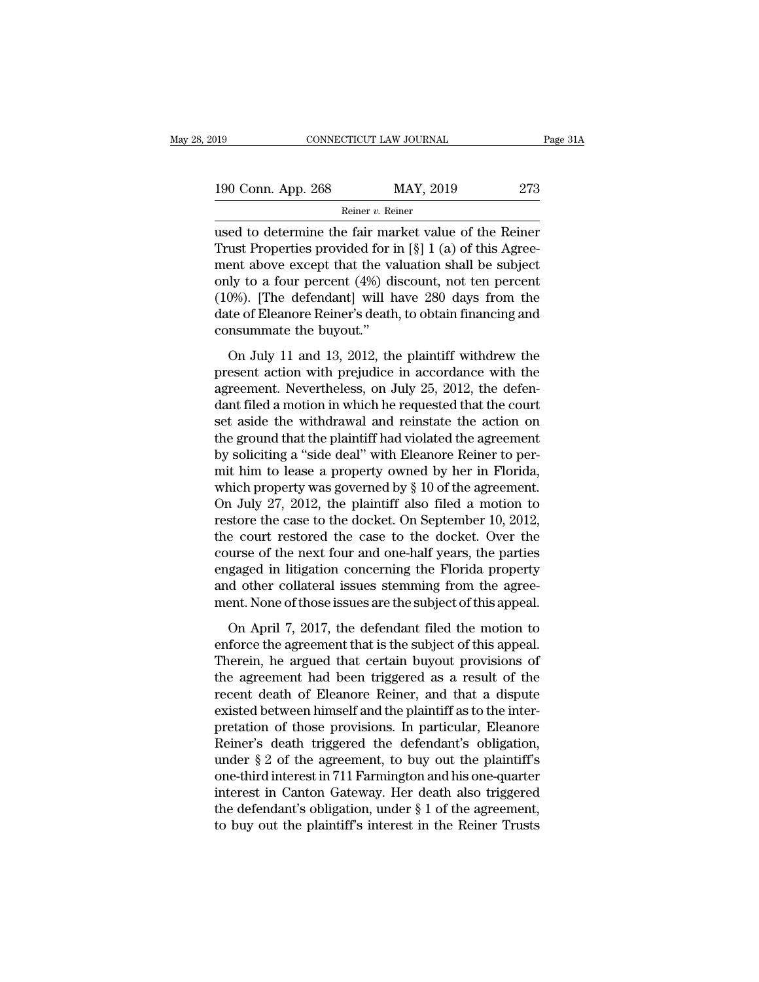| 2019               | CONNECTICUT LAW JOURNAL | Page 31A |
|--------------------|-------------------------|----------|
| 190 Conn. App. 268 | MAY, 2019               | 273      |
|                    | Reiner v. Reiner        |          |

CONNECTICUT LAW JOURNAL Page 31A<br>
190 Conn. App. 268 MAY, 2019 273<br>
Reiner v. Reiner<br>
used to determine the fair market value of the Reiner<br>
Trust Properties provided for in [§] 1 (a) of this Agreement shows event that the 190 Conn. App. 268 MAY, 2019 273<br>
Reiner v. Reiner<br>
used to determine the fair market value of the Reiner<br>
Trust Properties provided for in [§] 1 (a) of this Agree-<br>
ment above except that the valuation shall be subject<br> 190 Conn. App. 268 MAY, 2019 273<br>
Reiner v. Reiner<br>
used to determine the fair market value of the Reiner<br>
Trust Properties provided for in [§] 1 (a) of this Agree-<br>
ment above except that the valuation shall be subject<br> 190 Conn. App. 268 MAY, 2019 273<br>
Reiner v. Reiner<br>
used to determine the fair market value of the Reiner<br>
Trust Properties provided for in [§] 1 (a) of this Agree-<br>
ment above except that the valuation shall be subject<br> Reiner v. Reiner<br>
used to determine the fair market value of the Reiner<br>
Trust Properties provided for in [§] 1 (a) of this Agree-<br>
ment above except that the valuation shall be subject<br>
only to a four percent (4%) discou Reiner's Reiner<br>
used to determine the fair market value of the Reiner<br>
Trust Properties provided for in [§] 1 (a) of this Agree-<br>
ment above except that the valuation shall be subject<br>
only to a four percent (4%) discoun used to determine the fair maximum<br>Trust Properties provided for i<br>ment above except that the va<br>only to a four percent (4%) di<br>(10%). [The defendant] will h<br>date of Eleanore Reiner's death<br>consummate the buyout."<br>On July and above except that the valuation shall be subject<br>ent above except that the valuation shall be subject<br>ly to a four percent (4%) discount, not ten percent<br>0%). [The defendant] will have 280 days from the<br>te of Eleanore present action with the causal of the percent (1%) discount, not ten percent (10%). [The defendant] will have 280 days from the date of Eleanore Reiner's death, to obtain financing and consummate the buyout."<br>On July 11 a

(10%). [The defendant] will have 280 days from the date of Eleanore Reiner's death, to obtain financing and consummate the buyout."<br>On July 11 and 13, 2012, the plaintiff withdrew the present action with prejudice in acco date of Eleanore Reiner's death, to obtain financing and<br>consummate the buyout."<br>On July 11 and 13, 2012, the plaintiff withdrew the<br>present action with prejudice in accordance with the<br>agreement. Nevertheless, on July 25 set as in the buyout."<br>
On July 11 and 13, 2012, the plaintiff withdrew the<br>
present action with prejudice in accordance with the<br>
agreement. Nevertheless, on July 25, 2012, the defen-<br>
dant filed a motion in which he requ On July 11 and 13, 2012, the plaintiff withdrew the<br>present action with prejudice in accordance with the<br>agreement. Nevertheless, on July 25, 2012, the defen-<br>dant filed a motion in which he requested that the court<br>set a On July 11 and 13, 2012, the plaintiff withdrew the present action with prejudice in accordance with the agreement. Nevertheless, on July 25, 2012, the defendant filed a motion in which he requested that the court set asi present action with prejudice in accordance with the<br>agreement. Nevertheless, on July 25, 2012, the defen-<br>dant filed a motion in which he requested that the court<br>set aside the withdrawal and reinstate the action on<br>the agreement. Nevertheless, on July 25, 2012, the defendant filed a motion in which he requested that the court<br>set aside the withdrawal and reinstate the action on<br>the ground that the plaintiff had violated the agreement<br>by dant filed a motion in which he requested that the court<br>set aside the withdrawal and reinstate the action on<br>the ground that the plaintiff had violated the agreement<br>by soliciting a "side deal" with Eleanore Reiner to per set aside the withdrawal and reinstate the action on<br>the ground that the plaintiff had violated the agreement<br>by soliciting a "side deal" with Eleanore Reiner to per-<br>mit him to lease a property owned by her in Florida,<br>wh the ground that the plaintiff had violated the agreement<br>by soliciting a "side deal" with Eleanore Reiner to per-<br>mit him to lease a property owned by her in Florida,<br>which property was governed by § 10 of the agreement.<br>O by soliciting a "side deal" with Eleanore Reiner to permit him to lease a property owned by her in Florida, which property was governed by  $\S$  10 of the agreement.<br>On July 27, 2012, the plaintiff also filed a motion to re mit him to lease a property owned by her in Florida,<br>which property was governed by § 10 of the agreement.<br>On July 27, 2012, the plaintiff also filed a motion to<br>restore the case to the docket. On September 10, 2012,<br>the c which property was governed by  $\S$  10 of the agreement.<br>On July 27, 2012, the plaintiff also filed a motion to<br>restore the case to the docket. On September 10, 2012,<br>the court restored the case to the docket. Over the<br>cou On July 27, 2012, the plaintiff also filed a motion to<br>restore the case to the docket. On September 10, 2012,<br>the court restored the case to the docket. Over the<br>course of the next four and one-half years, the parties<br>enga e court restored the case to the docket. Over the<br>urse of the next four and one-half years, the parties<br>gaged in litigation concerning the Florida property<br>d other collateral issues stemming from the agree-<br>ent. None of th course of the next four and one-half years, the parties<br>engaged in litigation concerning the Florida property<br>and other collateral issues stemming from the agree-<br>ment. None of those issues are the subject of this appeal.<br>

engaged in litigation concerning the Florida property<br>and other collateral issues stemming from the agree-<br>ment. None of those issues are the subject of this appeal.<br>On April 7, 2017, the defendant filed the motion to<br>enfo and other collateral issues stemming from the agreement. None of those issues are the subject of this appeal.<br>On April 7, 2017, the defendant filed the motion to enforce the agreement that is the subject of this appeal.<br>Th ment. None of those issues are the subject of this appeal.<br>
On April 7, 2017, the defendant filed the motion to<br>
enforce the agreement that is the subject of this appeal.<br>
Therein, he argued that certain buyout provisions On April 7, 2017, the defendant filed the motion to<br>enforce the agreement that is the subject of this appeal.<br>Therein, he argued that certain buyout provisions of<br>the agreement had been triggered as a result of the<br>recent On April 7, 2017, the defendant filed the motion to<br>enforce the agreement that is the subject of this appeal.<br>Therein, he argued that certain buyout provisions of<br>the agreement had been triggered as a result of the<br>recent enforce the agreement that is the subject of this appeal.<br>Therein, he argued that certain buyout provisions of<br>the agreement had been triggered as a result of the<br>recent death of Eleanore Reiner, and that a dispute<br>existed Therein, he argued that certain buyout provisions of<br>the agreement had been triggered as a result of the<br>recent death of Eleanore Reiner, and that a dispute<br>existed between himself and the plaintiff as to the inter-<br>pretat the agreement had been triggered as a result of the<br>recent death of Eleanore Reiner, and that a dispute<br>existed between himself and the plaintiff as to the inter-<br>pretation of those provisions. In particular, Eleanore<br>Rein recent death of Eleanore Reiner, and that a dispute<br>existed between himself and the plaintiff as to the inter-<br>pretation of those provisions. In particular, Eleanore<br>Reiner's death triggered the defendant's obligation,<br>un existed between himself and the plaintiff as to the inter-<br>pretation of those provisions. In particular, Eleanore<br>Reiner's death triggered the defendant's obligation,<br>under § 2 of the agreement, to buy out the plaintiff's<br> pretation of those provisions. In particular, Eleanore<br>Reiner's death triggered the defendant's obligation,<br>under § 2 of the agreement, to buy out the plaintiff's<br>one-third interest in 711 Farmington and his one-quarter<br>in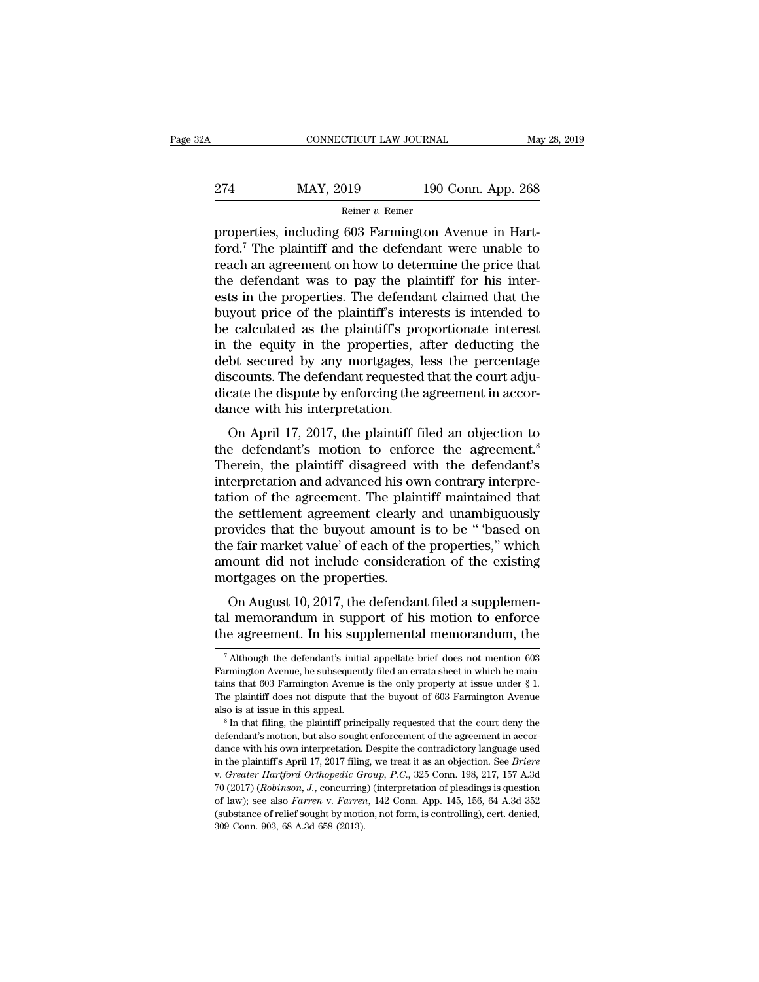| ?Α  | CONNECTICUT LAW JOURNAL |                    | May 28, 2019 |
|-----|-------------------------|--------------------|--------------|
| 274 | MAY, 2019               | 190 Conn. App. 268 |              |
|     | Reiner v. Reiner        |                    |              |

CONNECTICUT LAW JOURNAL<br>
274 MAY, 2019 190 Conn. App. 268<br>
Reiner v. Reiner<br>
properties, including 603 Farmington Avenue in Hart-<br>
ford.<sup>7</sup> The plaintiff and the defendant were unable to  $\frac{\text{MAX}}{\text{Rener } v. \text{ Reiner}}$  and the defendant were unable to reach an agreement on how to determine the price that the defendant was to pay the plaintiff for his inter-274 MAY, 2019 190 Conn. App. 268<br>
Reiner v. Reiner<br>
properties, including 603 Farmington Avenue in Hart-<br>
ford.<sup>7</sup> The plaintiff and the defendant were unable to<br>
reach an agreement on how to determine the price that<br>
the 274 MAY, 2019 190 Conn. App. 268<br>
Reiner v. Reiner<br>
properties, including 603 Farmington Avenue in Hart-<br>
ford.<sup>7</sup> The plaintiff and the defendant were unable to<br>
reach an agreement on how to determine the price that<br>
the Examples of the properties. The defendant were unable to reach an agreement on how to determine the price that the defendant was to pay the plaintiff for his interests in the properties. The defendant claimed that the buy Example 19 Example 10 Example 10 Example 10 Example 10 Example 10 Fernandorum and the defendant were unable to reach an agreement on how to determine the price that the defendant was to pay the plaintiff for his interests properties, including 603 Farmington Avenue in Hart-<br>ford.<sup>7</sup> The plaintiff and the defendant were unable to<br>reach an agreement on how to determine the price that<br>the defendant was to pay the plaintiff for his inter-<br>ests ford.<sup>7</sup> The plaintiff and the defendant were unable to<br>reach an agreement on how to determine the price that<br>the defendant was to pay the plaintiff for his inter-<br>ests in the properties. The defendant claimed that the<br>buy reach an agreement on how to determine the price that<br>the defendant was to pay the plaintiff for his inter-<br>ests in the properties. The defendant claimed that the<br>buyout price of the plaintiff's interests is intended to<br>be the defendant was to pay the plaintiff for his interests in the properties. The defendant claimed that the buyout price of the plaintiff's interests is intended to be calculated as the plaintiff's proportionate interest in ests in the properties. The defendant claimed that the buyout price of the plaintiff's interests is intended to be calculated as the plaintiff's proportionate interest in the equity in the properties, after deducting the d buyout price of the plaintiff's intervalue of the plaintiff's properties, and the equity in the properties, and debt secured by any mortgages, I discounts. The defendant requested dicate the dispute by enforcing the dance Fractuated as the plaintiff s proportionate interest<br>the equity in the properties, after deducting the<br>bot secured by any mortgages, less the percentage<br>scounts. The defendant requested that the court adju-<br>cate the dispu In the equity in the properties, and detacting the<br>debt secured by any mortgages, less the percentage<br>discounts. The defendant requested that the court adju-<br>dicate the dispute by enforcing the agreement in accor-<br>dance wi

discounts. The defendant requested that the court adjudicate the dispute by enforcing the agreement in accordance with his interpretation.<br>On April 17, 2017, the plaintiff filed an objection to the defendant's motion to en interpretation.<br>
Suite the dispute by enforcing the agreement in accordance with his interpretation.<br>
On April 17, 2017, the plaintiff filed an objection to<br>
the defendant's motion to enforce the agreement.<sup>8</sup><br>
Therein, th dance with his interpretation.<br>
On April 17, 2017, the plaintiff filed an objection to<br>
the defendant's motion to enforce the agreement.<sup>8</sup><br>
Therein, the plaintiff disagreed with the defendant's<br>
interpretation and advance On April 17, 2017, the plaintiff filed an objection to<br>the defendant's motion to enforce the agreement.<sup>8</sup><br>Therein, the plaintiff disagreed with the defendant's<br>interpretation and advanced his own contrary interpre-<br>tatio On April 17, 2017, the plaintiff filed an objection to<br>the defendant's motion to enforce the agreement.<sup>8</sup><br>Therein, the plaintiff disagreed with the defendant's<br>interpretation and advanced his own contrary interpre-<br>tation the defendant's motion to enforce the agreement.<sup>8</sup><br>Therein, the plaintiff disagreed with the defendant's<br>interpretation and advanced his own contrary interpre-<br>tation of the agreement. The plaintiff maintained that<br>the se Therein, the plaintiff disagreed with the defendant's<br>interpretation and advanced his own contrary interpre-<br>tation of the agreement. The plaintiff maintained that<br>the settlement agreement clearly and unambiguously<br>provide interpretation and advanced his overtation of the agreement. The plain<br>the settlement agreement clearly<br>provides that the buyout amount<br>the fair market value' of each of th<br>amount did not include considera<br>mortgages on the For the agreement. The plantificant maintained that<br>are settlement agreement clearly and unambiguously<br>ovides that the buyout amount is to be "based on<br>e fair market value" of each of the properties," which<br>nount did not i the settement agreement clearly and diamonguodsly<br>provides that the buyout amount is to be "based on<br>the fair market value' of each of the properties," which<br>amount did not include consideration of the existing<br>mortgages o provides that the buyout amount is to be based on<br>the fair market value' of each of the properties," which<br>amount did not include consideration of the existing<br>mortgages on the properties.<br>On August 10, 2017, the defendant

On August 10, 2017, the defendant filed a supplemen-<br>al memorandum in support of his motion to enforce<br>ie agreement. In his supplemental memorandum, the<br> $\frac{7}{1}$  Although the defendant's initial appellate brief does not On August 10, 2017, the defendant filed a supplemental memorandum in support of his motion to enforce the agreement. In his supplemental memorandum, the  $\frac{7}{4}$  Although the defendant's initial appellate brief does not

tal memorandum in support of his motion to enforce the agreement. In his supplemental memorandum, the  $\frac{1}{4}$  Although the defendant's initial appellate brief does not mention 603 Farmington Avenue, he subsequently file The agreement. In his supplemental memorandum, the<br>
Talthough the defendant's initial appellate brief does not mention 603<br>
Farmington Avenue, he subsequently filed an errata sheet in which he main-<br>
tains that 603 Farmin The also is at issue in this supplemental internotation, the<br>Talthough the defendant's initial appellate brief does not mention 603<br>Farmington Avenue, he subsequently filed an errata sheet in which he main-<br>tains that 603  $^7$  Although the defendant's initial appellate brief does not mention 603 Farmington Avenue, he subsequently filed an errata sheet in which he maintains that 603 Farmington Avenue is the only property at issue under  $\S$ 

tains that 603 Farmington Avenue is the only property at issue under § 1.<br>The plaintiff does not dispute that the buyout of 603 Farmington Avenue<br>also is at issue in this appeal.<br><sup>8</sup> In that filing, the plaintiff principa The plaintiff does not dispute that the buyout of 603 Farmington Avenue<br>also is at issue in this appeal.<br><sup>8</sup> In that filing, the plaintiff principally requested that the court deny the<br>defendant's motion, but also sought e <sup>8</sup> In that filing, the plaintiff principally requested that the court deny the defendant's motion, but also sought enforcement of the agreement in accordance with his own interpretation. Despite the contradictory language defendant's motion, but also sought enforcement of the agreement in accordance with his own interpretation. Despite the contradictory language used in the plaintiff's April 17, 2017 filing, we treat it as an objection. See dance with his own interpretation. Despite the contradictory language used in the plaintiff's April 17, 2017 filing, we treat it as an objection. See *Briere* v. *Greater Hartford Orthopedic Group*, *P.C.*, 325 Conn. 198, in the plaintiff's April 17, 2017 filing, we treat it as an objection. See Briere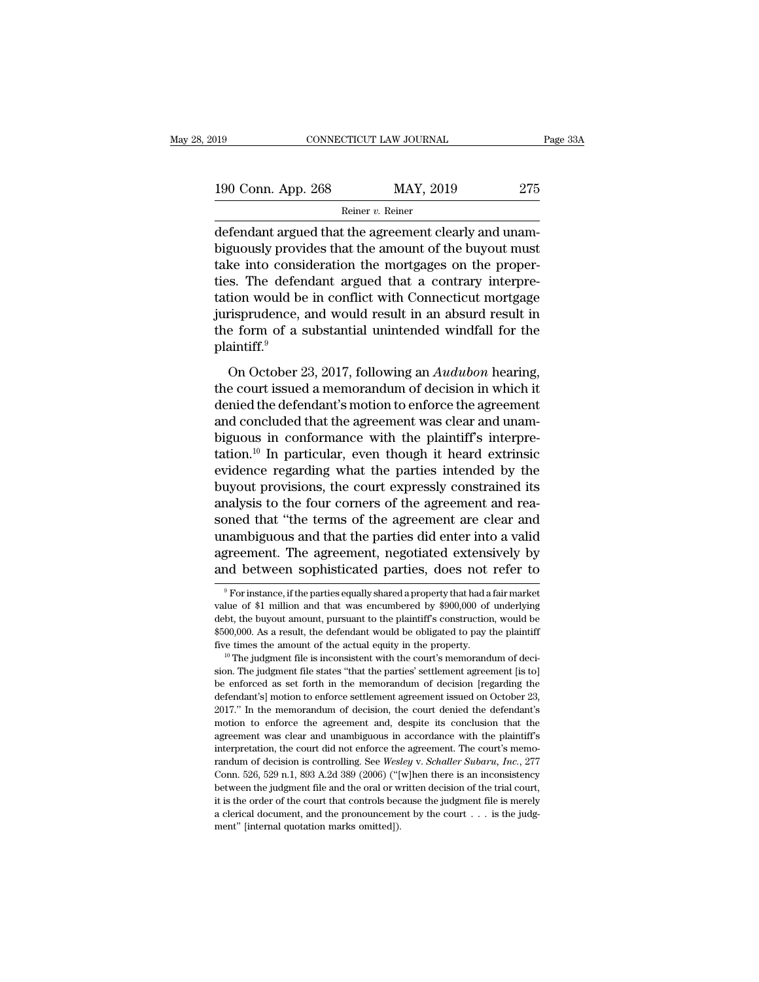| 019                | CONNECTICUT LAW JOURNAL |           | Page 33A |  |
|--------------------|-------------------------|-----------|----------|--|
| 190 Conn. App. 268 |                         | MAY, 2019 | 275      |  |
|                    | Reiner v. Reiner        |           |          |  |

CONNECTICUT LAW JOURNAL<br>
190 Conn. App. 268 MAY, 2019 275<br>
Reiner v. Reiner<br>
defendant argued that the agreement clearly and unam-<br>
biguously provides that the amount of the buyout must<br>
take into consideration the mertage 190 Conn. App. 268 MAY, 2019 275<br>
Reiner v. Reiner<br>
defendant argued that the agreement clearly and unam-<br>
biguously provides that the amount of the buyout must<br>
take into consideration the mortgages on the proper-<br>
ties. 190 Conn. App. 268 MAY, 2019 275<br>
Reiner v. Reiner<br>
defendant argued that the agreement clearly and unam-<br>
biguously provides that the amount of the buyout must<br>
take into consideration the mortgages on the proper-<br>
tis. 190 Conn. App. 268 MAY, 2019 275<br>
Reiner v. Reiner<br>
defendant argued that the agreement clearly and unam-<br>
biguously provides that the amount of the buyout must<br>
take into consideration the mortgages on the proper-<br>
ties. Reiner v. Reiner<br>
defendant argued that the agreement clearly and unam-<br>
biguously provides that the amount of the buyout must<br>
take into consideration the mortgages on the proper-<br>
ties. The defendant argued that a contr mental argued that the agreement clearly and unam-<br>biguously provides that the amount of the buyout must<br>take into consideration the mortgages on the proper-<br>ties. The defendant argued that a contrary interpre-<br>tation wou defendant argued that the agreement clearly and unam-<br>biguously provides that the amount of the buyout must<br>take into consideration the mortgages on the proper-<br>ties. The defendant argued that a contrary interpre-<br>tation w plaintiff.<sup>9</sup> In the defendant argued that a contrary interpre-<br>
S. The defendant argued that a contrary interpre-<br>
tion would be in conflict with Connecticut mortgage<br>
risprudence, and would result in an absurd result in<br>
e form of a s tation would be in conflict with Connecticut mortgage<br>jurisprudence, and would result in an absurd result in<br>the form of a substantial unintended windfall for the<br>plaintiff.<sup>9</sup><br>On October 23, 2017, following an *Audubon* h

denied to entroid the definition that is stated in an absurd result in<br>the form of a substantial unintended windfall for the<br>plaintiff.<sup>9</sup><br>On October 23, 2017, following an *Audubon* hearing,<br>the court issued a memorandum the form of a substantial unintended windfall for the plaintiff.<sup>9</sup><br>On October 23, 2017, following an *Audubon* hearing,<br>the court issued a memorandum of decision in which it<br>denied the defendant's motion to enforce the a but in the conformal matter with the plaintiff.<sup>9</sup><br>On October 23, 2017, following an *Audubon* hearing,<br>the court issued a memorandum of decision in which it<br>denied the defendant's motion to enforce the agreement<br>and conc On October 23, 2017, following an *Audubon* hearing,<br>the court issued a memorandum of decision in which it<br>denied the defendant's motion to enforce the agreement<br>and concluded that the agreement was clear and unam-<br>biguou On October 23, 2017, following an *Audubon* hearing,<br>the court issued a memorandum of decision in which it<br>denied the defendant's motion to enforce the agreement<br>and concluded that the agreement was clear and unam-<br>biguou the court issued a memorandum of decision in which it<br>denied the defendant's motion to enforce the agreement<br>and concluded that the agreement was clear and unam-<br>biguous in conformance with the plaintiff's interpre-<br>tation denied the defendant's motion to enforce the agreement<br>and concluded that the agreement was clear and unam-<br>biguous in conformance with the plaintiff's interpre-<br>tation.<sup>10</sup> In particular, even though it heard extrinsic<br>ev and concluded that the agreement was clear and unam-<br>biguous in conformance with the plaintiff's interpre-<br>tation.<sup>10</sup> In particular, even though it heard extrinsic<br>evidence regarding what the parties intended by the<br>buyou biguous in conformance with the plaintiff's interpre-<br>tation.<sup>10</sup> In particular, even though it heard extrinsic<br>evidence regarding what the parties intended by the<br>buyout provisions, the court expressly constrained its<br>ana tation.<sup>10</sup> In particular, even though it heard extrinsic evidence regarding what the parties intended by the buyout provisions, the court expressly constrained its analysis to the four corners of the agreement and reasone evidence regarding what the parties intended by the<br>buyout provisions, the court expressly constrained its<br>analysis to the four corners of the agreement and rea-<br>soned that "the terms of the agreement are clear and<br>unambig oned that "the terms of the agreement are clear and<br>nambiguous and that the parties did enter into a valid<br>greement. The agreement, negotiated extensively by<br>nd between sophisticated parties, does not refer to<br> $\frac{9}{9}$  Fo unambiguous and that the parties did enter into a valid<br>agreement. The agreement, negotiated extensively by<br>and between sophisticated parties, does not refer to<br><sup>9</sup> For instance, if the parties equally shared a property th

agreement. The agreement, negotiated extensively by<br>and between sophisticated parties, does not refer to<br><sup>9</sup>For instance, if the parties equally shared a property that had a fair market<br>value of \$1 million and that was enc and between sophisticated parties, does not refer to<br>  $\overline{ }$   $\overline{ }$   $\overline{ }$   $\overline{ }$   $\overline{ }$  for instance, if the parties equally shared a property that had a fair market<br>
value of \$1 million and that was encumbered by \$ For instance, if the parties equally shared a property that had a fair market<br>value of \$1 million and that was encumbered by \$900,000 of underlying<br>debt, the buyout amount, pursuant to the plaintiff's construction, would value of \$1 million and that was encumbered by \$900,000 of underlying<br>debt, the buyout amount, pursuant to the plaintiff's construction, would be<br>\$500,000. As a result, the defendant would be obligated to pay the plaintif

be enforced as set forth in the memorandum of decision [regarding the defendant's] model as a result, the defendant would be obligated to pay the plaintiff five times the amount of the actual equity in the property.<br><sup>10</sup> T  $4500,000$ . As a result, the defendant would be obligated to pay the plaintiff five times the amount of the actual equity in the property.<br><sup>10</sup> The judgment file is inconsistent with the court's memorandum of decision. Th Five times the amount of the actual equity in the property.<br><sup>10</sup> The judgment file is inconsistent with the court's memorandum of decision. The judgment file states "that the parties" settlement agreement [is to]<br>be enfor <sup>10</sup> The judgment file is inconsistent with the court's menorandum of decision. The judgment file states "that the parties' settlement agreement [is to] be enforced as set forth in the memorandum of decision [regarding the sion. The judgment file states "that the parties" settlement agreement [is to] be enforced as set forth in the memorandum of decision [regarding the defendant's] motion to enforce settlement agreement issued on October 23 be enforced as set forth in the memorandum of decision [regarding the defendant's] motion to enforce settlement agreement issued on October 23, 2017." In the memorandum of decision, the court denied the defendant's motion defendant's] motion to enforce settlement agreement issued on October 23, 2017." In the memorandum of decision, the court denied the defendant's motion to enforce the agreement and, despite its conclusion that the agreemen 2017." In the memorandum of decision, the court denied the defendant's motion to enforce the agreement and, despite its conclusion that the agreement was clear and unambiguous in accordance with the plaintiff's interpretat motion to enforce the agreement and, despite its conclusion that the agreement was clear and unambiguous in accordance with the plaintiff's interpretation, the court did not enforce the agreement. The court's memorandum o in<br>agreement was clear and unambiguous in accordance with the plaintiff's<br>interpretation, the court did not enforce the agreement. The court's memo-<br>randum of decision is controlling. See *Wesley v. Schaller Subaru*, *Inc* interpretation, the court did not enforce the agreement. The court's memorandum of decision is controlling. See *Wesley v. Schaller Subaru*, *Inc.*, 277 Conn. 526, 529 n.1, 893 A.2d 389 (2006) ("[w]hen there is an inconsi randum of decision is controlling. See Wesley v. Schaller Subaru, Inc., 277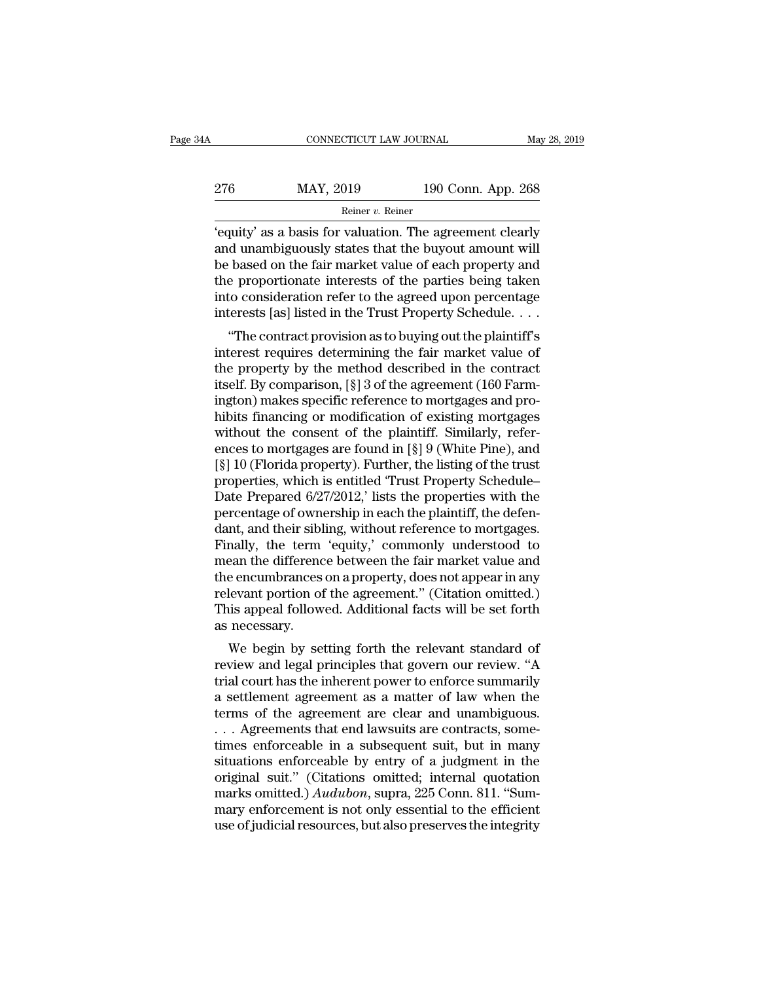| 4A  | CONNECTICUT LAW JOURNAL |                    | May 28, 2019 |
|-----|-------------------------|--------------------|--------------|
| 276 | MAY, 2019               | 190 Conn. App. 268 |              |
|     | Reiner v. Reiner        |                    |              |

CONNECTICUT LAW JOURNAL May 28, 2019<br>
276 MAY, 2019 190 Conn. App. 268<br>
Reiner v. Reiner<br>
'equity' as a basis for valuation. The agreement clearly<br>
and unambiguously states that the buyout amount will<br>
he based on the fair 276 MAY, 2019 190 Conn. App. 268<br>
Reiner v. Reiner<br>
'equity' as a basis for valuation. The agreement clearly<br>
and unambiguously states that the buyout amount will<br>
be based on the fair market value of each property and<br>
t  $\begin{array}{r} \text{MAY, 2019} \\ \text{Reiner } v. \text{ Reiner} \\ \text{Feiner} \\ \text{Fequity' as a basis for valuation. The agreement clearly and unambiguously states that the buoyout amount will be based on the fair market value of each property and the proportionate interests of the parties being taken into consideration refer to the agreed upon percentage.} \end{array}$ 276 MAY, 2019 190 Conn. App. 268<br>
Reiner v. Reiner<br>
'equity' as a basis for valuation. The agreement clearly<br>
and unambiguously states that the buyout amount will<br>
be based on the fair market value of each property and<br>
t Finally 2002 Columbright 2002<br>
Reiner v. Reiner<br>
'equity' as a basis for valuation. The agreement clearly<br>
and unambiguously states that the buyout amount will<br>
be based on the fair market value of each property and<br>
the From the sense of the agreement clearly<br>
interests a basis for valuation. The agreement clearly<br>
and unambiguously states that the buyout amount will<br>
be based on the fair market value of each property and<br>
the proportion d unambiguously states that the buyout amount will<br>
based on the fair market value of each property and<br>
e proportionate interests of the parties being taken<br>
to consideration refer to the agreed upon percentage<br>
terests [ and dilaminguously states that the buyout amount wind<br>be based on the fair market value of each property and<br>the proportionate interests of the parties being taken<br>into consideration refer to the agreed upon percentage<br>int

be based on the fair market value of each property and<br>the proportionate interests of the parties being taken<br>into consideration refer to the agreed upon percentage<br>interests [as] listed in the Trust Property Schedule....<br> into consideration refer to the agreed upon percentage<br>interests [as] listed in the Trust Property Schedule. . . .<br>"The contract provision as to buying out the plaintiff's<br>interest requires determining the fair market valu into consideration refer to the agreed upon percentage<br>interests [as] listed in the Trust Property Schedule....<br>"The contract provision as to buying out the plaintiff's<br>interest requires determining the fair market value merests [as] isted in the Trust I roperty schedule....<br>
"The contract provision as to buying out the plaintiff's<br>
interest requires determining the fair market value of<br>
the property by the method described in the contrac "The contract provision as to buying out the plaintiff's<br>interest requires determining the fair market value of<br>the property by the method described in the contract<br>itself. By comparison, [§] 3 of the agreement (160 Farminterest requires determining the fair market value of<br>the property by the method described in the contract<br>itself. By comparison, [§] 3 of the agreement (160 Farm-<br>ington) makes specific reference to mortgages and pro-<br>hi the property by the method described in the contract<br>itself. By comparison, [§] 3 of the agreement (160 Farm-<br>ington) makes specific reference to mortgages and pro-<br>hibits financing or modification of existing mortgages<br>w itself. By comparison, [§] 3 of the agreement (160 Farmington) makes specific reference to mortgages and prohibits financing or modification of existing mortgages without the consent of the plaintiff. Similarly, references ington) makes specific reference to mortgages and prohibits financing or modification of existing mortgages<br>without the consent of the plaintiff. Similarly, references to mortgages are found in [§] 9 (White Pine), and<br>[§] hibits financing or modification of existing mortgages<br>without the consent of the plaintiff. Similarly, refer-<br>ences to mortgages are found in  $[\S]$  9 (White Pine), and<br> $[\S]$  10 (Florida property). Further, the listing of without the consent of the plaintiff. Similarly, references to mortgages are found in [§] 9 (White Pine), and [§] 10 (Florida property). Further, the listing of the trust properties, which is entitled 'Trust Property Sched ences to mortgages are found in [§] 9 (White Pine), and<br>[§] 10 (Florida property). Further, the listing of the trust<br>properties, which is entitled 'Trust Property Schedule–<br>Date Prepared 6/27/2012,' lists the properties wi [§] 10 (Florida property). Further, the listing of the trust<br>properties, which is entitled 'Trust Property Schedule–<br>Date Prepared 6/27/2012,' lists the properties with the<br>percentage of ownership in each the plaintiff, th properties, which is entitled 'Trust Property Schedule–<br>Date Prepared 6/27/2012,' lists the properties with the<br>percentage of ownership in each the plaintiff, the defen-<br>dant, and their sibling, without reference to mortga Date Prepared 6/27/2012,' lists the properties with the percentage of ownership in each the plaintiff, the defendant, and their sibling, without reference to mortgages.<br>Finally, the term 'equity,' commonly understood to me percentage of ownership in each the plaintiff, the defen-<br>dant, and their sibling, without reference to mortgages.<br>Finally, the term 'equity,' commonly understood to<br>mean the difference between the fair market value and<br>th dant, and their sibles<br>Finally, the term<br>mean the difference<br>the encumbrances<br>relevant portion of<br>This appeal follow<br>as necessary.<br>We begin by se Many, the term equity, commonly understood to<br>ean the difference between the fair market value and<br>e encumbrances on a property, does not appear in any<br>levant portion of the agreement." (Citation omitted.)<br>is appeal follow realt the unterente between the fait market value and<br>the encumbrances on a property, does not appear in any<br>relevant portion of the agreement." (Citation omitted.)<br>This appeal followed. Additional facts will be set forth<br>

the encumbrances on a property, toes not appear in any<br>relevant portion of the agreement." (Citation omitted.)<br>This appeal followed. Additional facts will be set forth<br>as necessary.<br>We begin by setting forth the relevant s relevant portion of the agreement. (Chation of officially This appeal followed. Additional facts will be set forth as necessary.<br>
We begin by setting forth the relevant standard of<br>
review and legal principles that govern This appear followed. Additional facts will be set forth<br>as necessary.<br>We begin by setting forth the relevant standard of<br>review and legal principles that govern our review. "A<br>trial court has the inherent power to enforce We begin by setting forth the relevant standard of<br>review and legal principles that govern our review. "A<br>trial court has the inherent power to enforce summarily<br>a settlement agreement as a matter of law when the<br>terms of We begin by setting forth the relevant standard of<br>review and legal principles that govern our review. "A<br>trial court has the inherent power to enforce summarily<br>a settlement agreement as a matter of law when the<br>terms of review and legal principles that govern our review. "A<br>trial court has the inherent power to enforce summarily<br>a settlement agreement as a matter of law when the<br>terms of the agreement are clear and unambiguous.<br>... Agree trial court has the inherent power to enforce summarily<br>a settlement agreement as a matter of law when the<br>terms of the agreement are clear and unambiguous.<br>... Agreements that end lawsuits are contracts, some-<br>times enfo a settlement agreement as a matter of law when the<br>terms of the agreement are clear and unambiguous.<br>
... Agreements that end lawsuits are contracts, some-<br>
times enforceable in a subsequent suit, but in many<br>
situations e terms of the agreement are clear and unambiguous.<br>
... Agreements that end lawsuits are contracts, some-<br>
times enforceable in a subsequent suit, but in many<br>
situations enforceable by entry of a judgment in the<br>
original ... Agreements that end lawsuits are contracts, sometimes enforceable in a subsequent suit, but in many situations enforceable by entry of a judgment in the original suit." (Citations omitted; internal quotation marks omi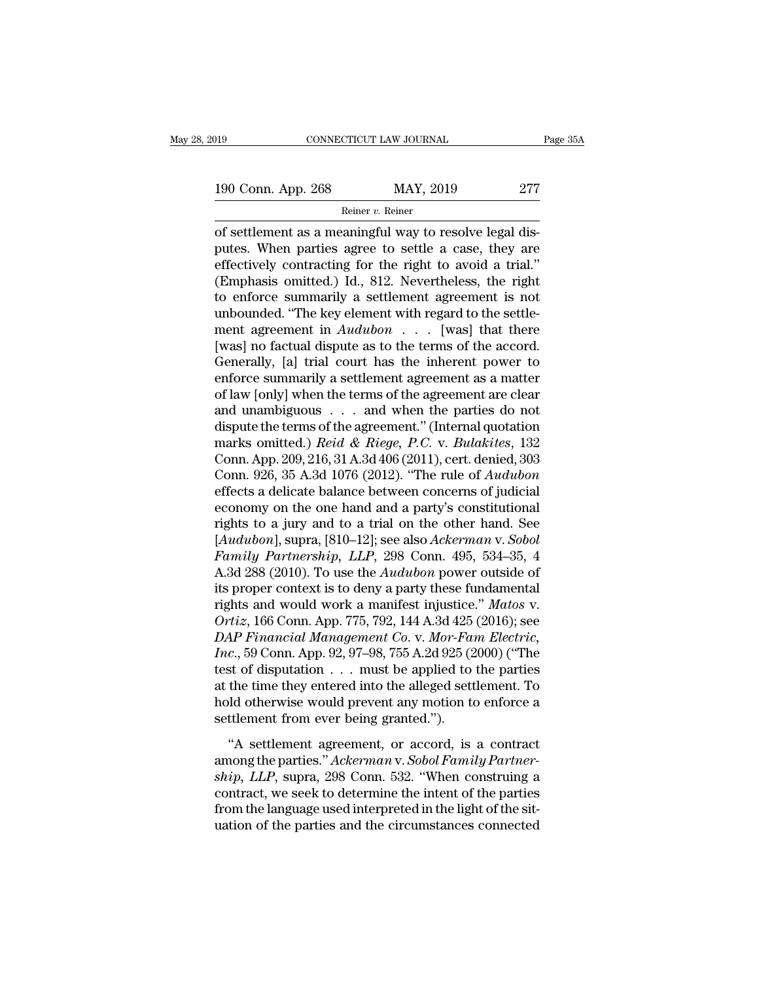Reiner v. Reiner

CONNECTICUT LAW JOURNAL<br>
190 Conn. App. 268 MAY, 2019 277<br>
Reiner v. Reiner<br>
of settlement as a meaningful way to resolve legal dis-<br>
putes. When parties agree to settle a case, they are<br>
offectively contracting for the ri 190 Conn. App. 268 MAY, 2019 277<br>
Reiner v. Reiner<br>
of settlement as a meaningful way to resolve legal dis-<br>
putes. When parties agree to settle a case, they are<br>
effectively contracting for the right to avoid a trial."<br> 190 Conn. App. 268 MAY, 2019 277<br>
Reiner v. Reiner<br>
of settlement as a meaningful way to resolve legal dis-<br>
putes. When parties agree to settle a case, they are<br>
effectively contracting for the right to avoid a trial.''<br> 190 Conn. App. 268 MAY, 2019 277<br>
Reiner v. Reiner<br>
of settlement as a meaningful way to resolve legal dis-<br>
putes. When parties agree to settle a case, they are<br>
effectively contracting for the right to avoid a trial."<br> Reiner v. Reiner<br>
of settlement as a meaningful way to resolve legal dis-<br>
putes. When parties agree to settle a case, they are<br>
effectively contracting for the right to avoid a trial."<br>
(Emphasis omitted.) Id., 812. Neve meaningful way to resolve legal dis-<br>putes. When parties agree to settle a case, they are<br>effectively contracting for the right to avoid a trial."<br>(Emphasis omitted.) Id., 812. Nevertheless, the right<br>to enforce summarily of settlement as a meaningful way to resolve legal dis-<br>putes. When parties agree to settle a case, they are<br>effectively contracting for the right to avoid a trial."<br>(Emphasis omitted.) Id., 812. Nevertheless, the right<br>to putes. When parties agree to settle a case, they are effectively contracting for the right to avoid a trial."<br>(Emphasis omitted.) Id., 812. Nevertheless, the right to enforce summarily a settlement agreement is not unboun effectively contracting for the right to avoid a trial."<br>(Emphasis omitted.) Id., 812. Nevertheless, the right<br>to enforce summarily a settlement agreement is not<br>unbounded. "The key element with regard to the settle-<br>ment (Emphasis omitted.) Id., 812. Nevertheless, the right<br>to enforce summarily a settlement agreement is not<br>unbounded. "The key element with regard to the settle-<br>ment agreement in  $Audubon$ ... [was] that there<br>[was] no factual to enforce summarily a settlement agreement is not<br>unbounded. "The key element with regard to the settle-<br>ment agreement in  $Audubon$  . . . [was] that there<br>[was] no factual dispute as to the terms of the accord.<br>Generally, unbounded. "The key element with regard to the settlement agreement in  $Audubon$  . . . [was] that there [was] no factual dispute as to the terms of the accord.<br>Generally, [a] trial court has the inherent power to enforce sum ment agreement in *Audubon* . . . [was] that there<br>[was] no factual dispute as to the terms of the accord.<br>Generally, [a] trial court has the inherent power to<br>enforce summarily a settlement agreement as a matter<br>of law [ [was] no factual dispute as to the terms of the accord.<br>Generally, [a] trial court has the inherent power to<br>enforce summarily a settlement agreement as a matter<br>of law [only] when the terms of the agreement are clear<br>and Generally, [a] trial court has the inherent power to<br>enforce summarily a settlement agreement as a matter<br>of law [only] when the terms of the agreement are clear<br>and unambiguous  $\ldots$  and when the parties do not<br>dispute t enforce summarily a settlement agreement as a matter<br>of law [only] when the terms of the agreement are clear<br>and unambiguous . . . . and when the parties do not<br>dispute the terms of the agreement." (Internal quotation<br>mark of law [only] when the terms of the agreement are clear<br>and unambiguous  $\ldots$  and when the parties do not<br>dispute the terms of the agreement." (Internal quotation<br>marks omitted.) *Reid & Riege*, *P.C.* v. *Bulakites*, 132 and unambiguous  $\ldots$  and when the parties do not<br>dispute the terms of the agreement." (Internal quotation<br>marks omitted.) *Reid & Riege*, *P.C.* v. *Bulakites*, 132<br>Conn. App. 209, 216, 31 A.3d 406 (2011), cert. denied, dispute the terms of the agreement." (Internal quotation<br>marks omitted.) *Reid & Riege*, *P.C.* v. *Bulakites*, 132<br>Conn. App. 209, 216, 31 A.3d 406 (2011), cert. denied, 303<br>Conn. 926, 35 A.3d 1076 (2012). "The rule of marks omitted.) *Reid & Riege, P.C. v. Bulakites*, 132<br>Conn. App. 209, 216, 31 A.3d 406 (2011), cert. denied, 303<br>Conn. 926, 35 A.3d 1076 (2012). "The rule of *Audubon*<br>effects a delicate balance between concerns of judici Conn. App. 209, 216, 31 A.3d 406 (2011), cert. denied, 303<br>
Conn. 926, 35 A.3d 1076 (2012). "The rule of *Audubon*<br>
effects a delicate balance between concerns of judicial<br>
economy on the one hand and a party's constitutio Conn. 926, 35 A.3d 1076 (2012). "The rule of *Audubon*<br>effects a delicate balance between concerns of judicial<br>economy on the one hand and a party's constitutional<br>rights to a jury and to a trial on the other hand. See<br>[*A* effects a delicate balance between concerns of judicial<br>economy on the one hand and a party's constitutional<br>rights to a jury and to a trial on the other hand. See<br>[*Audubon*], supra, [810–12]; see also *Ackerman v. Sobol* economy on the one hand and a party's constitutional<br>rights to a jury and to a trial on the other hand. See<br>[*Audubon*], supra, [810–12]; see also *Ackerman v. Sobol*<br>Family Partnership, LLP, 298 Conn. 495, 534–35, 4<br>A.3d rights to a jury and to a trial on the other hand. See<br>[*Audubon*], supra, [810–12]; see also *Ackerman v. Sobol*<br>*Family Partnership, LLP*, 298 Conn. 495, 534–35, 4<br>A.3d 288 (2010). To use the *Audubon* power outside of<br>i [*Audubon*], supra, [810–12]; see also *Ackerman v. Sobol*<br>*Family Partnership*, *LLP*, 298 Conn. 495, 534–35, 4<br>A.3d 288 (2010). To use the *Audubon* power outside of<br>its proper context is to deny a party these fundamenta *Family Partnership, LLP*, 298 Conn. 495, 534–35, 4<br>A.3d 288 (2010). To use the *Audubon* power outside of<br>its proper context is to deny a party these fundamental<br>rights and would work a manifest injustice." *Matos v.*<br>*Or* A.3d 288 (2010). To use the *Audubon* power outside of<br>its proper context is to deny a party these fundamental<br>rights and would work a manifest injustice." *Matos v.*<br>Ortiz, 166 Conn. App. 775, 792, 144 A.3d 425 (2016); se its proper context is to deny a party these fundamental<br>rights and would work a manifest injustice." Matos v.<br> $Ortiz$ , 166 Conn. App. 775, 792, 144 A.3d 425 (2016); see<br> $DAP~Financial Management Co. v. Mor-Fam~Electric,$ <br> $Inc., 59$  Conn. App. 92, 97–98, 755 A. rights and would work a manifest injustice." Matos v.<br>
Ortiz, 166 Conn. App. 775, 792, 144 A.3d 425 (2016); see<br>
DAP Financial Management Co. v. Mor-Fam Electric,<br>
Inc., 59 Conn. App. 92, 97–98, 755 A.2d 925 (2000) ("The<br> Ortiz, 166 Conn. App. 775, 792, 144 A.3d 425<br>DAP Financial Management Co. v. Mor-Fan<br>Inc., 59 Conn. App. 92, 97–98, 755 A.2d 925 (2<br>test of disputation . . . must be applied to<br>at the time they entered into the alleged set  $\alpha$ , 59 Conn. App. 92, 97–98, 755 A.2d 925 (2000) ("The<br>st of disputation  $\dots$  must be applied to the parties<br>the time they entered into the alleged settlement. To<br>ld otherwise would prevent any motion to enforce a<br>ttlem among the parties.<sup>1</sup> *Ackerman* v. *Sobol Family Partner-*<br>test of disputation . . . must be applied to the parties<br>at the time they entered into the alleged settlement. To<br>hold otherwise would prevent any motion to enfor

*ship diality is* a simple of displacement and the time they entered into the alleged settlement. To hold otherwise would prevent any motion to enforce a settlement from ever being granted.").<br>"A settlement agreement, or a and the three they entered into the the graphs bettermine to hold otherwise would prevent any motion to enforce a<br>settlement from ever being granted.").<br>"A settlement agreement, or accord, is a contract<br>among the parties." from the language used interpreted in the statement of the settlement from ever being granted.").<br>"A settlement agreement, or accord, is a contract among the parties." Ackerman v. Sobol Family Partner-<br>ship, LLP, supra, 29 "A settlement agreement, or accord, is a contract<br>among the parties." Ackerman v. Sobol Family Partner-<br>ship, LLP, supra, 298 Conn. 532. "When construing a<br>contract, we seek to determine the intent of the parties<br>from the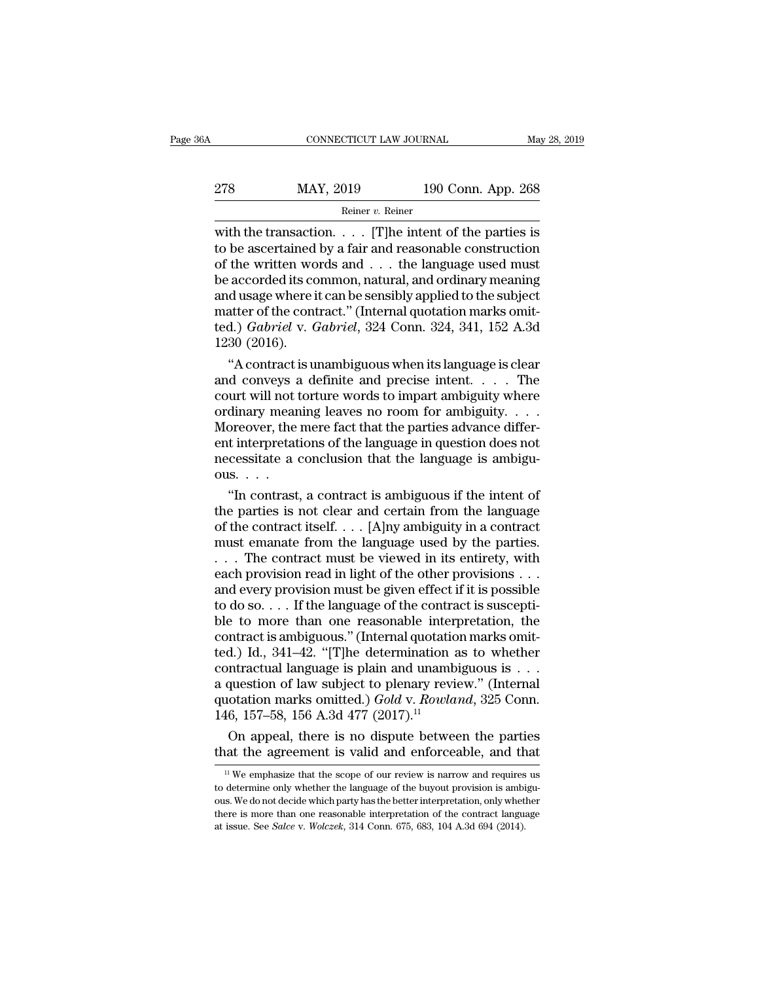## EXECUTE CONNECTICUT LAW JOURNAL May 28, 2019<br>278 MAY, 2019 190 Conn. App. 268<br>Reiner v. Reiner Reiner v. Reiner

CONNECTICUT LAW JOURNAL May 28, 2019<br>
278 MAY, 2019 190 Conn. App. 268<br>
Reiner v. Reiner<br>
with the transaction. . . . . [T]he intent of the parties is<br>
to be ascertained by a fair and reasonable construction<br>
of the writt 278 MAY, 2019 190 Conn. App. 268<br>
Reiner v. Reiner<br>
with the transaction. . . . . [T] he intent of the parties is<br>
to be ascertained by a fair and reasonable construction<br>
of the written words and . . . the language used 278 MAY, 2019 190 Conn. App. 268<br>
Reiner v. Reiner<br>
with the transaction. . . . . [T]he intent of the parties is<br>
to be ascertained by a fair and reasonable construction<br>
of the written words and . . . the language used m 278 MAY, 2019 190 Conn. App. 268<br>
Reiner v. Reiner<br>
with the transaction. . . . . [T]he intent of the parties is<br>
to be ascertained by a fair and reasonable construction<br>
of the written words and . . . the language used m Reiner v. Reiner<br>
With the transaction. . . . . [T]he intent of the parties is<br>
to be ascertained by a fair and reasonable construction<br>
of the written words and . . . the language used must<br>
be accorded its common, natur Reiner v. Reiner<br>with the transaction. . . . . [T]he intent of the parties is<br>to be ascertained by a fair and reasonable construction<br>of the written words and . . . the language used must<br>be accorded its common, natural, with the transaction. . . . . [T]he intent of the parties is<br>to be ascertained by a fair and reasonable construction<br>of the written words and . . . the language used must<br>be accorded its common, natural, and ordinary meani to be ascertained<br>of the written wo<br>be accorded its cc<br>and usage where i<br>matter of the cont<br>ted.) *Gabriel* v. *C*<br>1230 (2016).<br>"A contract is u the written words and . . . the language used must<br>accorded its common, natural, and ordinary meaning<br>d usage where it can be sensibly applied to the subject<br>atter of the contract." (Internal quotation marks omit-<br>d.) *Ga* be accorded its common, natural, and ordinary meaning<br>and usage where it can be sensibly applied to the subject<br>matter of the contract." (Internal quotation marks omit-<br>ted.) *Gabriel* v. *Gabriel*, 324 Conn. 324, 341, 15

and usage where it can be sensibly applied to the subject<br>matter of the contract." (Internal quotation marks omit-<br>ted.) *Gabriel* v. *Gabriel*, 324 Conn. 324, 341, 152 A.3d<br>1230 (2016).<br>"A contract is unambiguous when it matter of the contract." (Internal quotation marks omit-<br>ted.)  $Gabriel$  v.  $Gabriel$ , 324 Conn. 324, 341, 152 A.3d<br>1230 (2016).<br>"A contract is unambiguous when its language is clear<br>and conveys a definite and precise intent.... Th ted.) *Gabriel* v. *Gabriel*, 324 Conn. 324, 341, 152 A.3d<br>1230 (2016).<br>"A contract is unambiguous when its language is clear<br>and conveys a definite and precise intent.... The<br>court will not torture words to impart ambigu 1230 (2016).<br>
"A contract is unambiguous when its language is clear<br>
and conveys a definite and precise intent. . . . . The<br>
court will not torture words to impart ambiguity where<br>
ordinary meaning leaves no room for ambi "A contract is unambiguous when its language is clear<br>and conveys a definite and precise intent. . . . . The<br>court will not torture words to impart ambiguity where<br>ordinary meaning leaves no room for ambiguity. . . .<br>More and conveys a<br>court will not t<br>ordinary mear<br>Moreover, the<br>ent interpretat<br>necessitate a<br>ous.<br>"In contrast urt will not torture words to impart ambiguity where<br>
dinary meaning leaves no room for ambiguity. . . .<br>
oreover, the mere fact that the parties advance differ-<br>
tinterpretations of the language in question does not<br>
ces ordinary meaning leaves no room for ambiguity. . . . .<br>Moreover, the mere fact that the parties advance different interpretations of the language in question does not<br>necessitate a conclusion that the language is ambiguou

Moreover, the mere fact that the parties advance different interpretations of the language in question does not necessitate a conclusion that the language is ambiguous. . . .<br>"In contrast, a contract is ambiguous if the i ent interpretations of the language in question does not<br>necessitate a conclusion that the language is ambiguous.<br>...<br>"In contrast, a contract is ambiguous if the intent of<br>the parties is not clear and certain from the lan necessitate a conclusion that the language is ambiguous. . . .<br>
"In contrast, a contract is ambiguous if the intent of<br>
the parties is not clear and certain from the language<br>
of the contract itself. . . . [A]ny ambiguity ous. . . .<br>
"In contrast, a contract is ambiguous if the intent of<br>
the parties is not clear and certain from the language<br>
of the contract itself. . . . [A]ny ambiguity in a contract<br>
must emanate from the language used "In contrast, a contract is ambiguous if the intent of<br>the parties is not clear and certain from the language<br>of the contract itself. . . . [A]ny ambiguity in a contract<br>must emanate from the language used by the parties. the parties is not clear and certain from the language<br>of the contract itself. . . . [A]ny ambiguity in a contract<br>must emanate from the language used by the parties.<br>. . . The contract must be viewed in its entirety, wit of the contract itself. . . . [A]ny ambiguity in a contract<br>must emanate from the language used by the parties.<br>. . . The contract must be viewed in its entirety, with<br>each provision read in light of the other provisions must emanate from the language used by the parties.<br>  $\ldots$  The contract must be viewed in its entirety, with<br>
each provision read in light of the other provisions  $\ldots$ <br>
and every provision must be given effect if it is p ... The contract must be viewed in its entirety, with<br>each provision read in light of the other provisions ...<br>and every provision must be given effect if it is possible<br>to do so.... If the language of the contract is sus each provision read in light of the other provisions . . .<br>and every provision must be given effect if it is possible<br>to do so. . . . If the language of the contract is suscepti-<br>ble to more than one reasonable interpreta and every provision must be given effect if it is possible<br>to do so.... If the language of the contract is suscepti-<br>ble to more than one reasonable interpretation, the<br>contract is ambiguous." (Internal quotation marks om to do so.... If the language of the contract is suscepti-<br>ble to more than one reasonable interpretation, the<br>contract is ambiguous." (Internal quotation marks omit-<br>ted.) Id., 341–42. "[T]he determination as to whether<br>c ble to more than one reasonable interpeontract is ambiguous." (Internal quotatio ted.) Id., 341–42. "[T]he determination a contractual language is plain and unamb a question of law subject to plenary revid quotation marks ntract is ambiguous." (Internal quotation marks omit-<br>d.) Id., 341–42. "[T]he determination as to whether<br>ntractual language is plain and unambiguous is . . .<br>question of law subject to plenary review." (Internal<br>otation ted.) Id., 341–42. "[T]he determination as to whether<br>contractual language is plain and unambiguous is . . .<br>a question of law subject to plenary review." (Internal<br>quotation marks omitted.) *Gold* v. *Rowland*, 325 Conn.

16, 157–58, 156 A.3d 477 (2017).<sup>11</sup><br>16, 157–58, 156 A.3d 477 (2017).<sup>11</sup><br>On appeal, there is no dispute between the parties<br>aat the agreement is valid and enforceable, and that<br><sup>11</sup> We emphasize that the scope of our rev

<sup>146, 157–58, 156</sup> A.3d  $477$  (2017).<sup>14</sup><br>On appeal, there is no dispute between the parties<br>that the agreement is valid and enforceable, and that<br><sup>11</sup> We emphasize that the scope of our review is narrow and requires us<br>to On appeal, there is no dispute between the parties<br>that the agreement is valid and enforceable, and that<br> $\frac{11}{10}$  We emphasize that the scope of our review is narrow and requires us<br>to determine only whether the langua that the agreement is valid and enforceable, and that  $\frac{1}{10}$  we emphasize that the scope of our review is narrow and requires us to determine only whether the language of the buyout provision is ambiguous. We do not d that the agreement is valid and enforceable, and that<br>
<sup>11</sup> We emphasize that the scope of our review is narrow and requires us<br>
to determine only whether the language of the buyout provision is ambigu-<br>
ous. We do not dec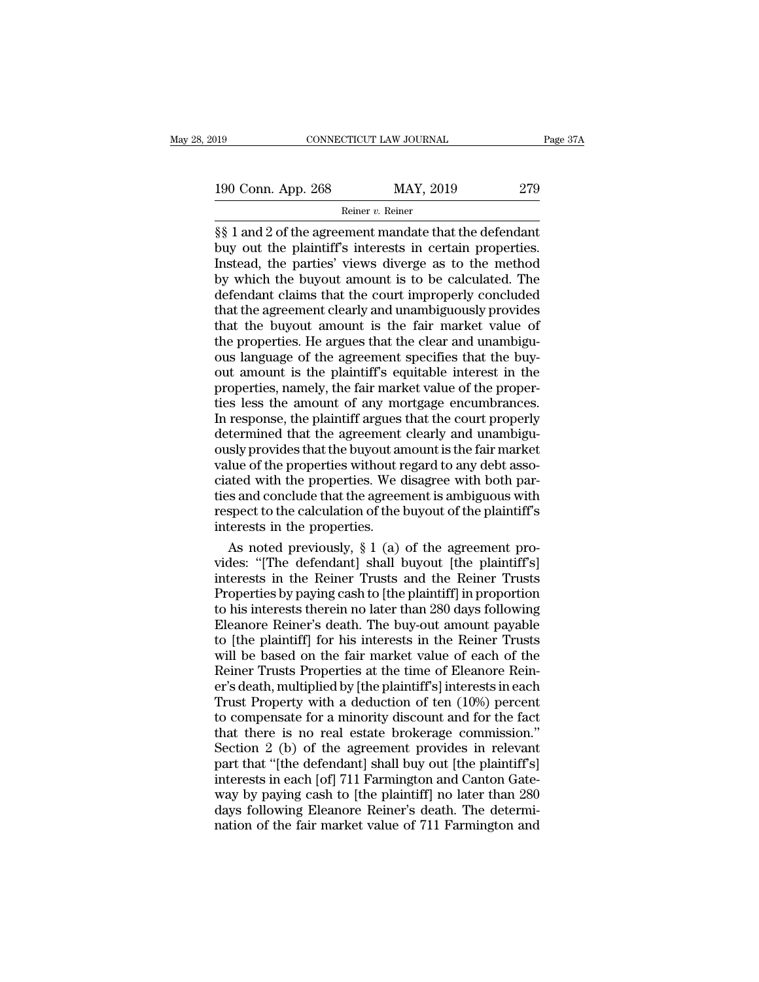190 CONNECTICUT LAW JOURNAL Page 37A<br>
190 Conn. App. 268 MAY, 2019 279<br>
Reiner v. Reiner

Reiner v. Reiner

Fage 371<br>
190 Conn. App. 268 MAY, 2019 279<br>
Reiner v. Reiner<br>
S§ 1 and 2 of the agreement mandate that the defendant<br>
buy out the plaintiff's interests in certain properties.<br>
Instead, the parties' views diverge as to the 190 Conn. App. 268 MAY, 2019 279<br>
Reiner v. Reiner<br>
Subsetence 1988 1 and 2 of the agreement mandate that the defendant<br>
buy out the plaintiff's interests in certain properties.<br>
Instead, the parties' views diverge as to t 190 Conn. App. 268 MAY, 2019 279<br>
Reiner v. Reiner<br>  $\S\S 1$  and 2 of the agreement mandate that the defendant<br>
buy out the plaintiff's interests in certain properties.<br>
Instead, the parties' views diverge as to the method<br> 190 Conn. App. 268 MAY, 2019 279<br>
Reiner v. Reiner<br>  $\S$ § 1 and 2 of the agreement mandate that the defendant<br>
buy out the plaintiff's interests in certain properties.<br>
Instead, the parties' views diverge as to the method<br> Referred Referred Referred Referred SS 1 and 2 of the agreement mandate that the defendant<br>buy out the plaintiff's interests in certain properties.<br>Instead, the parties' views diverge as to the method<br>by which the buyout Reiner v. Reiner<br>  $\frac{1}{2}$  Reiner v. Reiner<br>
S§ 1 and 2 of the agreement mandate that the defendant<br>
buy out the plaintiff's interests in certain properties.<br>
Instead, the parties' views diverge as to the method<br>
by whic §§ 1 and 2 of the agreement mandate that the defendant<br>buy out the plaintiff's interests in certain properties.<br>Instead, the parties' views diverge as to the method<br>by which the buyout amount is to be calculated. The<br>defen buy out the plaintiff's interests in certain properties.<br>Instead, the parties' views diverge as to the method<br>by which the buyout amount is to be calculated. The<br>defendant claims that the court improperly concluded<br>that th Instead, the parties' views diverge as to the method<br>by which the buyout amount is to be calculated. The<br>defendant claims that the court improperly concluded<br>that the agreement clearly and unambiguously provides<br>that the b by which the buyout amount is to be calculated. The<br>defendant claims that the court improperly concluded<br>that the agreement clearly and unambiguously provides<br>that the buyout amount is the fair market value of<br>the properti defendant claims that the court improperly concluded<br>that the agreement clearly and unambiguously provides<br>that the buyout amount is the fair market value of<br>the properties. He argues that the clear and unambigu-<br>ous langu that the agreement clearly and unambiguously provides<br>that the buyout amount is the fair market value of<br>the properties. He argues that the clear and unambigu-<br>ous language of the agreement specifies that the buy-<br>out amou that the buyout amount is the fair market value of<br>the properties. He argues that the clear and unambigu-<br>ous language of the agreement specifies that the buy-<br>out amount is the plaintiff's equitable interest in the<br>proper the properties. He argues that the clear and unambiguous language of the agreement specifies that the buy-<br>out amount is the plaintiff's equitable interest in the<br>properties, namely, the fair market value of the proper-<br>ti ous language of the agreement specifies that the buy-<br>out amount is the plaintiff's equitable interest in the<br>properties, namely, the fair market value of the proper-<br>ties less the amount of any mortgage encumbrances.<br>In r out amount is the plaintiff's equitable interest in the<br>properties, namely, the fair market value of the proper-<br>ties less the amount of any mortgage encumbrances.<br>In response, the plaintiff argues that the court properly<br> properties, namely, the fair market value of the properties less the amount of any mortgage encumbrances.<br>In response, the plaintiff argues that the court properly determined that the agreement clearly and unambiguously pr ties less the amount of any mortgage encumbrances.<br>In response, the plaintiff argues that the court properly<br>determined that the agreement clearly and unambiguously provides that the buyout amount is the fair market<br>value In response, the plaintiff argues that the court properly<br>determined that the agreement clearly and unambigu-<br>ously provides that the buyout amount is the fair market<br>value of the properties without regard to any debt asso determined that the agreement<br>ously provides that the buyout an<br>value of the properties without r<br>ciated with the properties. We c<br>ties and conclude that the agreer<br>respect to the calculation of the l<br>interests in the prop sly provides that the buyout amount is the fair market<br>lue of the properties without regard to any debt asso-<br>ated with the properties. We disagree with both par-<br>s and conclude that the agreement is ambiguous with<br>spect t value of the properties without regard to any debt asso-<br>ciated with the properties. We disagree with both par-<br>ties and conclude that the agreement is ambiguous with<br>respect to the calculation of the buyout of the plainti

ciated with the properties. We disagree with both parties and conclude that the agreement is ambiguous with<br>respect to the calculation of the buyout of the plaintiff's<br>interests in the properties.<br>As noted previously, § 1 ties and conclude that the agreement is ambiguous with<br>respect to the calculation of the buyout of the plaintiff's<br>interests in the properties.<br>As noted previously, § 1 (a) of the agreement pro-<br>vides: "[The defendant] sha respect to the calculation of the buyout of the plaintiff's<br>interests in the properties.<br>As noted previously, § 1 (a) of the agreement pro-<br>vides: "[The defendant] shall buyout [the plaintiff's]<br>interests in the Reiner Tru interests in the properties.<br>
As noted previously,  $\S 1$  (a) of the agreement provides: "[The defendant] shall buyout [the plaintiff's]<br>
interests in the Reiner Trusts and the Reiner Trusts<br>
Properties by paying cash to [ As noted previously,  $\S 1$  (a) of the agreement provides: "[The defendant] shall buyout [the plaintiff's] interests in the Reiner Trusts and the Reiner Trusts Properties by paying cash to [the plaintiff] in proportion to vides: "[The defendant] shall buyout [the plaintiff's]<br>interests in the Reiner Trusts and the Reiner Trusts<br>Properties by paying cash to [the plaintiff] in proportion<br>to his interests therein no later than 280 days followi vides: "[The defendant] shall buyout [the plaintiff's]<br>interests in the Reiner Trusts and the Reiner Trusts<br>Properties by paying cash to [the plaintiff] in proportion<br>to his interests therein no later than 280 days followi Properties by paying cash to [the plaintiff] in proportion<br>to his interests therein no later than 280 days following<br>Eleanore Reiner's death. The buy-out amount payable<br>to [the plaintiff] for his interests in the Reiner Tr to his interests therein no later than 280 days following<br>Eleanore Reiner's death. The buy-out amount payable<br>to [the plaintiff] for his interests in the Reiner Trusts<br>will be based on the fair market value of each of the<br> Eleanore Reiner's death. The buy-out amount payable<br>to [the plaintiff] for his interests in the Reiner Trusts<br>will be based on the fair market value of each of the<br>Reiner Trusts Properties at the time of Eleanore Rein-<br>er to [the plaintiff] for his interests in the Reiner Trusts<br>will be based on the fair market value of each of the<br>Reiner Trusts Properties at the time of Eleanore Rein-<br>er's death, multiplied by [the plaintiff's] interests i will be based on the fair market value of each of the<br>Reiner Trusts Properties at the time of Eleanore Rein-<br>er's death, multiplied by [the plaintiff's] interests in each<br>Trust Property with a deduction of ten (10%) percen Reiner Trusts Properties at the time of Eleanore Reiner's death, multiplied by [the plaintiff's] interests in each<br>Trust Property with a deduction of ten (10%) percent<br>to compensate for a minority discount and for the fact er's death, multiplied by [the plaintiff's] interests in each<br>Trust Property with a deduction of ten (10%) percent<br>to compensate for a minority discount and for the fact<br>that there is no real estate brokerage commission."<br> Trust Property with a deduction of ten (10%) percent<br>to compensate for a minority discount and for the fact<br>that there is no real estate brokerage commission."<br>Section 2 (b) of the agreement provides in relevant<br>part that to compensate for a minority discount and for the fact<br>that there is no real estate brokerage commission."<br>Section 2 (b) of the agreement provides in relevant<br>part that "[the defendant] shall buy out [the plaintiff's]<br>inte that there is no real estate brokerage commission."<br>Section 2 (b) of the agreement provides in relevant<br>part that "[the defendant] shall buy out [the plaintiff's]<br>interests in each [of] 711 Farmington and Canton Gate-<br>way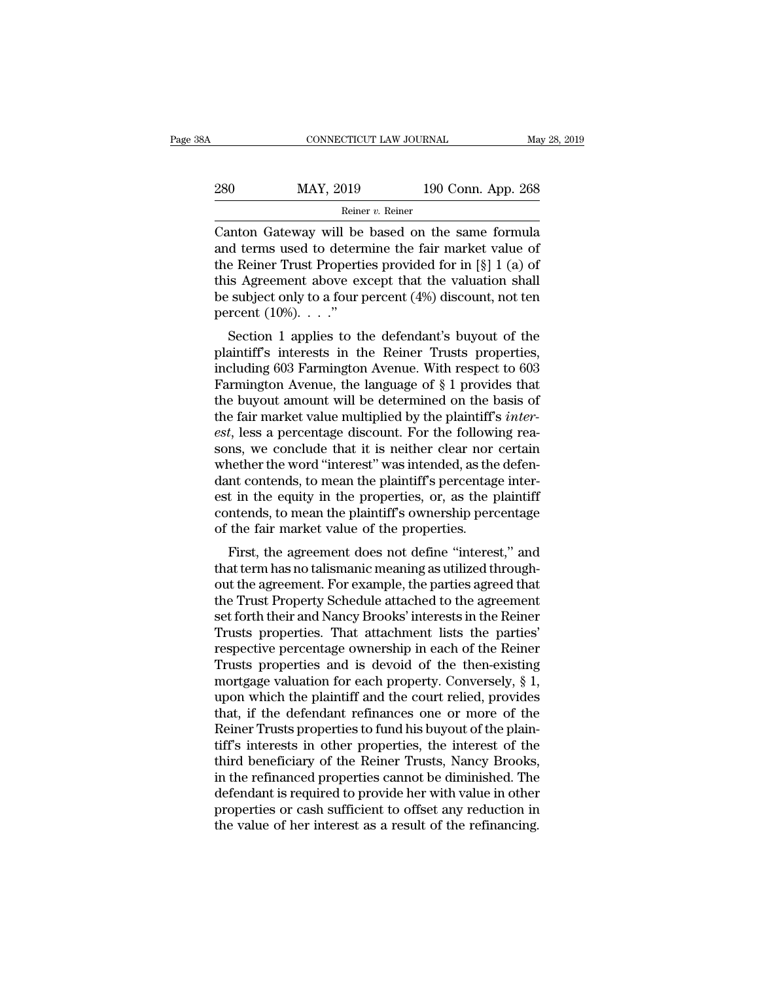| 8Α  | CONNECTICUT LAW JOURNAL |                    | May 28, 2019 |
|-----|-------------------------|--------------------|--------------|
| 280 | MAY, 2019               | 190 Conn. App. 268 |              |
|     | Reiner v. Reiner        |                    |              |

CONNECTICUT LAW JOURNAL May 28, 2019<br>
280 MAY, 2019 190 Conn. App. 268<br>
Reiner v. Reiner<br>
Canton Gateway will be based on the same formula<br>
and terms used to determine the fair market value of<br>
the Poiner Trust Properties 280 MAY, 2019 190 Conn. App. 268<br>
Reiner v. Reiner<br>
Canton Gateway will be based on the same formula<br>
and terms used to determine the fair market value of<br>
the Reiner Trust Properties provided for in [§] 1 (a) of<br>
this Ag 280 MAY, 2019 190 Conn. App. 268<br>
Reiner v. Reiner<br>
Canton Gateway will be based on the same formula<br>
and terms used to determine the fair market value of<br>
the Reiner Trust Properties provided for in [§] 1 (a) of<br>
this Ag 280 MAY, 2019 190 Conn. App. 268<br>
Reiner v. Reiner<br>
Canton Gateway will be based on the same formula<br>
and terms used to determine the fair market value of<br>
the Reiner Trust Properties provided for in [§] 1 (a) of<br>
this Ag **Best only the subject only to a four percent** (4%) discount, not ten percent (10%). . . ."<br>
Subject only to a four percent (4%) discount, not ten percent (10%). . . ." Reme<br>Canton Gateway will be<br>and terms used to detern<br>the Reiner Trust Properti<br>this Agreement above ex<br>be subject only to a four p<br>percent (10%). . . ."<br>Section 1 applies to the fultion Gateway will be based on the same formula<br>d terms used to determine the fair market value of<br>e Reiner Trust Properties provided for in [§] 1 (a) of<br>is Agreement above except that the valuation shall<br>subject only t and terms used to determine the fair market value of<br>the Reiner Trust Properties provided for in [§] 1 (a) of<br>this Agreement above except that the valuation shall<br>be subject only to a four percent (4%) discount, not ten<br>p

this Agreement above except that the valuation shall<br>be subject only to a four percent (4%) discount, not ten<br>percent (10%)...."<br>Section 1 applies to the defendant's buyout of the<br>plaintiff's interests in the Reiner Trust Farmington Avenue, the language of § 1 provides the farmington Avenue, the language of § 1 provides that the buyout amount will be determined on the basis of the fair market value multiplied by the plaintiff's *interest* be subject only to a four pertent  $(4\gamma_0)$  discount, not ten<br>percent  $(10\%)$ ...."<br>Section 1 applies to the defendant's buyout of the<br>plaintiff's interests in the Reiner Trusts properties,<br>including 603 Farmington Avenue. Section 1 applies to the defendant's buyout of the plaintiff's interests in the Reiner Trusts properties, including 603 Farmington Avenue. With respect to 603 Farmington Avenue, the language of § 1 provides that the buyout Section 1 applies to the defendant's buyout of the plaintiff's interests in the Reiner Trusts properties, including 603 Farmington Avenue. With respect to 603 Farmington Avenue, the language of § 1 provides that the buyout plaintiff's interests in the Reiner Trusts properties,<br>including 603 Farmington Avenue. With respect to 603<br>Farmington Avenue, the language of § 1 provides that<br>the buyout amount will be determined on the basis of<br>the fair including 603 Farmington Avenue. With respect to 603 Farmington Avenue, the language of  $\S$  1 provides that the buyout amount will be determined on the basis of the fair market value multiplied by the plaintiff's *interes* Farmington Avenue, the language of  $\S$  1 provides that<br>the buyout amount will be determined on the basis of<br>the fair market value multiplied by the plaintiff's *inter-*<br>est, less a percentage discount. For the following r the buyout amount will be determined on the basis of<br>the fair market value multiplied by the plaintiff's *inter-*<br>est, less a percentage discount. For the following rea-<br>sons, we conclude that it is neither clear nor certa the fair market value multiplied by the plaintiff's *inter-*<br>est, less a percentage discount. For the following rea-<br>sons, we conclude that it is neither clear nor certain<br>whether the word "interest" was intended, as the d est, less a percentage discount. For the followisons, we conclude that it is neither clear nor whether the word "interest" was intended, as the dant contends, to mean the plaintiff's percentagest in the equity in the prope Its, we conclude that it is helder clear hor certain<br>nether the word "interest" was intended, as the defen-<br>nt contends, to mean the plaintiff's percentage inter-<br>t in the equity in the properties, or, as the plaintiff<br>nte whether the word interest was intended, as the defermed<br>dant contends, to mean the plaintiff's percentage inter-<br>est in the equity in the properties, or, as the plaintiff<br>contends, to mean the plaintiff's ownership percent

dant contends, to mean the praintin's percentage inter-<br>est in the equity in the properties, or, as the plaintiff<br>contends, to mean the plaintiff's ownership percentage<br>of the fair market value of the properties.<br>First, th Ext in the equity in the properties, or, as the plaintiff<br>contends, to mean the plaintiff's ownership percentage<br>of the fair market value of the properties.<br>First, the agreement does not define "interest," and<br>that term ha contenus, to mean the plantin's ownership percentage<br>of the fair market value of the properties.<br>First, the agreement does not define "interest," and<br>that term has no talismanic meaning as utilized through-<br>out the agreeme First, the agreement does not define "interest," and<br>that term has no talismanic meaning as utilized through-<br>out the agreement. For example, the parties agreed that<br>the Trust Property Schedule attached to the agreement<br>se First, the agreement does not define "interest," and<br>that term has no talismanic meaning as utilized through-<br>out the agreement. For example, the parties agreed that<br>the Trust Property Schedule attached to the agreement<br>se that term has no talismanic meaning as utilized through-<br>out the agreement. For example, the parties agreed that<br>the Trust Property Schedule attached to the agreement<br>set forth their and Nancy Brooks' interests in the Rein out the agreement. For example, the parties agreed that<br>the Trust Property Schedule attached to the agreement<br>set forth their and Nancy Brooks' interests in the Reiner<br>Trusts properties. That attachment lists the parties'<br> the Trust Property Schedule attached to the agreement<br>set forth their and Nancy Brooks' interests in the Reiner<br>Trusts properties. That attachment lists the parties'<br>respective percentage ownership in each of the Reiner<br>Tr set forth their and Nancy Brooks' interests in the Reiner<br>Trusts properties. That attachment lists the parties'<br>respective percentage ownership in each of the Reiner<br>Trusts properties and is devoid of the then-existing<br>mor Trusts properties. That attachment lists the parties'<br>respective percentage ownership in each of the Reiner<br>Trusts properties and is devoid of the then-existing<br>mortgage valuation for each property. Conversely, § 1,<br>upon w respective percentage ownership in each of the Reiner<br>Trusts properties and is devoid of the then-existing<br>mortgage valuation for each property. Conversely, § 1,<br>upon which the plaintiff and the court relied, provides<br>that Trusts properties and is devoid of the then-existing<br>mortgage valuation for each property. Conversely,  $\S$  1,<br>upon which the plaintiff and the court relied, provides<br>that, if the defendant refinances one or more of the<br>Re mortgage valuation for each property. Conversely, § 1, upon which the plaintiff and the court relied, provides that, if the defendant refinances one or more of the Reiner Trusts properties to fund his buyout of the plainti upon which the plaintiff and the court relied, provides<br>that, if the defendant refinances one or more of the<br>Reiner Trusts properties to fund his buyout of the plain-<br>tiff's interests in other properties, the interest of t that, if the defendant refinances one or more of the<br>Reiner Trusts properties to fund his buyout of the plain-<br>tiff's interests in other properties, the interest of the<br>third beneficiary of the Reiner Trusts, Nancy Brooks, Reiner Trusts properties to fund his buyout of the plaintiff's interests in other properties, the interest of the third beneficiary of the Reiner Trusts, Nancy Brooks, in the refinanced properties cannot be diminished. The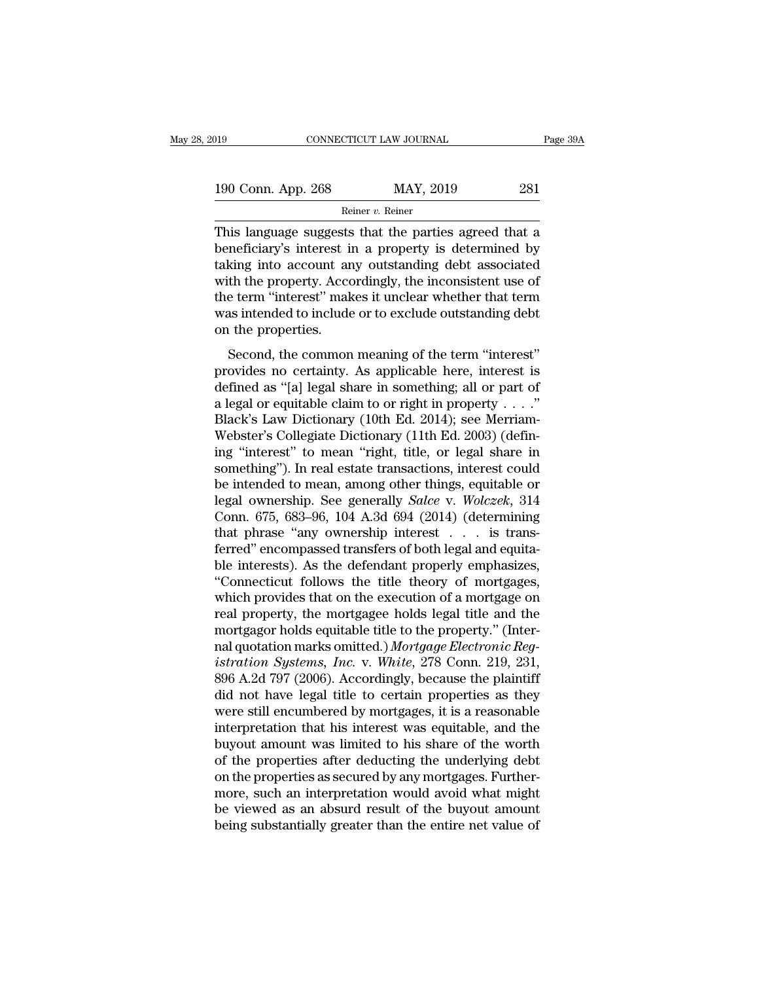| 2019               | CONNECTICUT LAW JOURNAL | Page 39A |
|--------------------|-------------------------|----------|
| 190 Conn. App. 268 | MAY, 2019               | 281      |
|                    | Reiner $v$ . Reiner     |          |

CONNECTICUT LAW JOURNAL Page 39A<br>
190 Conn. App. 268 MAY, 2019 281<br>
Reiner v. Reiner<br>
This language suggests that the parties agreed that a<br>
beneficiary's interest in a property is determined by<br>
taking into account any ou 190 Conn. App. 268 MAY, 2019 281<br>
Reiner v. Reiner<br>
This language suggests that the parties agreed that a<br>
beneficiary's interest in a property is determined by<br>
taking into account any outstanding debt associated<br>
with t 190 Conn. App. 268 MAY, 2019 281<br>
Reiner v. Reiner<br>
This language suggests that the parties agreed that a<br>
beneficiary's interest in a property is determined by<br>
taking into account any outstanding debt associated<br>
with t 190 Conn. App. 268 MAY, 2019 281<br>
Reiner v. Reiner<br>
This language suggests that the parties agreed that a<br>
beneficiary's interest in a property is determined by<br>
taking into account any outstanding debt associated<br>
with t This language suggests that the parties agreed that a<br>beneficiary's interest in a property is determined by<br>taking into account any outstanding debt associated<br>with the property. Accordingly, the inconsistent use of<br>the t Finis language suggests that the parties agreed that a beneficiary's interest in a property is determined by taking into account any outstanding debt associated with the property. Accordingly, the inconsistent use of the This language suggests<br>beneficiary's interest if<br>taking into account are<br>with the property. Accor<br>the term "interest" mak<br>was intended to include<br>on the properties.<br>Second, the common Second, the common meaning of the term "interest"<br>Second, the common meaning debt associated<br>th the property. Accordingly, the inconsistent use of<br>e term "interest" makes it unclear whether that term<br>as intended to include adding the account any outstanding developed usbecated<br>with the property. Accordingly, the inconsistent use of<br>the term "interest" makes it unclear whether that term<br>was intended to include or to exclude outstanding debt<br>o

which die property. Eccordingly, the mechanische disc of<br>the term "interest" makes it unclear whether that term<br>was intended to include or to exclude outstanding debt<br>on the properties.<br>Second, the common meaning of the t are communicated matter whence and communism<br>was intended to include or to exclude outstanding debt<br>on the properties.<br>Second, the common meaning of the term "interest"<br>provides no certainty. As applicable here, interest Second, the common meaning of the term "interest"<br>provides no certainty. As applicable here, interest is<br>defined as "[a] legal share in something; all or part of<br>a legal or equitable claim to or right in property . . . ." Second, the common meaning of the term "interest"<br>provides no certainty. As applicable here, interest is<br>defined as "[a] legal share in something; all or part of<br>a legal or equitable claim to or right in property  $\dots$ ."<br>B Second, the common meaning of the term "interest"<br>provides no certainty. As applicable here, interest is<br>defined as "[a] legal share in something; all or part of<br>a legal or equitable claim to or right in property . . . ." provides no certainty. As applicable here, interest is<br>defined as "[a] legal share in something; all or part of<br>a legal or equitable claim to or right in property . . . ."<br>Black's Law Dictionary (10th Ed. 2014); see Merri defined as "[a] legal share in something; all or part of<br>a legal or equitable claim to or right in property . . . ."<br>Black's Law Dictionary (10th Ed. 2014); see Merriam-<br>Webster's Collegiate Dictionary (11th Ed. 2003) (de a legal or equitable claim to or right in property . . . ."<br>Black's Law Dictionary (10th Ed. 2014); see Merriam-<br>Webster's Collegiate Dictionary (11th Ed. 2003) (defin-<br>ing "interest" to mean "right, title, or legal share Black's Law Dictionary (10th Ed. 2014); see Merriam-Webster's Collegiate Dictionary (11th Ed. 2003) (defining "interest" to mean "right, title, or legal share in something"). In real estate transactions, interest could be Webster's Collegiate Dictionary (11th Ed. 2003) (defining "interest" to mean "right, title, or legal share in something"). In real estate transactions, interest could be intended to mean, among other things, equitable or ing "interest" to mean "right, title, or legal share in<br>something"). In real estate transactions, interest could<br>be intended to mean, among other things, equitable or<br>legal ownership. See generally *Salce* v. *Wolczek*, 31 something"). In real estate transactions, interest could<br>be intended to mean, among other things, equitable or<br>legal ownership. See generally *Salce* v. *Wolczek*, 314<br>Conn. 675, 683–96, 104 A.3d 694 (2014) (determining<br>th be intended to mean, among other things, equitable or<br>
legal ownership. See generally *Salce* v. *Wolczek*, 314<br>
Conn. 675, 683–96, 104 A.3d 694 (2014) (determining<br>
that phrase "any ownership interest . . . is trans-<br>
fer legal ownership. See generally *Salce* v. *Wolczek*, 314<br>Conn. 675, 683–96, 104 A.3d 694 (2014) (determining<br>that phrase "any ownership interest . . . is trans-<br>ferred" encompassed transfers of both legal and equita-<br>ble i Conn. 675, 683–96, 104 A.3d 694 (2014) (determining<br>that phrase "any ownership interest  $\dots$  is trans-<br>ferred" encompassed transfers of both legal and equita-<br>ble interests). As the defendant properly emphasizes,<br>"Connect that phrase "any ownership interest  $\ldots$  is transferred" encompassed transfers of both legal and equita-<br>ble interests). As the defendant properly emphasizes,<br>"Connecticut follows the title theory of mortgages,<br>which pro ferred" encompassed transfers of both legal and equita-<br>ble interests). As the defendant properly emphasizes,<br>"Connecticut follows the title theory of mortgages,<br>which provides that on the execution of a mortgage on<br>real p ble interests). As the defendant properly emphasizes,<br>
"Connecticut follows the title theory of mortgages,<br>
which provides that on the execution of a mortgage on<br>
real property, the mortgagee holds legal title and the<br>
mor "Connecticut follows the title theory of mortgages,<br>which provides that on the execution of a mortgage on<br>real property, the mortgagee holds legal title and the<br>mortgagor holds equitable title to the property." (Inter-<br>na which provides that on the execution of a mortgage on<br>real property, the mortgagee holds legal title and the<br>mortgagor holds equitable title to the property." (Inter-<br>nal quotation marks omitted.) Mortgage Electronic Reg-<br> real property, the mortgagee holds legal title and the<br>mortgagor holds equitable title to the property." (Inter-<br>nal quotation marks omitted.) *Mortgage Electronic Reg-<br>istration Systems, Inc.* v. White, 278 Conn. 219, 231 mortgagor holds equitable title to the property." (Inter-<br>nal quotation marks omitted.) *Mortgage Electronic Reg-*<br>istration Systems, Inc. v. White, 278 Conn. 219, 231,<br>896 A.2d 797 (2006). Accordingly, because the plainti nal quotation marks omitted.) Mortgage Electronic Reg-<br>istration Systems, Inc. v. White, 278 Conn. 219, 231,<br>896 A.2d 797 (2006). Accordingly, because the plaintiff<br>did not have legal title to certain properties as they<br>we istration Systems, Inc. v. White, 278 Conn. 219, 231, 896 A.2d 797 (2006). Accordingly, because the plaintiff did not have legal title to certain properties as they were still encumbered by mortgages, it is a reasonable in 896 A.2d 797 (2006). Accordingly, because the plaintiff<br>did not have legal title to certain properties as they<br>were still encumbered by mortgages, it is a reasonable<br>interpretation that his interest was equitable, and the<br> did not have legal title to certain properties as they<br>were still encumbered by mortgages, it is a reasonable<br>interpretation that his interest was equitable, and the<br>buyout amount was limited to his share of the worth<br>of t were still encumbered by mortgages, it is a reasonable<br>interpretation that his interest was equitable, and the<br>buyout amount was limited to his share of the worth<br>of the properties after deducting the underlying debt<br>on th interpretation that his interest was equitable, and the buyout amount was limited to his share of the worth of the properties after deducting the underlying debt on the properties as secured by any mortgages. Furthermore,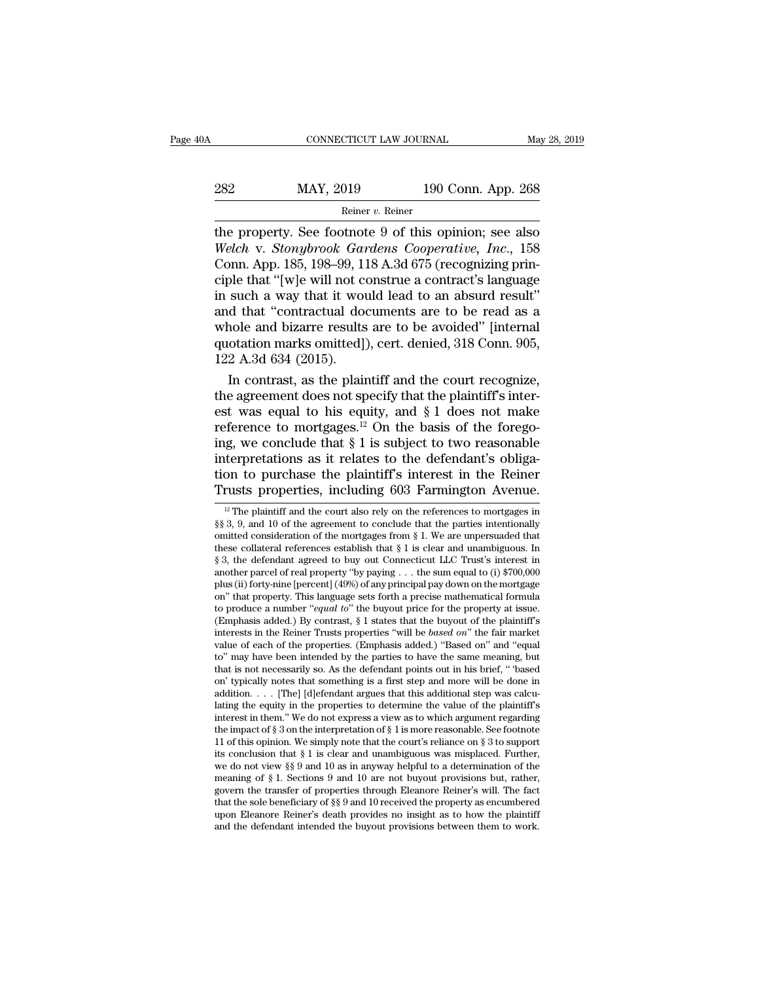| 0A  | CONNECTICUT LAW JOURNAL |                    | May 28, 2019 |
|-----|-------------------------|--------------------|--------------|
|     |                         |                    |              |
| 282 | MAY, 2019               | 190 Conn. App. 268 |              |
|     | Reiner v. Reiner        |                    |              |

CONNECTICUT LAW JOURNAL May 28, 2019<br>
282 MAY, 2019 190 Conn. App. 268<br>
Reiner v. Reiner<br>
the property. See footnote 9 of this opinion; see also<br>
Welch v. Stonybrook Gardens Cooperative, Inc., 158<br>
Conn. App. 185, 198, 99, *MAY*, 2019 190 Conn. App. 268<br> *Reiner v. Reiner*<br> *Reiner v. Reiner*<br> *Welch* v. *Stonybrook Gardens Cooperative, Inc.*, 158<br>
Conn. App. 185, 198–99, 118 A.3d 675 (recognizing principle that "Iwle will not construe a con 282 MAY, 2019 190 Conn. App. 268<br>
Reiner v. Reiner<br>
the property. See footnote 9 of this opinion; see also<br>
Welch v. Stonybrook Gardens Cooperative, Inc., 158<br>
Conn. App. 185, 198–99, 118 A.3d 675 (recognizing prin-<br>
cipl 282 MAY, 2019 190 Conn. App. 268<br>
Reiner v. Reiner<br>
the property. See footnote 9 of this opinion; see also<br>
Welch v. Stonybrook Gardens Cooperative, Inc., 158<br>
Conn. App. 185, 198–99, 118 A.3d 675 (recognizing prin-<br>
cipl For example and that it would lead to an absurd results and that "contractual documents are to be read as a<br>whole and hizarre results are to be read as a<br>whole and hizarre results are to be avoided" [internal<br>whole and hi Reiner v. Reiner<br>
the property. See footnote 9 of this opinion; see also<br>
Welch v. Stonybrook Gardens Cooperative, Inc., 158<br>
Conn. App. 185, 198–99, 118 A.3d 675 (recognizing prin-<br>
ciple that "[w]e will not construe a c the property. See footnote 9 of this opinion; see also<br>Welch v. Stonybrook Gardens Cooperative, Inc., 158<br>Conn. App. 185, 198–99, 118 A.3d 675 (recognizing prin-<br>ciple that "[w]e will not construe a contract's language<br>in Welch v. Stonybrook Gardens Cooperative, Inc., 158<br>Conn. App. 185, 198–99, 118 A.3d 675 (recognizing principle that "[w]e will not construe a contract's language<br>in such a way that it would lead to an absurd result"<br>and th Conn. App. 185, 198–99, 1<br>
ciple that "[w]e will not co<br>
in such a way that it wou<br>
and that "contractual do<br>
whole and bizarre results<br>
quotation marks omitted]<br>
122 A.3d 634 (2015).<br>
In contrast, as the plain ble that "[w]e will not construe a contract's language<br>such a way that it would lead to an absurd result"<br>d that "contractual documents are to be read as a<br>nole and bizarre results are to be avoided" [internal<br>otation mar in such a way that it would lead to an absurd result"<br>and that "contractual documents are to be read as a<br>whole and bizarre results are to be avoided" [internal<br>quotation marks omitted]), cert. denied, 318 Conn. 905,<br>122

and that "contractual documents are to be read as a<br>whole and bizarre results are to be avoided" [internal<br>quotation marks omitted]), cert. denied, 318 Conn. 905,<br>122 A.3d 634 (2015).<br>In contrast, as the plaintiff and the whole and bizarre results are to be avoided" [internal<br>quotation marks omitted]), cert. denied, 318 Conn. 905,<br>122 A.3d 634 (2015).<br>In contrast, as the plaintiff and the court recognize,<br>the agreement does not specify tha quotation marks omitted]), cert. denied, 318 Conn. 905,<br>122 A.3d 634 (2015).<br>In contrast, as the plaintiff and the court recognize,<br>the agreement does not specify that the plaintiff's inter-<br>est was equal to his equity, a 122 A.3d 634 (2015).<br>
In contrast, as the plaintiff and the court recognize,<br>
the agreement does not specify that the plaintiff's inter-<br>
est was equal to his equity, and  $\S$  1 does not make<br>
reference to mortgages.<sup>12</sup> O In contrast, as the plaintiff and the court recognize,<br>the agreement does not specify that the plaintiff's inter-<br>est was equal to his equity, and  $\S 1$  does not make<br>reference to mortgages.<sup>12</sup> On the basis of the forego the agreement does not specify that the plaintiff's inter-<br>est was equal to his equity, and § 1 does not make<br>reference to mortgages.<sup>12</sup> On the basis of the forego-<br>ing, we conclude that § 1 is subject to two reasonable<br> ing, we conclude that § 1 is subject to two reasonable<br>interpretations as it relates to the defendant's obliga-<br>tion to purchase the plaintiff's interest in the Reiner<br>Trusts properties, including 603 Farmington Avenue.<br>interpretations as it relates to the defendant's obliga-<br>tion to purchase the plaintiff's interest in the Reiner<br>Trusts properties, including 603 Farmington Avenue.<br> $\frac{12}{12}$ The plaintiff and the court also rely on the

Trusts properties, including 603 Farmington Avenue.<br>Trusts properties, including 603 Farmington Avenue.<br><sup>12</sup> The plaintiff and the court also rely on the references to mortgages in §§ 3, 9, and 10 of the agreement to conc these collateral references in changes from S. The references to mortgages in  $\frac{12}{3}$  The plaintiff and the court also rely on the references to mortgages in  $\S$  3, 9, and 10 of the agreement to conclude that the parti Trusts properties, including 603 Farmington Avenue.<br>
<sup>12</sup> The plaintiff and the court also rely on the references to mortgages in §§ 3, 9, and 10 of the agreement to conclude that the parties intentionally omitted conside <sup>12</sup> The plaintiff and the court also rely on the references to mortgages in §§ 3, 9, and 10 of the agreement to conclude that the parties intentionally omitted consideration of the mortgages from § 1. We are unpersuaded <sup>12</sup> The plaintiff and the court also rely on the references to mortgages in §§ 3, 9, and 10 of the agreement to conclude that the parties intentionally omitted consideration of the mortgages from § 1. We are unpersuaded §§ 3, 9, and 10 of the agreement to conclude that the parties intentionally omitted consideration of the mortgages from § 1. We are unpersuaded that these collateral references establish that § 1 is clear and unambiguous. § 3, the defendant agreed to buy out Connecticut LLC Trust's interest in another parcel of real property "by paying . . . the sum equal to (i) \$700,000 plus (ii) forty-nine [percent] (49%) of any principal pay down on the these collateral references establish that  $\S 1$  is clear and unambiguous. In  $\S 3$ , the defendant agreed to buy out Connecticut LLC Trust's interest in another parcel of real property "by paying . . . the sum equal to (i § 3, the defendant agreed to buy out Connecticut LLC Trust's interest in another parcel of real property "by paying . . . the sum equal to (i) \$700,000 plus (ii) forty-nine [percent] (49%) of any principal pay down on the another parcel of real property "by paying . . . the sum equal to (i) \$700,000 plus (ii) forty-nine [percent] (49%) of any principal pay down on the mortgage on" that property. This language sets forth a precise mathemati plus (ii) forty-nine [percent] (49%) of any principal pay down on the mortgage on" that property. This language sets forth a precise mathematical formula to produce a number "*equal to*" the buyout price for the property on" that property. This language sets forth a precise mathematical formula<br>to produce a number "*equal to*" the buyout price for the property at issue.<br>(Emphasis added.) By contrast,  $\S 1$  states that the buyout of the pl to produce a number "*equal to*" the buyout price for the property at issue.<br>(Emphasis added.) By contrast, § 1 states that the buyout of the plaintiff's interests in the Reiner Trusts properties "will be *based on*" the (Emphasis added.) By contrast, § 1 states that the buyout of the plaintiff's interests in the Reiner Trusts properties "will be *based on*" the fair market value of each of the properties. (Emphasis added.) "Based on" and interests in the Keiner Trusts properties "will be *based on"* the fair market<br>value of each of the properties. (Emphasis added.) "Based on" and "equal<br>to" may have been intended by the parties to have the same meaning, b value of each of the properties. (Emphasis added.) "Based on" and "equal to" may have been intended by the parties to have the same meaning, but that is not necessarily so. As the defendant points out in his brief, " base to" may have been intended by the parties to have the same meaning, but<br>that is not necessarily so. As the defendant points out in his brief, "based<br>on' typically notes that something is a first step and more will be done that is not necessarily so. As the defendant points out in his brief, "based<br>on' typically notes that something is a first step and more will be done in<br>addition. . . . [The] [d]efendant argues that this additional step w on' typically notes that something is a first step and more will be done in addition. . . . [The] [d]efendant argues that this additional step was calculating the equity in the properties to determine the value of the pla addition. . . . [The] [d]efendant argues that this additional step was calculating the equity in the properties to determine the value of the plaintiff's interest in them." We do not express a view as to which argument re lating the equity in the properties to determine the value of the plaintiff's<br>interest in them." We do not express a view as to which argument regarding<br>the impact of § 3 on the interpretation of § 1 is more reasonable. S interest in them." We do not express a view as to which argument regarding<br>the impact of § 3 on the interpretation of § 1 is more reasonable. See footnote<br>11 of this opinion. We simply note that the court's reliance on § the impact of § 3 on the interpretation of § 1 is more reasonable. See footnote 11 of this opinion. We simply note that the court's reliance on § 3 to support its conclusion that § 1 is clear and unambiguous was misplaced 11 of this opinion. We simply note that the court's reliance on § 3 to support its conclusion that § 1 is clear and unambiguous was misplaced. Further, we do not view §§ 9 and 10 as in anyway helpful to a determination of its conclusion that  $\S 1$  is clear and unambiguous was misplaced. Further, we do not view  $\S \$  9 and 10 as in anyway helpful to a determination of the meaning of  $\S 1$ . Sections 9 and 10 are not buyout provisions but, rat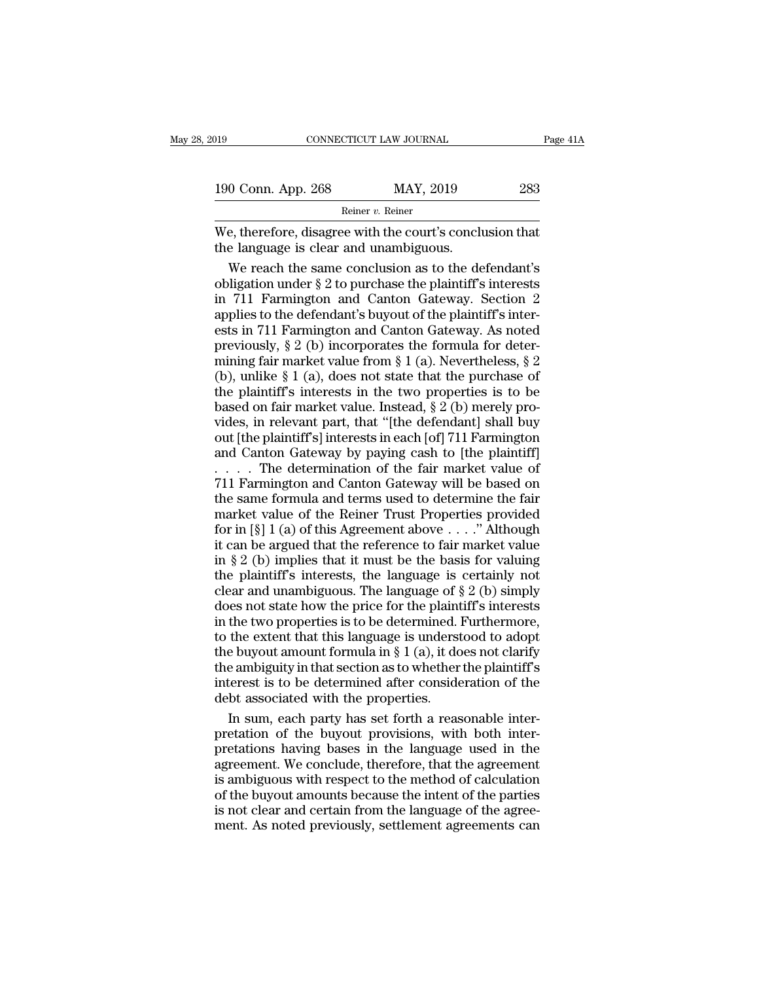| :019                                   | CONNECTICUT LAW JOURNAL                                  | Page 41A |
|----------------------------------------|----------------------------------------------------------|----------|
| 190 Conn. App. 268                     | MAY, 2019                                                | 283      |
|                                        | Reiner v. Reiner                                         |          |
| the language is clear and unambiguous. | We, therefore, disagree with the court's conclusion that |          |
|                                        | We reach the same conclusion as to the defendant's       |          |

 $\frac{0 \text{ Conn. App. 268}}{\text{Reiner } v. \text{ Reiner}}$ <br>
e, therefore, disagree with the court's conclusion that<br>
e language is clear and unambiguous.<br>
We reach the same conclusion as to the defendant's<br>
ligation under § 2 to purchase the plain 190 Conn. App. 268 MAY, 2019 283<br>
Reiner v. Reiner<br>
We, therefore, disagree with the court's conclusion that<br>
the language is clear and unambiguous.<br>
We reach the same conclusion as to the defendant's<br>
obligation under § Reiner v. Reiner<br>
We, therefore, disagree with the court's conclusion that<br>
the language is clear and unambiguous.<br>
We reach the same conclusion as to the defendant's<br>
obligation under  $\S 2$  to purchase the plaintiff's in we, therefore, disagree with the court's conclusion that<br>the language is clear and unambiguous.<br>We reach the same conclusion as to the defendant's<br>obligation under  $\S 2$  to purchase the plaintiff's interests<br>in 711 Farmin We, therefore, disagree with the court's conclusion that<br>the language is clear and unambiguous.<br>We reach the same conclusion as to the defendant's<br>obligation under  $\S 2$  to purchase the plaintiff's interests<br>in 711 Farmin the language is clear and unambiguous.<br>We reach the same conclusion as to the defendant's<br>obligation under  $\S 2$  to purchase the plaintiff's interests<br>in 711 Farmington and Canton Gateway. Section 2<br>applies to the defenda We reach the same conclusion as to the defendant's<br>obligation under § 2 to purchase the plaintiff's interests<br>in 711 Farmington and Canton Gateway. Section 2<br>applies to the defendant's buyout of the plaintiff's inter-<br>est (b) obligation under § 2 to purchase the plaintiff's interests<br>in 711 Farmington and Canton Gateway. Section 2<br>applies to the defendant's buyout of the plaintiff's inter-<br>ests in 711 Farmington and Canton Gateway. As note in 711 Farmington and Canton Gateway. Section 2<br>applies to the defendant's buyout of the plaintiff's inter-<br>ests in 711 Farmington and Canton Gateway. As noted<br>previously, § 2 (b) incorporates the formula for deter-<br>minin applies to the defendant's buyout of the plaintiff's inter-<br>ests in 711 Farmington and Canton Gateway. As noted<br>previously, § 2 (b) incorporates the formula for deter-<br>mining fair market value from § 1 (a). Nevertheless, referred in 711 Farmington and Canton Gateway. As noted<br>previously, § 2 (b) incorporates the formula for deter-<br>mining fair market value from § 1 (a). Nevertheless, § 2<br>(b), unlike § 1 (a), does not state that the purchas previously, § 2 (b) incorporates the formula for deter-<br>mining fair market value from § 1 (a). Nevertheless, § 2<br>(b), unlike § 1 (a), does not state that the purchase of<br>the plaintiff's interests in the two properties is processary,  $s = \infty$  interpretation  $\S 1$  (a). Nevertheless,  $\S 2$  (b), unlike  $\S 1$  (a), does not state that the purchase of the plaintiff's interests in the two properties is to be based on fair market value. Instead,  $\S$ . . . . The determination of the fair market value of (e), and if  $\sigma$  is the two properties is to be<br>the plaintiff's interests in the two properties is to be<br>based on fair market value. Instead,  $\S 2$  (b) merely pro-<br>vides, in relevant part, that "[the defendant] shall buy<br>

the plantatic market value. Instead, § 2 (b) merely provides, in relevant part, that "[the defendant] shall buy<br>out [the plaintiff's] interests in each [of] 711 Farmington<br>and Canton Gateway by paying cash to [the plainti vides, in relevant part, that "[the defendant] shall buy<br>out [the plaintiff's] interests in each [of] 711 Farmington<br>and Canton Gateway by paying cash to [the plaintiff]<br> $\ldots$ . The determination of the fair market value o for in [§] 1 (a) of this Agreement above . . . .'' Although and Canton Gateway by paying cash to [the plaintiff]<br>
..... The determination of the fair market value of<br>
711 Farmington and Canton Gateway will be based on<br>
the same formula and terms used to determine the fair<br>
market  $\ldots$ . The determination of the fair market value of<br>711 Farmington and Canton Gateway will be based on<br>the same formula and terms used to determine the fair<br>market value of the Reiner Trust Properties provided<br>for in [§] T11 Farmington and Canton Gateway will be based on<br>the same formula and terms used to determine the fair<br>market value of the Reiner Trust Properties provided<br>for in [§] 1 (a) of this Agreement above . . . ." Although<br>it c The same formula and terms used to determine the fair<br>the same formula and terms used to determine the fair<br>market value of the Reiner Trust Properties provided<br>for in [§] 1 (a) of this Agreement above . . . . " Although<br> are sense to state of the Reiner Trust Properties provided<br>for in [§] 1 (a) of this Agreement above . . . ." Although<br>it can be argued that the reference to fair market value<br>in § 2 (b) implies that it must be the basis f For in [§] 1 (a) of this Agreement above . . . ." Although<br>it can be argued that the reference to fair market value<br>in § 2 (b) implies that it must be the basis for valuing<br>the plaintiff's interests, the language is certa The extend that the reference to fair market value<br>in § 2 (b) implies that it must be the basis for valuing<br>the plaintiff's interests, the language is certainly not<br>clear and unambiguous. The language of § 2 (b) simply<br>do in § 2 (b) implies that it must be the basis for valuing<br>the plaintiff's interests, the language is certainly not<br>clear and unambiguous. The language of § 2 (b) simply<br>does not state how the price for the plaintiff's inte The plaintiff's interests, the language is certainly not<br>clear and unambiguous. The language of  $\S 2$  (b) simply<br>does not state how the price for the plaintiff's interests<br>in the two properties is to be determined. Furthe clear and unambiguous. The language of  $\S 2$  (b) simply<br>clear and unambiguous. The language of  $\S 2$  (b) simply<br>does not state how the price for the plaintiff's interests<br>in the two properties is to be determined. Further does not state how the price for the plaint<br>in the two properties is to be determined. It<br>to the extent that this language is underst<br>the buyout amount formula in § 1 (a), it do<br>the ambiguity in that section as to whether the two properties is to be determined. Furthermore,<br>the extent that this language is understood to adopt<br>e buyout amount formula in § 1 (a), it does not clarify<br>e ambiguity in that section as to whether the plaintiff's<br>t to the extent that this language is understood to adopt<br>the buyout amount formula in  $\S 1$  (a), it does not clarify<br>the ambiguity in that section as to whether the plaintiff's<br>interest is to be determined after considerat

the buyout amount formula in  $\S$  1 (a), it does not clarify<br>the ambiguity in that section as to whether the plaintiff's<br>interest is to be determined after consideration of the<br>debt associated with the properties.<br>In sum, the ambiguity in that section as to whether the plaintiff's<br>interest is to be determined after consideration of the<br>debt associated with the properties.<br>In sum, each party has set forth a reasonable inter-<br>pretation of the interest is to be determined after consideration of the<br>debt associated with the properties.<br>In sum, each party has set forth a reasonable inter-<br>pretation of the buyout provisions, with both inter-<br>pretations having bases debt associated with the properties.<br>In sum, each party has set forth a reasonable inter-<br>pretation of the buyout provisions, with both inter-<br>pretations having bases in the language used in the<br>agreement. We conclude, the In sum, each party has set forth a reasonable inter-<br>pretation of the buyout provisions, with both inter-<br>pretations having bases in the language used in the<br>agreement. We conclude, therefore, that the agreement<br>is ambiguo mentation of the buyout provisions, with both inter-<br>pretations having bases in the language used in the<br>agreement. We conclude, therefore, that the agreement<br>is ambiguous with respect to the method of calculation<br>of the b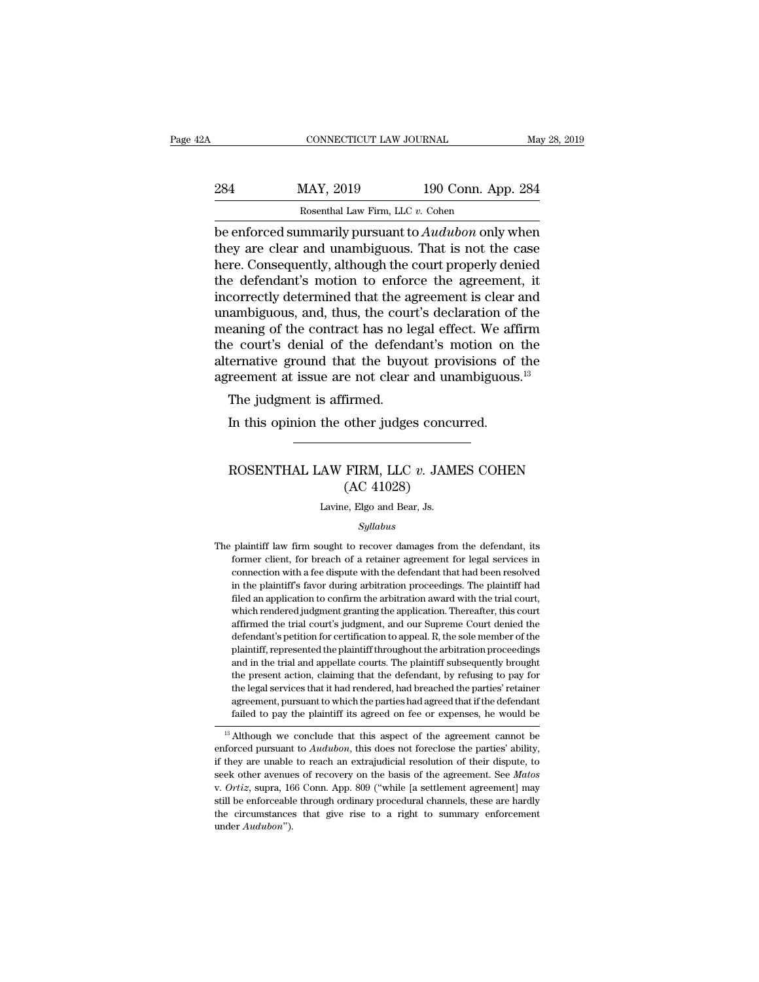| 2A  | CONNECTICUT LAW JOURNAL                                    |                    | May 28, 2019 |
|-----|------------------------------------------------------------|--------------------|--------------|
| 284 | MAY, 2019                                                  | 190 Conn. App. 284 |              |
|     | Rosenthal Law Firm, LLC v. Cohen                           |                    |              |
|     | be enforced summarily pursuant to <i>Audubon</i> only when |                    |              |

connecticut LAW JOURNAL May 28, 2019<br>
284 MAY, 2019 190 Conn. App. 284<br>
Rosenthal Law Firm, LLC v. Cohen<br>
be enforced summarily pursuant to *Audubon* only when<br>
they are clear and unambiguous. That is not the case<br>
here Co 284 MAY, 2019 190 Conn. App. 284<br>Rosenthal Law Firm, LLC  $v$ . Cohen<br>be enforced summarily pursuant to *Audubon* only when<br>they are clear and unambiguous. That is not the case<br>here. Consequently, although the court properl 284 MAY, 2019 190 Conn. App. 284<br>
Rosenthal Law Firm, LLC v. Cohen<br>
be enforced summarily pursuant to *Audubon* only when<br>
they are clear and unambiguous. That is not the case<br>
here. Consequently, although the court prope 284 MAY, 2019 190 Conn. App. 284<br>
Rosenthal Law Firm, LLC  $v$ . Cohen<br>
be enforced summarily pursuant to *Audubon* only when<br>
they are clear and unambiguous. That is not the case<br>
here. Consequently, although the court pro Rosenthal Law Firm, LLC v. Cohen<br>be enforced summarily pursuant to *Audubon* only when<br>they are clear and unambiguous. That is not the case<br>here. Consequently, although the court properly denied<br>the defendant's motion to Rosenthal Law Firm, LLC  $v$ . Cohen<br>be enforced summarily pursuant to *Audubon* only when<br>they are clear and unambiguous. That is not the case<br>here. Consequently, although the court properly denied<br>the defendant's motion t be enforced summarily pursuant to *Audubon* only when<br>they are clear and unambiguous. That is not the case<br>here. Consequently, although the court properly denied<br>the defendant's motion to enforce the agreement, it<br>incorrec they are clear and unambiguous. That is not the case<br>here. Consequently, although the court properly denied<br>the defendant's motion to enforce the agreement, it<br>incorrectly determined that the agreement is clear and<br>unambig here. Consequently, although the court properly denied<br>the defendant's motion to enforce the agreement, it<br>incorrectly determined that the agreement is clear and<br>unambiguous, and, thus, the court's declaration of the<br>meani the defendant's motion to enforce the agreement, it<br>incorrectly determined that the agreement is clear and<br>unambiguous, and, thus, the court's declaration of the<br>meaning of the contract has no legal effect. We affirm<br>the c correctly determined that the again<br>ambiguous, and, thus, the cour<br>eaning of the contract has no le<br>e court's denial of the defend<br>ernative ground that the buyc<br>reement at issue are not clear<br>The judgment is affirmed.<br>In t In this opinion the other judges concurred.<br>In this operative ground that the buyout provisions of reement at issue are not clear and unambiguous<br>The judgment is affirmed.<br>In this opinion the other judges concurred.

## reement at issue are not clear and unambiguous.<sup>13</sup><br>The judgment is affirmed.<br>In this opinion the other judges concurred.<br>ROSENTHAL LAW FIRM, LLC *v.* JAMES COHEN (AC 41028) firmed.<br>
other judges concu<br>
FIRM, LLC v. JAM<br>
(AC 41028)<br>
e, Elgo and Bear, Js. ROSENTHAL LAW FIRM, LLC  $v$ . JAMES COHEN<br>(AC 41028)<br>Lavine, Elgo and Bear, Js.

### *Syllabus*

The plaintiff law firm sought to recover damages from the defendant, its<br>former client, for breach of a retainer agreement for legal services in  $(AC 41028)$ <br>Lavine, Elgo and Bear, Js.<br>Syllabus<br>plaintiff law firm sought to recover damages from the defendant, its<br>former client, for breach of a retainer agreement for legal services in<br>connection with a fee dispute wi Lavine, Elgo and Bear, Js.<br>
Syllabus<br>
plaintiff law firm sought to recover damages from the defendant, its<br>
former client, for breach of a retainer agreement for legal services in<br>
connection with a fee dispute with the de syllabus<br>
syllabus<br>
plaintiff law firm sought to recover damages from the defendant, its<br>
former client, for breach of a retainer agreement for legal services in<br>
connection with a fee dispute with the defendant that had b  $Syllabus$ <br>plaintiff law firm sought to recover damages from the defendant, its<br>former client, for breach of a retainer agreement for legal services in<br>connection with a fee dispute with the defendant that had been resolved<br>i plaintiff law firm sought to recover damages from the defendant, its<br>former client, for breach of a retainer agreement for legal services in<br>connection with a fee dispute with the defendant that had been resolved<br>in the pl Former client, for breach of a retainer agreement for legal services in connection with a fee dispute with the defendant that had been resolved in the plaintiff's favor during arbitration proceedings. The plaintiff had fil connection with a fee dispute with the defendant that had been resolved<br>in the plaintiff's favor during arbitration proceedings. The plaintiff had<br>filed an application to confirm the arbitration award with the trial court, plantiff, represented the plaintiff throughout the arbitration in the plaintiff had filed an application to confirm the arbitration award with the trial court, which rendered judgment granting the application. Thereafter, filed an application to confirm the arbitration award with the trial court, which rendered judgment granting the application. Thereafter, this court affirmed the trial court's judgment, and our Supreme Court denied the def the matter and approach the contribution and the defendant and the defendant is period. Thereafter, this court<br>affirmed the trial court's judgment, and our Supreme Court denied the<br>defendant's petition for certification to micritrical services that it had rendered, had breached the partiest of the plaintiff, represented the plaintiff throughout the arbitration proceedings and in the trial and appellate courts. The plaintiff subsequently brou and the defendant's petition for certification to appeal. R, the sole member of the plaintiff, represented the plaintiff throughout the arbitration proceedings and in the trial and appellate courts. The plaintiff subsequen determinate beta plaintiff its appearance depend in the arbitration proceedings<br>and in the trial and appellate courts. The plaintiff subsequently brought<br>the present action, claiming that the defendant, by refusing to pay and in the trial and appellate courts. The plaintiff subsequently brought<br>the present action, claiming that the defendant, by refusing to pay for<br>the legal services that it had rendered, had breached the parties' retainer the present action, claiming that the defendant, by refusing to pay for<br>the legal services that it had rendered, had breached the parties' retainer<br>agreement, pursuant to which the parties had agreed that if the defendant<br>

the legal services that it had rendered, had breached the parties' retainer<br>agreement, pursuant to which the parties had agreed that if the defendant<br>failed to pay the plaintiff its agreed on fee or expenses, he would be<br> agreement, pursuant to which the parties had agreed that if the defendant<br>failed to pay the plaintiff its agreed on fee or expenses, he would be<br> $\frac{1}{3}$  Although we conclude that this aspect of the agreement cannot be<br>en <sup>13</sup> Although we conclude that this aspect of the agreement cannot be enforced pursuant to *Audubon*, this does not foreclose the parties' ability, if they are unable to reach an extrajudicial resolution of their dispute, enforced pursuant to *Audubon*, this does not foreclose the parties' ability, if they are unable to reach an extrajudicial resolution of their dispute, to seek other avenues of recovery on the basis of the agreement. See under *Audubon*'').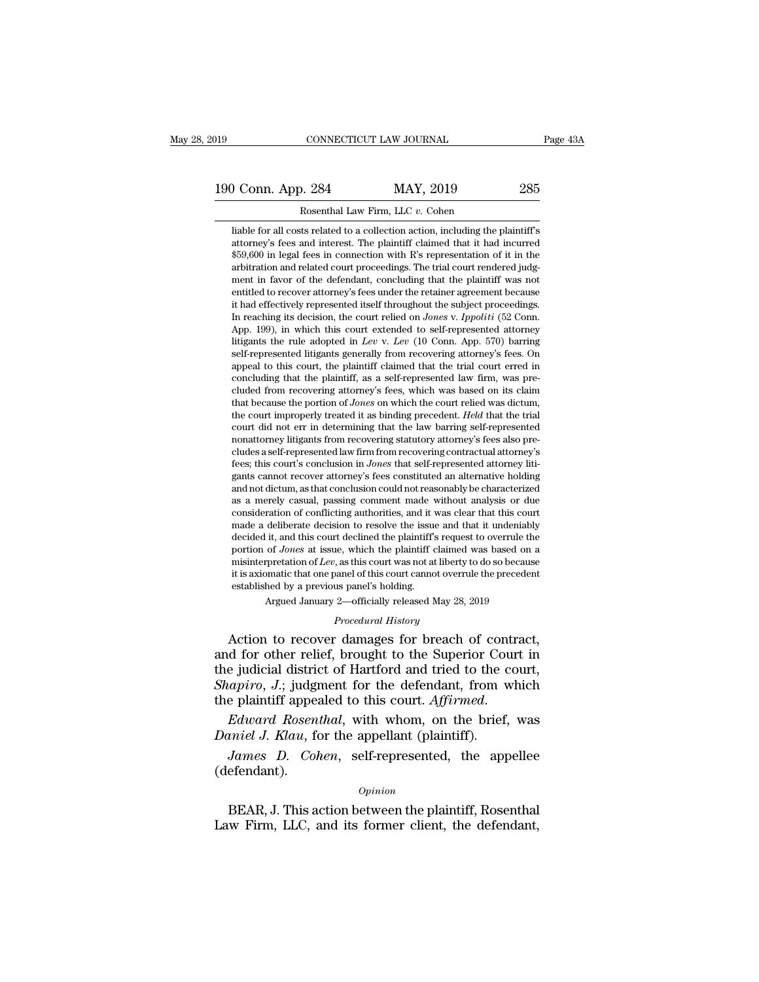# 190 CONNECTICUT LAW JOURNAL Page 43A<br>190 Conn. App. 284 MAY, 2019 285<br>Rosenthal Law Firm, LLC v. Cohen EXECTICUT LAW JOURNAL<br>
284 MAY, 2019<br>
Rosenthal Law Firm, LLC *v.* Cohen<br>
ts related to a collection action, including the p

**liable for all costs related to a collection action, including the plaintiff's**<br>attorney's fees and interest. The plaintiff claimed that it had incurred<br> $\frac{256}{1000}$  in less and interest. The plaintiff claimed that it attorney's fees and interest. The plaintiff claimed that it had incurred interest. The plaintiff claimed that it had incurred that it had incurred  $$59,600$  in legal fees in connection with R's representation of it in the 1999, 500 in Lepal fees in MAY, 2019<br>
59,600 in legal fees and interest. The plaintiff claimed that it had incurred<br>
59,600 in legal fees in connection with R's representation of it in the<br>
459,600 in legal fees in connect arbitration and Related to a collection action, including the plaintiff's<br>including for all costs related to a collection action, including the plaintiff's<br>attorney's fees and interest. The plaintiff claimed that it had in Rosenthal Law Firm, LLC  $v$ . Cohen<br>liable for all costs related to a collection action, including the plaintiff's<br>attorney's fees and interest. The plaintiff claimed that it had incurred<br> $$59,600$  in legal fees in connect liable for all costs related to a collection action, including the plaintiff's attorney's fees and interest. The plaintiff claimed that it had incurred \$59,600 in legal fees in connection with R's representation of it in t it<br>alto from all costs related to a collection action, including the plaintiff<br>attorney's fees and interest. The plaintiff claimed that it had incurred<br>\$59,600 in legal fees in connection with R's representation of it in t attorney s rees and interest. The plaintiff claimed that it had incurred<br>\$59,600 in legal fees in connection with R's representation of it in the<br>arbitration and related court proceedings. The trial court rendered judg-<br>me \$59,000 in legal rees in connection with K is representation of it in the arbitration and related court proceedings. The trial court rendered judgment in favor of the defendant, concluding that the plaintiff was not entitl arbitration and related court proceedings. The trial court rendered judgment in favor of the defendant, concluding that the plaintiff was not entitled to recover attorney's fees under the retainer agreement because it had ment in ravor of the detendant, concluding that the plaintiff was not entitled to recover attorney's fees under the retainer agreement because it had effectively represented itself throughout the subject proceedings. In r entitied to recover attorney's rees under the retainer agreement because<br>it had effectively represented itself throughout the subject proceedings.<br>In reaching its decision, the court relied on *Jones* v. *Ippoliti* (52 Co It had effectively represented itself in<br>roughout the subject proceedings. In reaching its decision, the court relied on *Jones v. Ippoliti* (52 Conn.<br>App. 199), in which this court extended to self-represented attorney<br>l In reaching its decision, the court relied on *Jones* v. *Ippoliti* (52 Conn. App. 199), in which this court extended to self-represented attorney litigants the rule adopted in *Lev* v. *Lev* (10 Conn. App. 570) barring s App. 199), in which this court extended to self-represented attorney<br>litigants the rule adopted in *Lev* v. *Lev* (10 Conn. App. 570) barring<br>self-represented litigants generally from recovering attorney's fees. On<br>appeal Ittigants the rule adopted in *Lev* v. *Lev* (10 Conn. App. 570) barring self-represented litigants generally from recovering attorney's fees. On appeal to this court, the plaintiff claimed that the trial court erred in co self-represented literative meanually from recovering attorney's rees. On appeal to this court, the plaintiff claimed that the trial court erred in concluding that the plaintiff, as a self-represented law firm, was preclud appeal to this court, the plaintiff, as a self-represented law firm, was pre-<br>cluded from recovering attorney's fees, which was based on its claim<br>that because the portion of *Jones* on which the court relied was dictum,<br>t concluding that the plaintiff, as a self-represented law firm, was pre-<br>cluded from recovering attorney's fees, which was based on its claim<br>that because the portion of *Jones* on which the court relied was dictum,<br>the co cluded from recovering attorney's fees, which was based on its claim<br>that because the portion of *Jones* on which the court relied was dictum,<br>the court improperly treated it as binding precedent. *Held* that the trial<br>cou that because the portion of *Jones* on which the court relied was dictum,<br>the court improperly treated it as binding precedent. Held that the trial<br>court did not err in determining that the law barring self-represented<br>no the court improperly treated it as binding precedent. *Held* that the trial<br>court did not err in determining that the law barring self-represented<br>nonattorney litigants from recovering statutory attorney's fees also pre-<br>c court dud not err in determining that the law barring self-represented<br>nonattorney litigants from recovering statutory attorney's fees also pre-<br>cludes a self-represented law firm from recovering contractual attorney's<br>fee nonattorney ittigants from recovering statutory attorney's fees also pre-<br>cludes a self-represented law firm from recovering contractual attorney's<br>fees; this court's conclusion in *Jones* that self-represented attorney li cludes a self-represented law firm from recovering contractual attorney's fees; this court's conclusion in *Jones* that self-represented attorney litigants cannot recover attorney's fees constituted an alternative holding decided it, and this conclusion in *Jones* that self-represented attorney lit-<br>gants cannot recover attorney's fees constituted an alternative holding<br>and not dictum, as that conclusion could not reasonably be characterize gants cannot recover attorney's tees constituted an atternative holding<br>and not dictum, as that conclusion could not reasonably be characterized<br>as a merely casual, passing comment made without analysis or due<br>consideratio and not dictum, as that conclusion could not reasonably be characterized<br>as a merely casual, passing comment made without analysis or due<br>consideration of conflicting authorities, and it was clear that this court<br>made a de as a merely casual, passing comment made without analysis or due<br>consideration of conflicting authorities, and it was clear that this court<br>made a deliberate decision to resolve the issue and that it undeniably<br>decided it consideration of conflicting authorities, and it was clear that this court made a deliberate decision to resolve the issue and that it undeniably decided it, and this court declined the plaintiff's request to overrule the decided it, and this court declined the plaintiff's request to overrule the portion of *Jones* at issue, which the plaintiff claimed was based on a misinterpretation of *Lev*, as this court was not at liberty to do so bec decided it, and this court declined the plaintiff sequest to overrule the<br>portion of *Jones* at issue, which the plaintiff claimed was based on a<br>misinterpretation of *Lev*, as this court was not at liberty to do so becaus

Argued January 2—officially released May 28, 2019<br>*Procedural History*<br>Action to recover damages for breach of contract, portant of bother and foreign the parameters are solved in the misinterpretation of Lev, as this court cannot overrule the precedent established by a previous panel's holding.<br>Argued January 2—officially released May 28, 2 it is axiomatic that one panel of this court cannot overrule the precedent<br>established by a previous panel's holding.<br>Argued January 2—officially released May 28, 2019<br>*Procedural History*<br>Action to recover damages for bre established by a previous panel's holding.<br> *Shapiron Argued January 2*—officially released May 28, 2019<br> *Procedural History*<br> **Action to recover damages for breach of contract,**<br>
and for other relief, brought to the Supe Argued January 2—officially released May 28, 2019<br> *Procedural History*<br>
Action to recover damages for breach of contract,<br>
and for other relief, brought to the Superior Court in<br>
the judicial district of Hartford and trie Action to recover damages for breach of con<br>and for other relief, brought to the Superior Cou<br>the judicial district of Hartford and tried to the of<br>*Shapiro*, *J*.; judgment for the defendant, from v<br>the plaintiff appealed *d* for other relief, brought to the Superior Court in<br>e judicial district of Hartford and tried to the court,<br>*apiro*, *J*.; judgment for the defendant, from which<br>e plaintiff appealed to this court. *Affirmed*.<br>*Edward R* 

(defendant). Edward Rosenthal, with whom, on the brief, was<br>
inicl J. Klau, for the appellant (plaintiff).<br>
James D. Cohen, self-represented, the appellee<br>
efendant).<br>
Opinion<br>
BEAR, J. This action between the plaintiff, Rosenthal<br>
w F Law Firm, LLC, and its former client, the defendant<br>Law Firm, LLC, and its former client, the defendant,<br>Law Firm, LLC, and its former client, the defendant,

*Opinion*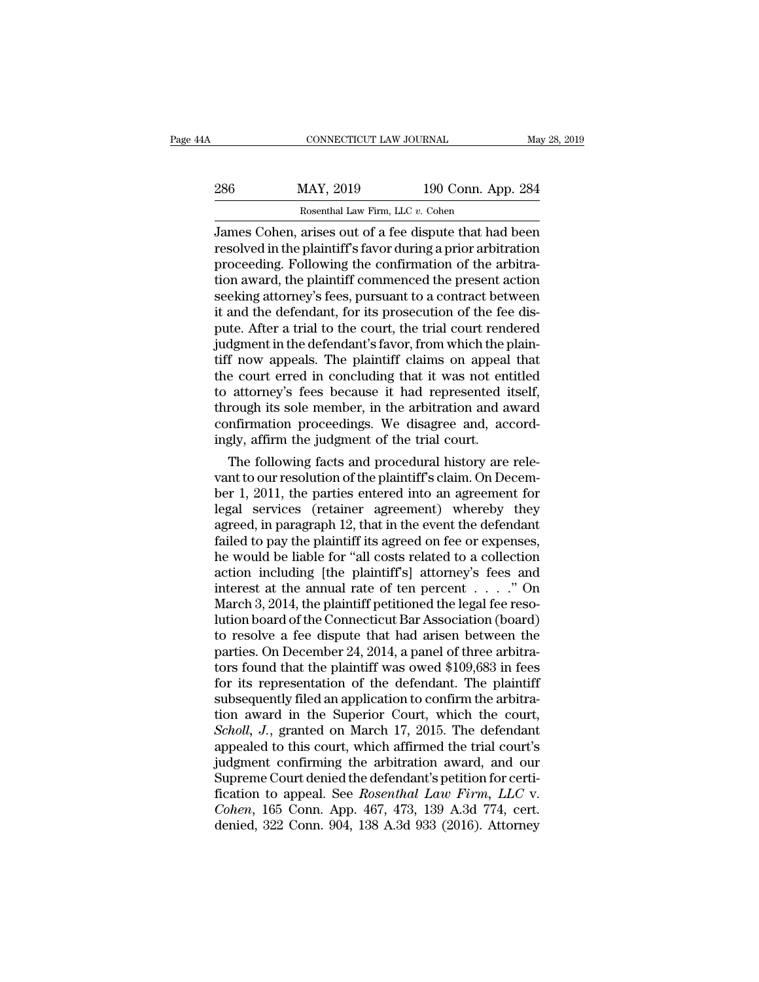| 4Α  | CONNECTICUT LAW JOURNAL                                |                    | May 28, 2019 |
|-----|--------------------------------------------------------|--------------------|--------------|
| 286 | MAY, 2019                                              | 190 Conn. App. 284 |              |
|     | Rosenthal Law Firm, LLC v. Cohen                       |                    |              |
|     | James Cohen, arises out of a fee dispute that had been |                    |              |

CONNECTICUT LAW JOURNAL May 28, 2019<br>
286 MAY, 2019 190 Conn. App. 284<br>
Rosenthal Law Firm, LLC v. Cohen<br>
James Cohen, arises out of a fee dispute that had been<br>
resolved in the plaintiff's favor during a prior arbitration 286 MAY, 2019 190 Conn. App. 284<br>Rosenthal Law Firm, LLC v. Cohen<br>James Cohen, arises out of a fee dispute that had been<br>resolved in the plaintiff's favor during a prior arbitration<br>proceeding. Following the confirmation o 286 MAY, 2019 190 Conn. App. 284<br>
Rosenthal Law Firm, LLC v. Cohen<br>
James Cohen, arises out of a fee dispute that had been<br>
resolved in the plaintiff's favor during a prior arbitration<br>
proceeding. Following the confirmat 286 MAY, 2019 190 Conn. App. 284<br>
Rosenthal Law Firm, LLC  $v$ . Cohen<br>
James Cohen, arises out of a fee dispute that had been<br>
resolved in the plaintiff's favor during a prior arbitration<br>
proceeding. Following the confirm Rosenthal Law Firm, LLC v. Cohen<br>James Cohen, arises out of a fee dispute that had been<br>resolved in the plaintiff's favor during a prior arbitration<br>proceeding. Following the confirmation of the arbitra-<br>tion award, the pl Expecting Law Firm, LLC  $v$ . Cohen<br>James Cohen, arises out of a fee dispute that had been<br>resolved in the plaintiff's favor during a prior arbitration<br>proceeding. Following the confirmation of the arbitra-<br>tion award, the James Cohen, arises out of a fee dispute that had been<br>resolved in the plaintiff's favor during a prior arbitration<br>proceeding. Following the confirmation of the arbitra-<br>tion award, the plaintiff commenced the present act resolved in the plaintiff's favor during a prior arbitration<br>proceeding. Following the confirmation of the arbitra-<br>tion award, the plaintiff commenced the present action<br>seeking attorney's fees, pursuant to a contract bet proceeding. Following the confirmation of the arbitration award, the plaintiff commenced the present action<br>seeking attorney's fees, pursuant to a contract between<br>it and the defendant, for its prosecution of the fee dis-<br> tion award, the plaintiff commenced the present action<br>seeking attorney's fees, pursuant to a contract between<br>it and the defendant, for its prosecution of the fee dis-<br>pute. After a trial to the court, the trial court ren seeking attorney's fees, pursuant to a contract between<br>it and the defendant, for its prosecution of the fee dis-<br>pute. After a trial to the court, the trial court rendered<br>judgment in the defendant's favor, from which the it and the defendant, for its prosecution of the fee dis-<br>pute. After a trial to the court, the trial court rendered<br>judgment in the defendant's favor, from which the plain-<br>tiff now appeals. The plaintiff claims on appeal pute. After a trial to the court, the trial court rendered<br>judgment in the defendant's favor, from which the plain-<br>tiff now appeals. The plaintiff claims on appeal that<br>the court erred in concluding that it was not entitl judgment in the defendant's favor, from which the putiff now appeals. The plaintiff claims on appeal<br>the court erred in concluding that it was not en<br>to attorney's fees because it had represented i<br>through its sole member, I now appeals. The plaintiff claims on appeal that<br>e court erred in concluding that it was not entitled<br>attorney's fees because it had represented itself,<br>rough its sole member, in the arbitration and award<br>nfirmation proc the court erred in concluding that it was not entitled<br>to attorney's fees because it had represented itself,<br>through its sole member, in the arbitration and award<br>confirmation proceedings. We disagree and, accord-<br>ingly, a

to attorney's rees because it nad represented itself,<br>through its sole member, in the arbitration and award<br>confirmation proceedings. We disagree and, accord-<br>ingly, affirm the judgment of the trial court.<br>The following fa through its sole member, in the arbitration and award<br>confirmation proceedings. We disagree and, accord-<br>ingly, affirm the judgment of the trial court.<br>The following facts and procedural history are rele-<br>vant to our resol contirmation proceedings. We disagree and, accordingly, affirm the judgment of the trial court.<br>The following facts and procedural history are relevant to our resolution of the plaintiff's claim. On December 1, 2011, the p ingly, affirm the judgment of the trial court.<br>
The following facts and procedural history are rele-<br>
vant to our resolution of the plaintiff's claim. On Decem-<br>
ber 1, 2011, the parties entered into an agreement for<br>
lega The following facts and procedural history are relevant to our resolution of the plaintiff's claim. On December 1, 2011, the parties entered into an agreement for legal services (retainer agreement) whereby they agreed, in vant to our resolution of the plaintiff's claim. On December 1, 2011, the parties entered into an agreement for legal services (retainer agreement) whereby they agreed, in paragraph 12, that in the event the defendant fai ber 1, 2011, the parties entered into an agreement for<br>legal services (retainer agreement) whereby they<br>agreed, in paragraph 12, that in the event the defendant<br>failed to pay the plaintiff its agreed on fee or expenses,<br>he legal services (retainer agreement) whereby they<br>agreed, in paragraph 12, that in the event the defendant<br>failed to pay the plaintiff its agreed on fee or expenses,<br>he would be liable for "all costs related to a collection agreed, in paragraph 12, that in the event the defendant<br>failed to pay the plaintiff its agreed on fee or expenses,<br>he would be liable for "all costs related to a collection<br>action including [the plaintiff's] attorney's f failed to pay the plaintiff its agreed on fee or expenses,<br>he would be liable for "all costs related to a collection<br>action including [the plaintiff's] attorney's fees and<br>interest at the annual rate of ten percent  $\dots$ ." he would be liable for "all costs related to a collection<br>action including [the plaintiff's] attorney's fees and<br>interest at the annual rate of ten percent  $\dots$ . " On<br>March 3, 2014, the plaintiff petitioned the legal fee action including [the plaintiff's] attorney's fees and<br>interest at the annual rate of ten percent  $\ldots$ ." On<br>March 3, 2014, the plaintiff petitioned the legal fee reso-<br>lution board of the Connecticut Bar Association (boa interest at the annual rate of ten percent  $\ldots$  ." On<br>March 3, 2014, the plaintiff petitioned the legal fee reso-<br>lution board of the Connecticut Bar Association (board)<br>to resolve a fee dispute that had arisen between t March 3, 2014, the plaintiff petitioned the legal fee resolution board of the Connecticut Bar Association (board) to resolve a fee dispute that had arisen between the parties. On December 24, 2014, a panel of three arbitr lution board of the Connecticut Bar Association (board)<br>to resolve a fee dispute that had arisen between the<br>parties. On December 24, 2014, a panel of three arbitra-<br>tors found that the plaintiff was owed \$109,683 in fees<br> to resolve a fee dispute that had arisen between the<br>parties. On December 24, 2014, a panel of three arbitra-<br>tors found that the plaintiff was owed \$109,683 in fees<br>for its representation of the defendant. The plaintiff<br>s parties. On December 24, 2014, a panel of three arbitrators found that the plaintiff was owed \$109,683 in fees<br>for its representation of the defendant. The plaintiff<br>subsequently filed an application to confirm the arbitra tors found that the plaintiff was owed \$109,683 in fees<br>for its representation of the defendant. The plaintiff<br>subsequently filed an application to confirm the arbitra-<br>tion award in the Superior Court, which the court,<br>*S* for its representation of the defendant. The plaintiff<br>subsequently filed an application to confirm the arbitra-<br>tion award in the Superior Court, which the court,<br>*Scholl*, *J*., granted on March 17, 2015. The defendant<br> subsequently filed an application to confirm the arbitration award in the Superior Court, which the court, *Scholl*, *J*., granted on March 17, 2015. The defendant appealed to this court, which affirmed the trial court's j tion award in the Superior Court, which the court,<br>*Scholl, J.*, granted on March 17, 2015. The defendant<br>appealed to this court, which affirmed the trial court's<br>judgment confirming the arbitration award, and our<br>Supreme Scholl, J., granted on March 17, 2015. The defendant appealed to this court, which affirmed the trial court's judgment confirming the arbitration award, and our Supreme Court denied the defendant's petition for certificati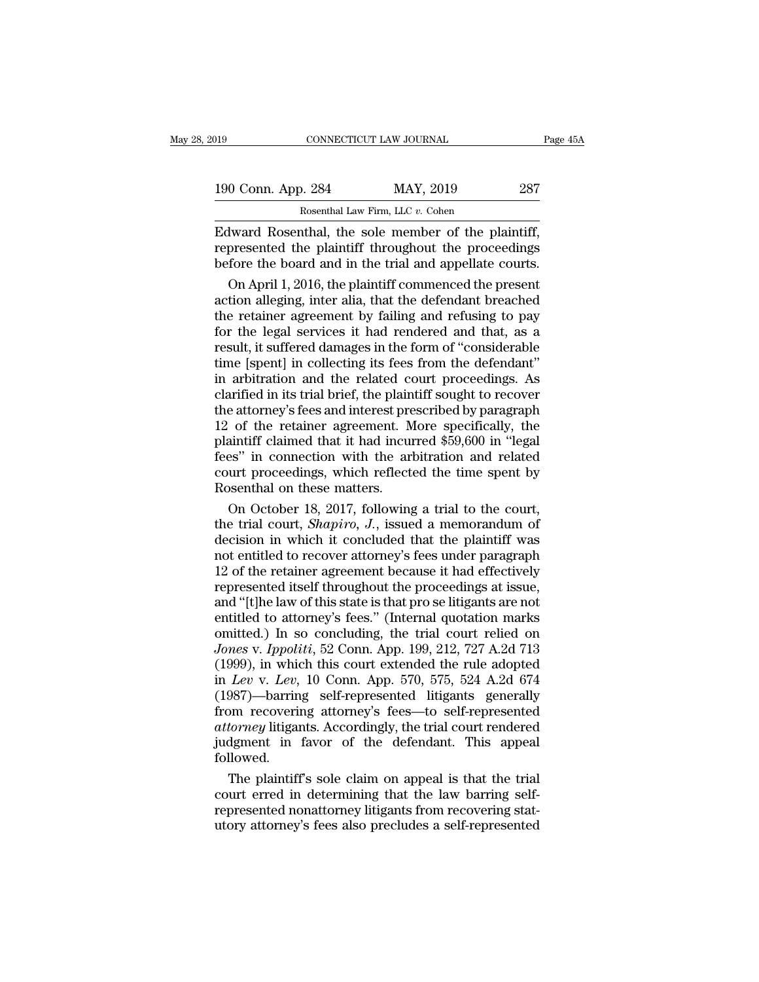| 2019               | CONNECTICUT LAW JOURNAL                           | Page 45A |
|--------------------|---------------------------------------------------|----------|
| 190 Conn. App. 284 | MAY, 2019                                         | 287      |
|                    | Rosenthal Law Firm, LLC v. Cohen                  |          |
|                    | Edward Rosenthal the sole member of the plaintiff |          |

Equals to the plaintiff connection of the plaintiff,<br>  $\frac{190 \text{ Conn. App. 284}}{\text{Rosenthal Law Firm, LLC } v. \text{ Cohen}}$ <br>
Edward Rosenthal, the sole member of the plaintiff,<br>
represented the plaintiff throughout the proceedings<br>
before the board and 190 Conn. App. 284 MAY, 2019 287<br>Rosenthal Law Firm, LLC v. Cohen<br>Edward Rosenthal, the sole member of the plaintiff,<br>represented the plaintiff throughout the proceedings<br>before the board and in the trial and appellate cou 190 Conn. App. 284 MAY, 2019 287<br>
Rosenthal Law Firm, LLC v. Cohen<br>
Edward Rosenthal, the sole member of the plaintiff,<br>
represented the plaintiff throughout the proceedings<br>
before the board and in the trial and appellat  $\frac{0 \text{ Conn. App. 284}}{\text{Rosenthal Law Firm, LLC } v. \text{ Cohen}}$ <br>
Novard Rosenthal, the sole member of the plaintiff,<br>
presented the plaintiff throughout the proceedings<br>
fore the board and in the trial and appellate courts.<br>
On April 1, 2016, the

Rosenthal Law Firm, LLC  $v$ . Cohen<br>Edward Rosenthal, the sole member of the plaintiff,<br>represented the plaintiff throughout the proceedings<br>before the board and in the trial and appellate courts.<br>On April 1, 2016, the pla Edward Rosenthal, the sole member of the plaintiff,<br>represented the plaintiff throughout the proceedings<br>before the board and in the trial and appellate courts.<br>On April 1, 2016, the plaintiff commenced the present<br>action Edward Rosenthal, the sole member of the plaintiff,<br>represented the plaintiff throughout the proceedings<br>before the board and in the trial and appellate courts.<br>On April 1, 2016, the plaintiff commenced the present<br>action represented the plaintiff throughout the proceedings<br>before the board and in the trial and appellate courts.<br>On April 1, 2016, the plaintiff commenced the present<br>action alleging, inter alia, that the defendant breached<br>th before the board and in the trial and appellate courts.<br>
On April 1, 2016, the plaintiff commenced the present<br>
action alleging, inter alia, that the defendant breached<br>
the retainer agreement by failing and refusing to pa On April 1, 2016, the plaintiff commenced the present<br>action alleging, inter alia, that the defendant breached<br>the retainer agreement by failing and refusing to pay<br>for the legal services it had rendered and that, as a<br>res action alleging, inter alia, that the defendant breached<br>the retainer agreement by failing and refusing to pay<br>for the legal services it had rendered and that, as a<br>result, it suffered damages in the form of "considerable<br> the retainer agreement by failing and refusing to pay<br>for the legal services it had rendered and that, as a<br>result, it suffered damages in the form of "considerable<br>time [spent] in collecting its fees from the defendant"<br>i for the legal services it had rendered and that, as a<br>result, it suffered damages in the form of "considerable<br>time [spent] in collecting its fees from the defendant"<br>in arbitration and the related court proceedings. As<br>cl result, it suffered damages in the form of "considerable<br>time [spent] in collecting its fees from the defendant"<br>in arbitration and the related court proceedings. As<br>clarified in its trial brief, the plaintiff sought to re time [spent] in collecting its fees from the defendant"<br>
in arbitration and the related court proceedings. As<br>
clarified in its trial brief, the plaintiff sought to recover<br>
the attorney's fees and interest prescribed by p in arbitration and the related court proceedings. As<br>clarified in its trial brief, the plaintiff sought to recover<br>the attorney's fees and interest prescribed by paragraph<br>12 of the retainer agreement. More specifically, t clarified in its trial brief, the plain<br>the attorney's fees and interest pre<br>12 of the retainer agreement. M<br>plaintiff claimed that it had incu<br>fees" in connection with the arl<br>court proceedings, which reflect<br>Rosenthal on e attorney's fees and interest prescribed by paragraph<br>of the retainer agreement. More specifically, the<br>aintiff claimed that it had incurred \$59,600 in "legal<br>es" in connection with the arbitration and related<br>urt proceed 12 of the retainer agreement. More specifically, the plaintiff claimed that it had incurred \$59,600 in "legal fees" in connection with the arbitration and related court proceedings, which reflected the time spent by Rosent

plaintiff claimed that it had incurred \$59,600 in "legal<br>fees" in connection with the arbitration and related<br>court proceedings, which reflected the time spent by<br>Rosenthal on these matters.<br>On October 18, 2017, following fees" in connection with the arbitration and related<br>court proceedings, which reflected the time spent by<br>Rosenthal on these matters.<br>On October 18, 2017, following a trial to the court,<br>the trial court, *Shapiro*, *J*., i court proceedings, which reflected the time spent by<br>Rosenthal on these matters.<br>On October 18, 2017, following a trial to the court,<br>the trial court, *Shapiro*, *J*., issued a memorandum of<br>decision in which it concluded Rosenthal on these matters.<br>
On October 18, 2017, following a trial to the court,<br>
the trial court, *Shapiro*, *J*., issued a memorandum of<br>
decision in which it concluded that the plaintiff was<br>
not entitled to recover at On October 18, 2017, following a trial to the court,<br>the trial court, *Shapiro*, *J*., issued a memorandum of<br>decision in which it concluded that the plaintiff was<br>not entitled to recover attorney's fees under paragraph<br>1 the trial court, *Shapiro*, *J*., issued a memorandum of decision in which it concluded that the plaintiff was not entitled to recover attorney's fees under paragraph 12 of the retainer agreement because it had effectivel decision in which it concluded that the plaintiff was<br>not entitled to recover attorney's fees under paragraph<br>12 of the retainer agreement because it had effectively<br>represented itself throughout the proceedings at issue,<br> not entitled to recover attorney's fees under paragraph<br>12 of the retainer agreement because it had effectively<br>represented itself throughout the proceedings at issue,<br>and "[t]he law of this state is that pro se litigants 12 of the retainer agreement because it had effectively<br>represented itself throughout the proceedings at issue,<br>and "[t]he law of this state is that pro se litigants are not<br>entitled to attorney's fees." (Internal quotati represented itself throughout the proceedings at issue,<br>and "[t]he law of this state is that pro se litigants are not<br>entitled to attorney's fees." (Internal quotation marks<br>omitted.) In so concluding, the trial court reli and "[t]he law of this state is that pro se litigants are not<br>entitled to attorney's fees." (Internal quotation marks<br>omitted.) In so concluding, the trial court relied on<br>Jones v. Ippoliti, 52 Conn. App. 199, 212, 727 A.2 entitled to attorney's fees." (Internal quotation marks<br>omitted.) In so concluding, the trial court relied on<br>Jones v. Ippoliti, 52 Conn. App. 199, 212, 727 A.2d 713<br>(1999), in which this court extended the rule adopted<br>in omitted.) In so concluding, the trial court relied on<br>*Jones* v. *Ippoliti*, 52 Conn. App. 199, 212, 727 A.2d 713<br>(1999), in which this court extended the rule adopted<br>in *Lev* v. *Lev*, 10 Conn. App. 570, 575, 524 A.2d 67 Jones v. Ippoliti, 52 Conn. App. 199, 212, 727 A.2d 713<br>(1999), in which this court extended the rule adopted<br>in Lev v. Lev, 10 Conn. App. 570, 575, 524 A.2d 674<br>(1987)—barring self-represented litigants generally<br>from rec followed. Lev v. Lev, 10 Conn. App. 570, 575, 524 A.2d 674<br>987)—barring self-represented litigants generally<br>om recovering attorney's fees—to self-represented<br>torney litigants. Accordingly, the trial court rendered<br>dgment in favor o (1987)—barring self-represented litigants generally<br>from recovering attorney's fees—to self-represented<br>*attorney* litigants. Accordingly, the trial court rendered<br>judgment in favor of the defendant. This appeal<br>followed.

from recovering attorney's fees—to self-represented<br>attorney litigants. Accordingly, the trial court rendered<br>judgment in favor of the defendant. This appeal<br>followed.<br>The plaintiff's sole claim on appeal is that the trial attorney litigants. Accordingly, the trial court rendered<br>judgment in favor of the defendant. This appeal<br>followed.<br>The plaintiff's sole claim on appeal is that the trial<br>court erred in determining that the law barring sel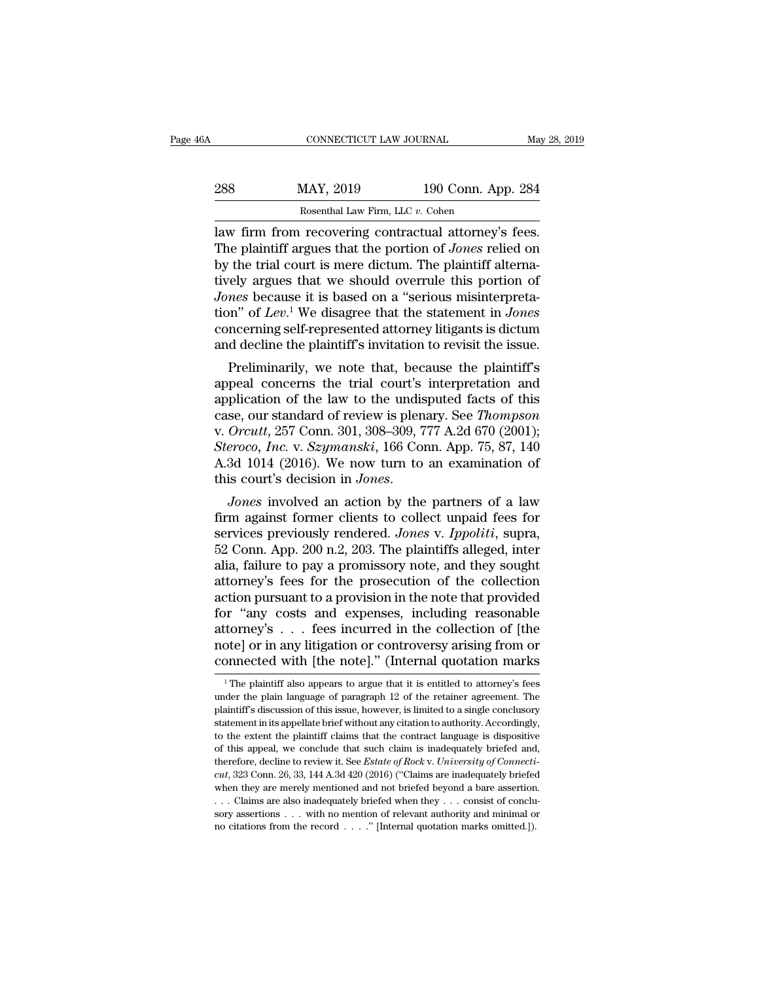| 46A | CONNECTICUT LAW JOURNAL          |                    | May 28, 2019 |
|-----|----------------------------------|--------------------|--------------|
| 288 | MAY, 2019                        | 190 Conn. App. 284 |              |
|     | Rosenthal Law Firm, LLC v. Cohen |                    |              |

MAY, 2019 190 Conn. App. 284<br>
Rosenthal Law Firm, LLC v. Cohen<br>
Law firm from recovering contractual attorney's fees.<br>
The plaintiff argues that the portion of *Jones* relied on<br>
by the trial court is mere dictum. The plai 288 MAY, 2019 190 Conn. App. 284<br>
Rosenthal Law Firm, LLC v. Cohen<br>
law firm from recovering contractual attorney's fees.<br>
The plaintiff argues that the portion of *Jones* relied on<br>
by the trial court is mere dictum. The 288 MAY, 2019 190 Conn. App. 284<br>
Rosenthal Law Firm, LLC v. Cohen<br>
law firm from recovering contractual attorney's fees.<br>
The plaintiff argues that the portion of *Jones* relied on<br>
by the trial court is mere dictum. The *Bosenthal Law Firm, LLC v. Cohen*<br>*Jaw firm from recovering contractual attorney's fees.*<br>The plaintiff argues that the portion of *Jones* relied on<br>by the trial court is mere dictum. The plaintiff alterna-<br>tively argues Rosenthal Law Firm, LLC v. Cohen<br>
law firm from recovering contractual attorney's fees.<br>
The plaintiff argues that the portion of *Jones* relied on<br>
by the trial court is mere dictum. The plaintiff alterna-<br>
tively argues law firm from recovering contractual attorney's fees.<br>The plaintiff argues that the portion of *Jones* relied on<br>by the trial court is mere dictum. The plaintiff alterna-<br>tively argues that we should overrule this portion The plaintiff argues that the portion of *Jones* relied on<br>by the trial court is mere dictum. The plaintiff alterna-<br>tively argues that we should overrule this portion of<br>*Jones* because it is based on a "serious misinter The trial court is mere dictum. The plaintiff atternated<br>rely argues that we should overrule this portion of<br>*nes* because it is based on a "serious misinterpreta-<br>m" of *Lev*.<sup>1</sup> We disagree that the statement in *Jones* divery argues that we should overrule this portion of<br>*Jones* because it is based on a "serious misinterpreta-<br>tion" of *Lev*.<sup>1</sup> We disagree that the statement in *Jones*<br>concerning self-represented attorney litigants is

bones because it is based on a serious misinterpreta-<br>tion" of Lev.<sup>1</sup> We disagree that the statement in *Jones*<br>concerning self-represented attorney litigants is dictum<br>and decline the plaintiff's invitation to revisit t tion of *Lev*. We disagree that the statement in *Jones*<br>concerning self-represented attorney litigants is dictum<br>and decline the plaintiff's invitation to revisit the issue.<br>Preliminarily, we note that, because the plaint concerning sen-represented attorney litigants is dictum<br>and decline the plaintiff's invitation to revisit the issue.<br>Preliminarily, we note that, because the plaintiff's<br>appeal concerns the trial court's interpretation and and decline the plaintiff's myltation to revisit the issue.<br>
Preliminarily, we note that, because the plaintiff's<br>
appeal concerns the trial court's interpretation and<br>
application of the law to the undisputed facts of thi Preliminarily, we note that, because the plaintiff's<br>appeal concerns the trial court's interpretation and<br>application of the law to the undisputed facts of this<br>case, our standard of review is plenary. See *Thompson*<br>v. Or appeal concerns the trial court's interpretation and<br>application of the law to the undisputed facts of this<br>case, our standard of review is plenary. See *Thompson*<br>v. *Orcutt*, 257 Conn. 301, 308–309, 777 A.2d 670 (2001);<br> case, our standard of review is plenary. See *Inompson*<br>v. Orcutt, 257 Conn. 301, 308–309, 777 A.2d 670 (2001);<br>*Steroco, Inc. v. Szymanski*, 166 Conn. App. 75, 87, 140<br>A.3d 1014 (2016). We now turn to an examination of<br>t

v. *Orcutt*, 257 Conn. 301, 308–309, 777 A.2d 670 (2001);<br>*Steroco, Inc. v. Szymanski*, 166 Conn. App. 75, 87, 140<br>A.3d 1014 (2016). We now turn to an examination of<br>this court's decision in *Jones*.<br>*Jones* involved an ac Steroco, *Inc.* v. *Szymanski*, 100 Conn. App. 75, 87, 140<br>A.3d 1014 (2016). We now turn to an examination of<br>this court's decision in *Jones*.<br>*Jones* involved an action by the partners of a law<br>firm against former client A.3d 1014 (2016). We now turn to an examination of<br>this court's decision in *Jones*.<br>*Jones* involved an action by the partners of a law<br>firm against former clients to collect unpaid fees for<br>services previously rendered. *Jones* involved an action by the partners of a law<br>firm against former clients to collect unpaid fees for<br>services previously rendered. *Jones v. Ippoliti*, supra,<br>52 Conn. App. 200 n.2, 203. The plaintiffs alleged, inter Jones involved an action by the partners of a law<br>firm against former clients to collect unpaid fees for<br>services previously rendered. Jones v. Ippoliti, supra,<br>52 Conn. App. 200 n.2, 203. The plaintiffs alleged, inter<br>ali firm against former clients to collect unpaid fees for<br>services previously rendered. Jones v. Ippoliti, supra,<br>52 Conn. App. 200 n.2, 203. The plaintiffs alleged, inter<br>alia, failure to pay a promissory note, and they sou services previously rendered. *Jones* v. *Ippoliti*, supra, 52 Conn. App. 200 n.2, 203. The plaintiffs alleged, inter alia, failure to pay a promissory note, and they sought attorney's fees for the prosecution of the colle 52 Conn. App. 200 n.2, 203. The plaintiffs alleged, inter alia, failure to pay a promissory note, and they sought attorney's fees for the prosecution of the collection action pursuant to a provision in the note that provi alia, failure to pay a promissory note, and they sought<br>attorney's fees for the prosecution of the collection<br>action pursuant to a provision in the note that provided<br>for "any costs and expenses, including reasonable<br>atto In the plantiff also appears to argue that it is entitled to attorney's fees incurred in the collection of [the pote] or in any litigation or controversy arising from or ponnected with [the note]." (Internal quotation mar attorney's . . . fees incurred in the collection of [the note] or in any litigation or controversy arising from or connected with [the note]." (Internal quotation marks  $\frac{1}{1}$  The plaintiff also appears to argue that i

note] or in any litigation or controversy arising from or<br>connected with [the note]." (Internal quotation marks<br><sup>1</sup>The plaintiff also appears to argue that it is entitled to attorney's fees<br>under the plain language of para statement in its appearance of example in its appearance of the note of the note of the plaintiff also appears to argue that it is entitled to attorney's fees under the plaint larguage of paragraph 12 of the retainer agree The plaintiff also appears to argue that it is entitled to attorney's fees<br>
ander the plaintiff also appears to argue that it is entitled to attorney's fees<br>
under the plaintiff's discussion of this issue, however, is limi <sup>1</sup> The plaintiff also appears to argue that it is entitled to attorney's fees under the plain language of paragraph 12 of the retainer agreement. The plaintiff's discussion of this issue, however, is limited to a single Figure the plain language of paragraph 12 of the retainer agreement. The plaintiff's discussion of this issue, however, is limited to a single conclusory statement in its appellate brief without any citation to authority. plaintiff's discussion of this issue, however, is limited to a single conclusory statement in its appellate brief without any citation to authority. Accordingly, to the extent the plaintiff claims that the contract languag plaintiff's discussion of this issue, however, is limited to a single conclusory statement in its appellate brief without any citation to authority. Accordingly, to the extent the plaintiff claims that the contract langua to the extent the plaintiff claims that the contract language is dispositive of this appeal, we conclude that such claim is inadequately briefed and, therefore, decline to review it. See *Estate of Rock v. University of C* of this appeal, we conclude that such claim is inadequately briefed and, therefore, decline to review it. See *Estate of Rock v. University of Connecticut*, 323 Conn. 26, 33, 144 A.3d 420 (2016) ("Claims are inadequately therefore, decline to review it. See *Estate of Rock v. University of Connecticat*, 323 Conn. 26, 33, 144 A.3d 420 (2016) ("Claims are inadequately briefed when they are merely mentioned and not briefed beyond a bare asse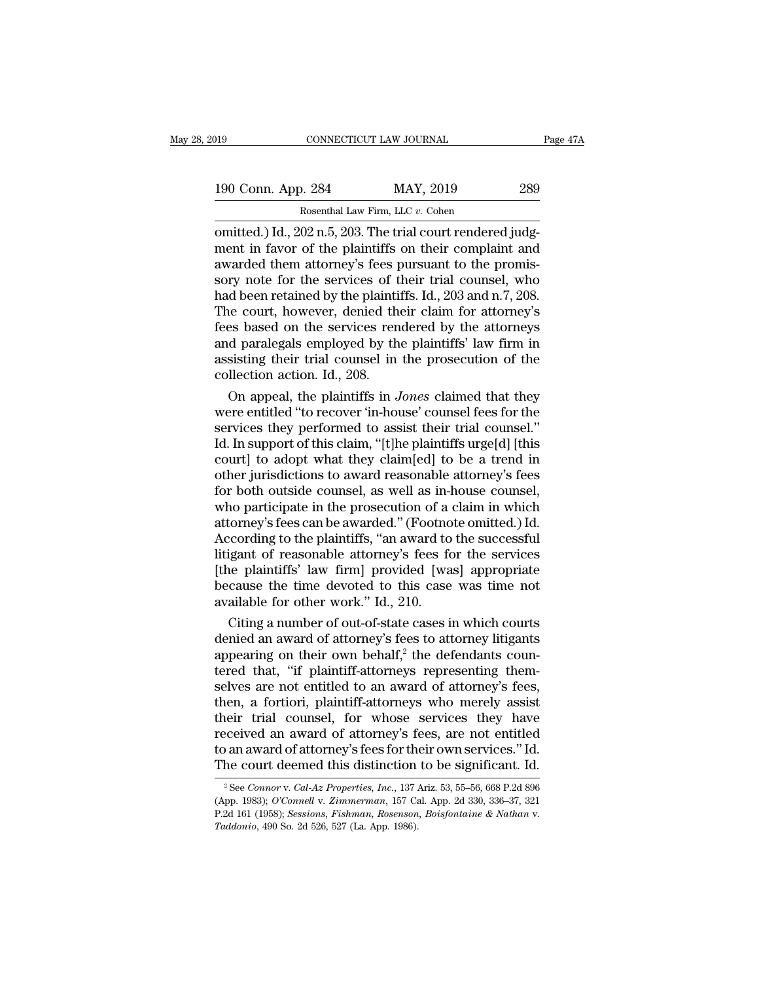| )19                | CONNECTICUT LAW JOURNAL                                       | Page 47A |
|--------------------|---------------------------------------------------------------|----------|
| 190 Conn. App. 284 | MAY, 2019                                                     | 289      |
|                    | Rosenthal Law Firm, LLC v. Cohen                              |          |
|                    | omitted ) Id $-202$ n 5 $-203$ The trial court rendered inde- |          |

CONNECTICUT LAW JOURNAL<br>
190 Conn. App. 284 MAY, 2019 289<br>
Rosenthal Law Firm, LLC v. Cohen<br>
0 conitted.) Id., 202 n.5, 203. The trial court rendered judg-<br>
ment in favor of the plaintiffs on their complaint and<br>
awarded t 190 Conn. App. 284 MAY, 2019 289<br>Rosenthal Law Firm, LLC v. Cohen<br>
comitted.) Id., 202 n.5, 203. The trial court rendered judg-<br>
ment in favor of the plaintiffs on their complaint and<br>
awarded them attorney's fees pursuant 190 Conn. App. 284 MAY, 2019 289<br>
Rosenthal Law Firm, LLC v. Cohen<br>
omitted.) Id., 202 n.5, 203. The trial court rendered judg-<br>
ment in favor of the plaintiffs on their complaint and<br>
awarded them attorney's fees pursuan 190 Conn. App. 284 MAY, 2019 289<br>
Rosenthal Law Firm, LLC  $v$ . Cohen<br>
omitted.) Id., 202 n.5, 203. The trial court rendered judg-<br>
ment in favor of the plaintiffs on their complaint and<br>
awarded them attorney's fees pursu Rosenthal Law Firm, LLC v. Cohen<br>
omitted.) Id., 202 n.5, 203. The trial court rendered judg-<br>
ment in favor of the plaintiffs on their complaint and<br>
awarded them attorney's fees pursuant to the promis-<br>
sory note for th Rosenthal Law Firm, LLC v. Cohen<br>
omitted.) Id., 202 n.5, 203. The trial court rendered judg-<br>
ment in favor of the plaintiffs on their complaint and<br>
awarded them attorney's fees pursuant to the promis-<br>
sory note for th omitted.) Id., 202 n.5, 203. The trial court rendered judgment in favor of the plaintiffs on their complaint and<br>awarded them attorney's fees pursuant to the promissory note for the services of their trial counsel, who<br>had ment in favor of the plaintiffs on their complaint and<br>awarded them attorney's fees pursuant to the promis-<br>sory note for the services of their trial counsel, who<br>had been retained by the plaintiffs. Id., 203 and n.7, 208. awarded them attorney's fees pursuant to the promissory note for the services of their trial counsel, who had been retained by the plaintiffs. Id., 203 and n.7, 208. The court, however, denied their claim for attorney's fe sory note for the services of t<br>had been retained by the plainti<br>The court, however, denied th<br>fees based on the services ren<br>and paralegals employed by th<br>assisting their trial counsel in<br>collection action. Id., 208.<br>On a d been retained by the plaintiffs. Id., 203 and n.7, 208.<br>
He court, however, denied their claim for attorney's<br>
es based on the services rendered by the attorneys<br>
d paralegals employed by the plaintiffs' law firm in<br>
sis The court, however, denied their claim for attorney's<br>fees based on the services rendered by the attorneys<br>and paralegals employed by the plaintiffs' law firm in<br>assisting their trial counsel in the prosecution of the<br>coll

fees based on the services rendered by the attorneys<br>and paralegals employed by the plaintiffs' law firm in<br>assisting their trial counsel in the prosecution of the<br>collection action. Id., 208.<br>On appeal, the plaintiffs in and paralegals employed by the plaintiffs' law firm in<br>assisting their trial counsel in the prosecution of the<br>collection action. Id., 208.<br>On appeal, the plaintiffs in *Jones* claimed that they<br>were entitled "to recover ' assisting their trial counsel in the prosecution of the collection action. Id., 208.<br>
On appeal, the plaintiffs in *Jones* claimed that they were entitled "to recover 'in-house' counsel fees for the services they performe collection action. Id., 208.<br>
On appeal, the plaintiffs in *Jones* claimed that they<br>
were entitled "to recover 'in-house' counsel fees for the<br>
services they performed to assist their trial counsel."<br>
Id. In support of th On appeal, the plaintiffs in *Jones* claimed that they<br>were entitled "to recover 'in-house' counsel fees for the<br>services they performed to assist their trial counsel."<br>Id. In support of this claim, "[t]he plaintiffs urge were entitled "to recover 'in-house' counsel fees for the<br>services they performed to assist their trial counsel."<br>Id. In support of this claim, "[t]he plaintiffs urge[d] [this<br>court] to adopt what they claim[ed] to be a tr services they performed to assist their trial counsel.''<br>Id. In support of this claim, "[t]he plaintiffs urge[d] [this<br>court] to adopt what they claim[ed] to be a trend in<br>other jurisdictions to award reasonable attorney's Id. In support of this claim, "[t]he plaintiffs urge[d] [this court] to adopt what they claim[ed] to be a trend in other jurisdictions to award reasonable attorney's fees for both outside counsel, as well as in-house couns court] to adopt what they claim[ed] to be a trend in<br>other jurisdictions to award reasonable attorney's fees<br>for both outside counsel, as well as in-house counsel,<br>who participate in the prosecution of a claim in which<br>att other jurisdictions to award reasonable attorney's fees<br>for both outside counsel, as well as in-house counsel,<br>who participate in the prosecution of a claim in which<br>attorney's fees can be awarded." (Footnote omitted.) Id. for both outside counsel, as well as in-house counsel,<br>who participate in the prosecution of a claim in which<br>attorney's fees can be awarded." (Footnote omitted.) Id.<br>According to the plaintiffs, "an award to the successfu who participate in the prosecution of a<br>attorney's fees can be awarded." (Footno<br>According to the plaintiffs, "an award to<br>litigant of reasonable attorney's fees fo<br>[the plaintiffs' law firm] provided [wa<br>because the time torney's fees can be awarded." (Footnote omitted.) Id.<br>cording to the plaintiffs, "an award to the successful<br>igant of reasonable attorney's fees for the services<br>ne plaintiffs' law firm] provided [was] appropriate<br>cause t According to the plaintiffs, "an award to the successful<br>litigant of reasonable attorney's fees for the services<br>[the plaintiffs' law firm] provided [was] appropriate<br>because the time devoted to this case was time not<br>ava

Ittigant of reasonable attorney's fees for the services<br>[the plaintiffs' law firm] provided [was] appropriate<br>because the time devoted to this case was time not<br>available for other work." Id., 210.<br>Citing a number of out-o [the plaintiffs' law firm] provided [was] appropriate<br>because the time devoted to this case was time not<br>available for other work." Id., 210.<br>Citing a number of out-of-state cases in which courts<br>denied an award of attorn because the time devoted to this case was time not<br>available for other work." Id., 210.<br>Citing a number of out-of-state cases in which courts<br>denied an award of attorney's fees to attorney litigants<br>appearing on their own available for other work." Id., 210.<br>
Citing a number of out-of-state cases in which courts<br>
denied an award of attorney's fees to attorney litigants<br>
appearing on their own behalf,<sup>2</sup> the defendants coun-<br>
tered that, "if Citing a number of out-of-state cases in which courts<br>denied an award of attorney's fees to attorney litigants<br>appearing on their own behalf,<sup>2</sup> the defendants coun-<br>tered that, "if plaintiff-attorneys representing them-<br> denied an award of attorney's fees to attorney litigants<br>appearing on their own behalf,<sup>2</sup> the defendants coun-<br>tered that, "if plaintiff-attorneys representing them-<br>selves are not entitled to an award of attorney's fees, appearing on their own behalf,<sup>2</sup> the defendants countered that, "if plaintiff-attorneys representing themselves are not entitled to an award of attorney's fees, then, a fortiori, plaintiff-attorneys who merely assist thei tered that, "if plaintiff-attorneys representing them-<br>selves are not entitled to an award of attorney's fees,<br>then, a fortiori, plaintiff-attorneys who merely assist<br>their trial counsel, for whose services they have<br>rece ecived an award of attorney's fees, are not entitled<br>
2 an award of attorney's fees, are not entitled<br>
2 an award of attorney's fees for their own services." Id.<br>
2 See *Connor* v. *Cal-Az Properties, Inc.*, 137 Ariz. 53, received an award of attorney's fees, are not entitled<br>to an award of attorney's fees for their own services." Id.<br>The court deemed this distinction to be significant. Id.<br><sup>2</sup> See Connor v. Cal-Az Properties, Inc., 137 Ari

to an award of attorney's fees for their own services." Id.<br>The court deemed this distinction to be significant. Id.<br><sup>2</sup> See Connor v. Cal-Az Properties, Inc., 137 Ariz. 53, 55–56, 668 P.2d 896<br>(App. 1983); *O'Connell v. Z*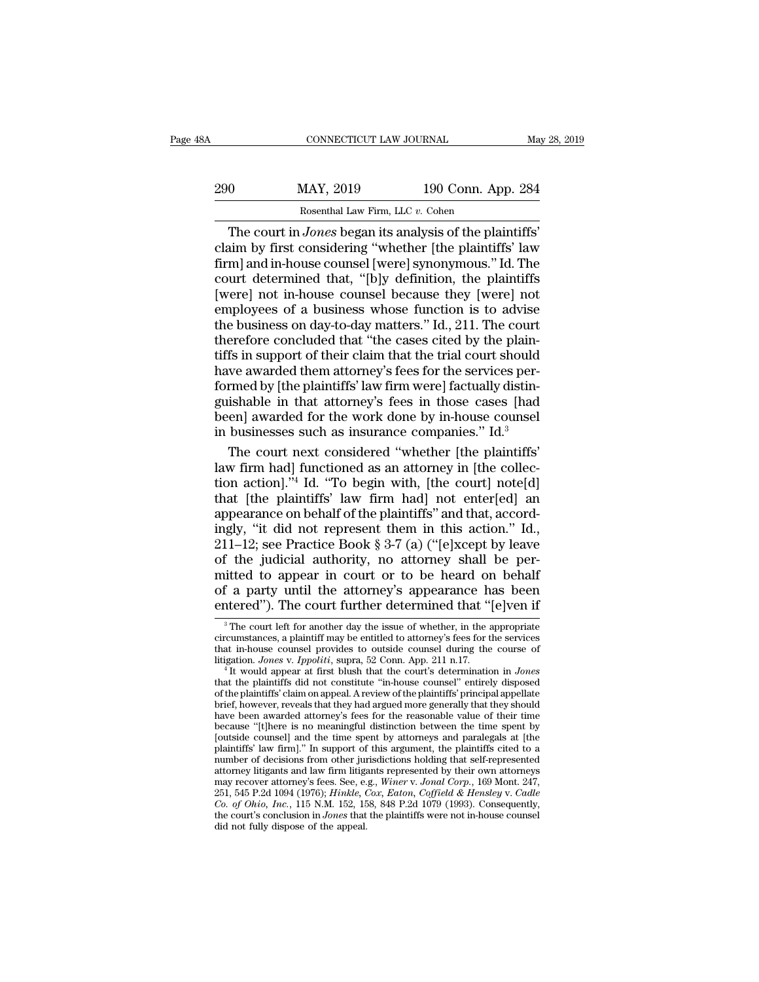| ЗA  | CONNECTICUT LAW JOURNAL                                         |                    | May 28, 2019 |
|-----|-----------------------------------------------------------------|--------------------|--------------|
| 290 | MAY, 2019                                                       | 190 Conn. App. 284 |              |
|     | Rosenthal Law Firm, LLC v. Cohen                                |                    |              |
|     | The court in <i>Jones</i> began its analysis of the plaintiffs' |                    |              |

CONNECTICUT LAW JOURNAL<br>
O MAY, 2019 190 Conn. App. 284<br>
Rosenthal Law Firm, LLC v. Cohen<br>
The court in *Jones* began its analysis of the plaintiffs'<br>
aim by first considering "whether [the plaintiffs' law<br>
ml and in-house MAY, 2019 190 Conn. App. 284<br>
Rosenthal Law Firm, LLC v. Cohen<br>
The court in *Jones* began its analysis of the plaintiffs'<br>
claim by first considering "whether [the plaintiffs' law<br>
firm] and in-house counsel [were] synony  $\frac{\text{MAY, 2019}}{\text{Rosenthal Law Firm, LLC } v. \text{ Cohen}}$ <br>The court in *Jones* began its analysis of the plaintiffs'<br>claim by first considering "whether [the plaintiffs' law<br>firm] and in-house counsel [were] synonymous.'' Id. The<br>court determi 290 MAY, 2019 190 Conn. App. 284<br>
Rosenthal Law Firm, LLC  $v$ . Cohen<br>
The court in *Jones* began its analysis of the plaintiffs'<br>
claim by first considering "whether [the plaintiffs' law<br>
firm] and in-house counsel [were] For Colut. App. 264<br>
Rosenthal Law Firm, LLC v. Cohen<br>
The court in *Jones* began its analysis of the plaintiffs'<br>
claim by first considering "whether [the plaintiffs' law<br>
firm] and in-house counsel [were] synonymous." I Rosenthal Law Firm, LLC v. Cohen<br>
The court in *Jones* began its analysis of the plaintiffs'<br>
claim by first considering "whether [the plaintiffs' law<br>
firm] and in-house counsel [were] synonymous." Id. The<br>
court determi The court in *Jones* began its analysis of the plaintiffs'<br>claim by first considering "whether [the plaintiffs' law<br>firm] and in-house counsel [were] synonymous." Id. The<br>court determined that, "[b]y definition, the plaint claim by first considering "whether [the plaintiffs' law<br>firm] and in-house counsel [were] synonymous." Id. The<br>court determined that, "[b]y definition, the plaintiffs<br>[were] not in-house counsel because they [were] not<br>em Firm] and in-house counsel [were] synonymous." Id. The<br>court determined that, "[b]y definition, the plaintiffs<br>[were] not in-house counsel because they [were] not<br>employees of a business whose function is to advise<br>the bus Fourt determined that, "[b]y definition, the plaintiffs<br>[were] not in-house counsel because they [were] not<br>employees of a business whose function is to advise<br>the business on day-to-day matters." Id., 211. The court<br>there [were] not in-house counsel because they [were] not<br>employees of a business whose function is to advise<br>the business on day-to-day matters." Id., 211. The court<br>therefore concluded that "the cases cited by the plain-<br>tiff employees of a business whose function is to advise<br>the business on day-to-day matters." Id., 211. The court<br>therefore concluded that "the cases cited by the plain-<br>tiffs in support of their claim that the trial court sho the business on day-to-day matters." Id., 211. The court<br>therefore concluded that "the cases cited by the plain-<br>tiffs in support of their claim that the trial court should<br>have awarded them attorney's fees for the servic therefore concluded that "the cases cited by the plaintiffs in support of their claim that the trial court should have awarded them attorney's fees for the services performed by [the plaintiffs' law firm were] factually d fs in support of their claim that the trial court should<br>we awarded them attorney's fees for the services per-<br>rmed by [the plaintiffs' law firm were] factually distin-<br>ishable in that attorney's fees in those cases [had<br> have awarded them attorney's fees for the services performed by [the plaintiffs' law firm were] factually distinguishable in that attorney's fees in those cases [had been] awarded for the work done by in-house counsel in

formed by [the plaintiffs' law firm were] factually distinguishable in that attorney's fees in those cases [had been] awarded for the work done by in-house counsel<br>in businesses such as insurance companies."  $\text{Id.}^3$ <br>Th guishable in that attorney's fees in those cases [had been] awarded for the work done by in-house counsel<br>in businesses such as insurance companies." Id.<sup>3</sup><br>The court next considered "whether [the plaintiffs'<br>law firm had] been] awarded for the work done by in-house counsel<br>in businesses such as insurance companies." Id.<sup>3</sup><br>The court next considered "whether [the plaintiffs"<br>law firm had] functioned as an attorney in [the collec-<br>tion actio in businesses such as insurance companies." Id.<sup>3</sup><br>The court next considered "whether [the plaintiffs"<br>law firm had] functioned as an attorney in [the collec-<br>tion action]."<sup>4</sup> Id. "To begin with, [the court] note[d]<br>that The court next considered "whether [the plaintiffs'<br>law firm had] functioned as an attorney in [the collec-<br>tion action]."<sup>4</sup> Id. "To begin with, [the court] note[d]<br>that [the plaintiffs' law firm had] not enter[ed] an<br>ap Law firm had] functioned as an attorney in [the collection action]."<sup>4</sup> Id. "To begin with, [the court] note[d] that [the plaintiffs' law firm had] not enter[ed] an appearance on behalf of the plaintiffs" and that, accord minimum action]."<sup>4</sup> Id. "To begin with, [the court] note[d] that [the plaintiffs' law firm had] not enter[ed] an appearance on behalf of the plaintiffs" and that, accordingly, "it did not represent them in this action." that [the plaintiffs' law firm had] not enter[ed] an appearance on behalf of the plaintiffs" and that, accordingly, "it did not represent them in this action." Id., 211–12; see Practice Book § 3-7 (a) ("[e]xcept by leave appearance on behalf of the plaintiffs" and that, accordingly, "it did not represent them in this action." Id., 211–12; see Practice Book § 3-7 (a) ("[e]xcept by leave of the judicial authority, no attorney shall be permi f the judicial authority, no attorney shall be per-<br>itted to appear in court or to be heard on behalf<br>f a party until the attorney's appearance has been<br>ntered"). The court further determined that "[e]ven if<br> $\frac{3}{10}$  Th charge that in a planetarisation of the service of the services of a party until the attorney's appearance has been<br>entered"). The court further determined that "[e]ven if<br> $\frac{1}{3}$  The court left for another day the issu

mutted to appear in court or to be neard on behalf<br>of a party until the attorney's appearance has been<br>entered"). The court further determined that "[e]ven if<br> $\frac{1}{3}$  The court left for another day the issue of whether, of a party until the attorney's appearance has been<br>entered"). The court further determined that "[e]ven if<br> $\frac{1}{3}$  The court left for another day the issue of whether, in the appropriate<br>circumstances, a plaintiff may b The court function of the plant of the plant of the planned via the propriate<br>
The court entirely the issue of whether, in the appropriate<br>
circumstances, a plaintiff may be entitled to attorney's fees for the services<br>
t

<sup>&</sup>lt;sup>3</sup> The court left for another day the issue of whether, in the appropriate circumstances, a plaintiff may be entitled to attorney's fees for the services that in-house counsel provides to outside counsel during the cours be entitled to attorney's fees for the services<br>that in-house counsel provides to outside counsel during the course of<br>litigation. *Jones* v. *Ippoliti*, supra, 52 Conn. App. 211 n.17.<br><sup>4</sup> It would appear at first blush t that in-house counsel provides to outside counsel during the course of litigation. *Jones v. Ippoliti*, supra, 52 Conn. App. 211 n.17.<br>
<sup>4</sup> It would appear at first blush that the court's determination in *Jones* that the Itigation. *Jones v. Ippoliti*, supra, 52 Conn. App. 211 n.17.<br>
<sup>4</sup> It would appear at first blush that the court's determination in *Jones*<br>
that the plaintiffs did not constitute "in-house counsel" entirely disposed<br>
of <sup>4</sup> It would appear at first blush that the court's determination in *Jones*<br><sup>4</sup> It would appear at first blush that the court's determination in *Jones*<br>that the plaintiffs did not constitute "in-house counsel" entirely that the plaintiffs' did not constitute "in-house counsel" entirely disposed of the plaintiffs' claim on appeal. A review of the plaintiffs' principal appellate brief, however, reveals that they had argued more generally t number of the plaintiffs' claim on appeal. A review of the plaintiffs' principal appellate brief, however, reveals that they had argued more generally that they should have been awarded attorney's fees for the reasonable brief, however, reveals that they had argued more generally that they should<br>have been awarded attorney's fees for the reasonable value of their time<br>because "[t]here is no meaningful distinction between the time spent by may have been awarded attorney's fees for the reasonable value of their time<br>have been awarded attorney's fees for the reasonable value of their time<br>because "[t]here is no meaningful distinction between the time spent by<br> because "(there is no meaningful distinction between the time spent by<br>[outside counsel] and the time spent by attorneys and paralegals at [the<br>plaintiffs' law firm]." In support of this argument, the plaintiffs cited to a *Coutside counsel]* and the time spent by attorneys and paralegals at [the plaintiffs' law firm]." In support of this argument, the plaintiffs cited to a number of decisions from other jurisdictions holding that self-repre plaintiffs' law firm]." In support of this argument, the plaintiffs cited to a number of decisions from other jurisdictions holding that self-represented attorney litigants and law firm litigants represented by their own a number of decisions from other jurisdictions holding that self-represented attorney litigants and law firm litigants represented by their own attorneys may recover attorney's fees. See, e.g., *Winer v. Jonal Corp.*, 169 M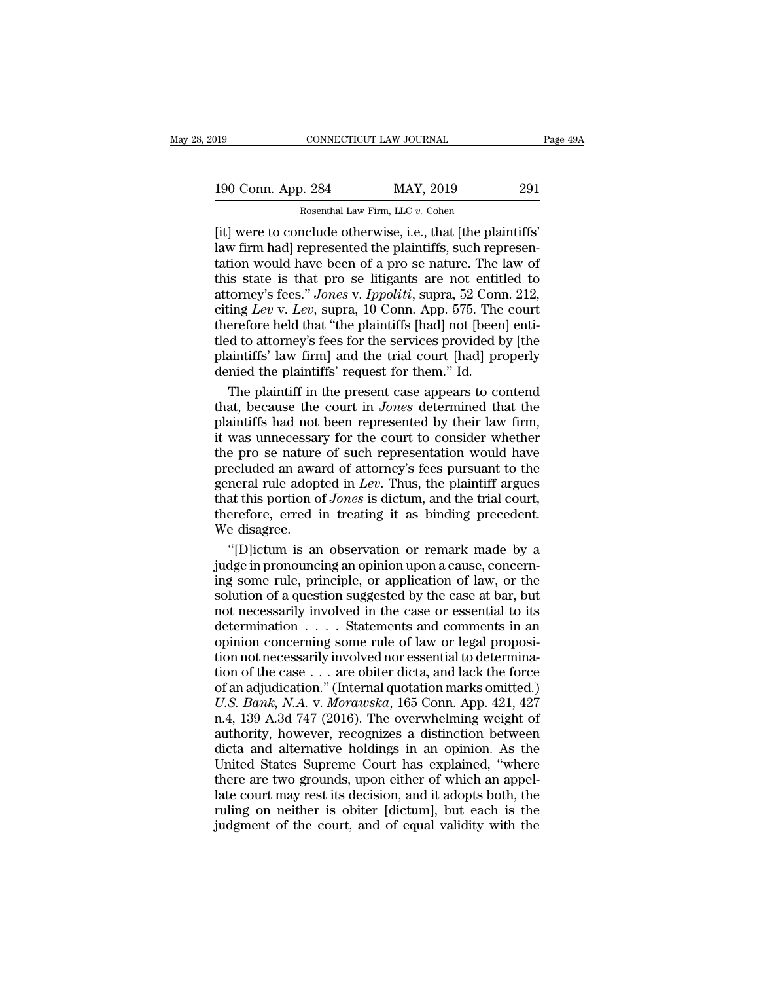| )19                | CONNECTICUT LAW JOURNAL                                                                                                | Page 49A |
|--------------------|------------------------------------------------------------------------------------------------------------------------|----------|
| 190 Conn. App. 284 | MAY, 2019                                                                                                              | 291      |
|                    | Rosenthal Law Firm, LLC v. Cohen                                                                                       |          |
|                    | $\left[$ it) were to conclude otherwise $\left  \cdot \right\rangle$ that $\left  \cdot \right\rangle$ the plaintiffs' |          |

Equals 190 Conn. App. 284 MAY, 2019 291<br>
Rosenthal Law Firm, LLC v. Cohen<br>
[it] were to conclude otherwise, i.e., that [the plaintiffs'<br>
law firm had] represented the plaintiffs, such representation would have been of a pr 190 Conn. App. 284 MAY, 2019 291<br>
Rosenthal Law Firm, LLC v. Cohen<br>
[it] were to conclude otherwise, i.e., that [the plaintiffs'<br>
law firm had] represented the plaintiffs, such represen-<br>
tation would have been of a pro se 190 Conn. App. 284 MAY, 2019 291<br>
Rosenthal Law Firm, LLC v. Cohen<br>
[it] were to conclude otherwise, i.e., that [the plaintiffs'<br>
law firm had] represented the plaintiffs, such represen-<br>
tation would have been of a pro s 190 Conn. App. 284 MAY, 2019 291<br>
Rosenthal Law Firm, LLC v. Cohen<br>
[it] were to conclude otherwise, i.e., that [the plaintiffs'<br>
law firm had] represented the plaintiffs, such represen-<br>
tation would have been of a pro s Rosenthal Law Firm, LLC v. Cohen<br> **attack** Cohen<br> **attack** Conclude otherwise, i.e., that [the plaintiffs'<br>
law firm had] represented the plaintiffs, such represen-<br>
tation would have been of a pro se nature. The law of<br>
t Rosenthal Law Firm, LLC v. Cohen<br>
[it] were to conclude otherwise, i.e., that [the plaintiffs'<br>
law firm had] represented the plaintiffs, such represen-<br>
tation would have been of a pro se nature. The law of<br>
this state is [it] were to conclude otherwise, i.e., that [the plaintiffs'<br>law firm had] represented the plaintiffs, such represen-<br>tation would have been of a pro se nature. The law of<br>this state is that pro se litigants are not entitl law firm had] represented the plaintiffs, such representation would have been of a pro se nature. The law of this state is that pro se litigants are not entitled to attorney's fees." Jones v. Ippoliti, supra, 52 Conn. 212, tation would have been of a pro se nature. The law of<br>this state is that pro se litigants are not entitled to<br>attorney's fees." Jones v. Ippoliti, supra, 52 Conn. 212,<br>citing Lev v. Lev, supra, 10 Conn. App. 575. The court this state is that pro se litigants are not entit attorney's fees." Jones v. Ippoliti, supra, 52 Conciting Lev v. Lev, supra, 10 Conn. App. 575. The therefore held that "the plaintiffs [had] not [beer the the the services torney's fees." *Jones* v. *Ippoliti*, supra, 52 Conn. 212,<br>ing *Lev* v. *Lev*, supra, 10 Conn. App. 575. The court<br>erefore held that "the plaintiffs [had] not [been] enti-<br>d to attorney's fees for the services provided by citing *Lev* v. *Lev*, supra, 10 Conn. App. 575. The court<br>therefore held that "the plaintiffs [had] not [been] enti-<br>tled to attorney's fees for the services provided by [the<br>plaintiffs' law firm] and the trial court [had

therefore held that "the plaintiffs [had] not [been] enti-<br>tled to attorney's fees for the services provided by [the<br>plaintiffs' law firm] and the trial court [had] properly<br>denied the plaintiffs' request for them." Id.<br>Th tled to attorney's fees for the services provided by [the plaintiffs' law firm] and the trial court [had] properly denied the plaintiffs' request for them." Id.<br>The plaintiff in the present case appears to contend that, be plaintiffs' law firm] and the trial court [had] properly<br>denied the plaintiffs' request for them." Id.<br>The plaintiff in the present case appears to contend<br>that, because the court in *Jones* determined that the<br>plaintiffs denied the plaintiffs' request for them." Id.<br>The plaintiff in the present case appears to contend<br>that, because the court in *Jones* determined that the<br>plaintiffs had not been represented by their law firm,<br>it was unnec The plaintiff in the present case appears to contend<br>that, because the court in *Jones* determined that the<br>plaintiffs had not been represented by their law firm,<br>it was unnecessary for the court to consider whether<br>the pr that, because the court in *Jones* determined that the plaintiffs had not been represented by their law firm, it was unnecessary for the court to consider whether the pro se nature of such representation would have preclud plaintiffs had not been represented by their law firm,<br>it was unnecessary for the court to consider whether<br>the pro se nature of such representation would have<br>precluded an award of attorney's fees pursuant to the<br>general Frammer has not<br>it was unnecessar<br>the pro se nature<br>precluded an awa<br>general rule adopt<br>that this portion of<br>therefore, erred if<br>we disagree.<br>"[D]ictum is an Equal to the presentation would have ecluded an award of attorney's fees pursuant to the neral rule adopted in *Lev*. Thus, the plaintiff argues at this portion of *Jones* is dictum, and the trial court, erefore, erred in precluded an award of attorney's fees pursuant to the general rule adopted in *Lev*. Thus, the plaintiff argues that this portion of *Jones* is dictum, and the trial court, therefore, erred in treating it as binding preced

general rule adopted in *Lev*. Thus, the plaintiff argues<br>that this portion of *Jones* is dictum, and the trial court,<br>therefore, erred in treating it as binding precedent.<br>We disagree.<br>"[D]ictum is an observation or remar that this portion of *Jones* is dictum, and the trial court,<br>therefore, erred in treating it as binding precedent.<br>We disagree.<br>"[D]ictum is an observation or remark made by a<br>judge in pronouncing an opinion upon a cause, therefore, erred in treating it as binding precedent.<br>We disagree.<br>"[D]ictum is an observation or remark made by a<br>judge in pronouncing an opinion upon a cause, concern-<br>ing some rule, principle, or application of law, or We disagree.<br>
"[D]ictum is an observation or remark made by a<br>
judge in pronouncing an opinion upon a cause, concern-<br>
ing some rule, principle, or application of law, or the<br>
solution of a question suggested by the case "[D]ictum is an observation or remark made by a<br>judge in pronouncing an opinion upon a cause, concerning<br>some rule, principle, or application of law, or the<br>solution of a question suggested by the case at bar, but<br>not nec for  $\frac{1}{2}$  from the set of the content of the case, concerning some rule, principle, or application of law, or the solution of a question suggested by the case at bar, but not necessarily involved in the case or essent ing some rule, principle, or application of law, or the<br>solution of a question suggested by the case at bar, but<br>not necessarily involved in the case or essential to its<br>determination  $\dots$ . Statements and comments in an<br>o solution of a question suggested by the case at bar, but<br>solution of a question suggested by the case at bar, but<br>not necessarily involved in the case or essential to its<br>determination concerning some rule of law or legal *U.S. Bank, N.A.* v. *Morawska*, 165 Conn. App. 421, 427 a.4, 139 A.3d 747 (2016). The overwhelming weight of authority however recognizes a distinction between authority however recognizes a distinction between not increase and comments in an opinion concerning some rule of law or legal proposition not necessarily involved nor essential to determination of the case  $\dots$  are obiter dicta, and lack the force of an adjudication." ( autominates a divertise and set of law or legal proposition not necessarily involved nor essential to determination of the case . . . are obiter dicta, and lack the force of an adjudication." (Internal quotation marks omit dion not necessarily involved nor essential to determina-<br>tion not necessarily involved nor essential to determina-<br>tion of the case  $\ldots$  are obiter dicta, and lack the force<br>of an adjudication." (Internal quotation mark tion of the case  $\ldots$  are obiter dicta, and lack the force<br>of an adjudication." (Internal quotation marks omitted.)<br>U.S. Bank, N.A. v. Morawska, 165 Conn. App. 421, 427<br>n.4, 139 A.3d 747 (2016). The overwhelming weight o tion of the case  $\ldots$  are obiter dicta, and lack the force of an adjudication." (Internal quotation marks omitted.) U.S. Bank, N.A. v. Morawska, 165 Conn. App. 421, 427 n.4, 139 A.3d 747 (2016). The overwhelming weight o U.S. Bank, N.A. v. Morawska, 165 Conn. App. 421, 427 n.4, 139 A.3d 747 (2016). The overwhelming weight of authority, however, recognizes a distinction between dicta and alternative holdings in an opinion. As the United St ruling on neither is obiter light but each include the publisher and alternative holdings in an opinion. As the United States Supreme Court has explained, "where there are two grounds, upon either of which an appellate cou Figure 2.1 The consideration of anti-<br>authority, however, recognizes a distinction between<br>dicta and alternative holdings in an opinion. As the<br>United States Supreme Court has explained, "where<br>there are two grounds, upon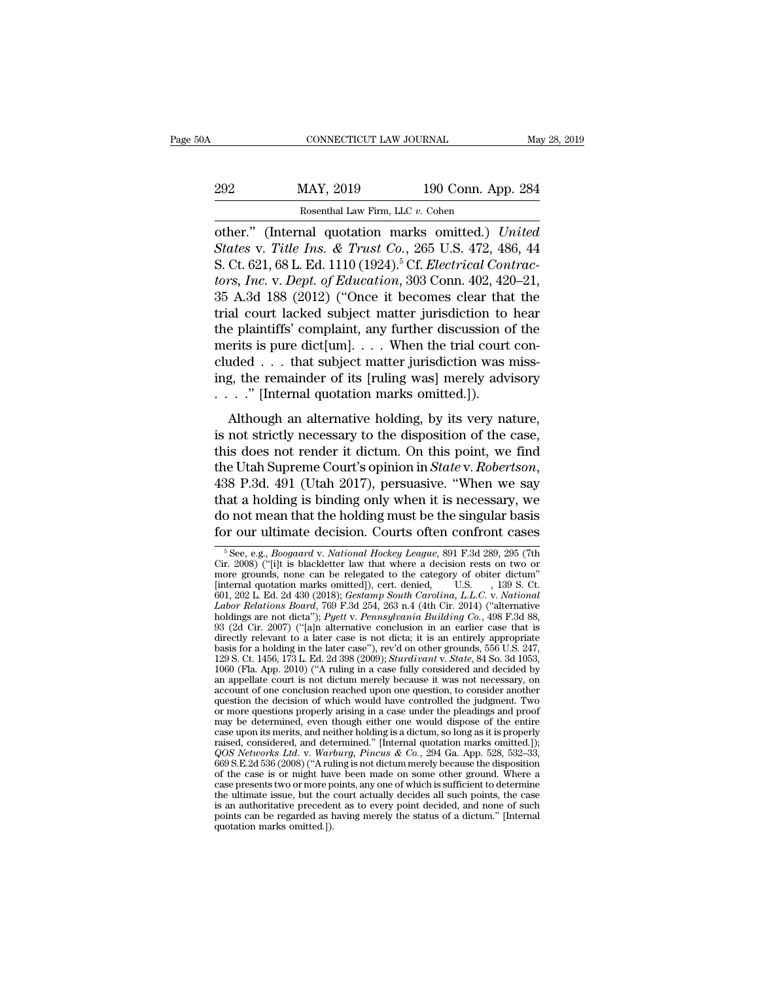| A       | CONNECTICUT LAW JOURNAL                          |                    | May 28, 2019 |
|---------|--------------------------------------------------|--------------------|--------------|
| 292     | MAY, 2019                                        | 190 Conn. App. 284 |              |
|         | Rosenthal Law Firm, LLC v. Cohen                 |                    |              |
| other." | (Internal quotation marks omitted) <i>United</i> |                    |              |

CONNECTICUT LAW JOURNAL<br>
292 MAY, 2019 190 Conn. App. 284<br>
<sup>Rosenthal</sup> Law Firm, LLC v. Cohen<br>
other." (Internal quotation marks omitted.) *United*<br> *States* v. *Title Ins. & Trust Co.*, 265 U.S. 472, 486, 44<br>
S. Ct. 691, **States v. Title Ins. & Trust Co.**, 2619<br> **States** v. *Title Ins. & Trust Co.*, 265 U.S. 472, 486, 44<br>
States v. *Title Ins. & Trust Co.*, 265 U.S. 472, 486, 44<br>
S. Ct. 621, 68 L. Ed. 1110 (1924).<sup>5</sup> Cf. *Electrical Contra* MAY, 2019 190 Conn. App. 284<br>
Rosenthal Law Firm, LLC v. Cohen<br>
other." (Internal quotation marks omitted.) *United*<br>
States v. Title Ins. & Trust Co., 265 U.S. 472, 486, 44<br>
S. Ct. 621, 68 L. Ed. 1110 (1924).<sup>5</sup> Cf. *Elec tors, Inc. Harry, 2019 190 Conn. App. 284*<br> *Rosenthal Law Firm, LLC v. Cohen*<br> *other."* (Internal quotation marks omitted.) *United*<br> *States v. Title Ins. & Trust Co.*, 265 U.S. 472, 486, 44<br> *S. Ct. 621, 68 L. Ed.* Example 1988 a.g. The control of the plaintiffs' complete that the plaintiffs' complete that the plaintiffs' complete that the plaintiffs' complete the plaintiffs' complete the plaintiffs' complete the plaintiffs' complet Rosenthal Law Firm, LLC v. Cohen<br>
other." (Internal quotation marks omitted.) United<br>
States v. Title Ins. & Trust Co., 265 U.S. 472, 486, 44<br>
S. Ct. 621, 68 L. Ed. 1110 (1924).<sup>5</sup> Cf. Electrical Contrac-<br>
tors, Inc. v. D other." (Internal quotation marks omitted.) *United*<br>States v. Title Ins. & Trust Co., 265 U.S. 472, 486, 44<br>S. Ct. 621, 68 L. Ed. 1110 (1924).<sup>5</sup> Cf. *Electrical Contrac-*<br>tors, Inc. v. Dept. of Education, 303 Conn. 402, States v. Title Ins. & Trust Co., 265 U.S. 472, 486, 44<br>S. Ct. 621, 68 L. Ed. 1110 (1924).<sup>5</sup> Cf. *Electrical Contrac-*<br>tors, Inc. v. Dept. of Education, 303 Conn. 402, 420–21,<br>35 A.3d 188 (2012) ("Once it becomes clear t S. Ct. 621, 68 L. Ed. 1110 (1924).<sup>5</sup> Cf. *Electrical Contractors, Inc.* v. *Dept. of Education*, 303 Conn. 402, 420–21, 35 A.3d 188 (2012) ("Once it becomes clear that the trial court lacked subject matter jurisdiction t tors, Inc. v. Dept. of Education, 303 Conn. 402, 420–21,<br>35 A.3d 188 (2012) ("Once it becomes clear that the<br>trial court lacked subject matter jurisdiction to hear<br>the plaintiffs' complaint, any further discussion of the<br> 35 A.3d 188 (2012) ("Once it becomes clear tha<br>trial court lacked subject matter jurisdiction to<br>the plaintiffs' complaint, any further discussion o<br>merits is pure dict[um]. . . . When the trial court<br>cluded . . . that su alternative holding, and the case, is does not render it dictum. On this neighbours are since the case, is does not render it dictum. On this point, we find  $\frac{1}{2}$  and  $\frac{1}{2}$  and  $\frac{1}{2}$  and  $\frac{1}{2}$  and  $\frac{1}{2}$ increases to the disposition of the merits is pure dict[um]. . . . When the trial court concluded . . . that subject matter jurisdiction was missing, the remainder of its [ruling was] merely advisory . . . . " [Internal q

then is a pute declearly. Then the that court concluded . . . that subject matter jurisdiction was miss-<br>ing, the remainder of its [ruling was] merely advisory<br>. . . . " [Internal quotation marks omitted.]).<br>Although an a the Utah Suppreme Court's opinion in *State v. P. The Fernander of its [ruling was] merely advisory*<br>  $\ldots$  " [Internal quotation marks omitted.]).<br>
Although an alternative holding, by its very nature,<br>
is not strictly ne Although an alternative holding, by its very nature,<br>is not strictly necessary to the disposition of the case,<br>this does not render it dictum. On this point, we find<br>the Utah Supreme Court's opinion in *State* v. *Roberts* Although an alternative holding, by its very nature,<br>is not strictly necessary to the disposition of the case,<br>this does not render it dictum. On this point, we find<br>the Utah Supreme Court's opinion in *State* v. *Robertso* is not strictly necessary to the disposition of the case,<br>this does not render it dictum. On this point, we find<br>the Utah Supreme Court's opinion in *State* v. *Robertson*,<br>438 P.3d. 491 (Utah 2017), persuasive. "When we 38 P.3d. 491 (Utah 2017), persuasive. "When we say<br>nat a holding is binding only when it is necessary, we<br>o not mean that the holding must be the singular basis<br>pr our ultimate decision. Courts often confront cases<br> $\frac{5}{2$ that a holding is binding only when it is necessary, we<br>do not mean that the holding must be the singular basis<br>for our ultimate decision. Courts often confront cases<br> $\frac{1}{6}$ <br> $\frac{5}{6}$  See, e.g., *Boogaard v. National H* 

do not mean that the holding must be the singular basis<br>for our ultimate decision. Courts often confront cases<br>for our ultimate decision. Courts often confront cases<br> $\frac{1}{\sqrt{2}}$ <br> $\frac{1}{\sqrt{2}}$   $\frac{1}{\sqrt{2}}$   $\frac{1}{\sqrt{2}}$   $\frac$ do not mean that the holding must be the singular basis<br>for our ultimate decision. Courts often confront cases<br> $\frac{1}{6}$  See, e.g., *Boogaard v. National Hockey League*, 891 F.3d 289, 295 (7th<br>Cir. 2008) ("[i]t is blackle for our ultimate decision. Courts often confront cases<br>
<sup>5</sup> See, e.g., *Boogaard v. National Hockey League*, 891 F.3d 289, 295 (7th<br>
Cir. 2008) ("[i]t is blackletter law that where a decision rests on two or<br>
more grounds, **Labor Relations Board, 769 F.3d 254, 263 n.4 (4th Cir. 2014)** (2017 F.3d 289, 295 (7th Cir. 2008) ("ilt is blackletter law that where a decision rests on two or more grounds, none can be relegated to the category of obite <sup>5</sup> See, e.g., *Boogaard v. National Hockey League*, 891 F.3d 289, 295 (7th Cir. 2008) ("[i]t is blackletter law that where a decision rests on two or more grounds, none can be relegated to the category of obiter dictum" [ See, e.g., *Boogaard v. National Hockey League*, 891 F.3d 289, 295 (7th 2008) ("i]it is blackletter law that where a decision rests on two or more grounds, none can be relegated to the category of obiter dictum" [internal Cir. 2008) ("[1]t is blackletter law that where a decision rests on two or<br>more grounds, none can be relegated to the category of obiter dictum"<br>[internal quotation marks omitted]), cert. denied, U.S. (139 S. Ct.<br>601, 202 more grounds, none can be relegated to the category of obiter dictum<br>
[internal quotation marks omitted]), cert. denied,<br>
601, 202 L. Ed. 2d 430 (2018); *Gestamp South Carolina*, *L.L.C.* v. *National*<br> *Labor Relations Bo* [internal quotation marks omitted]), cert. denied, U.S. (139 S. Ct. 1601, 202 L. Ed. 2d 430 (2018); *Gestamp South Carolina, L.L.C.* v. *National*<br>*Labor Relations Board*, 769 F.3d 254, 263 n.4 (4th Cir. 2014) ("alternativ 601, 202 L. Ed. 2d 430 (2018); *Gestamp South Carotina, L.L.C. v. National Labor Relations Board*, 769 F.3d 254, 263 n.4 (4th Cir. 2014) ("alternative one dicta"); *Pyett v. Pennsylvania Building Co.*, 498 F.3d 88, 93 (2d Labor Retations Board, 769 F.3d 254, 263 n.4 (4th Cir. 2014) ("alternative holdings are not dicta"); *Pyett v. Pennsylvania Building Co.*, 498 F.3d 88, 6l 2d Cir. 2007) ("[a] n alternative conclusion in an earlier case th noldings are not dicta'); *Pyett* v. *Pennsylvania Buidaing* Co., 498 F.3d 88, 93 (2d Cir. 2007) ("[a] alternative conclusion in an earlier case is to the conclusion in an earlier case is not dicta; it is an entirely appro 93 (2d Cir. 2007) ("[a]n atternative conclusion in an earlier case that is<br>directly relevant to a later case is not dicita; it is an entirely appropriate<br>basis for a holding in the later case"), rev'd on other grounds, 55 directly relevant to a later case is not dicta; it is an entirely appropriate<br>basis for a holding in the later case"), rev'd on other grounds, 556 U.S. 247,<br>129 S. Ct. 1456, 173 L. Ed. 2d 398 (2009); *Sturdivant* v. *State* basis for a holding in the later case"), rev d on other grounds, 556 U.S. 247, 129 S. Ct. 1456, 173 L. Ed. 28 398 (2009); *Sturdivant v. State*, 84 So. 3d 1053, and 2000 (F4 ruling in a case fully considered and decided b 129 S. Ct. 1456, 173 L. Ed. 2d 398 (2009); *Sturdwant v. State*, 84 So. 3d 1053, 1060 (Fla. App. 2010) ("A ruling in a case fully considered and decided by a<br>account of one conclusion reached upon one question, to conside 1060 (Fla. App. 2010) ("A ruling in a case fully considered and decided by<br>an appellate court is not dictum merely because it was not necessary, on<br>account of one conclusion reached upon one question, to consider another<br> an appellate court is not dictum merely because it was not necessary, on<br>account of one conclusion reached upon one question, to consider another<br>or more questions properly arising in a case under the pleadings and proof<br>m account of one conclusion reached upon one question, to consider another<br>question the decision of which would have controlled the judgment. Two<br>or more questions properly arising in a case under the pleadings and proof<br>ma question the decision of which would have controlled the judgment. Two<br>or more questions properly arising in a case under the pleadings and proof<br>may be determined, even though either one would dispose of the entire<br>case u or more questions properly arising in a case under the pleadings and proof<br>may be determined, even though either one would dispose of the entire<br>case upon its merits, and neither holding is a dictum, so long as it is prope may be determined, even though either one would dispose of the entire<br>case upon its merits, and neither holding is a dictum, so long as it is properly<br>raised, considered, and eletermined." [Internal quotation marks omitte case upon its merits, and neither holding is a dictum, so long as it is properly<br>raised, considered, and determined." [Internal quotation marks omitted.]);<br>QOS Networks Ltd. v. Warburg, Pincus & Co., 294 Ga. App. 528, 532– raised, considered, and determined." [Internal quotation marks omitted.]);<br> $QOS Network Ltd. v. Warburg, Pincus & Co., 294 Ga. App. 528, 532–33, 639. E.2d 536 (2008) ("A ruling is not dictum merely because the disposition of the case is or might have been made on some other ground. Where a case presents two or more points, any one of which is sufficient to determine the ultimate issue, but the court actually decides all such points, the case is an authoritative precedent as to every point decided, and none of such points can be regarded as having merely the status of a dictum$ QUS Networks Ltd. v. Warn<br>669 S.E.2d 536 (2008) ("A rul<br>669 S.E.2d 536 (2008) ("A rul<br>case presents two or more p<br>the ultimate issue, but the e<br>is an authoritative preceder<br>points can be regarded as h<br>quotation marks omit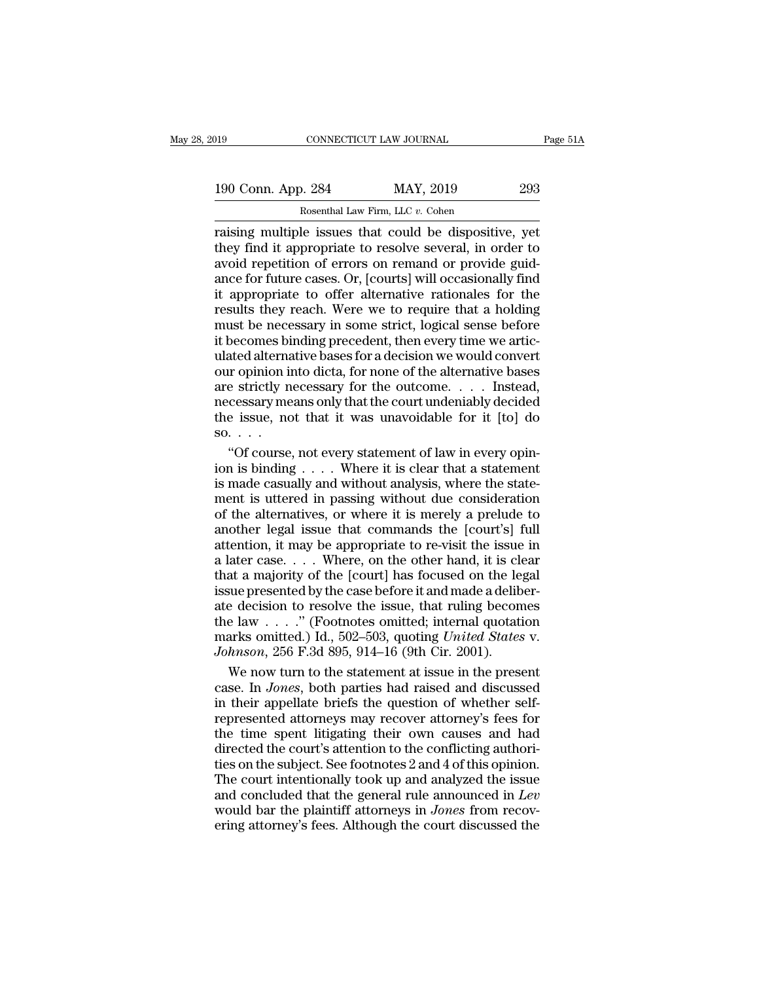| )19                | CONNECTICUT LAW JOURNAL          |                                                       | Page 51A |
|--------------------|----------------------------------|-------------------------------------------------------|----------|
|                    |                                  |                                                       |          |
| 190 Conn. App. 284 |                                  | MAY, 2019                                             | 293      |
|                    | Rosenthal Law Firm, LLC v. Cohen |                                                       |          |
|                    |                                  | raising multinle issues that could be disnositive vet |          |

raising multiple issues that could be dispositive, yet<br>
raising multiple issues that could be dispositive, yet<br>
they find it appropriate to resolve several, in order to<br>
avoid renetition of errors on remand or provide guid 190 Conn. App. 284 MAY, 2019 293<br>
Rosenthal Law Firm, LLC v. Cohen<br>
Traising multiple issues that could be dispositive, yet<br>
they find it appropriate to resolve several, in order to<br>
avoid repetition of errors on remand or 190 Conn. App. 284 MAY, 2019 293<br>
Rosenthal Law Firm, LLC v. Cohen<br>
raising multiple issues that could be dispositive, yet<br>
they find it appropriate to resolve several, in order to<br>
avoid repetition of errors on remand or 190 Conn. App. 284 MAY, 2019 293<br>
Rosenthal Law Firm, LLC  $v$ . Cohen<br>
Traising multiple issues that could be dispositive, yet<br>
they find it appropriate to resolve several, in order to<br>
avoid repetition of errors on remand For Coluit. App. 204 Rosenthal Law Firm, LLC  $v$ . Cohen<br>
raising multiple issues that could be dispositive, yet<br>
they find it appropriate to resolve several, in order to<br>
avoid repetition of errors on remand or provide gu Rosenthal Law Firm, LLC  $v$ . Cohen<br>
raising multiple issues that could be dispositive, yet<br>
they find it appropriate to resolve several, in order to<br>
avoid repetition of errors on remand or provide guid-<br>
ance for future raising multiple issues that could be dispositive, yet<br>they find it appropriate to resolve several, in order to<br>avoid repetition of errors on remand or provide guid-<br>ance for future cases. Or, [courts] will occasionally fi they find it appropriate to resolve several, in order to<br>avoid repetition of errors on remand or provide guid-<br>ance for future cases. Or, [courts] will occasionally find<br>it appropriate to offer alternative rationales for t avoid repetition of errors on remand or provide guidance for future cases. Or, [courts] will occasionally find<br>it appropriate to offer alternative rationales for the<br>results they reach. Were we to require that a holding<br>mu ance for future cases. Or, [courts] will occasionally find<br>it appropriate to offer alternative rationales for the<br>results they reach. Were we to require that a holding<br>must be necessary in some strict, logical sense before it appropriate to offer alternative rationales for the results they reach. Were we to require that a holding must be necessary in some strict, logical sense before it becomes binding precedent, then every time we articulat results they reach. Were we to require that a holding<br>must be necessary in some strict, logical sense before<br>it becomes binding precedent, then every time we artic-<br>ulated alternative bases for a decision we would convert<br> Figure 1.1 The interaction we would convert<br>it becomes binding precedent, then every time we artic-<br>ulated alternative bases for a decision we would convert<br>our opinion into dicta, for none of the alternative bases<br>are st it becomes bi<br>it becomes bi<br>ulated alterna<br>our opinion in<br>are strictly n<br>mecessary me<br>the issue, nc<br>"Of course" ated alternative bases for a decision we would convert<br>
in opinion into dicta, for none of the alternative bases<br>
e strictly necessary for the outcome. . . . . Instead,<br>
cessary means only that the court undeniably decided our opinion into dicta, for none of the alternative bases<br>are strictly necessary for the outcome. . . . Instead,<br>necessary means only that the court undeniably decided<br>the issue, not that it was unavoidable for it [to] do<br>

are strictly necessary for the outcome. . . . Instead, necessary means only that the court undeniably decided<br>the issue, not that it was unavoidable for it [to] do<br>so. . . .<br>"Of course, not every statement of law in every mecessary means only that the court undeniably decided<br>the issue, not that it was unavoidable for it [to] do<br>so....<br>"Of course, not every statement of law in every opin-<br>ion is binding .... Where it is clear that a statem the issue, not that it was unavoidable for it [to] do<br>so. . . .<br>"Of course, not every statement of law in every opin-<br>ion is binding . . . . Where it is clear that a statement<br>is made casually and without analysis, where so. . . .<br>
"Of course, not every statement of law in every opinion is binding . . . . Where it is clear that a statement<br>
is made casually and without analysis, where the statement is uttered in passing without due consid "Of course, not every statement of law in every opin-<br>ion is binding . . . . Where it is clear that a statement<br>is made casually and without analysis, where the state-<br>ment is uttered in passing without due consideration<br> ion is binding . . . . Where it is clear that a statement<br>is made casually and without analysis, where the state-<br>ment is uttered in passing without due consideration<br>of the alternatives, or where it is merely a prelude t that a majority of the local since a state-<br>is made casually and without analysis, where the state-<br>ment is uttered in passing without due consideration<br>of the alternatives, or where it is merely a prelude to<br>another legal is made castain, and matrical analysis, micro-trie state<br>ment is uttered in passing without due consideration<br>of the alternatives, or where it is merely a prelude to<br>another legal issue that commands the [court's] full<br>att ate decision to resolve the issue that commands the [court's] full attention, it may be appropriate to re-visit the issue in a later case. . . . Where, on the other hand, it is clear that a majority of the [court] has foc another legal issue that commands the [court's] full<br>attention, it may be appropriate to re-visit the issue in<br>a later case.... Where, on the other hand, it is clear<br>that a majority of the [court] has focused on the legal mattention, it may be appropriate to re-visit the issue in<br>a later case. . . . Where, on the other hand, it is clear<br>that a majority of the [court] has focused on the legal<br>issue presented by the case before it and made a *Johnson*, 256 F.3d 895, 914–16 (9th Cir. 2001).<br>We now the other hand, it is clear that a majority of the [court] has focused on the le issue presented by the case before it and made a delibate decision to resolve the iss at a majority of the [court] has focused on the legal<br>sue presented by the case before it and made a deliber-<br>e decision to resolve the issue, that ruling becomes<br>e law . . . . " (Footnotes omitted; internal quotation<br>ark issue presented by the case before it and made a deliber-<br>ate decision to resolve the issue, that ruling becomes<br>the law . . . ." (Footnotes omitted; internal quotation<br>marks omitted.) Id., 502–503, quoting *United States* 

ate decision to resolve the issue, that ruling becomes<br>the law  $\ldots$ ." (Footnotes omitted; internal quotation<br>marks omitted.) Id., 502–503, quoting *United States* v.<br>*Johnson*, 256 F.3d 895, 914–16 (9th Cir. 2001).<br>We no the law  $\ldots$  ." (Footnotes omitted; internal quotation marks omitted.) Id., 502–503, quoting *United States v.*<br> *Johnson*, 256 F.3d 895, 914–16 (9th Cir. 2001).<br>
We now turn to the statement at issue in the present case marks omitted.) Id., 502–503, quoting *United States v.*<br>
Johnson, 256 F.3d 895, 914–16 (9th Cir. 2001).<br>
We now turn to the statement at issue in the present<br>
case. In Jones, both parties had raised and discussed<br>
in thei Johnson, 256 F.3d 895, 914–16 (9th Cir. 2001).<br>We now turn to the statement at issue in the present<br>case. In Jones, both parties had raised and discussed<br>in their appellate briefs the question of whether self-<br>represented We now turn to the statement at issue in the present case. In *Jones*, both parties had raised and discussed in their appellate briefs the question of whether self-<br>represented attorneys may recover attorney's fees for th case. In *Jones*, both parties had raised and discussed<br>in their appellate briefs the question of whether self-<br>represented attorneys may recover attorney's fees for<br>the time spent litigating their own causes and had<br>dire Exact In solve, soon parties had clusted of whether self-<br>represented attorneys may recover attorney's fees for<br>the time spent litigating their own causes and had<br>directed the court's attention to the conflicting authori-<br> represented attorneys may recover attorney's fees for<br>represented attorneys may recover attorney's fees for<br>the time spent litigating their own causes and had<br>directed the court's attention to the conflicting authori-<br>ties From the time spent litigating their own causes and had directed the court's attention to the conflicting authorities on the subject. See footnotes 2 and 4 of this opinion. The court intentionally took up and analyzed the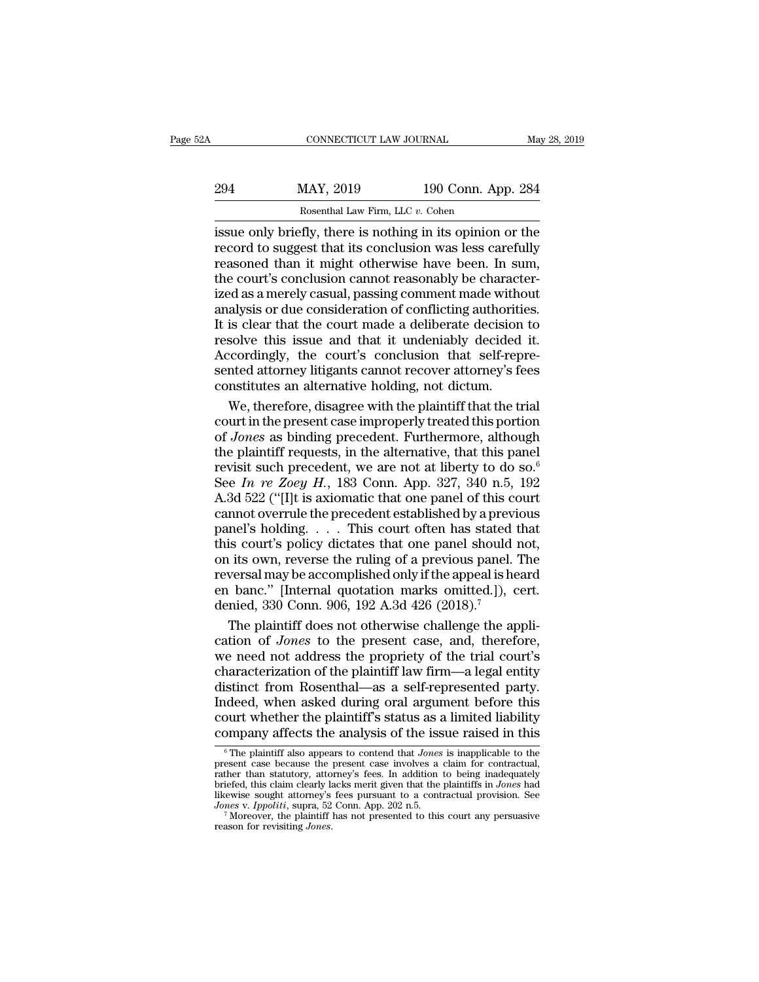| May 28, 2019 |
|--------------|
|              |
|              |
|              |

CONNECTICUT LAW JOURNAL May 28, 2019<br>
294 MAY, 2019 190 Conn. App. 284<br>
Rosenthal Law Firm, LLC v. Cohen<br>
issue only briefly, there is nothing in its opinion or the<br>
record to suggest that its conclusion was less carefully MAY, 2019 190 Conn. App. 284<br>
Rosenthal Law Firm, LLC v. Cohen<br>
issue only briefly, there is nothing in its opinion or the<br>
record to suggest that its conclusion was less carefully<br>
reasoned than it might otherwise have be 294 MAY, 2019 190 Conn. App. 284<br>Rosenthal Law Firm, LLC v. Cohen<br>issue only briefly, there is nothing in its opinion or the<br>record to suggest that its conclusion was less carefully<br>reasoned than it might otherwise have b MAY, 2019 190 Conn. App. 284<br>
Rosenthal Law Firm, LLC v. Cohen<br>
issue only briefly, there is nothing in its opinion or the<br>
record to suggest that its conclusion was less carefully<br>
reasoned than it might otherwise have be Example 130 Comment made as a merely casual, passing comment is clear that its conclusion was less carefully<br>reasoned than it might otherwise have been. In sum,<br>the court's conclusion cannot reasonably be character-<br>ized Rosenthal Law Firm, LLC v. Cohen<br>
issue only briefly, there is nothing in its opinion or the<br>
record to suggest that its conclusion was less carefully<br>
reasoned than it might otherwise have been. In sum,<br>
the court's concl issue only briefly, there is nothing in its opinion or the record to suggest that its conclusion was less carefully reasoned than it might otherwise have been. In sum, the court's conclusion cannot reasonably be characteri record to suggest that its conclusion was less carefully<br>reasoned than it might otherwise have been. In sum,<br>the court's conclusion cannot reasonably be character-<br>ized as a merely casual, passing comment made without<br>anal Freed at a staggest and to otherwise have been. In sum,<br>reasoned than it might otherwise have been. In sum,<br>the court's conclusion cannot reasonably be character-<br>ized as a merely casual, passing comment made without<br>analy sented attach cluster and reasonably be characterized as a merely casual, passing comment made without analysis or due consideration of conflicting authorities.<br>It is clear that the court made a deliberate decision to reso alternative counts constant and state of the state is deniable discussion in the analysis or due consideration of conflicting authoritically is clear that the court made a deliberate decision resolve this issue and that it alysis or due consideration of conflicting authorities.<br>
is clear that the court made a deliberate decision to<br>
solve this issue and that it undeniably decided it.<br>
cordingly, the court's conclusion that self-repre-<br>
inted It is clear that the court made a deliberate decision to<br>resolve this issue and that it undeniably decided it.<br>Accordingly, the court's conclusion that self-repre-<br>sented attorney litigants cannot recover attorney's fees<br>c

resolve this issue and that it undeniably decided it.<br>Accordingly, the court's conclusion that self-repre-<br>sented attorney litigants cannot recover attorney's fees<br>constitutes an alternative holding, not dictum.<br>We, there Accordingly, the court's conclusion that self-represented attorney litigants cannot recover attorney's fees constitutes an alternative holding, not dictum.<br>We, therefore, disagree with the plaintiff that the trial court i sented attorney litigants cannot recover attorney's fees<br>constitutes an alternative holding, not dictum.<br>We, therefore, disagree with the plaintiff that the trial<br>court in the present case improperly treated this portion<br> constitutes an alternative holding, not dictum.<br>We, therefore, disagree with the plaintiff that the trial<br>court in the present case improperly treated this portion<br>of *Jones* as binding precedent. Furthermore, although<br>the We, therefore, disagree with the plaintiff that the trial<br>court in the present case improperly treated this portion<br>of *Jones* as binding precedent. Furthermore, although<br>the plaintiff requests, in the alternative, that t court in the present case improperly treated this portion<br>of *Jones* as binding precedent. Furthermore, although<br>the plaintiff requests, in the alternative, that this panel<br>revisit such precedent, we are not at liberty to of *Jones* as binding precedent. Furthermore, although<br>the plaintiff requests, in the alternative, that this panel<br>revisit such precedent, we are not at liberty to do so.<sup>6</sup><br>See *In re Zoey H*., 183 Conn. App. 327, 340 n. the plaintiff requests, in the alternative, that this panel<br>revisit such precedent, we are not at liberty to do so.<sup>6</sup><br>See *In re Zoey H.*, 183 Conn. App. 327, 340 n.5, 192<br>A.3d 522 ("[I]t is axiomatic that one panel of t revisit such precedent, we are not at liberty to do so.<sup>6</sup><br>See *In re Zoey H.*, 183 Conn. App. 327, 340 n.5, 192<br>A.3d 522 ("[I]t is axiomatic that one panel of this court<br>cannot overrule the precedent established by a pre Example *In re Zoey H.*, 183 Conn. App. 327, 340 n.5, 192<br>A.3d 522 ("[I]t is axiomatic that one panel of this court<br>cannot overrule the precedent established by a previous<br>panel's holding.... This court often has stated t A.3d 522 ("[I]t is axiomatic that one panel of this court<br>cannot overrule the precedent established by a previous<br>panel's holding.... This court often has stated that<br>this court's policy dictates that one panel should not cannot overrule the precedent established by a previ<br>panel's holding.... This court often has stated this court's policy dictates that one panel should i<br>on its own, reverse the ruling of a previous panel.<br>reversal may be nel's holding. . . . This court often has stated that<br>is court's policy dictates that one panel should not,<br>its own, reverse the ruling of a previous panel. The<br>versal may be accomplished only if the appeal is heard<br>banc. this court's policy dictates that one panel should not,<br>on its own, reverse the ruling of a previous panel. The<br>reversal may be accomplished only if the appeal is heard<br>en banc." [Internal quotation marks omitted.]), cert.

on its own, reverse the ruling of a previous panel. The<br>reversal may be accomplished only if the appeal is heard<br>en banc." [Internal quotation marks omitted.]), cert.<br>denied, 330 Conn. 906, 192 A.3d 426 (2018).<sup>7</sup><br>The plai reversal may be accomplished only if the appeal is heard<br>en banc." [Internal quotation marks omitted.]), cert.<br>denied, 330 Conn. 906, 192 A.3d 426 (2018).<sup>7</sup><br>The plaintiff does not otherwise challenge the appli-<br>cation of en banc." [Internal quotation marks omitted.]), cert.<br>denied, 330 Conn. 906, 192 A.3d 426 (2018).<sup>7</sup><br>The plaintiff does not otherwise challenge the appli-<br>cation of *Jones* to the present case, and, therefore,<br>we need not denied, 330 Conn. 906, 192 A.3d 426 (2018).<sup>7</sup><br>The plaintiff does not otherwise challenge the application of *Jones* to the present case, and, therefore,<br>we need not address the propriety of the trial court's<br>characterizat The plaintiff does not otherwise challenge the application of *Jones* to the present case, and, therefore, we need not address the propriety of the trial court's characterization of the plaintiff law firm—a legal entity di cation of *Jones* to the present case, and, therefore,<br>we need not address the propriety of the trial court's<br>characterization of the plaintiff law firm—a legal entity<br>distinct from Rosenthal—as a self-represented party.<br> istinct from Rosenthal—as a self-represented party.<br>Ideed, when asked during oral argument before this<br>burt whether the plaintiff's status as a limited liability<br>pmpany affects the analysis of the issue raised in this<br><sup>6</sup>T Indeed, when asked during oral argument before this<br>court whether the plaintiff's status as a limited liability<br>company affects the analysis of the issue raised in this<br> $\frac{1}{\pi}$  The plaintiff also appears to contend tha

Indeed, when asked during oral argument before this<br>court whether the plaintiff's status as a limited liability<br>company affects the analysis of the issue raised in this<br> $\frac{1}{\sqrt{2}}$ <br> $\frac{1}{\sqrt{2}}$  The plaintiff also appears court whether the plaintiff's status as a limited liability<br>company affects the analysis of the issue raised in this<br> $\frac{1}{6}$  The plaintiff also appears to contend that *Jones* is inapplicable to the<br>present case because court whence the plant of souchs as a miniced masting<br>
company affects the analysis of the issue raised in this<br>  $\sqrt[6]{\frac{1}{100}}$   $\sqrt[6]{\frac{1}{100}}$   $\sqrt[6]{\frac{1}{100}}$   $\sqrt[6]{\frac{1}{100}}$   $\sqrt[6]{\frac{1}{100}}$  for contractual,<br>
rathe **COMPANY AITECTS The analysis of the ISSUE raised in this**<br>  $\frac{1}{6}$  The plaintiff also appears to contend that *Jones* is inapplicable to the<br>
present case because the present case involves a claim for contractual,<br>
pri <sup>6</sup> The plaintiff also appears to contend that *Jones* is inapplicable to the present case because the present case involves a claim for contractual, rather than statutory, attorney's fees. In addition to being inadequate